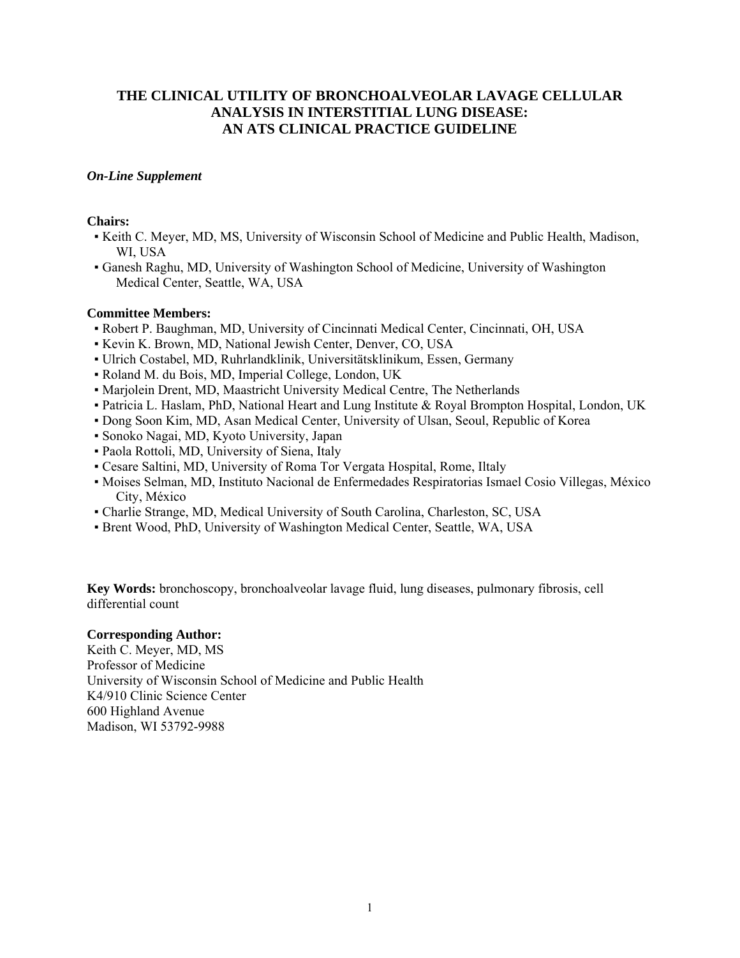## **THE CLINICAL UTILITY OF BRONCHOALVEOLAR LAVAGE CELLULAR ANALYSIS IN INTERSTITIAL LUNG DISEASE: AN ATS CLINICAL PRACTICE GUIDELINE**

## *On-Line Supplement*

## **Chairs:**

- Keith C. Meyer, MD, MS, University of Wisconsin School of Medicine and Public Health, Madison, WI, USA
- Ganesh Raghu, MD, University of Washington School of Medicine, University of Washington Medical Center, Seattle, WA, USA

## **Committee Members:**

- Robert P. Baughman, MD, University of Cincinnati Medical Center, Cincinnati, OH, USA
- Kevin K. Brown, MD, National Jewish Center, Denver, CO, USA
- Ulrich Costabel, MD, Ruhrlandklinik, Universitätsklinikum, Essen, Germany
- Roland M. du Bois, MD, Imperial College, London, UK
- Marjolein Drent, MD, Maastricht University Medical Centre, The Netherlands
- Patricia L. Haslam, PhD, National Heart and Lung Institute & Royal Brompton Hospital, London, UK
- Dong Soon Kim, MD, Asan Medical Center, University of Ulsan, Seoul, Republic of Korea
- Sonoko Nagai, MD, Kyoto University, Japan
- Paola Rottoli, MD, University of Siena, Italy
- Cesare Saltini, MD, University of Roma Tor Vergata Hospital, Rome, Iltaly
- Moises Selman, MD, Instituto Nacional de Enfermedades Respiratorias Ismael Cosio Villegas, México City, México
- Charlie Strange, MD, Medical University of South Carolina, Charleston, SC, USA
- Brent Wood, PhD, University of Washington Medical Center, Seattle, WA, USA

**Key Words:** bronchoscopy, bronchoalveolar lavage fluid, lung diseases, pulmonary fibrosis, cell differential count

## **Corresponding Author:**

Keith C. Meyer, MD, MS Professor of Medicine University of Wisconsin School of Medicine and Public Health K4/910 Clinic Science Center 600 Highland Avenue Madison, WI 53792-9988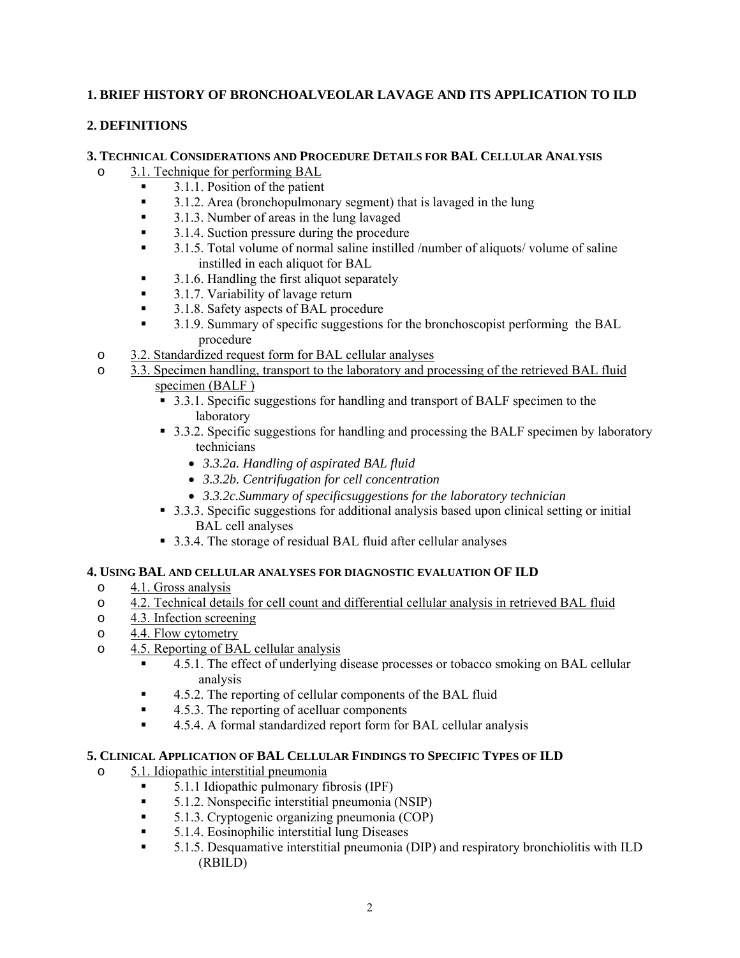## **1. BRIEF HISTORY OF BRONCHOALVEOLAR LAVAGE AND ITS APPLICATION TO ILD**

## **2. DEFINITIONS**

## **3. TECHNICAL CONSIDERATIONS AND PROCEDURE DETAILS FOR BAL CELLULAR ANALYSIS**

- o 3.1. Technique for performing BAL
	- $\blacksquare$  3.1.1. Position of the patient
	- 3.1.2. Area (bronchopulmonary segment) that is lavaged in the lung
	- 3.1.3. Number of areas in the lung lavaged
	- 3.1.4. Suction pressure during the procedure
	- 3.1.5. Total volume of normal saline instilled /number of aliquots/ volume of saline instilled in each aliquot for BAL
	- 3.1.6. Handling the first aliquot separately
	- <sup>3</sup>.1.7. Variability of lavage return
	- 3.1.8. Safety aspects of BAL procedure
	- <sup>3</sup> 3.1.9. Summary of specific suggestions for the bronchoscopist performing the BAL procedure
- o 3.2. Standardized request form for BAL cellular analyses
- o 3.3. Specimen handling, transport to the laboratory and processing of the retrieved BAL fluid specimen (BALF )
	- 3.3.1. Specific suggestions for handling and transport of BALF specimen to the laboratory
	- 3.3.2. Specific suggestions for handling and processing the BALF specimen by laboratory technicians
		- *3.3.2a. Handling of aspirated BAL fluid*
		- *3.3.2b. Centrifugation for cell concentration*
		- *3.3.2c.Summary of specificsuggestions for the laboratory technician*
	- 3.3.3. Specific suggestions for additional analysis based upon clinical setting or initial BAL cell analyses
	- 3.3.4. The storage of residual BAL fluid after cellular analyses

## **4. USING BAL AND CELLULAR ANALYSES FOR DIAGNOSTIC EVALUATION OF ILD**

- o 4.1. Gross analysis
- o 4.2. Technical details for cell count and differential cellular analysis in retrieved BAL fluid
- o 4.3. Infection screening
- o 4.4. Flow cytometry
- o 4.5. Reporting of BAL cellular analysis
	- 4.5.1. The effect of underlying disease processes or tobacco smoking on BAL cellular analysis
	- 4.5.2. The reporting of cellular components of the BAL fluid
	- 4.5.3. The reporting of acelluar components
	- 4.5.4. A formal standardized report form for BAL cellular analysis

## **5. CLINICAL APPLICATION OF BAL CELLULAR FINDINGS TO SPECIFIC TYPES OF ILD**

- o 5.1. Idiopathic interstitial pneumonia
	- 5.1.1 Idiopathic pulmonary fibrosis (IPF)
	- 5.1.2. Nonspecific interstitial pneumonia (NSIP)
	- 5.1.3. Cryptogenic organizing pneumonia (COP)
	- 5.1.4. Eosinophilic interstitial lung Diseases
	- 5.1.5. Desquamative interstitial pneumonia (DIP) and respiratory bronchiolitis with ILD (RBILD)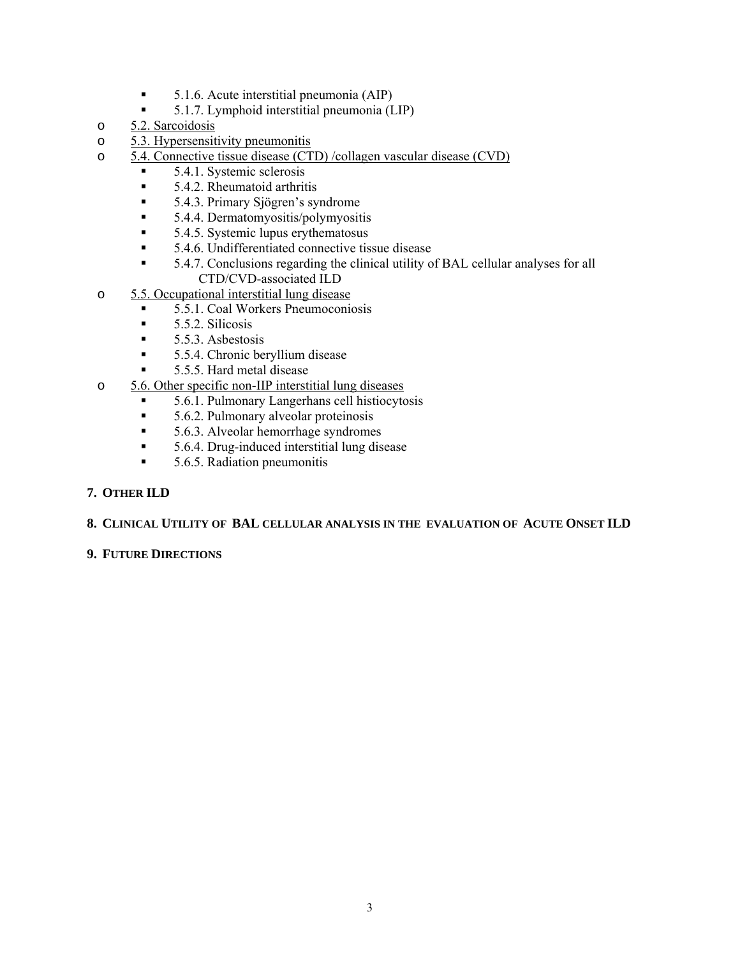- 5.1.6. Acute interstitial pneumonia (AIP)<br>5.1.7. I vmphoid interstitial pneumonia (I
- 5.1.7. Lymphoid interstitial pneumonia (LIP)
- o 5.2. Sarcoidosis
- o 5.3. Hypersensitivity pneumonitis
- o 5.4. Connective tissue disease (CTD) /collagen vascular disease (CVD)
- $\blacksquare$  5.4.1. Systemic sclerosis
	- 5.4.2. Rheumatoid arthritis
	- 5.4.3. Primary Sjögren's syndrome
	- $\blacksquare$  5.4.4. Dermatomyositis/polymyositis
	- $\blacksquare$  5.4.5. Systemic lupus erythematosus
	- 5.4.6. Undifferentiated connective tissue disease
	- 5.4.7. Conclusions regarding the clinical utility of BAL cellular analyses for all CTD/CVD-associated ILD
- o 5.5. Occupational interstitial lung disease
	- 5.5.1. Coal Workers Pneumoconiosis
	- $\blacksquare$  5.5.2. Silicosis
	- $\blacksquare$  5.5.3. Asbestosis
	- **5.5.4. Chronic beryllium disease**
	- 5.5.5. Hard metal disease
- o 5.6. Other specific non-IIP interstitial lung diseases
	- 5.6.1. Pulmonary Langerhans cell histiocytosis
	- 5.6.2. Pulmonary alveolar proteinosis
	- 5.6.3. Alveolar hemorrhage syndromes
	- 5.6.4. Drug-induced interstitial lung disease
	- $\blacksquare$  5.6.5. Radiation pneumonitis

## **7. OTHER ILD**

## **8. CLINICAL UTILITY OF BAL CELLULAR ANALYSIS IN THE EVALUATION OF ACUTE ONSET ILD**

## **9. FUTURE DIRECTIONS**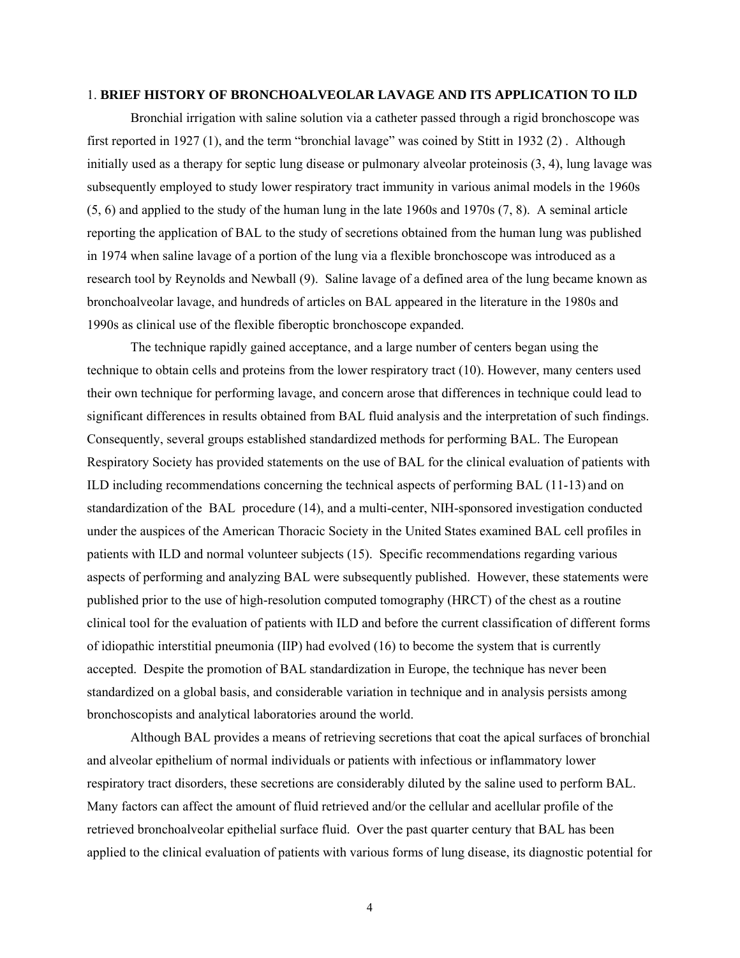#### 1. **BRIEF HISTORY OF BRONCHOALVEOLAR LAVAGE AND ITS APPLICATION TO ILD**

Bronchial irrigation with saline solution via a catheter passed through a rigid bronchoscope was first reported in 1927 (1), and the term "bronchial lavage" was coined by Stitt in 1932 (2) . Although initially used as a therapy for septic lung disease or pulmonary alveolar proteinosis (3, 4), lung lavage was subsequently employed to study lower respiratory tract immunity in various animal models in the 1960s (5, 6) and applied to the study of the human lung in the late 1960s and 1970s (7, 8). A seminal article reporting the application of BAL to the study of secretions obtained from the human lung was published in 1974 when saline lavage of a portion of the lung via a flexible bronchoscope was introduced as a research tool by Reynolds and Newball (9). Saline lavage of a defined area of the lung became known as bronchoalveolar lavage, and hundreds of articles on BAL appeared in the literature in the 1980s and 1990s as clinical use of the flexible fiberoptic bronchoscope expanded.

The technique rapidly gained acceptance, and a large number of centers began using the technique to obtain cells and proteins from the lower respiratory tract (10). However, many centers used their own technique for performing lavage, and concern arose that differences in technique could lead to significant differences in results obtained from BAL fluid analysis and the interpretation of such findings. Consequently, several groups established standardized methods for performing BAL. The European Respiratory Society has provided statements on the use of BAL for the clinical evaluation of patients with ILD including recommendations concerning the technical aspects of performing BAL (11-13) and on standardization of the BAL procedure (14), and a multi-center, NIH-sponsored investigation conducted under the auspices of the American Thoracic Society in the United States examined BAL cell profiles in patients with ILD and normal volunteer subjects (15). Specific recommendations regarding various aspects of performing and analyzing BAL were subsequently published. However, these statements were published prior to the use of high-resolution computed tomography (HRCT) of the chest as a routine clinical tool for the evaluation of patients with ILD and before the current classification of different forms of idiopathic interstitial pneumonia (IIP) had evolved (16) to become the system that is currently accepted. Despite the promotion of BAL standardization in Europe, the technique has never been standardized on a global basis, and considerable variation in technique and in analysis persists among bronchoscopists and analytical laboratories around the world.

Although BAL provides a means of retrieving secretions that coat the apical surfaces of bronchial and alveolar epithelium of normal individuals or patients with infectious or inflammatory lower respiratory tract disorders, these secretions are considerably diluted by the saline used to perform BAL. Many factors can affect the amount of fluid retrieved and/or the cellular and acellular profile of the retrieved bronchoalveolar epithelial surface fluid. Over the past quarter century that BAL has been applied to the clinical evaluation of patients with various forms of lung disease, its diagnostic potential for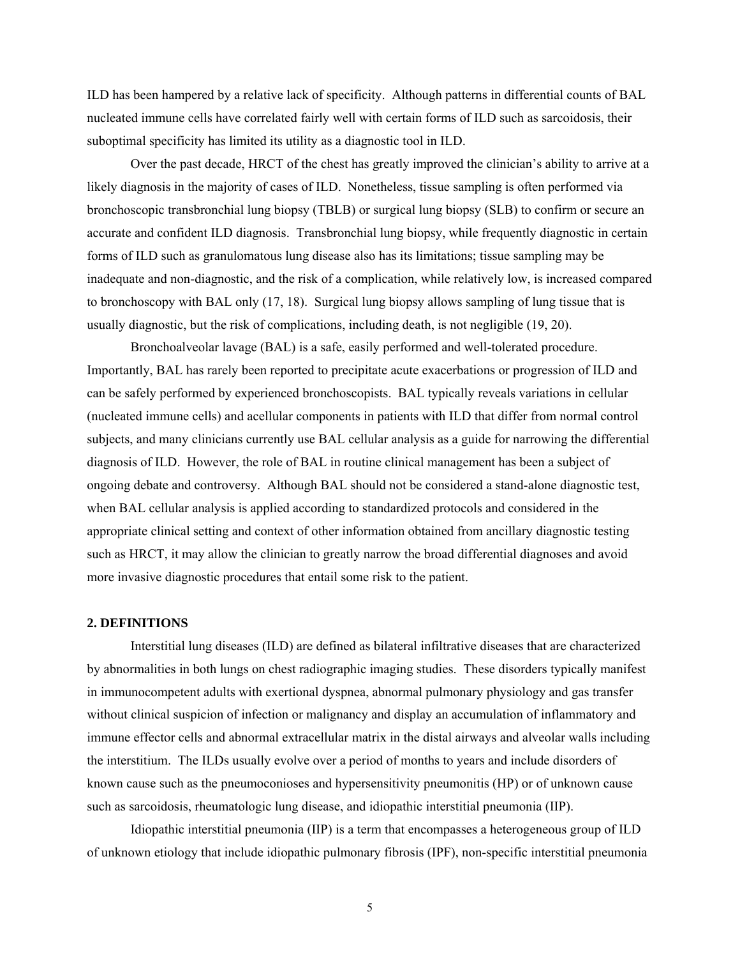ILD has been hampered by a relative lack of specificity. Although patterns in differential counts of BAL nucleated immune cells have correlated fairly well with certain forms of ILD such as sarcoidosis, their suboptimal specificity has limited its utility as a diagnostic tool in ILD.

Over the past decade, HRCT of the chest has greatly improved the clinician's ability to arrive at a likely diagnosis in the majority of cases of ILD. Nonetheless, tissue sampling is often performed via bronchoscopic transbronchial lung biopsy (TBLB) or surgical lung biopsy (SLB) to confirm or secure an accurate and confident ILD diagnosis. Transbronchial lung biopsy, while frequently diagnostic in certain forms of ILD such as granulomatous lung disease also has its limitations; tissue sampling may be inadequate and non-diagnostic, and the risk of a complication, while relatively low, is increased compared to bronchoscopy with BAL only (17, 18). Surgical lung biopsy allows sampling of lung tissue that is usually diagnostic, but the risk of complications, including death, is not negligible (19, 20).

Bronchoalveolar lavage (BAL) is a safe, easily performed and well-tolerated procedure. Importantly, BAL has rarely been reported to precipitate acute exacerbations or progression of ILD and can be safely performed by experienced bronchoscopists. BAL typically reveals variations in cellular (nucleated immune cells) and acellular components in patients with ILD that differ from normal control subjects, and many clinicians currently use BAL cellular analysis as a guide for narrowing the differential diagnosis of ILD. However, the role of BAL in routine clinical management has been a subject of ongoing debate and controversy. Although BAL should not be considered a stand-alone diagnostic test, when BAL cellular analysis is applied according to standardized protocols and considered in the appropriate clinical setting and context of other information obtained from ancillary diagnostic testing such as HRCT, it may allow the clinician to greatly narrow the broad differential diagnoses and avoid more invasive diagnostic procedures that entail some risk to the patient.

#### **2. DEFINITIONS**

Interstitial lung diseases (ILD) are defined as bilateral infiltrative diseases that are characterized by abnormalities in both lungs on chest radiographic imaging studies. These disorders typically manifest in immunocompetent adults with exertional dyspnea, abnormal pulmonary physiology and gas transfer without clinical suspicion of infection or malignancy and display an accumulation of inflammatory and immune effector cells and abnormal extracellular matrix in the distal airways and alveolar walls including the interstitium. The ILDs usually evolve over a period of months to years and include disorders of known cause such as the pneumoconioses and hypersensitivity pneumonitis (HP) or of unknown cause such as sarcoidosis, rheumatologic lung disease, and idiopathic interstitial pneumonia (IIP).

Idiopathic interstitial pneumonia (IIP) is a term that encompasses a heterogeneous group of ILD of unknown etiology that include idiopathic pulmonary fibrosis (IPF), non-specific interstitial pneumonia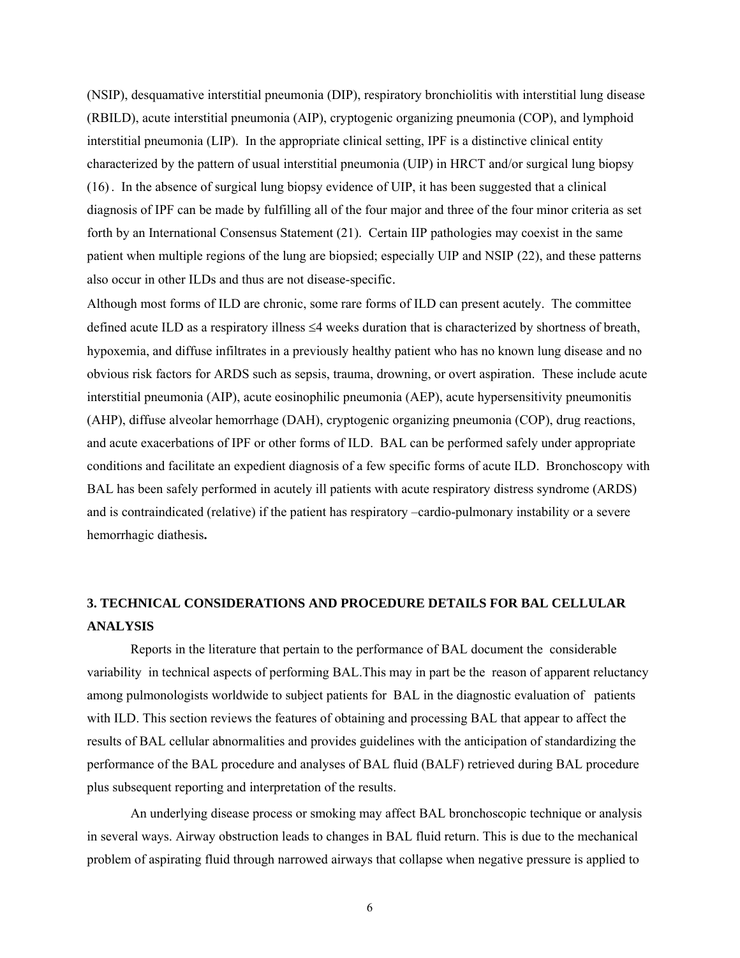(NSIP), desquamative interstitial pneumonia (DIP), respiratory bronchiolitis with interstitial lung disease (RBILD), acute interstitial pneumonia (AIP), cryptogenic organizing pneumonia (COP), and lymphoid interstitial pneumonia (LIP). In the appropriate clinical setting, IPF is a distinctive clinical entity characterized by the pattern of usual interstitial pneumonia (UIP) in HRCT and/or surgical lung biopsy (16). In the absence of surgical lung biopsy evidence of UIP, it has been suggested that a clinical diagnosis of IPF can be made by fulfilling all of the four major and three of the four minor criteria as set forth by an International Consensus Statement (21). Certain IIP pathologies may coexist in the same patient when multiple regions of the lung are biopsied; especially UIP and NSIP (22), and these patterns also occur in other ILDs and thus are not disease-specific.

Although most forms of ILD are chronic, some rare forms of ILD can present acutely. The committee defined acute ILD as a respiratory illness ≤4 weeks duration that is characterized by shortness of breath, hypoxemia, and diffuse infiltrates in a previously healthy patient who has no known lung disease and no obvious risk factors for ARDS such as sepsis, trauma, drowning, or overt aspiration. These include acute interstitial pneumonia (AIP), acute eosinophilic pneumonia (AEP), acute hypersensitivity pneumonitis (AHP), diffuse alveolar hemorrhage (DAH), cryptogenic organizing pneumonia (COP), drug reactions, and acute exacerbations of IPF or other forms of ILD. BAL can be performed safely under appropriate conditions and facilitate an expedient diagnosis of a few specific forms of acute ILD. Bronchoscopy with BAL has been safely performed in acutely ill patients with acute respiratory distress syndrome (ARDS) and is contraindicated (relative) if the patient has respiratory –cardio-pulmonary instability or a severe hemorrhagic diathesis**.** 

# **3. TECHNICAL CONSIDERATIONS AND PROCEDURE DETAILS FOR BAL CELLULAR ANALYSIS**

Reports in the literature that pertain to the performance of BAL document the considerable variability in technical aspects of performing BAL.This may in part be the reason of apparent reluctancy among pulmonologists worldwide to subject patients for BAL in the diagnostic evaluation of patients with ILD. This section reviews the features of obtaining and processing BAL that appear to affect the results of BAL cellular abnormalities and provides guidelines with the anticipation of standardizing the performance of the BAL procedure and analyses of BAL fluid (BALF) retrieved during BAL procedure plus subsequent reporting and interpretation of the results.

An underlying disease process or smoking may affect BAL bronchoscopic technique or analysis in several ways. Airway obstruction leads to changes in BAL fluid return. This is due to the mechanical problem of aspirating fluid through narrowed airways that collapse when negative pressure is applied to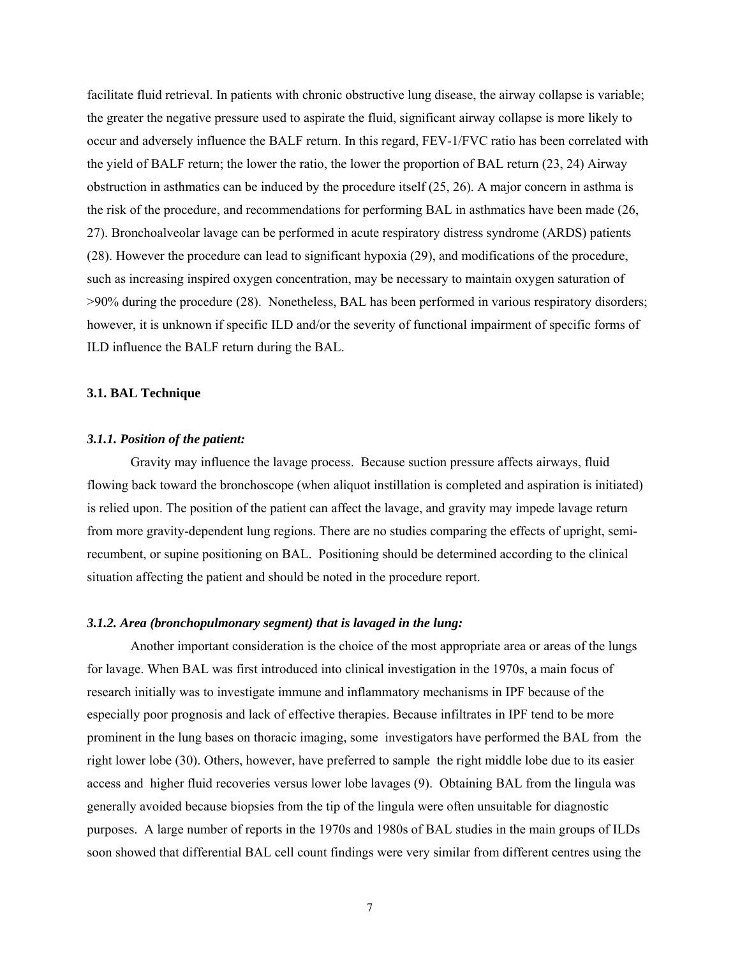facilitate fluid retrieval. In patients with chronic obstructive lung disease, the airway collapse is variable; the greater the negative pressure used to aspirate the fluid, significant airway collapse is more likely to occur and adversely influence the BALF return. In this regard, FEV-1/FVC ratio has been correlated with the yield of BALF return; the lower the ratio, the lower the proportion of BAL return (23, 24) Airway obstruction in asthmatics can be induced by the procedure itself (25, 26). A major concern in asthma is the risk of the procedure, and recommendations for performing BAL in asthmatics have been made (26, 27). Bronchoalveolar lavage can be performed in acute respiratory distress syndrome (ARDS) patients (28). However the procedure can lead to significant hypoxia (29), and modifications of the procedure, such as increasing inspired oxygen concentration, may be necessary to maintain oxygen saturation of >90% during the procedure (28). Nonetheless, BAL has been performed in various respiratory disorders; however, it is unknown if specific ILD and/or the severity of functional impairment of specific forms of ILD influence the BALF return during the BAL.

### **3.1. BAL Technique**

### *3.1.1. Position of the patient:*

Gravity may influence the lavage process. Because suction pressure affects airways, fluid flowing back toward the bronchoscope (when aliquot instillation is completed and aspiration is initiated) is relied upon. The position of the patient can affect the lavage, and gravity may impede lavage return from more gravity-dependent lung regions. There are no studies comparing the effects of upright, semirecumbent, or supine positioning on BAL. Positioning should be determined according to the clinical situation affecting the patient and should be noted in the procedure report.

#### *3.1.2. Area (bronchopulmonary segment) that is lavaged in the lung:*

Another important consideration is the choice of the most appropriate area or areas of the lungs for lavage. When BAL was first introduced into clinical investigation in the 1970s, a main focus of research initially was to investigate immune and inflammatory mechanisms in IPF because of the especially poor prognosis and lack of effective therapies. Because infiltrates in IPF tend to be more prominent in the lung bases on thoracic imaging, some investigators have performed the BAL from the right lower lobe (30). Others, however, have preferred to sample the right middle lobe due to its easier access and higher fluid recoveries versus lower lobe lavages (9). Obtaining BAL from the lingula was generally avoided because biopsies from the tip of the lingula were often unsuitable for diagnostic purposes. A large number of reports in the 1970s and 1980s of BAL studies in the main groups of ILDs soon showed that differential BAL cell count findings were very similar from different centres using the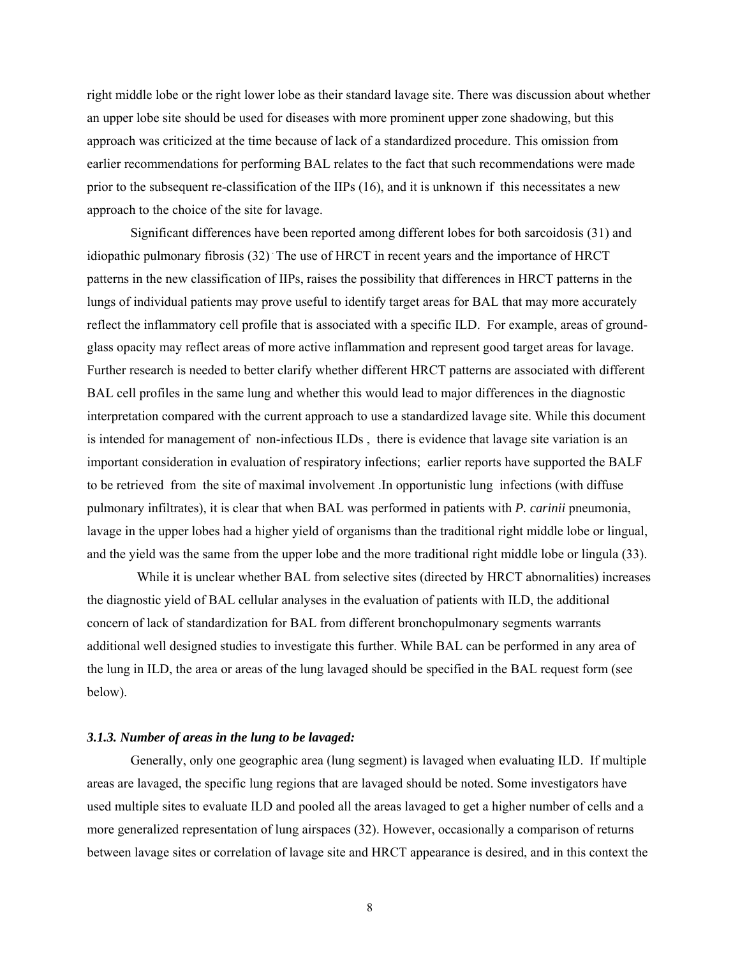right middle lobe or the right lower lobe as their standard lavage site. There was discussion about whether an upper lobe site should be used for diseases with more prominent upper zone shadowing, but this approach was criticized at the time because of lack of a standardized procedure. This omission from earlier recommendations for performing BAL relates to the fact that such recommendations were made prior to the subsequent re-classification of the IIPs (16), and it is unknown if this necessitates a new approach to the choice of the site for lavage.

Significant differences have been reported among different lobes for both sarcoidosis (31) and idiopathic pulmonary fibrosis (32) The use of HRCT in recent years and the importance of HRCT patterns in the new classification of IIPs, raises the possibility that differences in HRCT patterns in the lungs of individual patients may prove useful to identify target areas for BAL that may more accurately reflect the inflammatory cell profile that is associated with a specific ILD. For example, areas of groundglass opacity may reflect areas of more active inflammation and represent good target areas for lavage. Further research is needed to better clarify whether different HRCT patterns are associated with different BAL cell profiles in the same lung and whether this would lead to major differences in the diagnostic interpretation compared with the current approach to use a standardized lavage site. While this document is intended for management of non-infectious ILDs , there is evidence that lavage site variation is an important consideration in evaluation of respiratory infections; earlier reports have supported the BALF to be retrieved from the site of maximal involvement .In opportunistic lung infections (with diffuse pulmonary infiltrates), it is clear that when BAL was performed in patients with *P. carinii* pneumonia, lavage in the upper lobes had a higher yield of organisms than the traditional right middle lobe or lingual, and the yield was the same from the upper lobe and the more traditional right middle lobe or lingula (33).

While it is unclear whether BAL from selective sites (directed by HRCT abnornalities) increases the diagnostic yield of BAL cellular analyses in the evaluation of patients with ILD, the additional concern of lack of standardization for BAL from different bronchopulmonary segments warrants additional well designed studies to investigate this further. While BAL can be performed in any area of the lung in ILD, the area or areas of the lung lavaged should be specified in the BAL request form (see below).

### *3.1.3. Number of areas in the lung to be lavaged:*

Generally, only one geographic area (lung segment) is lavaged when evaluating ILD. If multiple areas are lavaged, the specific lung regions that are lavaged should be noted. Some investigators have used multiple sites to evaluate ILD and pooled all the areas lavaged to get a higher number of cells and a more generalized representation of lung airspaces (32). However, occasionally a comparison of returns between lavage sites or correlation of lavage site and HRCT appearance is desired, and in this context the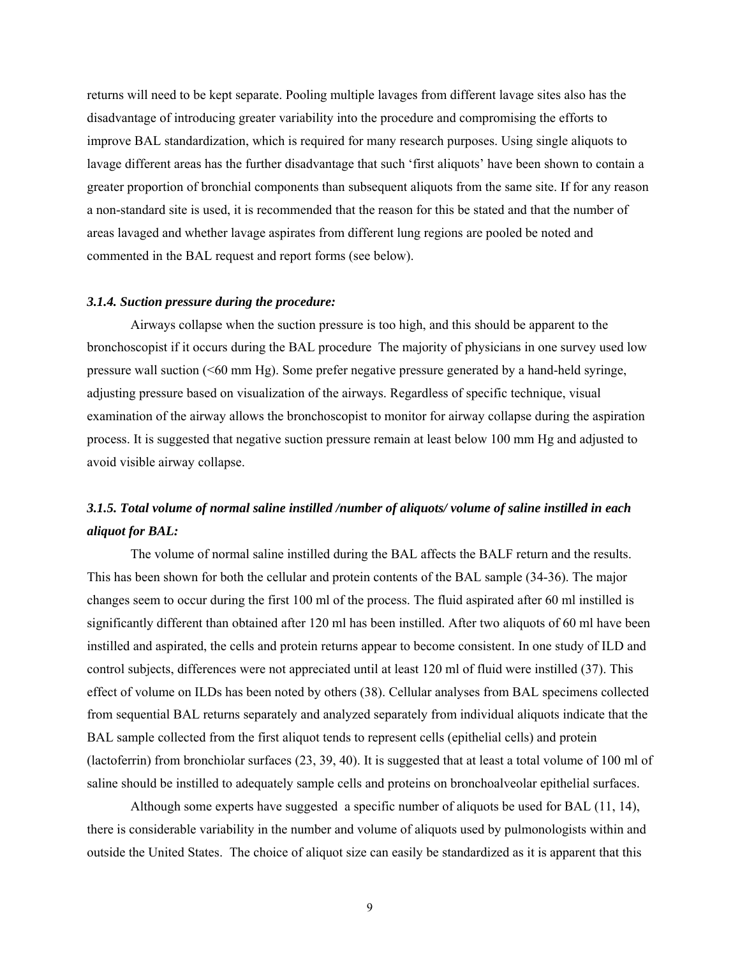returns will need to be kept separate. Pooling multiple lavages from different lavage sites also has the disadvantage of introducing greater variability into the procedure and compromising the efforts to improve BAL standardization, which is required for many research purposes. Using single aliquots to lavage different areas has the further disadvantage that such 'first aliquots' have been shown to contain a greater proportion of bronchial components than subsequent aliquots from the same site. If for any reason a non-standard site is used, it is recommended that the reason for this be stated and that the number of areas lavaged and whether lavage aspirates from different lung regions are pooled be noted and commented in the BAL request and report forms (see below).

### *3.1.4. Suction pressure during the procedure:*

Airways collapse when the suction pressure is too high, and this should be apparent to the bronchoscopist if it occurs during the BAL procedure The majority of physicians in one survey used low pressure wall suction (<60 mm Hg). Some prefer negative pressure generated by a hand-held syringe, adjusting pressure based on visualization of the airways. Regardless of specific technique, visual examination of the airway allows the bronchoscopist to monitor for airway collapse during the aspiration process. It is suggested that negative suction pressure remain at least below 100 mm Hg and adjusted to avoid visible airway collapse.

## *3.1.5. Total volume of normal saline instilled /number of aliquots/ volume of saline instilled in each aliquot for BAL:*

The volume of normal saline instilled during the BAL affects the BALF return and the results. This has been shown for both the cellular and protein contents of the BAL sample (34-36). The major changes seem to occur during the first 100 ml of the process. The fluid aspirated after 60 ml instilled is significantly different than obtained after 120 ml has been instilled. After two aliquots of 60 ml have been instilled and aspirated, the cells and protein returns appear to become consistent. In one study of ILD and control subjects, differences were not appreciated until at least 120 ml of fluid were instilled (37). This effect of volume on ILDs has been noted by others (38). Cellular analyses from BAL specimens collected from sequential BAL returns separately and analyzed separately from individual aliquots indicate that the BAL sample collected from the first aliquot tends to represent cells (epithelial cells) and protein (lactoferrin) from bronchiolar surfaces (23, 39, 40). It is suggested that at least a total volume of 100 ml of saline should be instilled to adequately sample cells and proteins on bronchoalveolar epithelial surfaces.

Although some experts have suggested a specific number of aliquots be used for BAL (11, 14), there is considerable variability in the number and volume of aliquots used by pulmonologists within and outside the United States. The choice of aliquot size can easily be standardized as it is apparent that this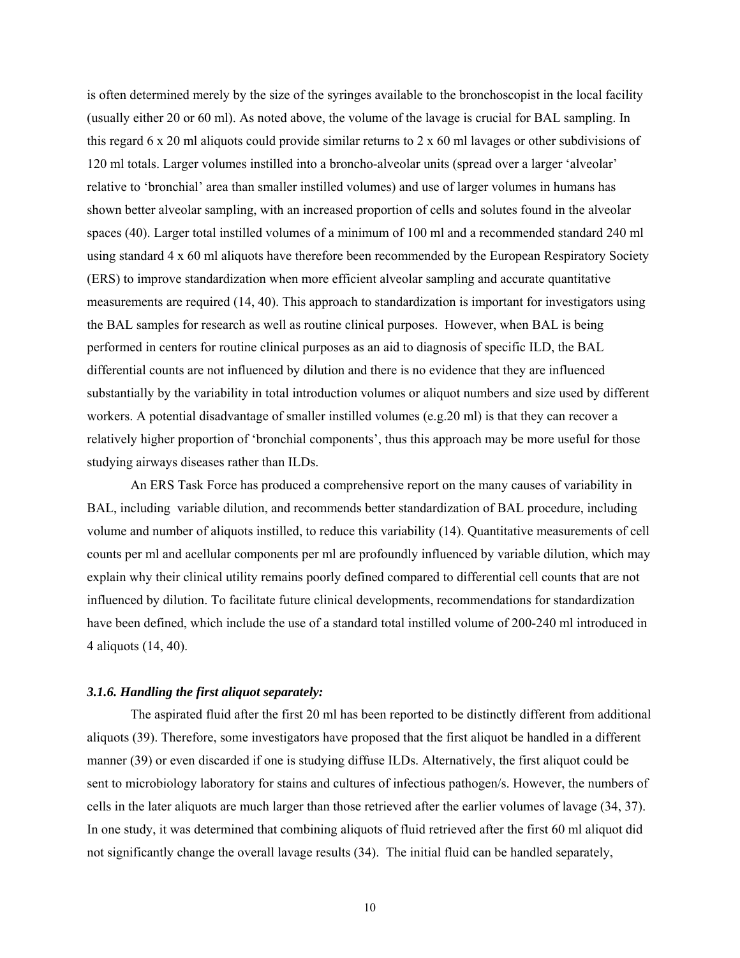is often determined merely by the size of the syringes available to the bronchoscopist in the local facility (usually either 20 or 60 ml). As noted above, the volume of the lavage is crucial for BAL sampling. In this regard 6 x 20 ml aliquots could provide similar returns to 2 x 60 ml lavages or other subdivisions of 120 ml totals. Larger volumes instilled into a broncho-alveolar units (spread over a larger 'alveolar' relative to 'bronchial' area than smaller instilled volumes) and use of larger volumes in humans has shown better alveolar sampling, with an increased proportion of cells and solutes found in the alveolar spaces (40). Larger total instilled volumes of a minimum of 100 ml and a recommended standard 240 ml using standard 4 x 60 ml aliquots have therefore been recommended by the European Respiratory Society (ERS) to improve standardization when more efficient alveolar sampling and accurate quantitative measurements are required (14, 40). This approach to standardization is important for investigators using the BAL samples for research as well as routine clinical purposes. However, when BAL is being performed in centers for routine clinical purposes as an aid to diagnosis of specific ILD, the BAL differential counts are not influenced by dilution and there is no evidence that they are influenced substantially by the variability in total introduction volumes or aliquot numbers and size used by different workers. A potential disadvantage of smaller instilled volumes (e.g.20 ml) is that they can recover a relatively higher proportion of 'bronchial components', thus this approach may be more useful for those studying airways diseases rather than ILDs.

An ERS Task Force has produced a comprehensive report on the many causes of variability in BAL, including variable dilution, and recommends better standardization of BAL procedure, including volume and number of aliquots instilled, to reduce this variability (14). Quantitative measurements of cell counts per ml and acellular components per ml are profoundly influenced by variable dilution, which may explain why their clinical utility remains poorly defined compared to differential cell counts that are not influenced by dilution. To facilitate future clinical developments, recommendations for standardization have been defined, which include the use of a standard total instilled volume of 200-240 ml introduced in 4 aliquots (14, 40).

## *3.1.6. Handling the first aliquot separately:*

The aspirated fluid after the first 20 ml has been reported to be distinctly different from additional aliquots (39). Therefore, some investigators have proposed that the first aliquot be handled in a different manner (39) or even discarded if one is studying diffuse ILDs. Alternatively, the first aliquot could be sent to microbiology laboratory for stains and cultures of infectious pathogen/s. However, the numbers of cells in the later aliquots are much larger than those retrieved after the earlier volumes of lavage (34, 37). In one study, it was determined that combining aliquots of fluid retrieved after the first 60 ml aliquot did not significantly change the overall lavage results (34). The initial fluid can be handled separately,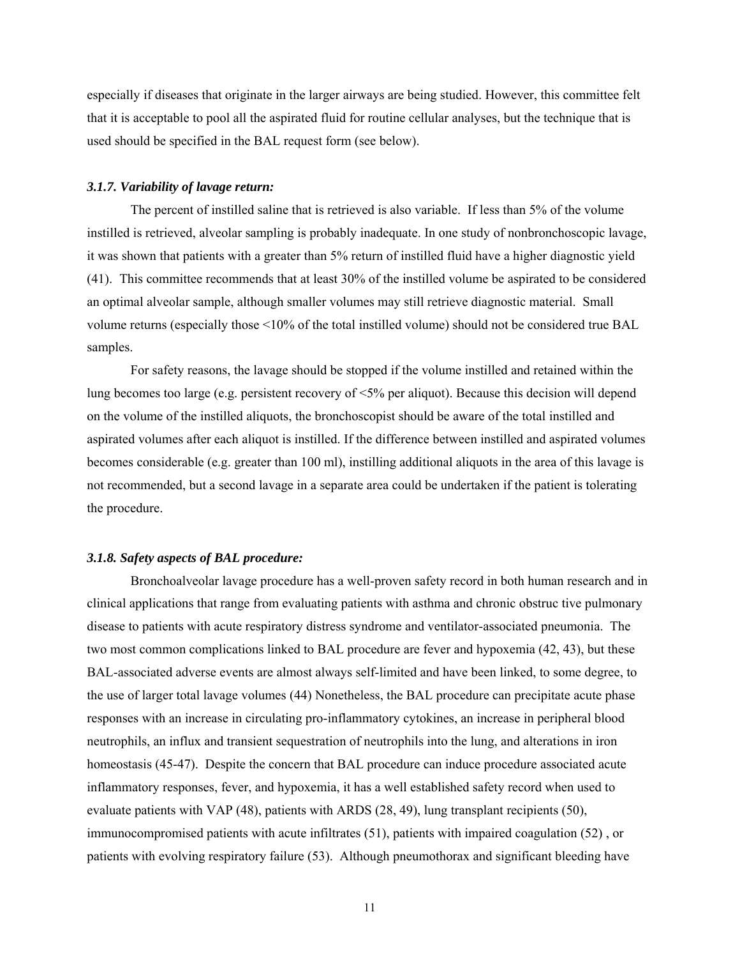especially if diseases that originate in the larger airways are being studied. However, this committee felt that it is acceptable to pool all the aspirated fluid for routine cellular analyses, but the technique that is used should be specified in the BAL request form (see below).

### *3.1.7. Variability of lavage return:*

The percent of instilled saline that is retrieved is also variable. If less than 5% of the volume instilled is retrieved, alveolar sampling is probably inadequate. In one study of nonbronchoscopic lavage, it was shown that patients with a greater than 5% return of instilled fluid have a higher diagnostic yield (41). This committee recommends that at least 30% of the instilled volume be aspirated to be considered an optimal alveolar sample, although smaller volumes may still retrieve diagnostic material. Small volume returns (especially those <10% of the total instilled volume) should not be considered true BAL samples.

For safety reasons, the lavage should be stopped if the volume instilled and retained within the lung becomes too large (e.g. persistent recovery of <5% per aliquot). Because this decision will depend on the volume of the instilled aliquots, the bronchoscopist should be aware of the total instilled and aspirated volumes after each aliquot is instilled. If the difference between instilled and aspirated volumes becomes considerable (e.g. greater than 100 ml), instilling additional aliquots in the area of this lavage is not recommended, but a second lavage in a separate area could be undertaken if the patient is tolerating the procedure.

## *3.1.8. Safety aspects of BAL procedure:*

 Bronchoalveolar lavage procedure has a well-proven safety record in both human research and in clinical applications that range from evaluating patients with asthma and chronic obstruc tive pulmonary disease to patients with acute respiratory distress syndrome and ventilator-associated pneumonia. The two most common complications linked to BAL procedure are fever and hypoxemia (42, 43), but these BAL-associated adverse events are almost always self-limited and have been linked, to some degree, to the use of larger total lavage volumes (44) Nonetheless, the BAL procedure can precipitate acute phase responses with an increase in circulating pro-inflammatory cytokines, an increase in peripheral blood neutrophils, an influx and transient sequestration of neutrophils into the lung, and alterations in iron homeostasis (45-47). Despite the concern that BAL procedure can induce procedure associated acute inflammatory responses, fever, and hypoxemia, it has a well established safety record when used to evaluate patients with VAP (48), patients with ARDS (28, 49), lung transplant recipients (50), immunocompromised patients with acute infiltrates (51), patients with impaired coagulation (52) , or patients with evolving respiratory failure (53). Although pneumothorax and significant bleeding have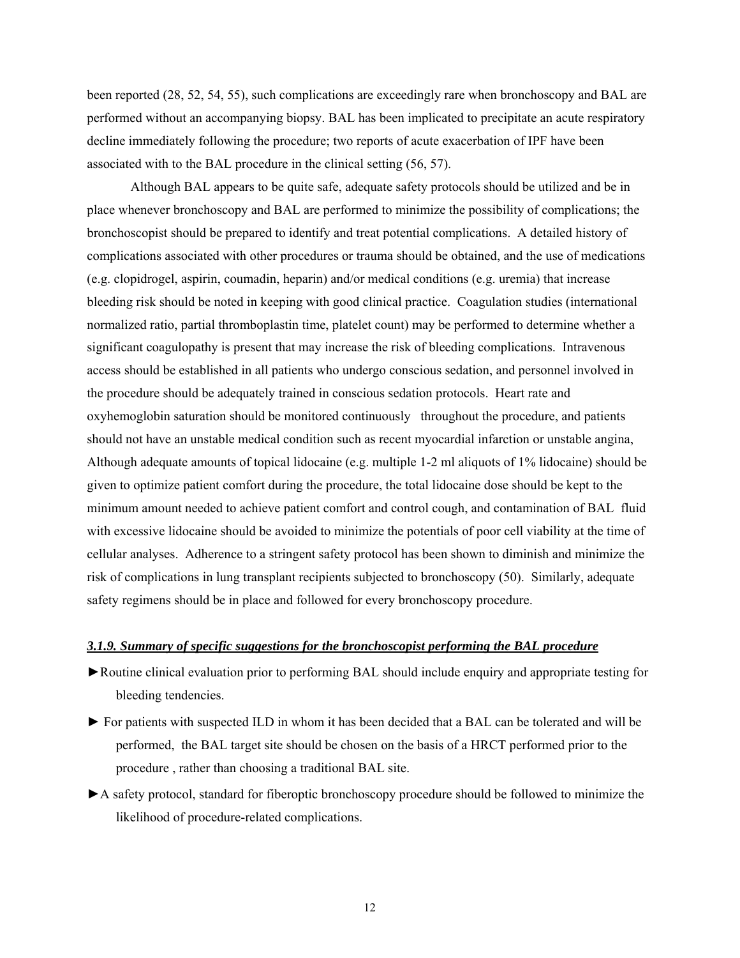been reported (28, 52, 54, 55), such complications are exceedingly rare when bronchoscopy and BAL are performed without an accompanying biopsy. BAL has been implicated to precipitate an acute respiratory decline immediately following the procedure; two reports of acute exacerbation of IPF have been associated with to the BAL procedure in the clinical setting (56, 57).

 Although BAL appears to be quite safe, adequate safety protocols should be utilized and be in place whenever bronchoscopy and BAL are performed to minimize the possibility of complications; the bronchoscopist should be prepared to identify and treat potential complications. A detailed history of complications associated with other procedures or trauma should be obtained, and the use of medications (e.g. clopidrogel, aspirin, coumadin, heparin) and/or medical conditions (e.g. uremia) that increase bleeding risk should be noted in keeping with good clinical practice. Coagulation studies (international normalized ratio, partial thromboplastin time, platelet count) may be performed to determine whether a significant coagulopathy is present that may increase the risk of bleeding complications. Intravenous access should be established in all patients who undergo conscious sedation, and personnel involved in the procedure should be adequately trained in conscious sedation protocols. Heart rate and oxyhemoglobin saturation should be monitored continuously throughout the procedure, and patients should not have an unstable medical condition such as recent myocardial infarction or unstable angina, Although adequate amounts of topical lidocaine (e.g. multiple 1-2 ml aliquots of 1% lidocaine) should be given to optimize patient comfort during the procedure, the total lidocaine dose should be kept to the minimum amount needed to achieve patient comfort and control cough, and contamination of BAL fluid with excessive lidocaine should be avoided to minimize the potentials of poor cell viability at the time of cellular analyses. Adherence to a stringent safety protocol has been shown to diminish and minimize the risk of complications in lung transplant recipients subjected to bronchoscopy (50). Similarly, adequate safety regimens should be in place and followed for every bronchoscopy procedure.

## *3.1.9. Summary of specific suggestions for the bronchoscopist performing the BAL procedure*

- ►Routine clinical evaluation prior to performing BAL should include enquiry and appropriate testing for bleeding tendencies.
- ► For patients with suspected ILD in whom it has been decided that a BAL can be tolerated and will be performed, the BAL target site should be chosen on the basis of a HRCT performed prior to the procedure , rather than choosing a traditional BAL site.
- ►A safety protocol, standard for fiberoptic bronchoscopy procedure should be followed to minimize the likelihood of procedure-related complications.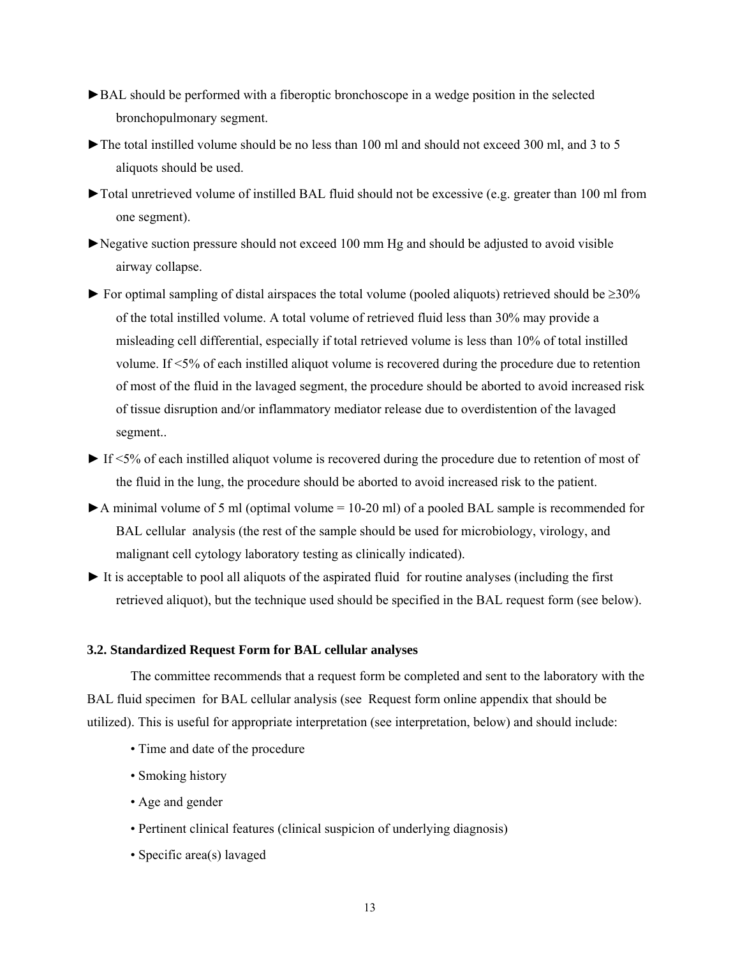- ►BAL should be performed with a fiberoptic bronchoscope in a wedge position in the selected bronchopulmonary segment.
- $\blacktriangleright$  The total instilled volume should be no less than 100 ml and should not exceed 300 ml, and 3 to 5 aliquots should be used.
- ►Total unretrieved volume of instilled BAL fluid should not be excessive (e.g. greater than 100 ml from one segment).
- ►Negative suction pressure should not exceed 100 mm Hg and should be adjusted to avoid visible airway collapse.
- $\blacktriangleright$  For optimal sampling of distal airspaces the total volume (pooled aliquots) retrieved should be  $\geq$ 30% of the total instilled volume. A total volume of retrieved fluid less than 30% may provide a misleading cell differential, especially if total retrieved volume is less than 10% of total instilled volume. If <5% of each instilled aliquot volume is recovered during the procedure due to retention of most of the fluid in the lavaged segment, the procedure should be aborted to avoid increased risk of tissue disruption and/or inflammatory mediator release due to overdistention of the lavaged segment..
- ► If <5% of each instilled aliquot volume is recovered during the procedure due to retention of most of the fluid in the lung, the procedure should be aborted to avoid increased risk to the patient.
- $\blacktriangleright$  A minimal volume of 5 ml (optimal volume = 10-20 ml) of a pooled BAL sample is recommended for BAL cellular analysis (the rest of the sample should be used for microbiology, virology, and malignant cell cytology laboratory testing as clinically indicated).
- ► It is acceptable to pool all aliquots of the aspirated fluid for routine analyses (including the first retrieved aliquot), but the technique used should be specified in the BAL request form (see below).

## **3.2. Standardized Request Form for BAL cellular analyses**

The committee recommends that a request form be completed and sent to the laboratory with the BAL fluid specimen for BAL cellular analysis (see Request form online appendix that should be utilized). This is useful for appropriate interpretation (see interpretation, below) and should include:

- Time and date of the procedure
- Smoking history
- Age and gender
- Pertinent clinical features (clinical suspicion of underlying diagnosis)
- Specific area(s) lavaged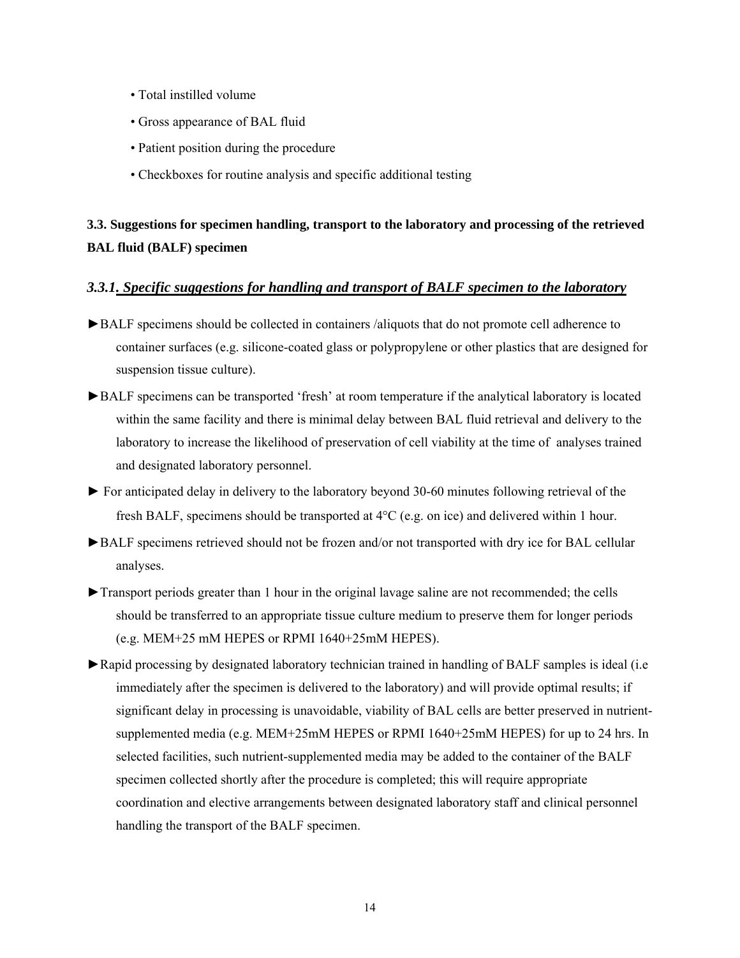- Total instilled volume
- Gross appearance of BAL fluid
- Patient position during the procedure
- Checkboxes for routine analysis and specific additional testing

# **3.3. Suggestions for specimen handling, transport to the laboratory and processing of the retrieved BAL fluid (BALF) specimen**

## *3.3.1. Specific suggestions for handling and transport of BALF specimen to the laboratory*

- ►BALF specimens should be collected in containers /aliquots that do not promote cell adherence to container surfaces (e.g. silicone-coated glass or polypropylene or other plastics that are designed for suspension tissue culture).
- ►BALF specimens can be transported 'fresh' at room temperature if the analytical laboratory is located within the same facility and there is minimal delay between BAL fluid retrieval and delivery to the laboratory to increase the likelihood of preservation of cell viability at the time of analyses trained and designated laboratory personnel.
- ► For anticipated delay in delivery to the laboratory beyond 30-60 minutes following retrieval of the fresh BALF, specimens should be transported at 4°C (e.g. on ice) and delivered within 1 hour.
- ►BALF specimens retrieved should not be frozen and/or not transported with dry ice for BAL cellular analyses.
- ►Transport periods greater than 1 hour in the original lavage saline are not recommended; the cells should be transferred to an appropriate tissue culture medium to preserve them for longer periods (e.g. MEM+25 mM HEPES or RPMI 1640+25mM HEPES).
- ►Rapid processing by designated laboratory technician trained in handling of BALF samples is ideal (i.e immediately after the specimen is delivered to the laboratory) and will provide optimal results; if significant delay in processing is unavoidable, viability of BAL cells are better preserved in nutrientsupplemented media (e.g. MEM+25mM HEPES or RPMI 1640+25mM HEPES) for up to 24 hrs. In selected facilities, such nutrient-supplemented media may be added to the container of the BALF specimen collected shortly after the procedure is completed; this will require appropriate coordination and elective arrangements between designated laboratory staff and clinical personnel handling the transport of the BALF specimen.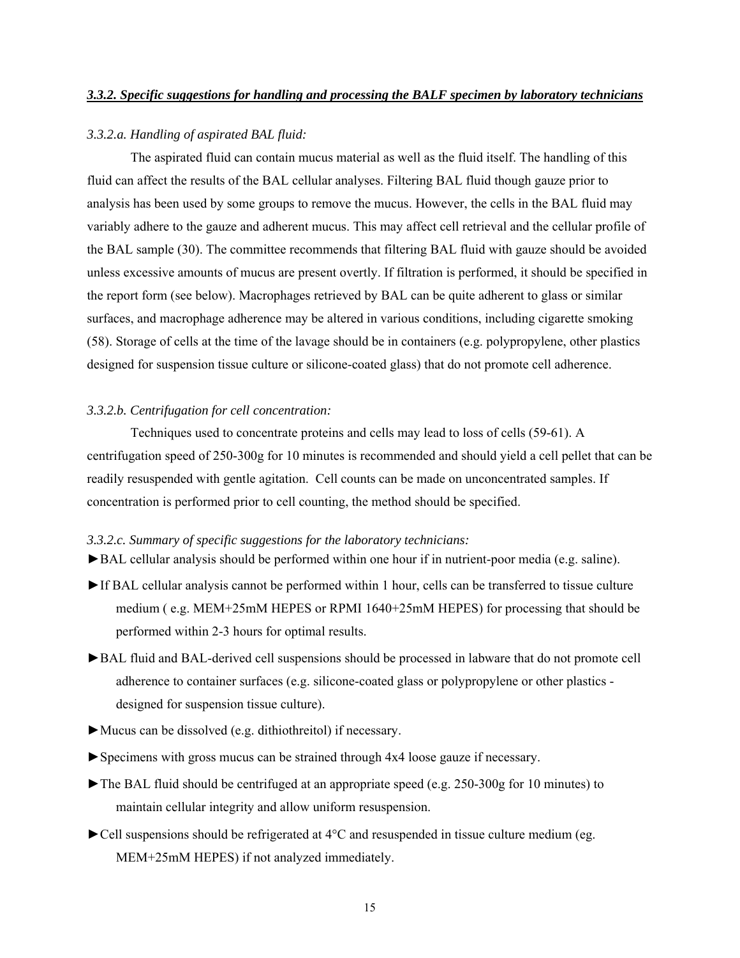#### *3.3.2.a. Handling of aspirated BAL fluid:*

The aspirated fluid can contain mucus material as well as the fluid itself. The handling of this fluid can affect the results of the BAL cellular analyses. Filtering BAL fluid though gauze prior to analysis has been used by some groups to remove the mucus. However, the cells in the BAL fluid may variably adhere to the gauze and adherent mucus. This may affect cell retrieval and the cellular profile of the BAL sample (30). The committee recommends that filtering BAL fluid with gauze should be avoided unless excessive amounts of mucus are present overtly. If filtration is performed, it should be specified in the report form (see below). Macrophages retrieved by BAL can be quite adherent to glass or similar surfaces, and macrophage adherence may be altered in various conditions, including cigarette smoking (58). Storage of cells at the time of the lavage should be in containers (e.g. polypropylene, other plastics designed for suspension tissue culture or silicone-coated glass) that do not promote cell adherence.

### *3.3.2.b. Centrifugation for cell concentration:*

Techniques used to concentrate proteins and cells may lead to loss of cells (59-61). A centrifugation speed of 250-300g for 10 minutes is recommended and should yield a cell pellet that can be readily resuspended with gentle agitation. Cell counts can be made on unconcentrated samples. If concentration is performed prior to cell counting, the method should be specified.

### *3.3.2.c. Summary of specific suggestions for the laboratory technicians:*

- ►BAL cellular analysis should be performed within one hour if in nutrient-poor media (e.g. saline).
- ►If BAL cellular analysis cannot be performed within 1 hour, cells can be transferred to tissue culture medium ( e.g. MEM+25mM HEPES or RPMI 1640+25mM HEPES) for processing that should be performed within 2-3 hours for optimal results.
- ►BAL fluid and BAL-derived cell suspensions should be processed in labware that do not promote cell adherence to container surfaces (e.g. silicone-coated glass or polypropylene or other plastics designed for suspension tissue culture).
- ►Mucus can be dissolved (e.g. dithiothreitol) if necessary.
- ►Specimens with gross mucus can be strained through 4x4 loose gauze if necessary.
- ►The BAL fluid should be centrifuged at an appropriate speed (e.g. 250-300g for 10 minutes) to maintain cellular integrity and allow uniform resuspension.
- $\blacktriangleright$  Cell suspensions should be refrigerated at 4 $\degree$ C and resuspended in tissue culture medium (eg. MEM+25mM HEPES) if not analyzed immediately.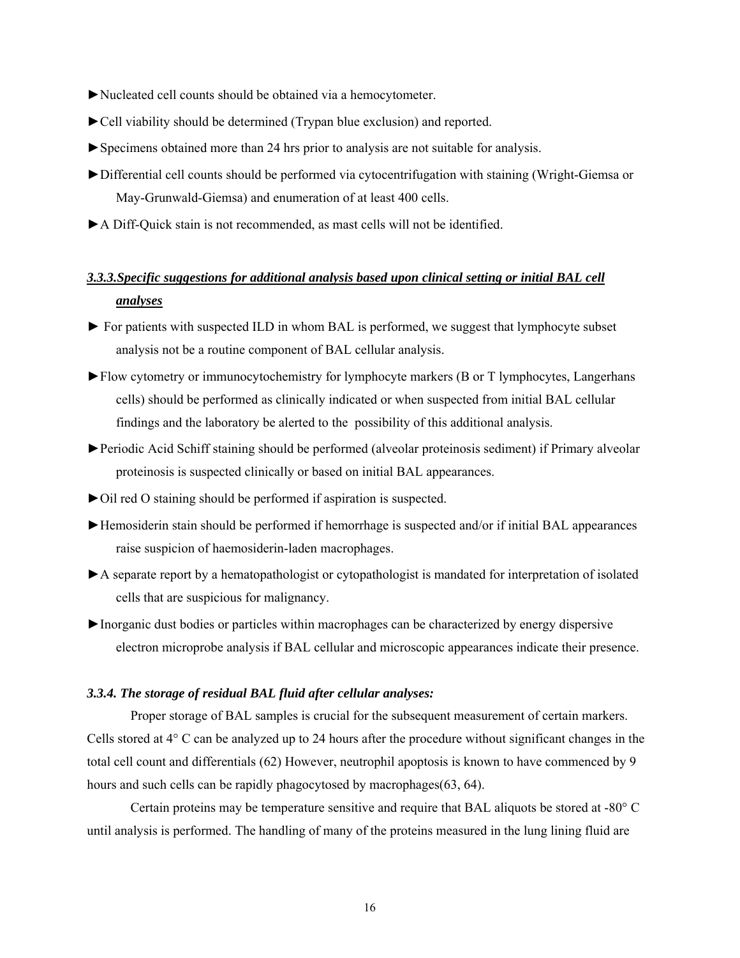- ►Nucleated cell counts should be obtained via a hemocytometer.
- ►Cell viability should be determined (Trypan blue exclusion) and reported.
- ►Specimens obtained more than 24 hrs prior to analysis are not suitable for analysis.
- ►Differential cell counts should be performed via cytocentrifugation with staining (Wright-Giemsa or May-Grunwald-Giemsa) and enumeration of at least 400 cells.
- ►A Diff-Quick stain is not recommended, as mast cells will not be identified.

# *3.3.3.Specific suggestions for additional analysis based upon clinical setting or initial BAL cell analyses*

- ► For patients with suspected ILD in whom BAL is performed, we suggest that lymphocyte subset analysis not be a routine component of BAL cellular analysis.
- ►Flow cytometry or immunocytochemistry for lymphocyte markers (B or T lymphocytes, Langerhans cells) should be performed as clinically indicated or when suspected from initial BAL cellular findings and the laboratory be alerted to the possibility of this additional analysis.
- ►Periodic Acid Schiff staining should be performed (alveolar proteinosis sediment) if Primary alveolar proteinosis is suspected clinically or based on initial BAL appearances.
- ►Oil red O staining should be performed if aspiration is suspected.
- ►Hemosiderin stain should be performed if hemorrhage is suspected and/or if initial BAL appearances raise suspicion of haemosiderin-laden macrophages.
- ►A separate report by a hematopathologist or cytopathologist is mandated for interpretation of isolated cells that are suspicious for malignancy.
- ►Inorganic dust bodies or particles within macrophages can be characterized by energy dispersive electron microprobe analysis if BAL cellular and microscopic appearances indicate their presence.

## *3.3.4. The storage of residual BAL fluid after cellular analyses:*

Proper storage of BAL samples is crucial for the subsequent measurement of certain markers. Cells stored at 4° C can be analyzed up to 24 hours after the procedure without significant changes in the total cell count and differentials (62) However, neutrophil apoptosis is known to have commenced by 9 hours and such cells can be rapidly phagocytosed by macrophages(63, 64).

Certain proteins may be temperature sensitive and require that BAL aliquots be stored at -80° C until analysis is performed. The handling of many of the proteins measured in the lung lining fluid are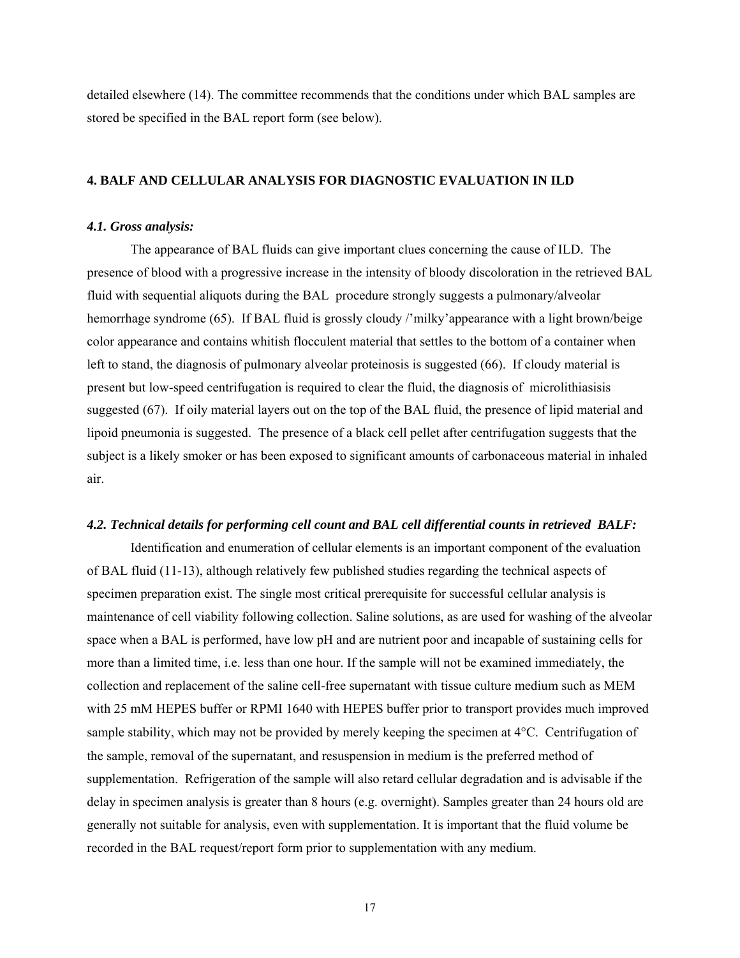detailed elsewhere (14). The committee recommends that the conditions under which BAL samples are stored be specified in the BAL report form (see below).

## **4. BALF AND CELLULAR ANALYSIS FOR DIAGNOSTIC EVALUATION IN ILD**

### *4.1. Gross analysis:*

The appearance of BAL fluids can give important clues concerning the cause of ILD. The presence of blood with a progressive increase in the intensity of bloody discoloration in the retrieved BAL fluid with sequential aliquots during the BAL procedure strongly suggests a pulmonary/alveolar hemorrhage syndrome (65). If BAL fluid is grossly cloudy /'milky'appearance with a light brown/beige color appearance and contains whitish flocculent material that settles to the bottom of a container when left to stand, the diagnosis of pulmonary alveolar proteinosis is suggested (66). If cloudy material is present but low-speed centrifugation is required to clear the fluid, the diagnosis of microlithiasisis suggested (67). If oily material layers out on the top of the BAL fluid, the presence of lipid material and lipoid pneumonia is suggested. The presence of a black cell pellet after centrifugation suggests that the subject is a likely smoker or has been exposed to significant amounts of carbonaceous material in inhaled air.

#### *4.2. Technical details for performing cell count and BAL cell differential counts in retrieved BALF:*

Identification and enumeration of cellular elements is an important component of the evaluation of BAL fluid (11-13), although relatively few published studies regarding the technical aspects of specimen preparation exist. The single most critical prerequisite for successful cellular analysis is maintenance of cell viability following collection. Saline solutions, as are used for washing of the alveolar space when a BAL is performed, have low pH and are nutrient poor and incapable of sustaining cells for more than a limited time, i.e. less than one hour. If the sample will not be examined immediately, the collection and replacement of the saline cell-free supernatant with tissue culture medium such as MEM with 25 mM HEPES buffer or RPMI 1640 with HEPES buffer prior to transport provides much improved sample stability, which may not be provided by merely keeping the specimen at 4°C. Centrifugation of the sample, removal of the supernatant, and resuspension in medium is the preferred method of supplementation. Refrigeration of the sample will also retard cellular degradation and is advisable if the delay in specimen analysis is greater than 8 hours (e.g. overnight). Samples greater than 24 hours old are generally not suitable for analysis, even with supplementation. It is important that the fluid volume be recorded in the BAL request/report form prior to supplementation with any medium.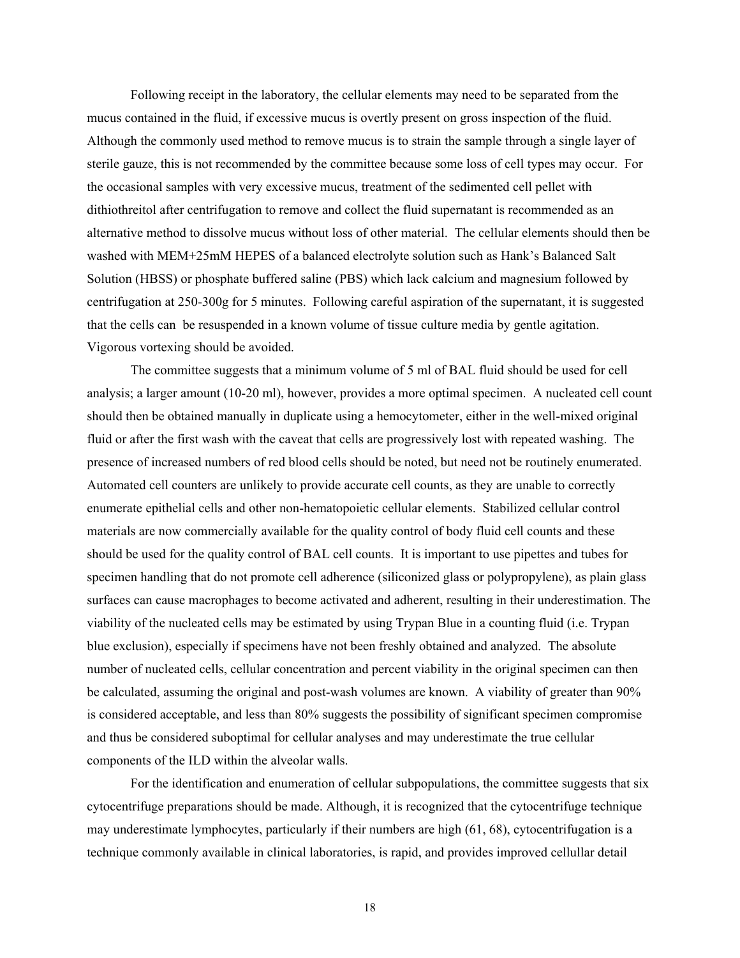Following receipt in the laboratory, the cellular elements may need to be separated from the mucus contained in the fluid, if excessive mucus is overtly present on gross inspection of the fluid. Although the commonly used method to remove mucus is to strain the sample through a single layer of sterile gauze, this is not recommended by the committee because some loss of cell types may occur. For the occasional samples with very excessive mucus, treatment of the sedimented cell pellet with dithiothreitol after centrifugation to remove and collect the fluid supernatant is recommended as an alternative method to dissolve mucus without loss of other material. The cellular elements should then be washed with MEM+25mM HEPES of a balanced electrolyte solution such as Hank's Balanced Salt Solution (HBSS) or phosphate buffered saline (PBS) which lack calcium and magnesium followed by centrifugation at 250-300g for 5 minutes. Following careful aspiration of the supernatant, it is suggested that the cells can be resuspended in a known volume of tissue culture media by gentle agitation. Vigorous vortexing should be avoided.

The committee suggests that a minimum volume of 5 ml of BAL fluid should be used for cell analysis; a larger amount (10-20 ml), however, provides a more optimal specimen. A nucleated cell count should then be obtained manually in duplicate using a hemocytometer, either in the well-mixed original fluid or after the first wash with the caveat that cells are progressively lost with repeated washing. The presence of increased numbers of red blood cells should be noted, but need not be routinely enumerated. Automated cell counters are unlikely to provide accurate cell counts, as they are unable to correctly enumerate epithelial cells and other non-hematopoietic cellular elements. Stabilized cellular control materials are now commercially available for the quality control of body fluid cell counts and these should be used for the quality control of BAL cell counts. It is important to use pipettes and tubes for specimen handling that do not promote cell adherence (siliconized glass or polypropylene), as plain glass surfaces can cause macrophages to become activated and adherent, resulting in their underestimation. The viability of the nucleated cells may be estimated by using Trypan Blue in a counting fluid (i.e. Trypan blue exclusion), especially if specimens have not been freshly obtained and analyzed. The absolute number of nucleated cells, cellular concentration and percent viability in the original specimen can then be calculated, assuming the original and post-wash volumes are known. A viability of greater than 90% is considered acceptable, and less than 80% suggests the possibility of significant specimen compromise and thus be considered suboptimal for cellular analyses and may underestimate the true cellular components of the ILD within the alveolar walls.

For the identification and enumeration of cellular subpopulations, the committee suggests that six cytocentrifuge preparations should be made. Although, it is recognized that the cytocentrifuge technique may underestimate lymphocytes, particularly if their numbers are high (61, 68), cytocentrifugation is a technique commonly available in clinical laboratories, is rapid, and provides improved cellullar detail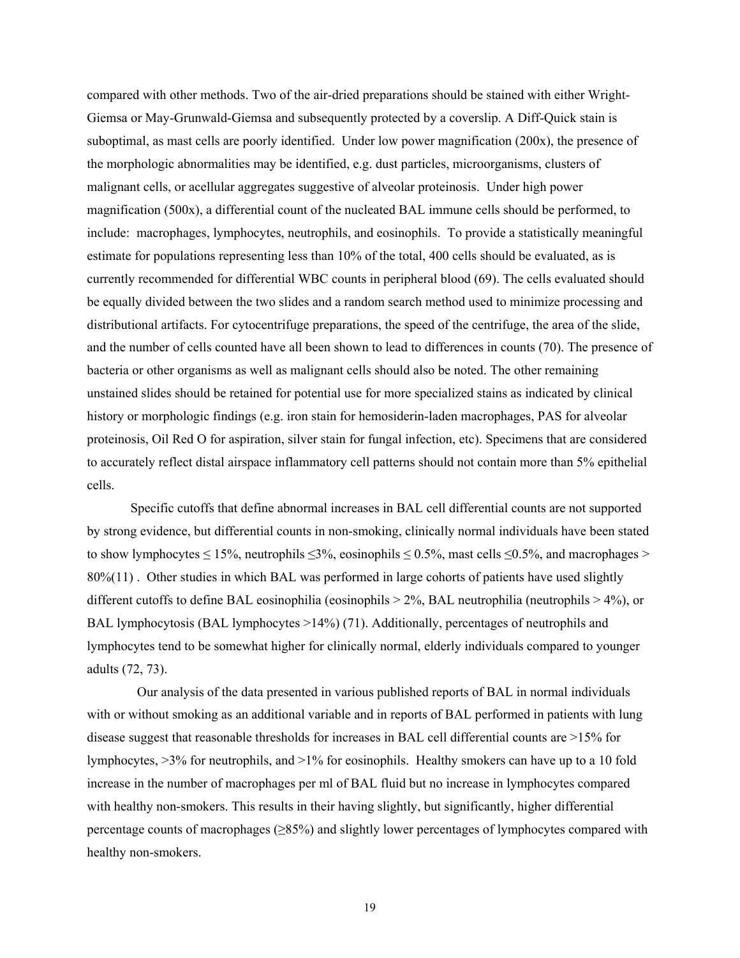compared with other methods. Two of the air-dried preparations should be stained with either Wright-Giemsa or May-Grunwald-Giemsa and subsequently protected by a coverslip. A Diff-Quick stain is suboptimal, as mast cells are poorly identified. Under low power magnification (200x), the presence of the morphologic abnormalities may be identified, e.g. dust particles, microorganisms, clusters of malignant cells, or acellular aggregates suggestive of alveolar proteinosis. Under high power magnification (500x), a differential count of the nucleated BAL immune cells should be performed, to include: macrophages, lymphocytes, neutrophils, and eosinophils. To provide a statistically meaningful estimate for populations representing less than 10% of the total, 400 cells should be evaluated, as is currently recommended for differential WBC counts in peripheral blood (69). The cells evaluated should be equally divided between the two slides and a random search method used to minimize processing and distributional artifacts. For cytocentrifuge preparations, the speed of the centrifuge, the area of the slide, and the number of cells counted have all been shown to lead to differences in counts (70). The presence of bacteria or other organisms as well as malignant cells should also be noted. The other remaining unstained slides should be retained for potential use for more specialized stains as indicated by clinical history or morphologic findings (e.g. iron stain for hemosiderin-laden macrophages, PAS for alveolar proteinosis, Oil Red O for aspiration, silver stain for fungal infection, etc). Specimens that are considered to accurately reflect distal airspace inflammatory cell patterns should not contain more than 5% epithelial cells.

Specific cutoffs that define abnormal increases in BAL cell differential counts are not supported by strong evidence, but differential counts in non-smoking, clinically normal individuals have been stated to show lymphocytes  $\leq 15\%$ , neutrophils  $\leq 3\%$ , eosinophils  $\leq 0.5\%$ , mast cells  $\leq 0.5\%$ , and macrophages > 80%(11) . Other studies in which BAL was performed in large cohorts of patients have used slightly different cutoffs to define BAL eosinophilia (eosinophils  $> 2\%$ , BAL neutrophilia (neutrophils  $> 4\%$ ), or BAL lymphocytosis (BAL lymphocytes >14%) (71). Additionally, percentages of neutrophils and lymphocytes tend to be somewhat higher for clinically normal, elderly individuals compared to younger adults (72, 73).

 Our analysis of the data presented in various published reports of BAL in normal individuals with or without smoking as an additional variable and in reports of BAL performed in patients with lung disease suggest that reasonable thresholds for increases in BAL cell differential counts are >15% for lymphocytes, >3% for neutrophils, and >1% for eosinophils. Healthy smokers can have up to a 10 fold increase in the number of macrophages per ml of BAL fluid but no increase in lymphocytes compared with healthy non-smokers. This results in their having slightly, but significantly, higher differential percentage counts of macrophages (≥85%) and slightly lower percentages of lymphocytes compared with healthy non-smokers.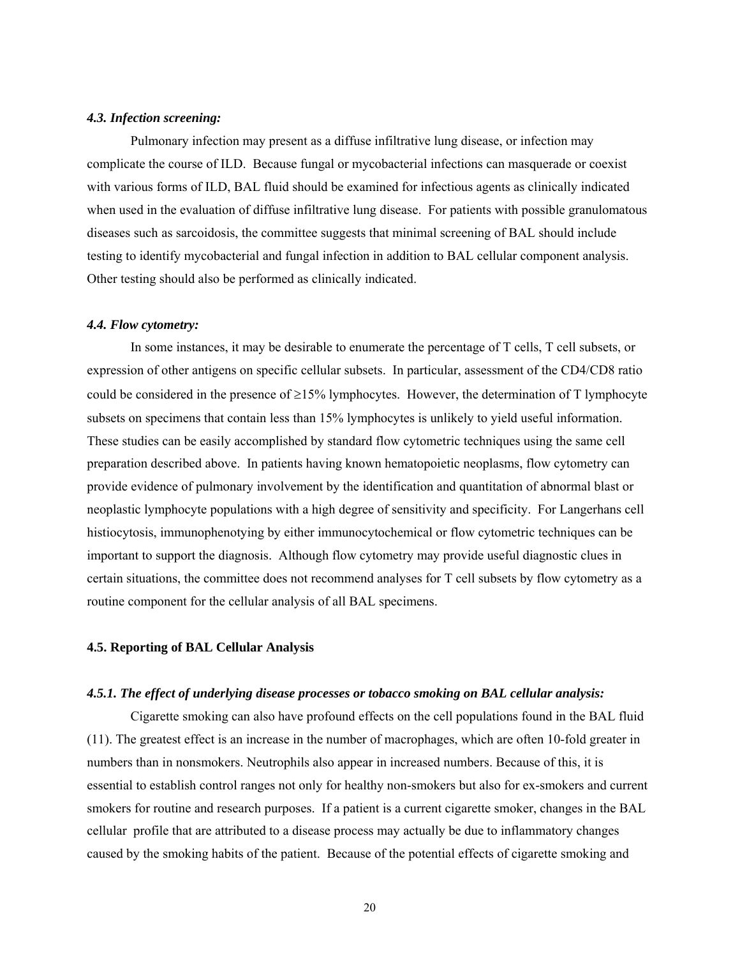#### *4.3. Infection screening:*

Pulmonary infection may present as a diffuse infiltrative lung disease, or infection may complicate the course of ILD. Because fungal or mycobacterial infections can masquerade or coexist with various forms of ILD, BAL fluid should be examined for infectious agents as clinically indicated when used in the evaluation of diffuse infiltrative lung disease. For patients with possible granulomatous diseases such as sarcoidosis, the committee suggests that minimal screening of BAL should include testing to identify mycobacterial and fungal infection in addition to BAL cellular component analysis. Other testing should also be performed as clinically indicated.

#### *4.4. Flow cytometry:*

In some instances, it may be desirable to enumerate the percentage of T cells, T cell subsets, or expression of other antigens on specific cellular subsets. In particular, assessment of the CD4/CD8 ratio could be considered in the presence of  $\geq$ 15% lymphocytes. However, the determination of T lymphocyte subsets on specimens that contain less than 15% lymphocytes is unlikely to yield useful information. These studies can be easily accomplished by standard flow cytometric techniques using the same cell preparation described above. In patients having known hematopoietic neoplasms, flow cytometry can provide evidence of pulmonary involvement by the identification and quantitation of abnormal blast or neoplastic lymphocyte populations with a high degree of sensitivity and specificity. For Langerhans cell histiocytosis, immunophenotying by either immunocytochemical or flow cytometric techniques can be important to support the diagnosis. Although flow cytometry may provide useful diagnostic clues in certain situations, the committee does not recommend analyses for T cell subsets by flow cytometry as a routine component for the cellular analysis of all BAL specimens.

#### **4.5. Reporting of BAL Cellular Analysis**

#### *4.5.1. The effect of underlying disease processes or tobacco smoking on BAL cellular analysis:*

Cigarette smoking can also have profound effects on the cell populations found in the BAL fluid (11). The greatest effect is an increase in the number of macrophages, which are often 10-fold greater in numbers than in nonsmokers. Neutrophils also appear in increased numbers. Because of this, it is essential to establish control ranges not only for healthy non-smokers but also for ex-smokers and current smokers for routine and research purposes. If a patient is a current cigarette smoker, changes in the BAL cellular profile that are attributed to a disease process may actually be due to inflammatory changes caused by the smoking habits of the patient. Because of the potential effects of cigarette smoking and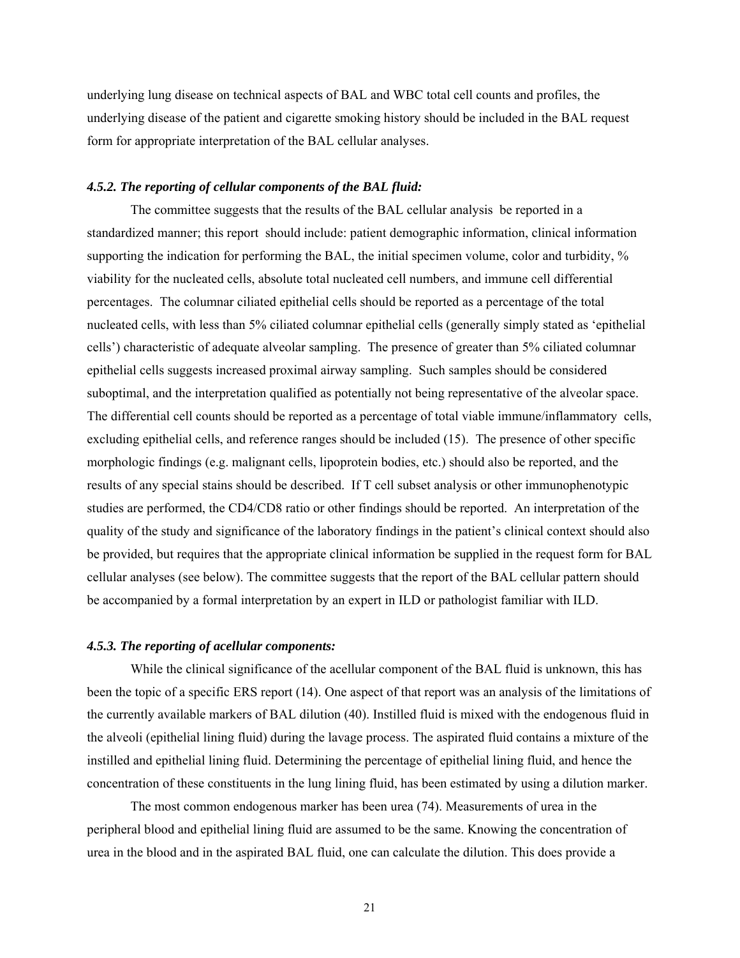underlying lung disease on technical aspects of BAL and WBC total cell counts and profiles, the underlying disease of the patient and cigarette smoking history should be included in the BAL request form for appropriate interpretation of the BAL cellular analyses.

## *4.5.2. The reporting of cellular components of the BAL fluid:*

The committee suggests that the results of the BAL cellular analysis be reported in a standardized manner; this report should include: patient demographic information, clinical information supporting the indication for performing the BAL, the initial specimen volume, color and turbidity, % viability for the nucleated cells, absolute total nucleated cell numbers, and immune cell differential percentages. The columnar ciliated epithelial cells should be reported as a percentage of the total nucleated cells, with less than 5% ciliated columnar epithelial cells (generally simply stated as 'epithelial cells') characteristic of adequate alveolar sampling. The presence of greater than 5% ciliated columnar epithelial cells suggests increased proximal airway sampling. Such samples should be considered suboptimal, and the interpretation qualified as potentially not being representative of the alveolar space. The differential cell counts should be reported as a percentage of total viable immune/inflammatory cells, excluding epithelial cells, and reference ranges should be included (15). The presence of other specific morphologic findings (e.g. malignant cells, lipoprotein bodies, etc.) should also be reported, and the results of any special stains should be described. If T cell subset analysis or other immunophenotypic studies are performed, the CD4/CD8 ratio or other findings should be reported. An interpretation of the quality of the study and significance of the laboratory findings in the patient's clinical context should also be provided, but requires that the appropriate clinical information be supplied in the request form for BAL cellular analyses (see below). The committee suggests that the report of the BAL cellular pattern should be accompanied by a formal interpretation by an expert in ILD or pathologist familiar with ILD.

## *4.5.3. The reporting of acellular components:*

While the clinical significance of the acellular component of the BAL fluid is unknown, this has been the topic of a specific ERS report (14). One aspect of that report was an analysis of the limitations of the currently available markers of BAL dilution (40). Instilled fluid is mixed with the endogenous fluid in the alveoli (epithelial lining fluid) during the lavage process. The aspirated fluid contains a mixture of the instilled and epithelial lining fluid. Determining the percentage of epithelial lining fluid, and hence the concentration of these constituents in the lung lining fluid, has been estimated by using a dilution marker.

The most common endogenous marker has been urea (74). Measurements of urea in the peripheral blood and epithelial lining fluid are assumed to be the same. Knowing the concentration of urea in the blood and in the aspirated BAL fluid, one can calculate the dilution. This does provide a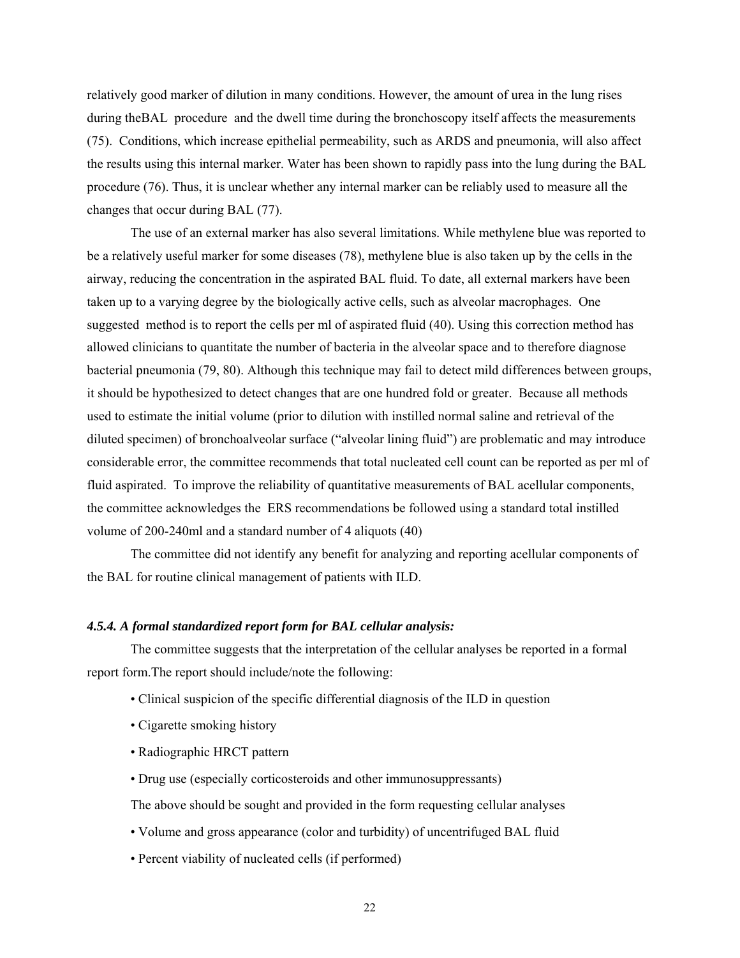relatively good marker of dilution in many conditions. However, the amount of urea in the lung rises during theBAL procedure and the dwell time during the bronchoscopy itself affects the measurements (75). Conditions, which increase epithelial permeability, such as ARDS and pneumonia, will also affect the results using this internal marker. Water has been shown to rapidly pass into the lung during the BAL procedure (76). Thus, it is unclear whether any internal marker can be reliably used to measure all the changes that occur during BAL (77).

The use of an external marker has also several limitations. While methylene blue was reported to be a relatively useful marker for some diseases (78), methylene blue is also taken up by the cells in the airway, reducing the concentration in the aspirated BAL fluid. To date, all external markers have been taken up to a varying degree by the biologically active cells, such as alveolar macrophages. One suggested method is to report the cells per ml of aspirated fluid (40). Using this correction method has allowed clinicians to quantitate the number of bacteria in the alveolar space and to therefore diagnose bacterial pneumonia (79, 80). Although this technique may fail to detect mild differences between groups, it should be hypothesized to detect changes that are one hundred fold or greater. Because all methods used to estimate the initial volume (prior to dilution with instilled normal saline and retrieval of the diluted specimen) of bronchoalveolar surface ("alveolar lining fluid") are problematic and may introduce considerable error, the committee recommends that total nucleated cell count can be reported as per ml of fluid aspirated. To improve the reliability of quantitative measurements of BAL acellular components, the committee acknowledges the ERS recommendations be followed using a standard total instilled volume of 200-240ml and a standard number of 4 aliquots (40)

The committee did not identify any benefit for analyzing and reporting acellular components of the BAL for routine clinical management of patients with ILD.

### *4.5.4. A formal standardized report form for BAL cellular analysis:*

The committee suggests that the interpretation of the cellular analyses be reported in a formal report form.The report should include/note the following:

- Clinical suspicion of the specific differential diagnosis of the ILD in question
- Cigarette smoking history
- Radiographic HRCT pattern
- Drug use (especially corticosteroids and other immunosuppressants)

The above should be sought and provided in the form requesting cellular analyses

- Volume and gross appearance (color and turbidity) of uncentrifuged BAL fluid
- Percent viability of nucleated cells (if performed)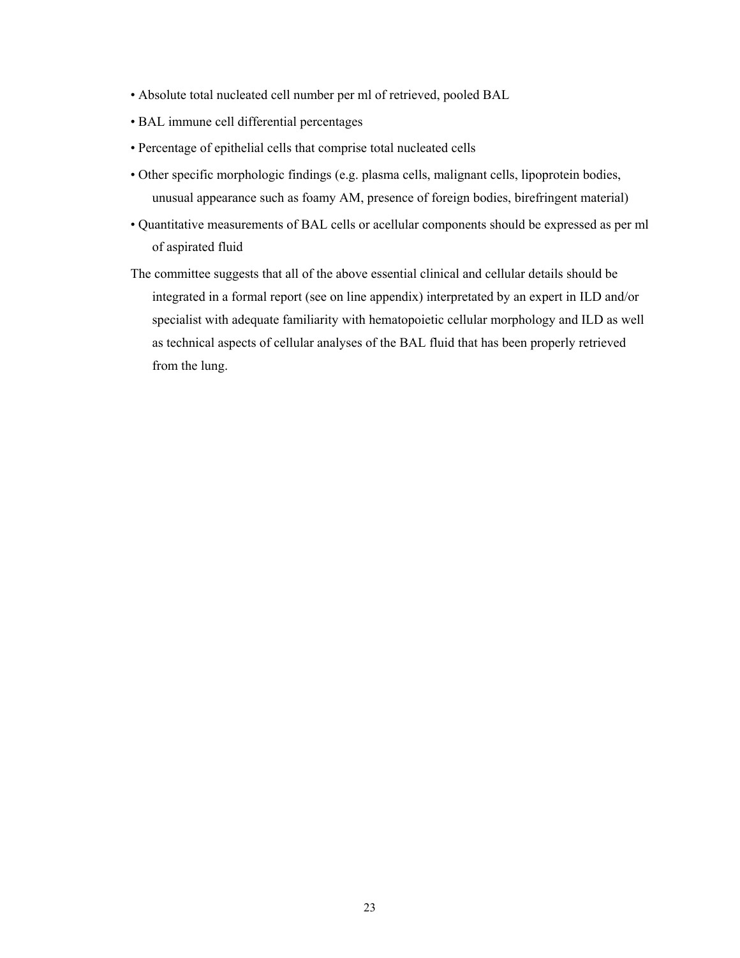- Absolute total nucleated cell number per ml of retrieved, pooled BAL
- BAL immune cell differential percentages
- Percentage of epithelial cells that comprise total nucleated cells
- Other specific morphologic findings (e.g. plasma cells, malignant cells, lipoprotein bodies, unusual appearance such as foamy AM, presence of foreign bodies, birefringent material)
- Quantitative measurements of BAL cells or acellular components should be expressed as per ml of aspirated fluid
- The committee suggests that all of the above essential clinical and cellular details should be integrated in a formal report (see on line appendix) interpretated by an expert in ILD and/or specialist with adequate familiarity with hematopoietic cellular morphology and ILD as well as technical aspects of cellular analyses of the BAL fluid that has been properly retrieved from the lung.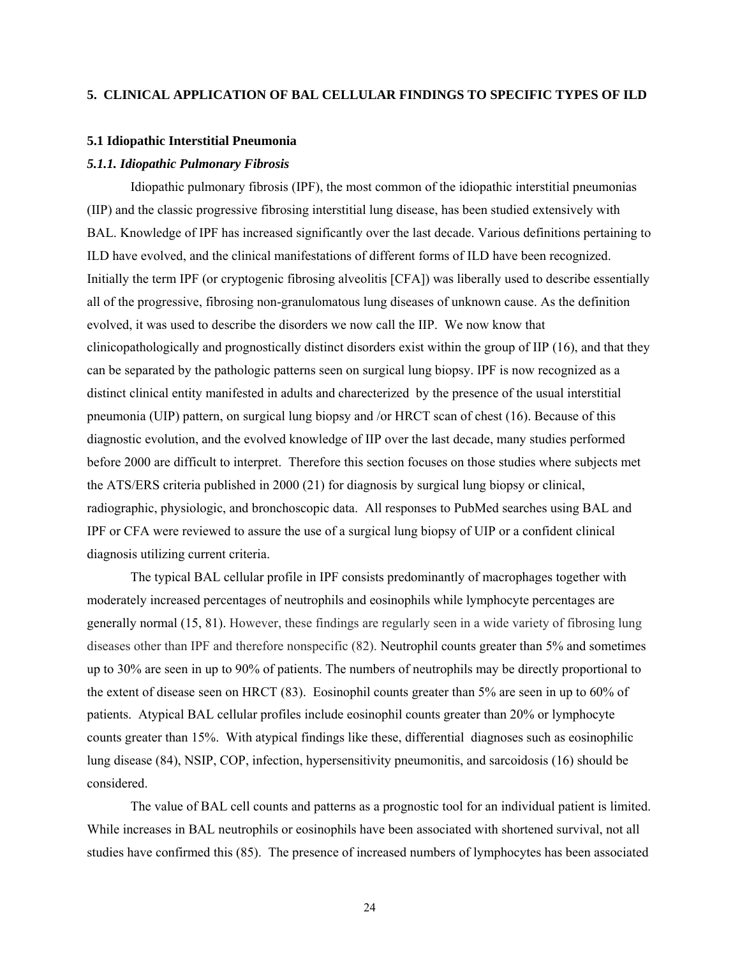### **5. CLINICAL APPLICATION OF BAL CELLULAR FINDINGS TO SPECIFIC TYPES OF ILD**

#### **5.1 Idiopathic Interstitial Pneumonia**

## *5.1.1. Idiopathic Pulmonary Fibrosis*

Idiopathic pulmonary fibrosis (IPF), the most common of the idiopathic interstitial pneumonias (IIP) and the classic progressive fibrosing interstitial lung disease, has been studied extensively with BAL. Knowledge of IPF has increased significantly over the last decade. Various definitions pertaining to ILD have evolved, and the clinical manifestations of different forms of ILD have been recognized. Initially the term IPF (or cryptogenic fibrosing alveolitis [CFA]) was liberally used to describe essentially all of the progressive, fibrosing non-granulomatous lung diseases of unknown cause. As the definition evolved, it was used to describe the disorders we now call the IIP. We now know that clinicopathologically and prognostically distinct disorders exist within the group of IIP (16), and that they can be separated by the pathologic patterns seen on surgical lung biopsy. IPF is now recognized as a distinct clinical entity manifested in adults and charecterized by the presence of the usual interstitial pneumonia (UIP) pattern, on surgical lung biopsy and /or HRCT scan of chest (16). Because of this diagnostic evolution, and the evolved knowledge of IIP over the last decade, many studies performed before 2000 are difficult to interpret. Therefore this section focuses on those studies where subjects met the ATS/ERS criteria published in 2000 (21) for diagnosis by surgical lung biopsy or clinical, radiographic, physiologic, and bronchoscopic data. All responses to PubMed searches using BAL and IPF or CFA were reviewed to assure the use of a surgical lung biopsy of UIP or a confident clinical diagnosis utilizing current criteria.

The typical BAL cellular profile in IPF consists predominantly of macrophages together with moderately increased percentages of neutrophils and eosinophils while lymphocyte percentages are generally normal (15, 81). However, these findings are regularly seen in a wide variety of fibrosing lung diseases other than IPF and therefore nonspecific (82). Neutrophil counts greater than 5% and sometimes up to 30% are seen in up to 90% of patients. The numbers of neutrophils may be directly proportional to the extent of disease seen on HRCT (83). Eosinophil counts greater than 5% are seen in up to 60% of patients. Atypical BAL cellular profiles include eosinophil counts greater than 20% or lymphocyte counts greater than 15%. With atypical findings like these, differential diagnoses such as eosinophilic lung disease (84), NSIP, COP, infection, hypersensitivity pneumonitis, and sarcoidosis (16) should be considered.

The value of BAL cell counts and patterns as a prognostic tool for an individual patient is limited. While increases in BAL neutrophils or eosinophils have been associated with shortened survival, not all studies have confirmed this (85). The presence of increased numbers of lymphocytes has been associated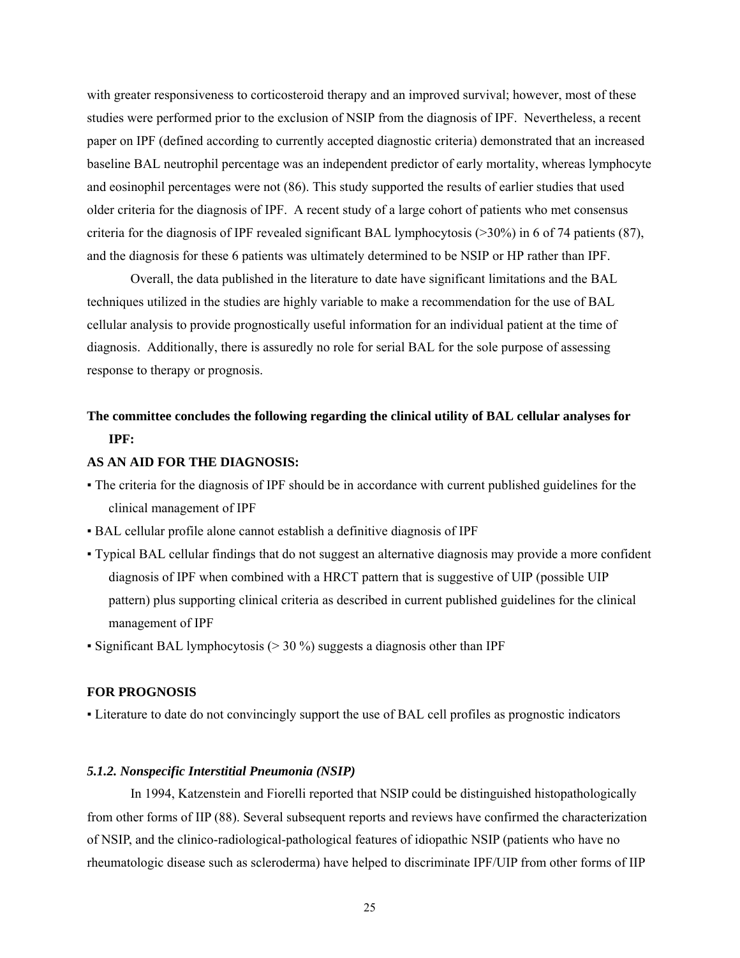with greater responsiveness to corticosteroid therapy and an improved survival; however, most of these studies were performed prior to the exclusion of NSIP from the diagnosis of IPF. Nevertheless, a recent paper on IPF (defined according to currently accepted diagnostic criteria) demonstrated that an increased baseline BAL neutrophil percentage was an independent predictor of early mortality, whereas lymphocyte and eosinophil percentages were not (86). This study supported the results of earlier studies that used older criteria for the diagnosis of IPF. A recent study of a large cohort of patients who met consensus criteria for the diagnosis of IPF revealed significant BAL lymphocytosis (>30%) in 6 of 74 patients (87), and the diagnosis for these 6 patients was ultimately determined to be NSIP or HP rather than IPF.

Overall, the data published in the literature to date have significant limitations and the BAL techniques utilized in the studies are highly variable to make a recommendation for the use of BAL cellular analysis to provide prognostically useful information for an individual patient at the time of diagnosis. Additionally, there is assuredly no role for serial BAL for the sole purpose of assessing response to therapy or prognosis.

# **The committee concludes the following regarding the clinical utility of BAL cellular analyses for IPF:**

## **AS AN AID FOR THE DIAGNOSIS:**

- The criteria for the diagnosis of IPF should be in accordance with current published guidelines for the clinical management of IPF
- BAL cellular profile alone cannot establish a definitive diagnosis of IPF
- Typical BAL cellular findings that do not suggest an alternative diagnosis may provide a more confident diagnosis of IPF when combined with a HRCT pattern that is suggestive of UIP (possible UIP pattern) plus supporting clinical criteria as described in current published guidelines for the clinical management of IPF
- Significant BAL lymphocytosis ( $>$  30 %) suggests a diagnosis other than IPF

## **FOR PROGNOSIS**

▪ Literature to date do not convincingly support the use of BAL cell profiles as prognostic indicators

## *5.1.2. Nonspecific Interstitial Pneumonia (NSIP)*

In 1994, Katzenstein and Fiorelli reported that NSIP could be distinguished histopathologically from other forms of IIP (88). Several subsequent reports and reviews have confirmed the characterization of NSIP, and the clinico-radiological-pathological features of idiopathic NSIP (patients who have no rheumatologic disease such as scleroderma) have helped to discriminate IPF/UIP from other forms of IIP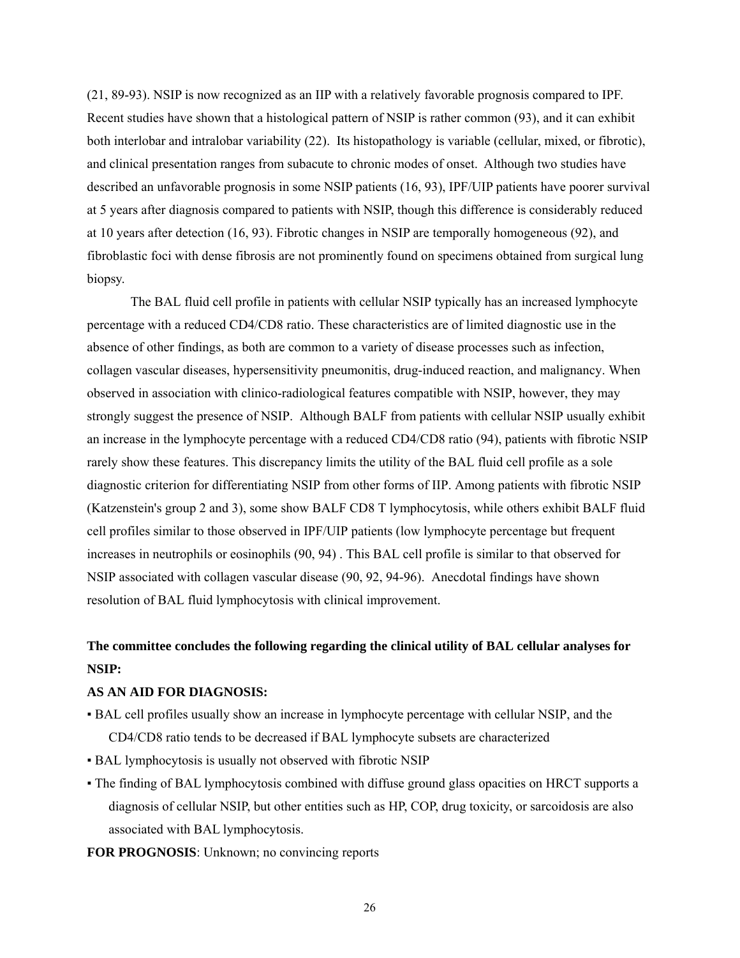(21, 89-93). NSIP is now recognized as an IIP with a relatively favorable prognosis compared to IPF. Recent studies have shown that a histological pattern of NSIP is rather common (93), and it can exhibit both interlobar and intralobar variability (22). Its histopathology is variable (cellular, mixed, or fibrotic), and clinical presentation ranges from subacute to chronic modes of onset. Although two studies have described an unfavorable prognosis in some NSIP patients (16, 93), IPF/UIP patients have poorer survival at 5 years after diagnosis compared to patients with NSIP, though this difference is considerably reduced at 10 years after detection (16, 93). Fibrotic changes in NSIP are temporally homogeneous (92), and fibroblastic foci with dense fibrosis are not prominently found on specimens obtained from surgical lung biopsy.

The BAL fluid cell profile in patients with cellular NSIP typically has an increased lymphocyte percentage with a reduced CD4/CD8 ratio. These characteristics are of limited diagnostic use in the absence of other findings, as both are common to a variety of disease processes such as infection, collagen vascular diseases, hypersensitivity pneumonitis, drug-induced reaction, and malignancy. When observed in association with clinico-radiological features compatible with NSIP, however, they may strongly suggest the presence of NSIP. Although BALF from patients with cellular NSIP usually exhibit an increase in the lymphocyte percentage with a reduced CD4/CD8 ratio (94), patients with fibrotic NSIP rarely show these features. This discrepancy limits the utility of the BAL fluid cell profile as a sole diagnostic criterion for differentiating NSIP from other forms of IIP. Among patients with fibrotic NSIP (Katzenstein's group 2 and 3), some show BALF CD8 T lymphocytosis, while others exhibit BALF fluid cell profiles similar to those observed in IPF/UIP patients (low lymphocyte percentage but frequent increases in neutrophils or eosinophils (90, 94) . This BAL cell profile is similar to that observed for NSIP associated with collagen vascular disease (90, 92, 94-96). Anecdotal findings have shown resolution of BAL fluid lymphocytosis with clinical improvement.

# **The committee concludes the following regarding the clinical utility of BAL cellular analyses for NSIP:**

## **AS AN AID FOR DIAGNOSIS:**

- BAL cell profiles usually show an increase in lymphocyte percentage with cellular NSIP, and the CD4/CD8 ratio tends to be decreased if BAL lymphocyte subsets are characterized
- BAL lymphocytosis is usually not observed with fibrotic NSIP
- The finding of BAL lymphocytosis combined with diffuse ground glass opacities on HRCT supports a diagnosis of cellular NSIP, but other entities such as HP, COP, drug toxicity, or sarcoidosis are also associated with BAL lymphocytosis.
- **FOR PROGNOSIS**: Unknown; no convincing reports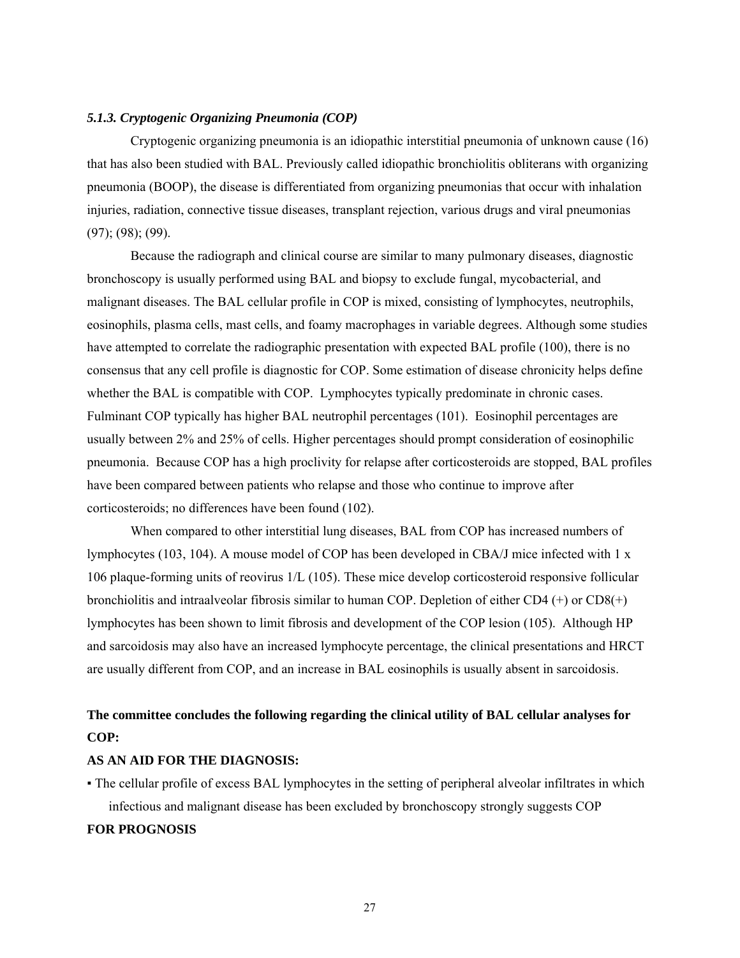### *5.1.3. Cryptogenic Organizing Pneumonia (COP)*

Cryptogenic organizing pneumonia is an idiopathic interstitial pneumonia of unknown cause (16) that has also been studied with BAL. Previously called idiopathic bronchiolitis obliterans with organizing pneumonia (BOOP), the disease is differentiated from organizing pneumonias that occur with inhalation injuries, radiation, connective tissue diseases, transplant rejection, various drugs and viral pneumonias (97); (98); (99).

Because the radiograph and clinical course are similar to many pulmonary diseases, diagnostic bronchoscopy is usually performed using BAL and biopsy to exclude fungal, mycobacterial, and malignant diseases. The BAL cellular profile in COP is mixed, consisting of lymphocytes, neutrophils, eosinophils, plasma cells, mast cells, and foamy macrophages in variable degrees. Although some studies have attempted to correlate the radiographic presentation with expected BAL profile (100), there is no consensus that any cell profile is diagnostic for COP. Some estimation of disease chronicity helps define whether the BAL is compatible with COP. Lymphocytes typically predominate in chronic cases. Fulminant COP typically has higher BAL neutrophil percentages (101). Eosinophil percentages are usually between 2% and 25% of cells. Higher percentages should prompt consideration of eosinophilic pneumonia. Because COP has a high proclivity for relapse after corticosteroids are stopped, BAL profiles have been compared between patients who relapse and those who continue to improve after corticosteroids; no differences have been found (102).

When compared to other interstitial lung diseases, BAL from COP has increased numbers of lymphocytes (103, 104). A mouse model of COP has been developed in CBA/J mice infected with 1 x 106 plaque-forming units of reovirus 1/L (105). These mice develop corticosteroid responsive follicular bronchiolitis and intraalveolar fibrosis similar to human COP. Depletion of either CD4 (+) or CD8(+) lymphocytes has been shown to limit fibrosis and development of the COP lesion (105). Although HP and sarcoidosis may also have an increased lymphocyte percentage, the clinical presentations and HRCT are usually different from COP, and an increase in BAL eosinophils is usually absent in sarcoidosis.

## **The committee concludes the following regarding the clinical utility of BAL cellular analyses for COP:**

#### **AS AN AID FOR THE DIAGNOSIS:**

▪ The cellular profile of excess BAL lymphocytes in the setting of peripheral alveolar infiltrates in which infectious and malignant disease has been excluded by bronchoscopy strongly suggests COP

#### **FOR PROGNOSIS**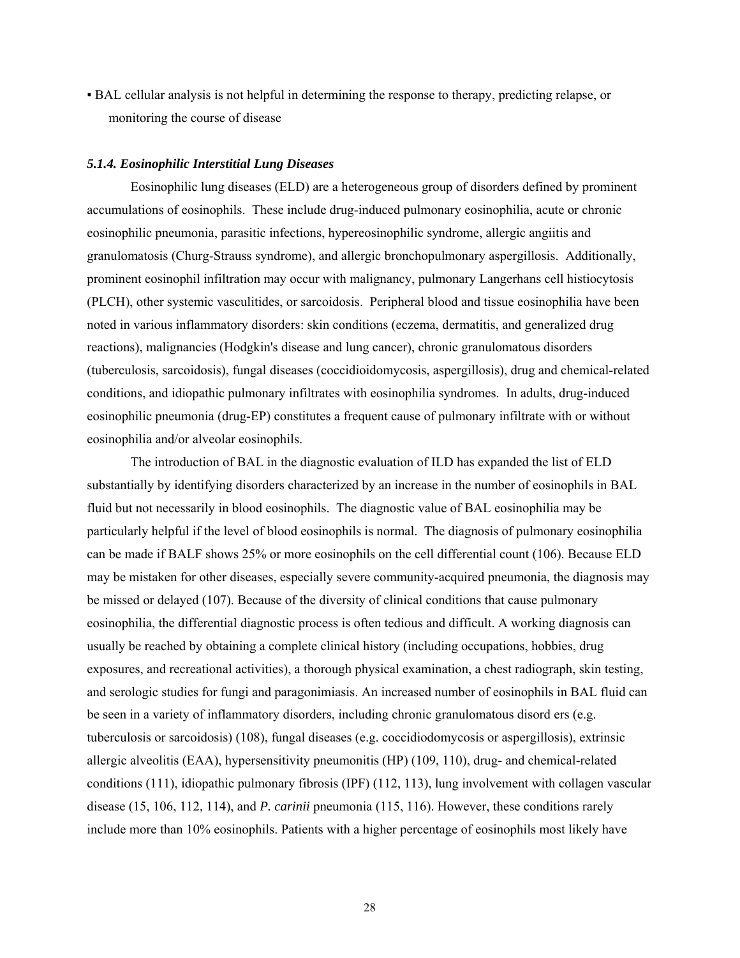▪ BAL cellular analysis is not helpful in determining the response to therapy, predicting relapse, or monitoring the course of disease

### *5.1.4. Eosinophilic Interstitial Lung Diseases*

Eosinophilic lung diseases (ELD) are a heterogeneous group of disorders defined by prominent accumulations of eosinophils. These include drug-induced pulmonary eosinophilia, acute or chronic eosinophilic pneumonia, parasitic infections, hypereosinophilic syndrome, allergic angiitis and granulomatosis (Churg-Strauss syndrome), and allergic bronchopulmonary aspergillosis. Additionally, prominent eosinophil infiltration may occur with malignancy, pulmonary Langerhans cell histiocytosis (PLCH), other systemic vasculitides, or sarcoidosis. Peripheral blood and tissue eosinophilia have been noted in various inflammatory disorders: skin conditions (eczema, dermatitis, and generalized drug reactions), malignancies (Hodgkin's disease and lung cancer), chronic granulomatous disorders (tuberculosis, sarcoidosis), fungal diseases (coccidioidomycosis, aspergillosis), drug and chemical-related conditions, and idiopathic pulmonary infiltrates with eosinophilia syndromes. In adults, drug-induced eosinophilic pneumonia (drug-EP) constitutes a frequent cause of pulmonary infiltrate with or without eosinophilia and/or alveolar eosinophils.

The introduction of BAL in the diagnostic evaluation of ILD has expanded the list of ELD substantially by identifying disorders characterized by an increase in the number of eosinophils in BAL fluid but not necessarily in blood eosinophils. The diagnostic value of BAL eosinophilia may be particularly helpful if the level of blood eosinophils is normal. The diagnosis of pulmonary eosinophilia can be made if BALF shows 25% or more eosinophils on the cell differential count (106). Because ELD may be mistaken for other diseases, especially severe community-acquired pneumonia, the diagnosis may be missed or delayed (107). Because of the diversity of clinical conditions that cause pulmonary eosinophilia, the differential diagnostic process is often tedious and difficult. A working diagnosis can usually be reached by obtaining a complete clinical history (including occupations, hobbies, drug exposures, and recreational activities), a thorough physical examination, a chest radiograph, skin testing, and serologic studies for fungi and paragonimiasis. An increased number of eosinophils in BAL fluid can be seen in a variety of inflammatory disorders, including chronic granulomatous disord ers (e.g. tuberculosis or sarcoidosis) (108), fungal diseases (e.g. coccidiodomycosis or aspergillosis), extrinsic allergic alveolitis (EAA), hypersensitivity pneumonitis (HP) (109, 110), drug- and chemical-related conditions (111), idiopathic pulmonary fibrosis (IPF) (112, 113), lung involvement with collagen vascular disease (15, 106, 112, 114), and *P. carinii* pneumonia (115, 116). However, these conditions rarely include more than 10% eosinophils. Patients with a higher percentage of eosinophils most likely have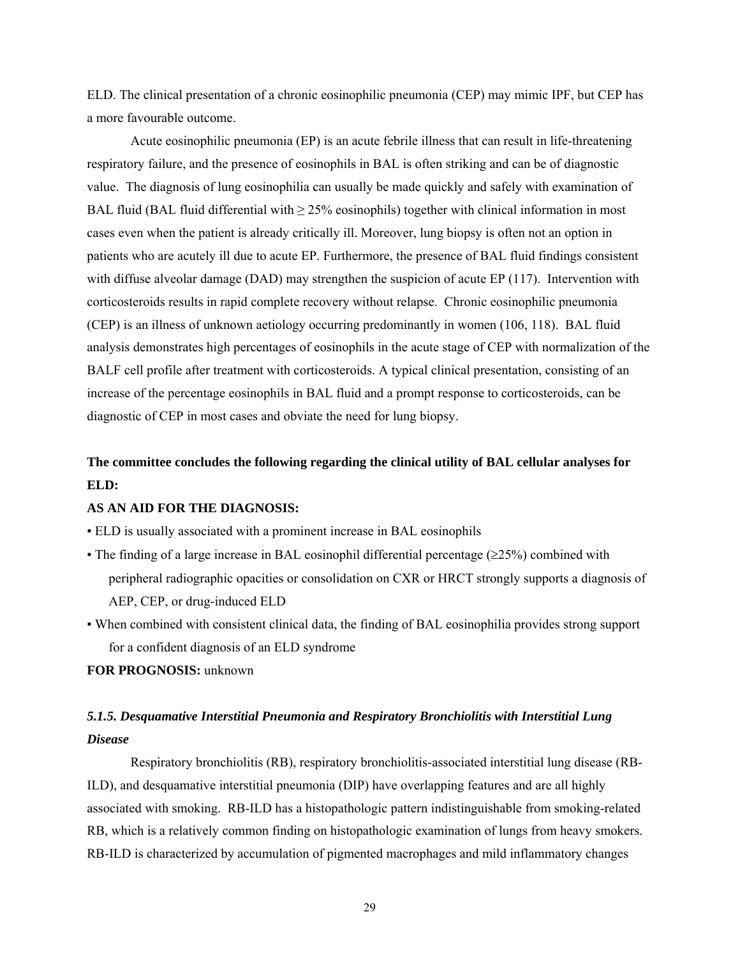ELD. The clinical presentation of a chronic eosinophilic pneumonia (CEP) may mimic IPF, but CEP has a more favourable outcome.

Acute eosinophilic pneumonia (EP) is an acute febrile illness that can result in life-threatening respiratory failure, and the presence of eosinophils in BAL is often striking and can be of diagnostic value. The diagnosis of lung eosinophilia can usually be made quickly and safely with examination of BAL fluid (BAL fluid differential with  $\geq$  25% eosinophils) together with clinical information in most cases even when the patient is already critically ill. Moreover, lung biopsy is often not an option in patients who are acutely ill due to acute EP. Furthermore, the presence of BAL fluid findings consistent with diffuse alveolar damage (DAD) may strengthen the suspicion of acute EP (117). Intervention with corticosteroids results in rapid complete recovery without relapse. Chronic eosinophilic pneumonia (CEP) is an illness of unknown aetiology occurring predominantly in women (106, 118). BAL fluid analysis demonstrates high percentages of eosinophils in the acute stage of CEP with normalization of the BALF cell profile after treatment with corticosteroids. A typical clinical presentation, consisting of an increase of the percentage eosinophils in BAL fluid and a prompt response to corticosteroids, can be diagnostic of CEP in most cases and obviate the need for lung biopsy.

# **The committee concludes the following regarding the clinical utility of BAL cellular analyses for ELD:**

### **AS AN AID FOR THE DIAGNOSIS:**

- ELD is usually associated with a prominent increase in BAL eosinophils
- The finding of a large increase in BAL eosinophil differential percentage ( $\geq$ 25%) combined with peripheral radiographic opacities or consolidation on CXR or HRCT strongly supports a diagnosis of AEP, CEP, or drug-induced ELD
- When combined with consistent clinical data, the finding of BAL eosinophilia provides strong support for a confident diagnosis of an ELD syndrome

#### **FOR PROGNOSIS:** unknown

# *5.1.5. Desquamative Interstitial Pneumonia and Respiratory Bronchiolitis with Interstitial Lung Disease*

Respiratory bronchiolitis (RB), respiratory bronchiolitis-associated interstitial lung disease (RB-ILD), and desquamative interstitial pneumonia (DIP) have overlapping features and are all highly associated with smoking. RB-ILD has a histopathologic pattern indistinguishable from smoking-related RB, which is a relatively common finding on histopathologic examination of lungs from heavy smokers. RB-ILD is characterized by accumulation of pigmented macrophages and mild inflammatory changes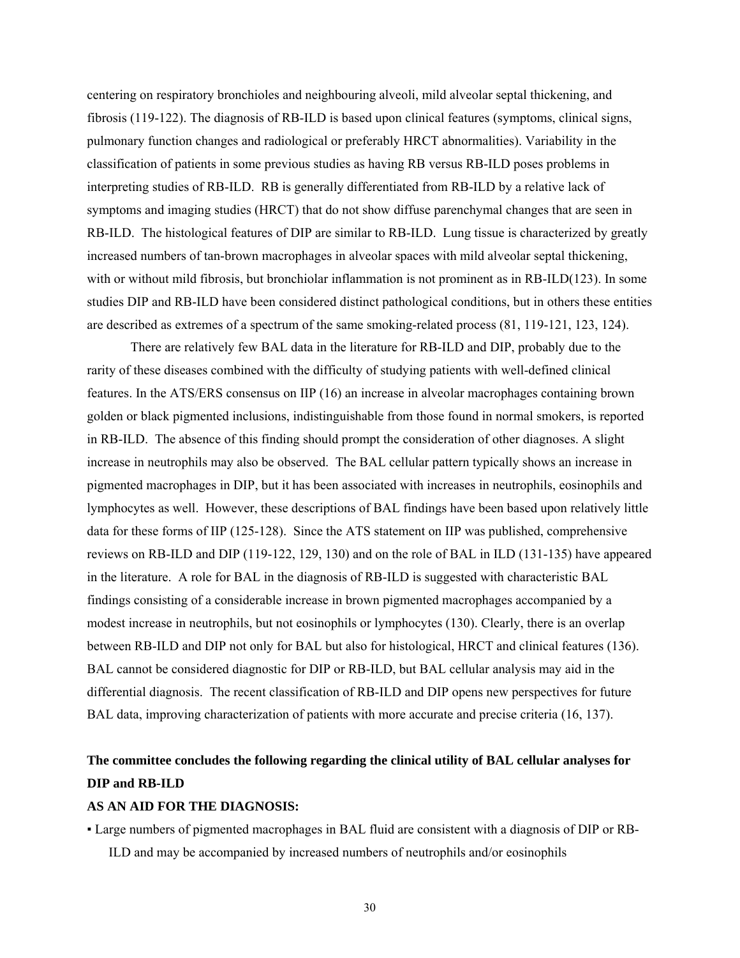centering on respiratory bronchioles and neighbouring alveoli, mild alveolar septal thickening, and fibrosis (119-122). The diagnosis of RB-ILD is based upon clinical features (symptoms, clinical signs, pulmonary function changes and radiological or preferably HRCT abnormalities). Variability in the classification of patients in some previous studies as having RB versus RB-ILD poses problems in interpreting studies of RB-ILD. RB is generally differentiated from RB-ILD by a relative lack of symptoms and imaging studies (HRCT) that do not show diffuse parenchymal changes that are seen in RB-ILD. The histological features of DIP are similar to RB-ILD. Lung tissue is characterized by greatly increased numbers of tan-brown macrophages in alveolar spaces with mild alveolar septal thickening, with or without mild fibrosis, but bronchiolar inflammation is not prominent as in RB-ILD(123). In some studies DIP and RB-ILD have been considered distinct pathological conditions, but in others these entities are described as extremes of a spectrum of the same smoking-related process (81, 119-121, 123, 124).

There are relatively few BAL data in the literature for RB-ILD and DIP, probably due to the rarity of these diseases combined with the difficulty of studying patients with well-defined clinical features. In the ATS/ERS consensus on IIP (16) an increase in alveolar macrophages containing brown golden or black pigmented inclusions, indistinguishable from those found in normal smokers, is reported in RB-ILD. The absence of this finding should prompt the consideration of other diagnoses. A slight increase in neutrophils may also be observed. The BAL cellular pattern typically shows an increase in pigmented macrophages in DIP, but it has been associated with increases in neutrophils, eosinophils and lymphocytes as well. However, these descriptions of BAL findings have been based upon relatively little data for these forms of IIP (125-128). Since the ATS statement on IIP was published, comprehensive reviews on RB-ILD and DIP (119-122, 129, 130) and on the role of BAL in ILD (131-135) have appeared in the literature. A role for BAL in the diagnosis of RB-ILD is suggested with characteristic BAL findings consisting of a considerable increase in brown pigmented macrophages accompanied by a modest increase in neutrophils, but not eosinophils or lymphocytes (130). Clearly, there is an overlap between RB-ILD and DIP not only for BAL but also for histological, HRCT and clinical features (136). BAL cannot be considered diagnostic for DIP or RB-ILD, but BAL cellular analysis may aid in the differential diagnosis. The recent classification of RB-ILD and DIP opens new perspectives for future BAL data, improving characterization of patients with more accurate and precise criteria (16, 137).

# **The committee concludes the following regarding the clinical utility of BAL cellular analyses for DIP and RB-ILD**

### **AS AN AID FOR THE DIAGNOSIS:**

▪ Large numbers of pigmented macrophages in BAL fluid are consistent with a diagnosis of DIP or RB-ILD and may be accompanied by increased numbers of neutrophils and/or eosinophils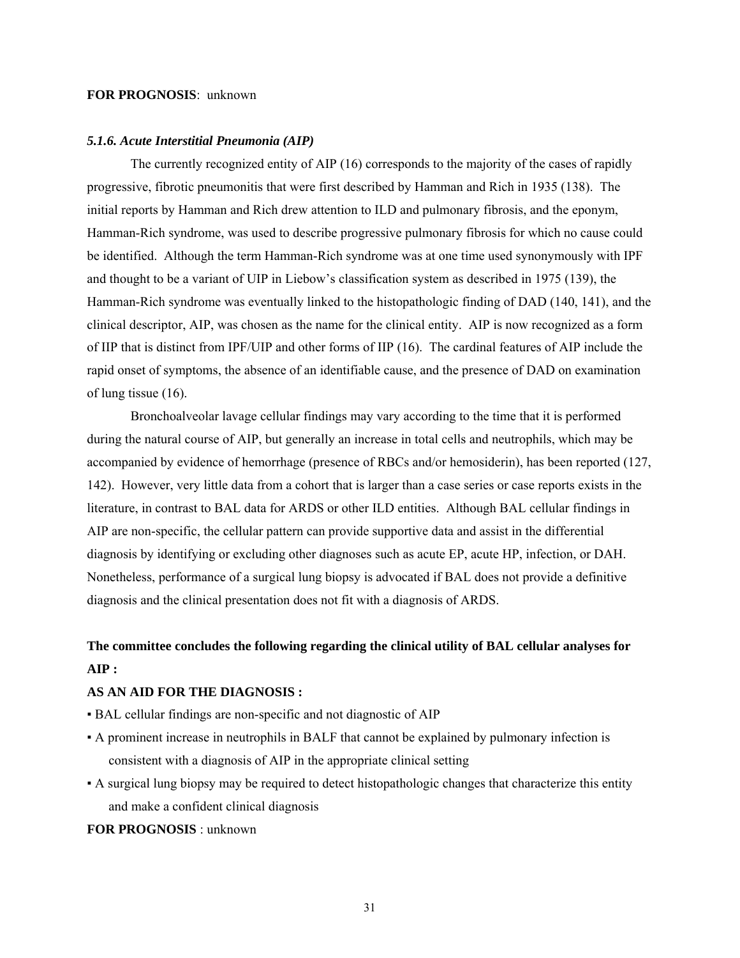### **FOR PROGNOSIS**: unknown

#### *5.1.6. Acute Interstitial Pneumonia (AIP)*

The currently recognized entity of AIP (16) corresponds to the majority of the cases of rapidly progressive, fibrotic pneumonitis that were first described by Hamman and Rich in 1935 (138). The initial reports by Hamman and Rich drew attention to ILD and pulmonary fibrosis, and the eponym, Hamman-Rich syndrome, was used to describe progressive pulmonary fibrosis for which no cause could be identified. Although the term Hamman-Rich syndrome was at one time used synonymously with IPF and thought to be a variant of UIP in Liebow's classification system as described in 1975 (139), the Hamman-Rich syndrome was eventually linked to the histopathologic finding of DAD (140, 141), and the clinical descriptor, AIP, was chosen as the name for the clinical entity. AIP is now recognized as a form of IIP that is distinct from IPF/UIP and other forms of IIP (16). The cardinal features of AIP include the rapid onset of symptoms, the absence of an identifiable cause, and the presence of DAD on examination of lung tissue (16).

Bronchoalveolar lavage cellular findings may vary according to the time that it is performed during the natural course of AIP, but generally an increase in total cells and neutrophils, which may be accompanied by evidence of hemorrhage (presence of RBCs and/or hemosiderin), has been reported (127, 142). However, very little data from a cohort that is larger than a case series or case reports exists in the literature, in contrast to BAL data for ARDS or other ILD entities. Although BAL cellular findings in AIP are non-specific, the cellular pattern can provide supportive data and assist in the differential diagnosis by identifying or excluding other diagnoses such as acute EP, acute HP, infection, or DAH. Nonetheless, performance of a surgical lung biopsy is advocated if BAL does not provide a definitive diagnosis and the clinical presentation does not fit with a diagnosis of ARDS.

# **The committee concludes the following regarding the clinical utility of BAL cellular analyses for AIP :**

## **AS AN AID FOR THE DIAGNOSIS :**

- BAL cellular findings are non-specific and not diagnostic of AIP
- A prominent increase in neutrophils in BALF that cannot be explained by pulmonary infection is consistent with a diagnosis of AIP in the appropriate clinical setting
- A surgical lung biopsy may be required to detect histopathologic changes that characterize this entity and make a confident clinical diagnosis

## **FOR PROGNOSIS** : unknown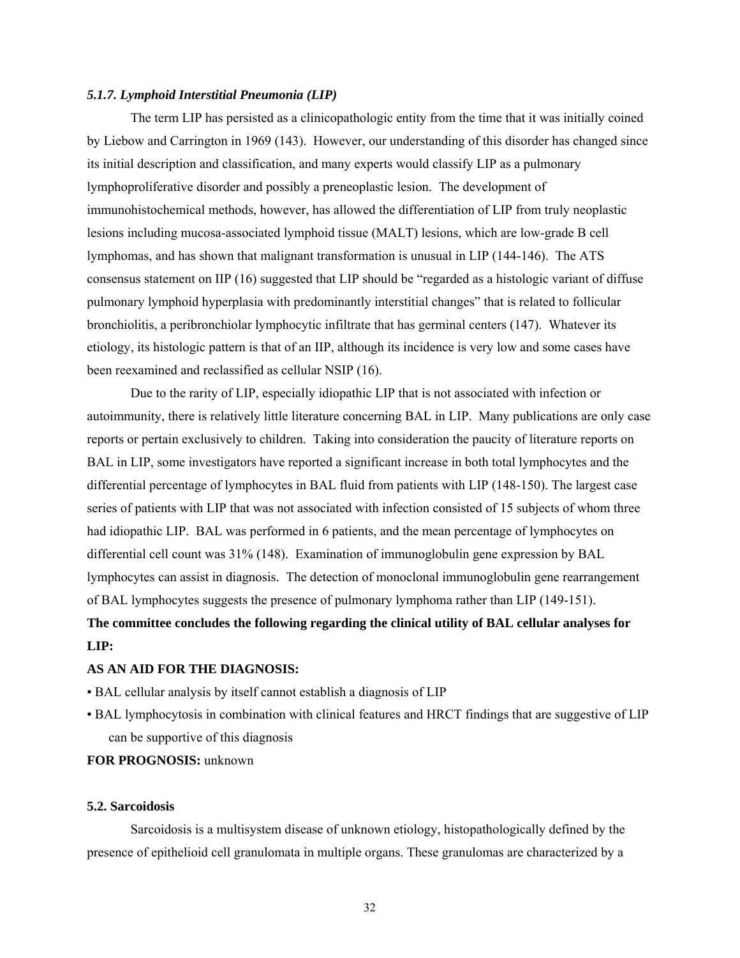#### *5.1.7. Lymphoid Interstitial Pneumonia (LIP)*

The term LIP has persisted as a clinicopathologic entity from the time that it was initially coined by Liebow and Carrington in 1969 (143). However, our understanding of this disorder has changed since its initial description and classification, and many experts would classify LIP as a pulmonary lymphoproliferative disorder and possibly a preneoplastic lesion. The development of immunohistochemical methods, however, has allowed the differentiation of LIP from truly neoplastic lesions including mucosa-associated lymphoid tissue (MALT) lesions, which are low-grade B cell lymphomas, and has shown that malignant transformation is unusual in LIP (144-146). The ATS consensus statement on IIP (16) suggested that LIP should be "regarded as a histologic variant of diffuse pulmonary lymphoid hyperplasia with predominantly interstitial changes" that is related to follicular bronchiolitis, a peribronchiolar lymphocytic infiltrate that has germinal centers (147). Whatever its etiology, its histologic pattern is that of an IIP, although its incidence is very low and some cases have been reexamined and reclassified as cellular NSIP (16).

Due to the rarity of LIP, especially idiopathic LIP that is not associated with infection or autoimmunity, there is relatively little literature concerning BAL in LIP. Many publications are only case reports or pertain exclusively to children. Taking into consideration the paucity of literature reports on BAL in LIP, some investigators have reported a significant increase in both total lymphocytes and the differential percentage of lymphocytes in BAL fluid from patients with LIP (148-150). The largest case series of patients with LIP that was not associated with infection consisted of 15 subjects of whom three had idiopathic LIP. BAL was performed in 6 patients, and the mean percentage of lymphocytes on differential cell count was 31% (148). Examination of immunoglobulin gene expression by BAL lymphocytes can assist in diagnosis. The detection of monoclonal immunoglobulin gene rearrangement of BAL lymphocytes suggests the presence of pulmonary lymphoma rather than LIP (149-151).

## **The committee concludes the following regarding the clinical utility of BAL cellular analyses for LIP:**

#### **AS AN AID FOR THE DIAGNOSIS:**

- BAL cellular analysis by itself cannot establish a diagnosis of LIP
- BAL lymphocytosis in combination with clinical features and HRCT findings that are suggestive of LIP can be supportive of this diagnosis

## **FOR PROGNOSIS:** unknown

#### **5.2. Sarcoidosis**

Sarcoidosis is a multisystem disease of unknown etiology, histopathologically defined by the presence of epithelioid cell granulomata in multiple organs. These granulomas are characterized by a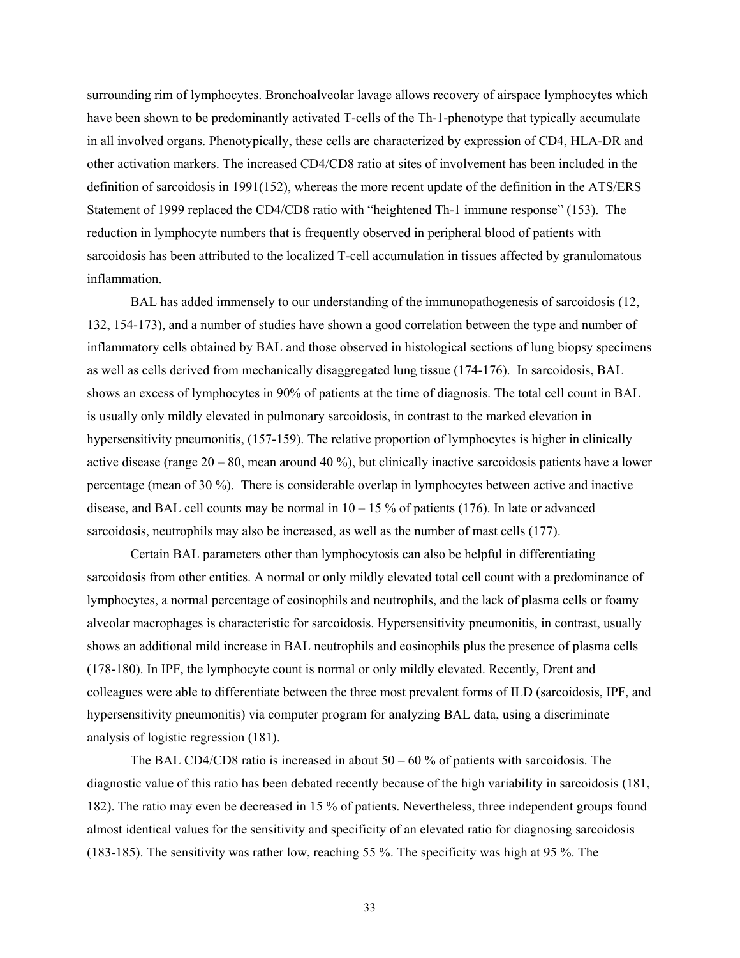surrounding rim of lymphocytes. Bronchoalveolar lavage allows recovery of airspace lymphocytes which have been shown to be predominantly activated T-cells of the Th-1-phenotype that typically accumulate in all involved organs. Phenotypically, these cells are characterized by expression of CD4, HLA-DR and other activation markers. The increased CD4/CD8 ratio at sites of involvement has been included in the definition of sarcoidosis in 1991(152), whereas the more recent update of the definition in the ATS/ERS Statement of 1999 replaced the CD4/CD8 ratio with "heightened Th-1 immune response" (153). The reduction in lymphocyte numbers that is frequently observed in peripheral blood of patients with sarcoidosis has been attributed to the localized T-cell accumulation in tissues affected by granulomatous inflammation.

BAL has added immensely to our understanding of the immunopathogenesis of sarcoidosis (12, 132, 154-173), and a number of studies have shown a good correlation between the type and number of inflammatory cells obtained by BAL and those observed in histological sections of lung biopsy specimens as well as cells derived from mechanically disaggregated lung tissue (174-176). In sarcoidosis, BAL shows an excess of lymphocytes in 90% of patients at the time of diagnosis. The total cell count in BAL is usually only mildly elevated in pulmonary sarcoidosis, in contrast to the marked elevation in hypersensitivity pneumonitis, (157-159). The relative proportion of lymphocytes is higher in clinically active disease (range 20 – 80, mean around 40 %), but clinically inactive sarcoidosis patients have a lower percentage (mean of 30 %). There is considerable overlap in lymphocytes between active and inactive disease, and BAL cell counts may be normal in  $10 - 15\%$  of patients (176). In late or advanced sarcoidosis, neutrophils may also be increased, as well as the number of mast cells (177).

Certain BAL parameters other than lymphocytosis can also be helpful in differentiating sarcoidosis from other entities. A normal or only mildly elevated total cell count with a predominance of lymphocytes, a normal percentage of eosinophils and neutrophils, and the lack of plasma cells or foamy alveolar macrophages is characteristic for sarcoidosis. Hypersensitivity pneumonitis, in contrast, usually shows an additional mild increase in BAL neutrophils and eosinophils plus the presence of plasma cells (178-180). In IPF, the lymphocyte count is normal or only mildly elevated. Recently, Drent and colleagues were able to differentiate between the three most prevalent forms of ILD (sarcoidosis, IPF, and hypersensitivity pneumonitis) via computer program for analyzing BAL data, using a discriminate analysis of logistic regression (181).

The BAL CD4/CD8 ratio is increased in about  $50 - 60$  % of patients with sarcoidosis. The diagnostic value of this ratio has been debated recently because of the high variability in sarcoidosis (181, 182). The ratio may even be decreased in 15 % of patients. Nevertheless, three independent groups found almost identical values for the sensitivity and specificity of an elevated ratio for diagnosing sarcoidosis (183-185). The sensitivity was rather low, reaching 55 %. The specificity was high at 95 %. The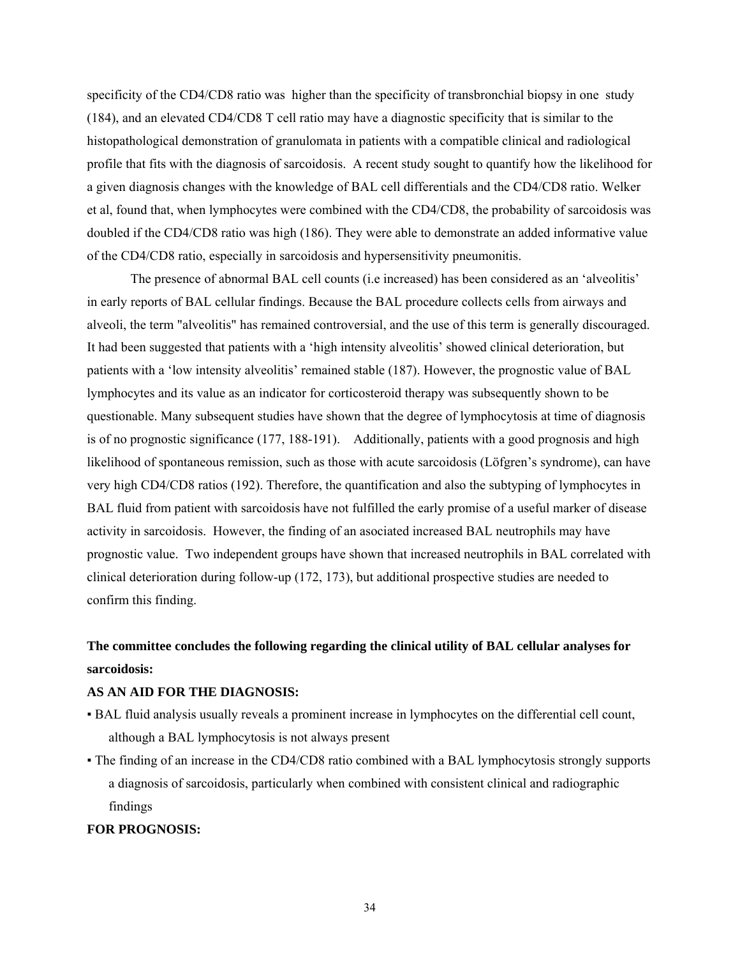specificity of the CD4/CD8 ratio was higher than the specificity of transbronchial biopsy in one study (184), and an elevated CD4/CD8 T cell ratio may have a diagnostic specificity that is similar to the histopathological demonstration of granulomata in patients with a compatible clinical and radiological profile that fits with the diagnosis of sarcoidosis. A recent study sought to quantify how the likelihood for a given diagnosis changes with the knowledge of BAL cell differentials and the CD4/CD8 ratio. Welker et al, found that, when lymphocytes were combined with the CD4/CD8, the probability of sarcoidosis was doubled if the CD4/CD8 ratio was high (186). They were able to demonstrate an added informative value of the CD4/CD8 ratio, especially in sarcoidosis and hypersensitivity pneumonitis.

The presence of abnormal BAL cell counts (i.e increased) has been considered as an 'alveolitis' in early reports of BAL cellular findings. Because the BAL procedure collects cells from airways and alveoli, the term "alveolitis" has remained controversial, and the use of this term is generally discouraged. It had been suggested that patients with a 'high intensity alveolitis' showed clinical deterioration, but patients with a 'low intensity alveolitis' remained stable (187). However, the prognostic value of BAL lymphocytes and its value as an indicator for corticosteroid therapy was subsequently shown to be questionable. Many subsequent studies have shown that the degree of lymphocytosis at time of diagnosis is of no prognostic significance (177, 188-191). Additionally, patients with a good prognosis and high likelihood of spontaneous remission, such as those with acute sarcoidosis (Löfgren's syndrome), can have very high CD4/CD8 ratios (192). Therefore, the quantification and also the subtyping of lymphocytes in BAL fluid from patient with sarcoidosis have not fulfilled the early promise of a useful marker of disease activity in sarcoidosis. However, the finding of an asociated increased BAL neutrophils may have prognostic value. Two independent groups have shown that increased neutrophils in BAL correlated with clinical deterioration during follow-up (172, 173), but additional prospective studies are needed to confirm this finding.

# **The committee concludes the following regarding the clinical utility of BAL cellular analyses for sarcoidosis:**

## **AS AN AID FOR THE DIAGNOSIS:**

- BAL fluid analysis usually reveals a prominent increase in lymphocytes on the differential cell count, although a BAL lymphocytosis is not always present
- The finding of an increase in the CD4/CD8 ratio combined with a BAL lymphocytosis strongly supports a diagnosis of sarcoidosis, particularly when combined with consistent clinical and radiographic findings

## **FOR PROGNOSIS:**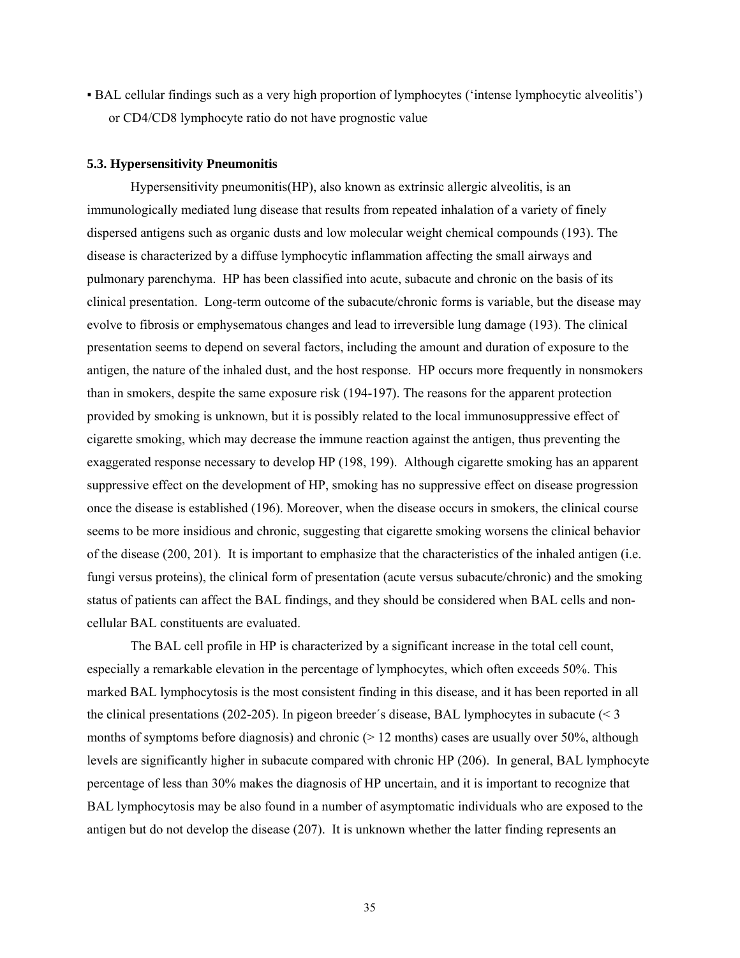▪ BAL cellular findings such as a very high proportion of lymphocytes ('intense lymphocytic alveolitis') or CD4/CD8 lymphocyte ratio do not have prognostic value

#### **5.3. Hypersensitivity Pneumonitis**

 Hypersensitivity pneumonitis(HP), also known as extrinsic allergic alveolitis, is an immunologically mediated lung disease that results from repeated inhalation of a variety of finely dispersed antigens such as organic dusts and low molecular weight chemical compounds (193). The disease is characterized by a diffuse lymphocytic inflammation affecting the small airways and pulmonary parenchyma. HP has been classified into acute, subacute and chronic on the basis of its clinical presentation. Long-term outcome of the subacute/chronic forms is variable, but the disease may evolve to fibrosis or emphysematous changes and lead to irreversible lung damage (193). The clinical presentation seems to depend on several factors, including the amount and duration of exposure to the antigen, the nature of the inhaled dust, and the host response. HP occurs more frequently in nonsmokers than in smokers, despite the same exposure risk (194-197). The reasons for the apparent protection provided by smoking is unknown, but it is possibly related to the local immunosuppressive effect of cigarette smoking, which may decrease the immune reaction against the antigen, thus preventing the exaggerated response necessary to develop HP (198, 199). Although cigarette smoking has an apparent suppressive effect on the development of HP, smoking has no suppressive effect on disease progression once the disease is established (196). Moreover, when the disease occurs in smokers, the clinical course seems to be more insidious and chronic, suggesting that cigarette smoking worsens the clinical behavior of the disease (200, 201). It is important to emphasize that the characteristics of the inhaled antigen (i.e. fungi versus proteins), the clinical form of presentation (acute versus subacute/chronic) and the smoking status of patients can affect the BAL findings, and they should be considered when BAL cells and noncellular BAL constituents are evaluated.

The BAL cell profile in HP is characterized by a significant increase in the total cell count, especially a remarkable elevation in the percentage of lymphocytes, which often exceeds 50%. This marked BAL lymphocytosis is the most consistent finding in this disease, and it has been reported in all the clinical presentations (202-205). In pigeon breeder's disease, BAL lymphocytes in subacute  $\leq 3$ months of symptoms before diagnosis) and chronic ( $> 12$  months) cases are usually over 50%, although levels are significantly higher in subacute compared with chronic HP (206). In general, BAL lymphocyte percentage of less than 30% makes the diagnosis of HP uncertain, and it is important to recognize that BAL lymphocytosis may be also found in a number of asymptomatic individuals who are exposed to the antigen but do not develop the disease (207). It is unknown whether the latter finding represents an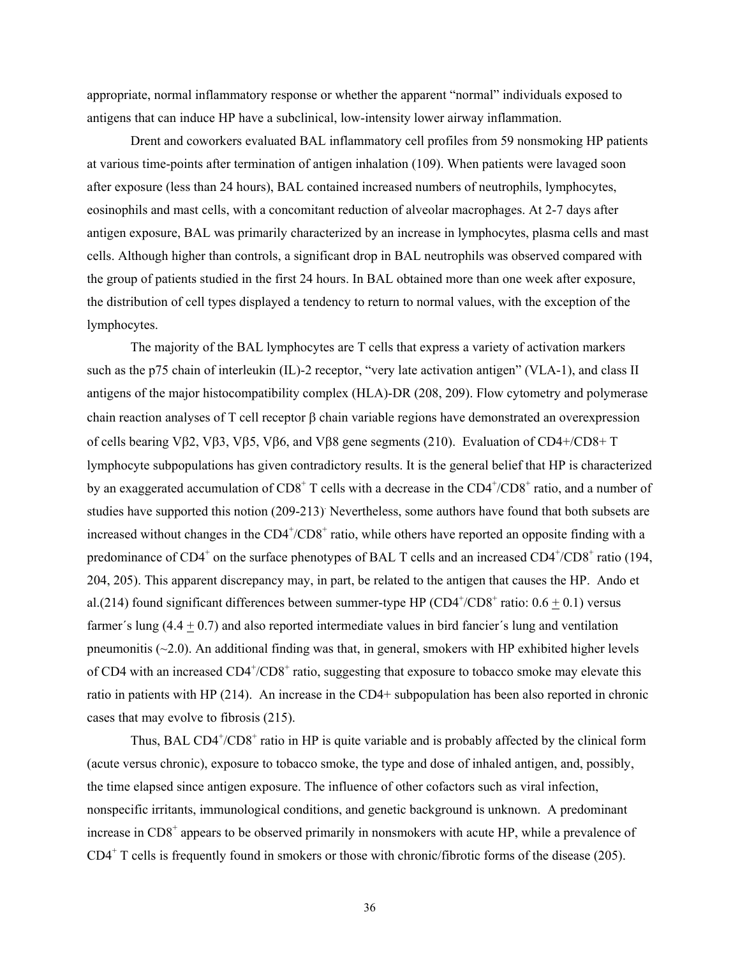appropriate, normal inflammatory response or whether the apparent "normal" individuals exposed to antigens that can induce HP have a subclinical, low-intensity lower airway inflammation.

 Drent and coworkers evaluated BAL inflammatory cell profiles from 59 nonsmoking HP patients at various time-points after termination of antigen inhalation (109). When patients were lavaged soon after exposure (less than 24 hours), BAL contained increased numbers of neutrophils, lymphocytes, eosinophils and mast cells, with a concomitant reduction of alveolar macrophages. At 2-7 days after antigen exposure, BAL was primarily characterized by an increase in lymphocytes, plasma cells and mast cells. Although higher than controls, a significant drop in BAL neutrophils was observed compared with the group of patients studied in the first 24 hours. In BAL obtained more than one week after exposure, the distribution of cell types displayed a tendency to return to normal values, with the exception of the lymphocytes.

The majority of the BAL lymphocytes are T cells that express a variety of activation markers such as the p75 chain of interleukin (IL)-2 receptor, "very late activation antigen" (VLA-1), and class II antigens of the major histocompatibility complex (HLA)-DR (208, 209). Flow cytometry and polymerase chain reaction analyses of T cell receptor β chain variable regions have demonstrated an overexpression of cells bearing Vβ2, Vβ3, Vβ5, Vβ6, and Vβ8 gene segments (210). Evaluation of CD4+/CD8+ T lymphocyte subpopulations has given contradictory results. It is the general belief that HP is characterized by an exaggerated accumulation of  $CD8^+$  T cells with a decrease in the  $CD4^+/CD8^+$  ratio, and a number of studies have supported this notion (209-213) Nevertheless, some authors have found that both subsets are increased without changes in the CD4+/CD8+ ratio, while others have reported an opposite finding with a predominance of  $CD4^+$  on the surface phenotypes of BAL T cells and an increased  $CD4^+$ / $CD8^+$  ratio (194, 204, 205). This apparent discrepancy may, in part, be related to the antigen that causes the HP. Ando et al.(214) found significant differences between summer-type HP ( $CD4<sup>+</sup>/CD8<sup>+</sup>$  ratio:  $0.6 \pm 0.1$ ) versus farmer's lung  $(4.4 + 0.7)$  and also reported intermediate values in bird fancier's lung and ventilation pneumonitis  $(\sim 2.0)$ . An additional finding was that, in general, smokers with HP exhibited higher levels of CD4 with an increased CD4<sup>+</sup>/CD8<sup>+</sup> ratio, suggesting that exposure to tobacco smoke may elevate this ratio in patients with HP (214). An increase in the CD4+ subpopulation has been also reported in chronic cases that may evolve to fibrosis (215).

Thus, BAL CD4<sup>+</sup>/CD8<sup>+</sup> ratio in HP is quite variable and is probably affected by the clinical form (acute versus chronic), exposure to tobacco smoke, the type and dose of inhaled antigen, and, possibly, the time elapsed since antigen exposure. The influence of other cofactors such as viral infection, nonspecific irritants, immunological conditions, and genetic background is unknown. A predominant increase in CD8<sup>+</sup> appears to be observed primarily in nonsmokers with acute HP, while a prevalence of CD4<sup>+</sup> T cells is frequently found in smokers or those with chronic/fibrotic forms of the disease (205).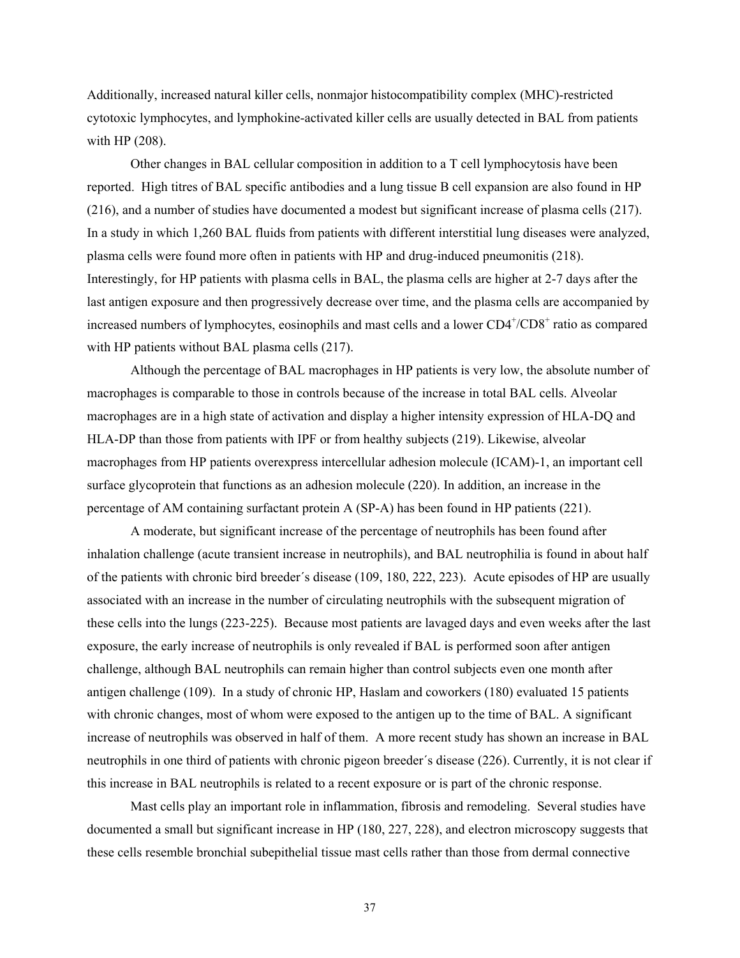Additionally, increased natural killer cells, nonmajor histocompatibility complex (MHC)-restricted cytotoxic lymphocytes, and lymphokine-activated killer cells are usually detected in BAL from patients with HP (208).

Other changes in BAL cellular composition in addition to a T cell lymphocytosis have been reported. High titres of BAL specific antibodies and a lung tissue B cell expansion are also found in HP (216), and a number of studies have documented a modest but significant increase of plasma cells (217). In a study in which 1,260 BAL fluids from patients with different interstitial lung diseases were analyzed, plasma cells were found more often in patients with HP and drug-induced pneumonitis (218). Interestingly, for HP patients with plasma cells in BAL, the plasma cells are higher at 2-7 days after the last antigen exposure and then progressively decrease over time, and the plasma cells are accompanied by increased numbers of lymphocytes, eosinophils and mast cells and a lower CD4+/CD8+ ratio as compared with HP patients without BAL plasma cells (217).

Although the percentage of BAL macrophages in HP patients is very low, the absolute number of macrophages is comparable to those in controls because of the increase in total BAL cells. Alveolar macrophages are in a high state of activation and display a higher intensity expression of HLA-DQ and HLA-DP than those from patients with IPF or from healthy subjects (219). Likewise, alveolar macrophages from HP patients overexpress intercellular adhesion molecule (ICAM)-1, an important cell surface glycoprotein that functions as an adhesion molecule (220). In addition, an increase in the percentage of AM containing surfactant protein A (SP-A) has been found in HP patients (221).

A moderate, but significant increase of the percentage of neutrophils has been found after inhalation challenge (acute transient increase in neutrophils), and BAL neutrophilia is found in about half of the patients with chronic bird breeder´s disease (109, 180, 222, 223). Acute episodes of HP are usually associated with an increase in the number of circulating neutrophils with the subsequent migration of these cells into the lungs (223-225). Because most patients are lavaged days and even weeks after the last exposure, the early increase of neutrophils is only revealed if BAL is performed soon after antigen challenge, although BAL neutrophils can remain higher than control subjects even one month after antigen challenge (109). In a study of chronic HP, Haslam and coworkers (180) evaluated 15 patients with chronic changes, most of whom were exposed to the antigen up to the time of BAL. A significant increase of neutrophils was observed in half of them. A more recent study has shown an increase in BAL neutrophils in one third of patients with chronic pigeon breeder´s disease (226). Currently, it is not clear if this increase in BAL neutrophils is related to a recent exposure or is part of the chronic response.

Mast cells play an important role in inflammation, fibrosis and remodeling. Several studies have documented a small but significant increase in HP (180, 227, 228), and electron microscopy suggests that these cells resemble bronchial subepithelial tissue mast cells rather than those from dermal connective

37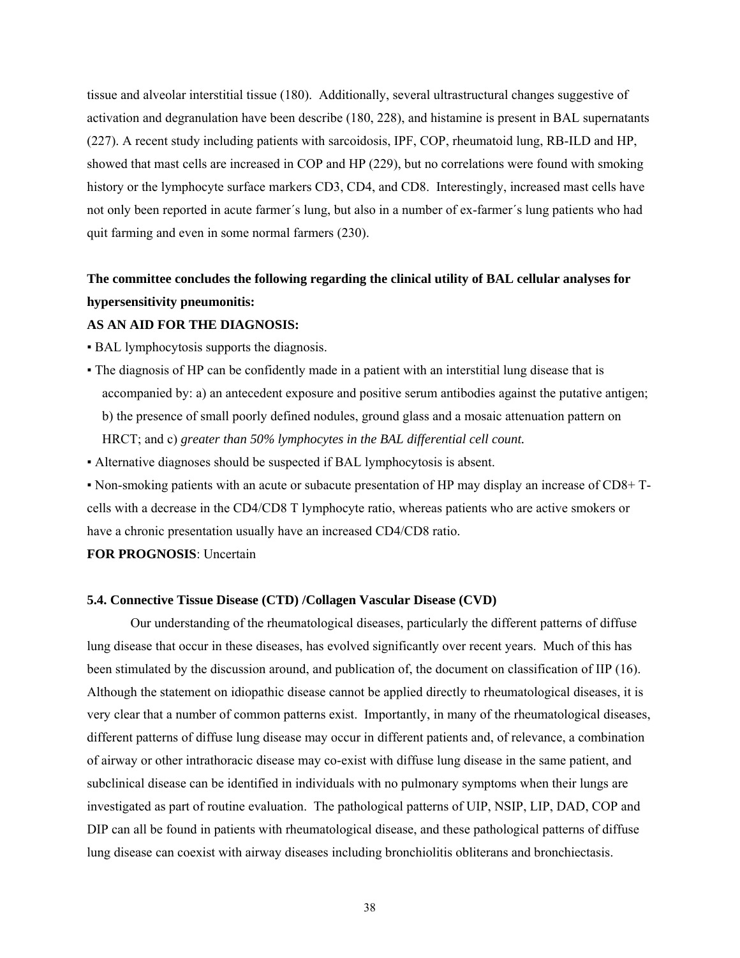tissue and alveolar interstitial tissue (180). Additionally, several ultrastructural changes suggestive of activation and degranulation have been describe (180, 228), and histamine is present in BAL supernatants (227). A recent study including patients with sarcoidosis, IPF, COP, rheumatoid lung, RB-ILD and HP, showed that mast cells are increased in COP and HP (229), but no correlations were found with smoking history or the lymphocyte surface markers CD3, CD4, and CD8. Interestingly, increased mast cells have not only been reported in acute farmer´s lung, but also in a number of ex-farmer´s lung patients who had quit farming and even in some normal farmers (230).

# **The committee concludes the following regarding the clinical utility of BAL cellular analyses for hypersensitivity pneumonitis:**

#### **AS AN AID FOR THE DIAGNOSIS:**

- BAL lymphocytosis supports the diagnosis.
- The diagnosis of HP can be confidently made in a patient with an interstitial lung disease that is accompanied by: a) an antecedent exposure and positive serum antibodies against the putative antigen; b) the presence of small poorly defined nodules, ground glass and a mosaic attenuation pattern on HRCT; and c) *greater than 50% lymphocytes in the BAL differential cell count.*
- Alternative diagnoses should be suspected if BAL lymphocytosis is absent.

▪ Non-smoking patients with an acute or subacute presentation of HP may display an increase of CD8+ Tcells with a decrease in the CD4/CD8 T lymphocyte ratio, whereas patients who are active smokers or have a chronic presentation usually have an increased CD4/CD8 ratio.

**FOR PROGNOSIS**: Uncertain

#### **5.4. Connective Tissue Disease (CTD) /Collagen Vascular Disease (CVD)**

 Our understanding of the rheumatological diseases, particularly the different patterns of diffuse lung disease that occur in these diseases, has evolved significantly over recent years. Much of this has been stimulated by the discussion around, and publication of, the document on classification of IIP (16). Although the statement on idiopathic disease cannot be applied directly to rheumatological diseases, it is very clear that a number of common patterns exist. Importantly, in many of the rheumatological diseases, different patterns of diffuse lung disease may occur in different patients and, of relevance, a combination of airway or other intrathoracic disease may co-exist with diffuse lung disease in the same patient, and subclinical disease can be identified in individuals with no pulmonary symptoms when their lungs are investigated as part of routine evaluation. The pathological patterns of UIP, NSIP, LIP, DAD, COP and DIP can all be found in patients with rheumatological disease, and these pathological patterns of diffuse lung disease can coexist with airway diseases including bronchiolitis obliterans and bronchiectasis.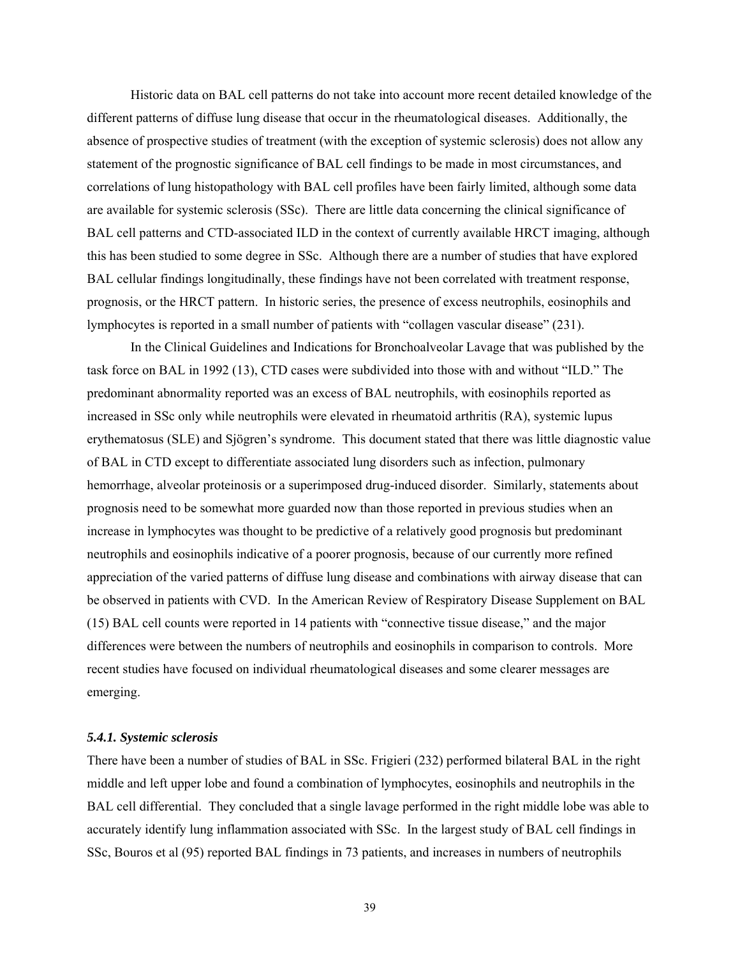Historic data on BAL cell patterns do not take into account more recent detailed knowledge of the different patterns of diffuse lung disease that occur in the rheumatological diseases. Additionally, the absence of prospective studies of treatment (with the exception of systemic sclerosis) does not allow any statement of the prognostic significance of BAL cell findings to be made in most circumstances, and correlations of lung histopathology with BAL cell profiles have been fairly limited, although some data are available for systemic sclerosis (SSc). There are little data concerning the clinical significance of BAL cell patterns and CTD-associated ILD in the context of currently available HRCT imaging, although this has been studied to some degree in SSc. Although there are a number of studies that have explored BAL cellular findings longitudinally, these findings have not been correlated with treatment response, prognosis, or the HRCT pattern. In historic series, the presence of excess neutrophils, eosinophils and lymphocytes is reported in a small number of patients with "collagen vascular disease" (231).

In the Clinical Guidelines and Indications for Bronchoalveolar Lavage that was published by the task force on BAL in 1992 (13), CTD cases were subdivided into those with and without "ILD." The predominant abnormality reported was an excess of BAL neutrophils, with eosinophils reported as increased in SSc only while neutrophils were elevated in rheumatoid arthritis (RA), systemic lupus erythematosus (SLE) and Sjögren's syndrome. This document stated that there was little diagnostic value of BAL in CTD except to differentiate associated lung disorders such as infection, pulmonary hemorrhage, alveolar proteinosis or a superimposed drug-induced disorder. Similarly, statements about prognosis need to be somewhat more guarded now than those reported in previous studies when an increase in lymphocytes was thought to be predictive of a relatively good prognosis but predominant neutrophils and eosinophils indicative of a poorer prognosis, because of our currently more refined appreciation of the varied patterns of diffuse lung disease and combinations with airway disease that can be observed in patients with CVD. In the American Review of Respiratory Disease Supplement on BAL (15) BAL cell counts were reported in 14 patients with "connective tissue disease," and the major differences were between the numbers of neutrophils and eosinophils in comparison to controls. More recent studies have focused on individual rheumatological diseases and some clearer messages are emerging.

## *5.4.1. Systemic sclerosis*

There have been a number of studies of BAL in SSc. Frigieri (232) performed bilateral BAL in the right middle and left upper lobe and found a combination of lymphocytes, eosinophils and neutrophils in the BAL cell differential. They concluded that a single lavage performed in the right middle lobe was able to accurately identify lung inflammation associated with SSc. In the largest study of BAL cell findings in SSc, Bouros et al (95) reported BAL findings in 73 patients, and increases in numbers of neutrophils

39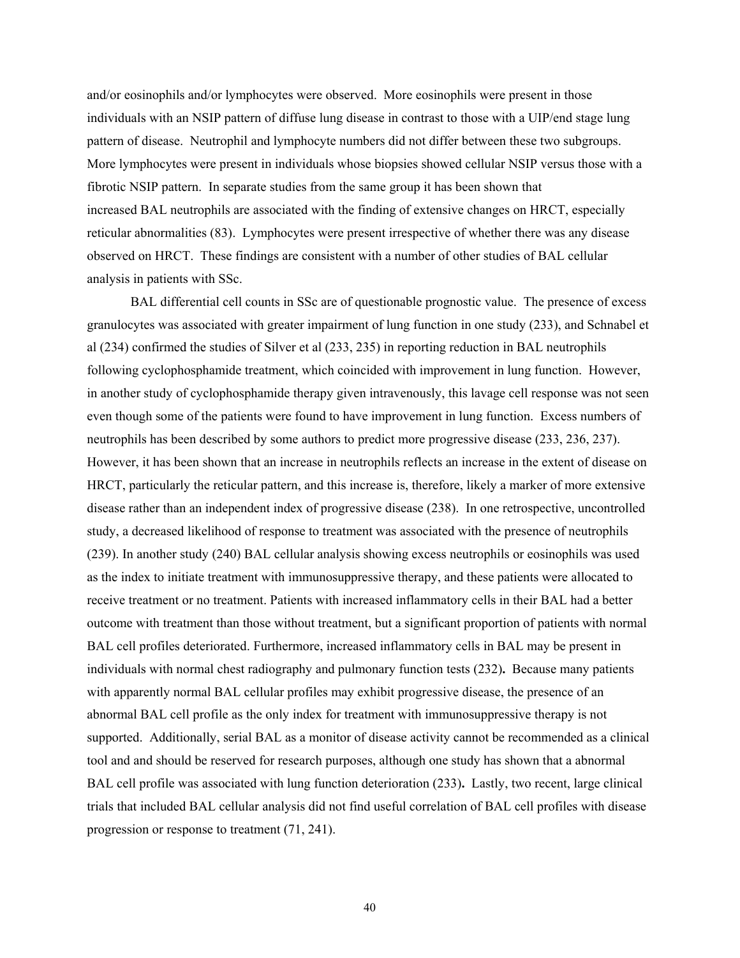and/or eosinophils and/or lymphocytes were observed. More eosinophils were present in those individuals with an NSIP pattern of diffuse lung disease in contrast to those with a UIP/end stage lung pattern of disease. Neutrophil and lymphocyte numbers did not differ between these two subgroups. More lymphocytes were present in individuals whose biopsies showed cellular NSIP versus those with a fibrotic NSIP pattern. In separate studies from the same group it has been shown that increased BAL neutrophils are associated with the finding of extensive changes on HRCT, especially reticular abnormalities (83). Lymphocytes were present irrespective of whether there was any disease observed on HRCT. These findings are consistent with a number of other studies of BAL cellular analysis in patients with SSc.

BAL differential cell counts in SSc are of questionable prognostic value. The presence of excess granulocytes was associated with greater impairment of lung function in one study (233), and Schnabel et al (234) confirmed the studies of Silver et al (233, 235) in reporting reduction in BAL neutrophils following cyclophosphamide treatment, which coincided with improvement in lung function. However, in another study of cyclophosphamide therapy given intravenously, this lavage cell response was not seen even though some of the patients were found to have improvement in lung function. Excess numbers of neutrophils has been described by some authors to predict more progressive disease (233, 236, 237). However, it has been shown that an increase in neutrophils reflects an increase in the extent of disease on HRCT, particularly the reticular pattern, and this increase is, therefore, likely a marker of more extensive disease rather than an independent index of progressive disease (238). In one retrospective, uncontrolled study, a decreased likelihood of response to treatment was associated with the presence of neutrophils (239). In another study (240) BAL cellular analysis showing excess neutrophils or eosinophils was used as the index to initiate treatment with immunosuppressive therapy, and these patients were allocated to receive treatment or no treatment. Patients with increased inflammatory cells in their BAL had a better outcome with treatment than those without treatment, but a significant proportion of patients with normal BAL cell profiles deteriorated. Furthermore, increased inflammatory cells in BAL may be present in individuals with normal chest radiography and pulmonary function tests (232)**.** Because many patients with apparently normal BAL cellular profiles may exhibit progressive disease, the presence of an abnormal BAL cell profile as the only index for treatment with immunosuppressive therapy is not supported. Additionally, serial BAL as a monitor of disease activity cannot be recommended as a clinical tool and and should be reserved for research purposes, although one study has shown that a abnormal BAL cell profile was associated with lung function deterioration (233)**.** Lastly, two recent, large clinical trials that included BAL cellular analysis did not find useful correlation of BAL cell profiles with disease progression or response to treatment (71, 241).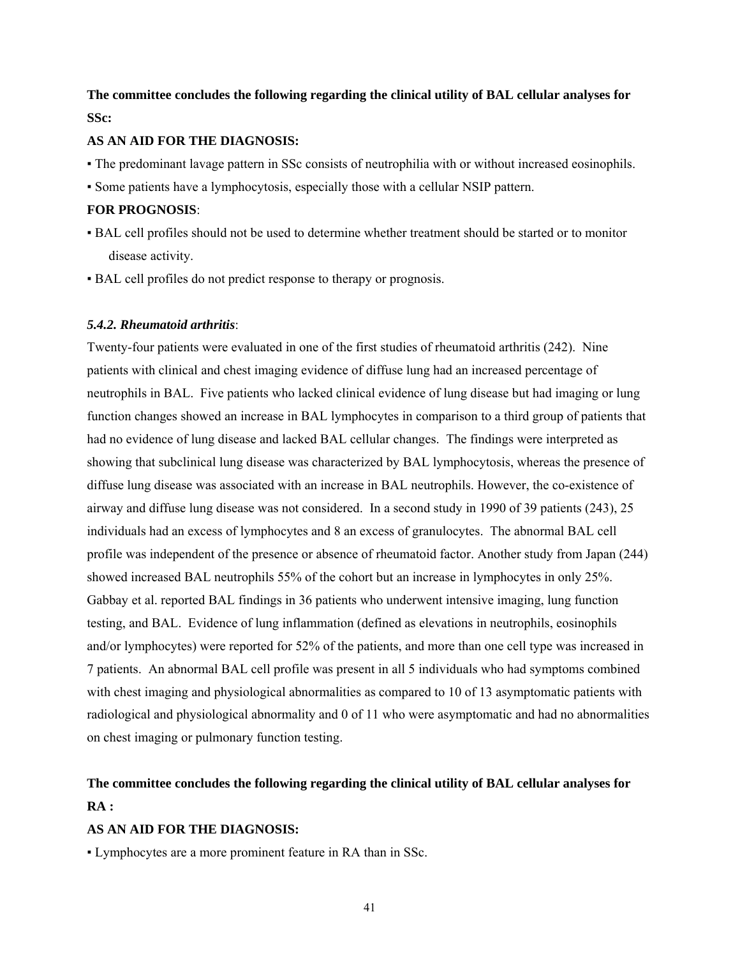## **The committee concludes the following regarding the clinical utility of BAL cellular analyses for SSc:**

## **AS AN AID FOR THE DIAGNOSIS:**

- The predominant lavage pattern in SSc consists of neutrophilia with or without increased eosinophils.
- Some patients have a lymphocytosis, especially those with a cellular NSIP pattern.

#### **FOR PROGNOSIS**:

- BAL cell profiles should not be used to determine whether treatment should be started or to monitor disease activity.
- BAL cell profiles do not predict response to therapy or prognosis.

## *5.4.2. Rheumatoid arthritis*:

Twenty-four patients were evaluated in one of the first studies of rheumatoid arthritis (242). Nine patients with clinical and chest imaging evidence of diffuse lung had an increased percentage of neutrophils in BAL. Five patients who lacked clinical evidence of lung disease but had imaging or lung function changes showed an increase in BAL lymphocytes in comparison to a third group of patients that had no evidence of lung disease and lacked BAL cellular changes. The findings were interpreted as showing that subclinical lung disease was characterized by BAL lymphocytosis, whereas the presence of diffuse lung disease was associated with an increase in BAL neutrophils. However, the co-existence of airway and diffuse lung disease was not considered. In a second study in 1990 of 39 patients (243), 25 individuals had an excess of lymphocytes and 8 an excess of granulocytes. The abnormal BAL cell profile was independent of the presence or absence of rheumatoid factor. Another study from Japan (244) showed increased BAL neutrophils 55% of the cohort but an increase in lymphocytes in only 25%. Gabbay et al. reported BAL findings in 36 patients who underwent intensive imaging, lung function testing, and BAL. Evidence of lung inflammation (defined as elevations in neutrophils, eosinophils and/or lymphocytes) were reported for 52% of the patients, and more than one cell type was increased in 7 patients. An abnormal BAL cell profile was present in all 5 individuals who had symptoms combined with chest imaging and physiological abnormalities as compared to 10 of 13 asymptomatic patients with radiological and physiological abnormality and 0 of 11 who were asymptomatic and had no abnormalities on chest imaging or pulmonary function testing.

# **The committee concludes the following regarding the clinical utility of BAL cellular analyses for RA :**

## **AS AN AID FOR THE DIAGNOSIS:**

▪ Lymphocytes are a more prominent feature in RA than in SSc.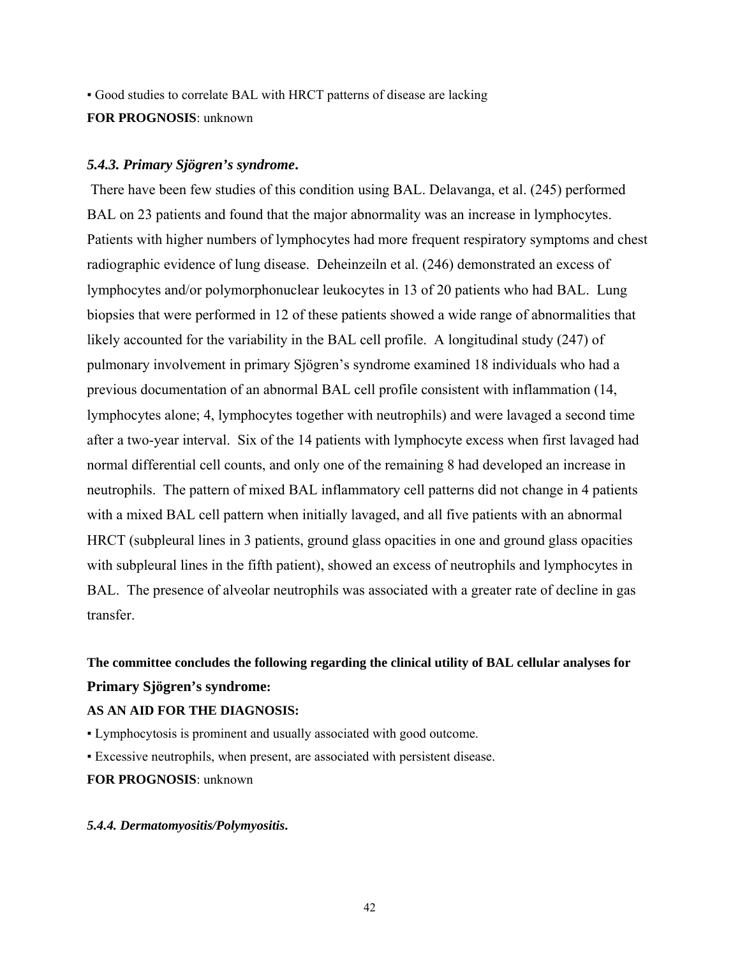▪ Good studies to correlate BAL with HRCT patterns of disease are lacking **FOR PROGNOSIS**: unknown

## *5.4.3. Primary Sjögren's syndrome***.**

There have been few studies of this condition using BAL. Delavanga, et al. (245) performed BAL on 23 patients and found that the major abnormality was an increase in lymphocytes. Patients with higher numbers of lymphocytes had more frequent respiratory symptoms and chest radiographic evidence of lung disease. Deheinzeiln et al. (246) demonstrated an excess of lymphocytes and/or polymorphonuclear leukocytes in 13 of 20 patients who had BAL. Lung biopsies that were performed in 12 of these patients showed a wide range of abnormalities that likely accounted for the variability in the BAL cell profile. A longitudinal study (247) of pulmonary involvement in primary Sjögren's syndrome examined 18 individuals who had a previous documentation of an abnormal BAL cell profile consistent with inflammation (14, lymphocytes alone; 4, lymphocytes together with neutrophils) and were lavaged a second time after a two-year interval. Six of the 14 patients with lymphocyte excess when first lavaged had normal differential cell counts, and only one of the remaining 8 had developed an increase in neutrophils. The pattern of mixed BAL inflammatory cell patterns did not change in 4 patients with a mixed BAL cell pattern when initially lavaged, and all five patients with an abnormal HRCT (subpleural lines in 3 patients, ground glass opacities in one and ground glass opacities with subpleural lines in the fifth patient), showed an excess of neutrophils and lymphocytes in BAL. The presence of alveolar neutrophils was associated with a greater rate of decline in gas transfer.

# **The committee concludes the following regarding the clinical utility of BAL cellular analyses for Primary Sjögren's syndrome:**

## **AS AN AID FOR THE DIAGNOSIS:**

- Lymphocytosis is prominent and usually associated with good outcome.
- Excessive neutrophils, when present, are associated with persistent disease.

### **FOR PROGNOSIS**: unknown

## *5.4.4. Dermatomyositis/Polymyositis***.**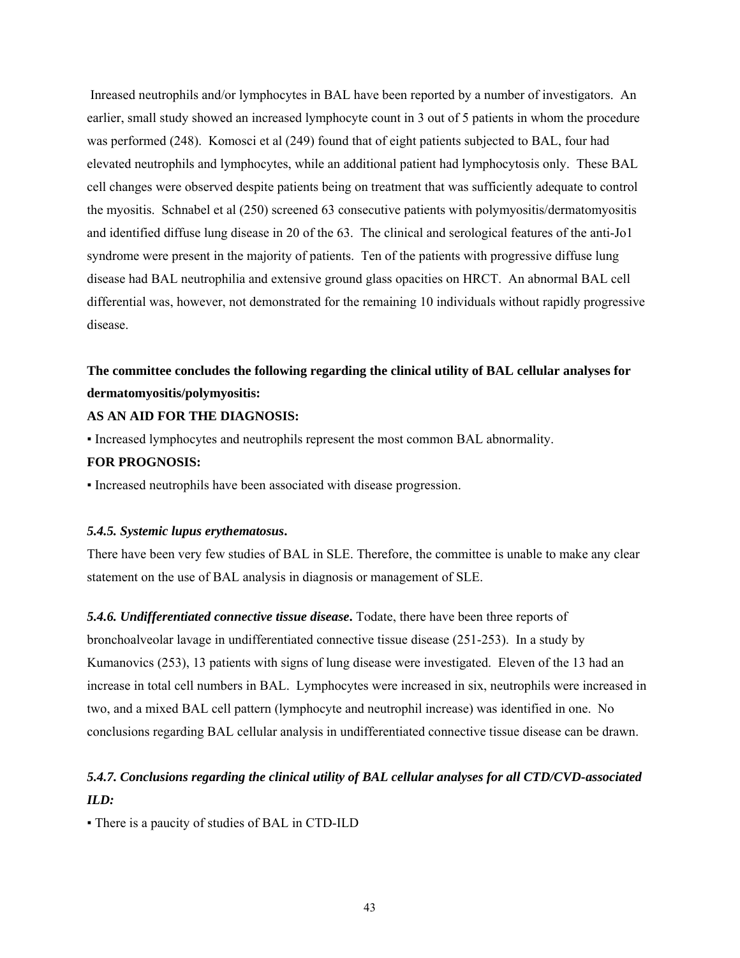Inreased neutrophils and/or lymphocytes in BAL have been reported by a number of investigators. An earlier, small study showed an increased lymphocyte count in 3 out of 5 patients in whom the procedure was performed (248). Komosci et al (249) found that of eight patients subjected to BAL, four had elevated neutrophils and lymphocytes, while an additional patient had lymphocytosis only. These BAL cell changes were observed despite patients being on treatment that was sufficiently adequate to control the myositis. Schnabel et al (250) screened 63 consecutive patients with polymyositis/dermatomyositis and identified diffuse lung disease in 20 of the 63. The clinical and serological features of the anti-Jo1 syndrome were present in the majority of patients. Ten of the patients with progressive diffuse lung disease had BAL neutrophilia and extensive ground glass opacities on HRCT. An abnormal BAL cell differential was, however, not demonstrated for the remaining 10 individuals without rapidly progressive disease.

# **The committee concludes the following regarding the clinical utility of BAL cellular analyses for dermatomyositis/polymyositis:**

## **AS AN AID FOR THE DIAGNOSIS:**

▪ Increased lymphocytes and neutrophils represent the most common BAL abnormality.

#### **FOR PROGNOSIS:**

▪ Increased neutrophils have been associated with disease progression.

#### *5.4.5. Systemic lupus erythematosus***.**

There have been very few studies of BAL in SLE. Therefore, the committee is unable to make any clear statement on the use of BAL analysis in diagnosis or management of SLE.

*5.4.6. Undifferentiated connective tissue disease***.** Todate, there have been three reports of bronchoalveolar lavage in undifferentiated connective tissue disease (251-253). In a study by Kumanovics (253), 13 patients with signs of lung disease were investigated. Eleven of the 13 had an increase in total cell numbers in BAL. Lymphocytes were increased in six, neutrophils were increased in two, and a mixed BAL cell pattern (lymphocyte and neutrophil increase) was identified in one. No conclusions regarding BAL cellular analysis in undifferentiated connective tissue disease can be drawn.

# *5.4.7. Conclusions regarding the clinical utility of BAL cellular analyses for all CTD/CVD-associated ILD:*

▪ There is a paucity of studies of BAL in CTD-ILD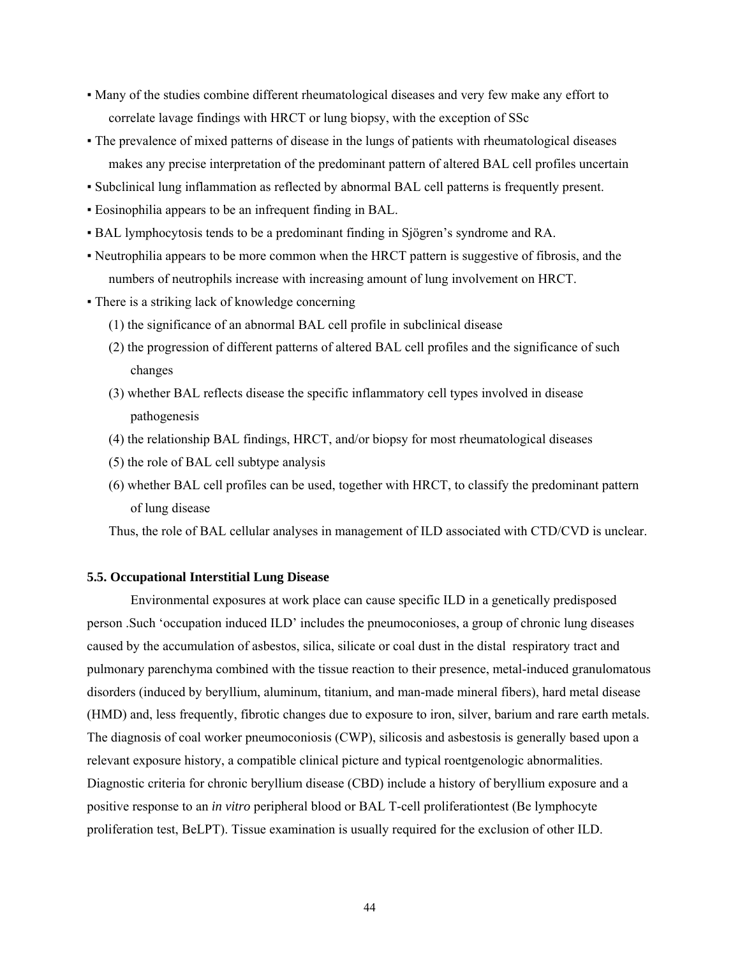- Many of the studies combine different rheumatological diseases and very few make any effort to correlate lavage findings with HRCT or lung biopsy, with the exception of SSc
- The prevalence of mixed patterns of disease in the lungs of patients with rheumatological diseases makes any precise interpretation of the predominant pattern of altered BAL cell profiles uncertain
- Subclinical lung inflammation as reflected by abnormal BAL cell patterns is frequently present.
- Eosinophilia appears to be an infrequent finding in BAL.
- BAL lymphocytosis tends to be a predominant finding in Sjögren's syndrome and RA.
- Neutrophilia appears to be more common when the HRCT pattern is suggestive of fibrosis, and the numbers of neutrophils increase with increasing amount of lung involvement on HRCT.
- There is a striking lack of knowledge concerning
	- (1) the significance of an abnormal BAL cell profile in subclinical disease
	- (2) the progression of different patterns of altered BAL cell profiles and the significance of such changes
	- (3) whether BAL reflects disease the specific inflammatory cell types involved in disease pathogenesis
	- (4) the relationship BAL findings, HRCT, and/or biopsy for most rheumatological diseases
	- (5) the role of BAL cell subtype analysis
	- (6) whether BAL cell profiles can be used, together with HRCT, to classify the predominant pattern of lung disease

Thus, the role of BAL cellular analyses in management of ILD associated with CTD/CVD is unclear.

#### **5.5. Occupational Interstitial Lung Disease**

Environmental exposures at work place can cause specific ILD in a genetically predisposed person .Such 'occupation induced ILD' includes the pneumoconioses, a group of chronic lung diseases caused by the accumulation of asbestos, silica, silicate or coal dust in the distal respiratory tract and pulmonary parenchyma combined with the tissue reaction to their presence, metal-induced granulomatous disorders (induced by beryllium, aluminum, titanium, and man-made mineral fibers), hard metal disease (HMD) and, less frequently, fibrotic changes due to exposure to iron, silver, barium and rare earth metals. The diagnosis of coal worker pneumoconiosis (CWP), silicosis and asbestosis is generally based upon a relevant exposure history, a compatible clinical picture and typical roentgenologic abnormalities. Diagnostic criteria for chronic beryllium disease (CBD) include a history of beryllium exposure and a positive response to an *in vitro* peripheral blood or BAL T-cell proliferationtest (Be lymphocyte proliferation test, BeLPT). Tissue examination is usually required for the exclusion of other ILD.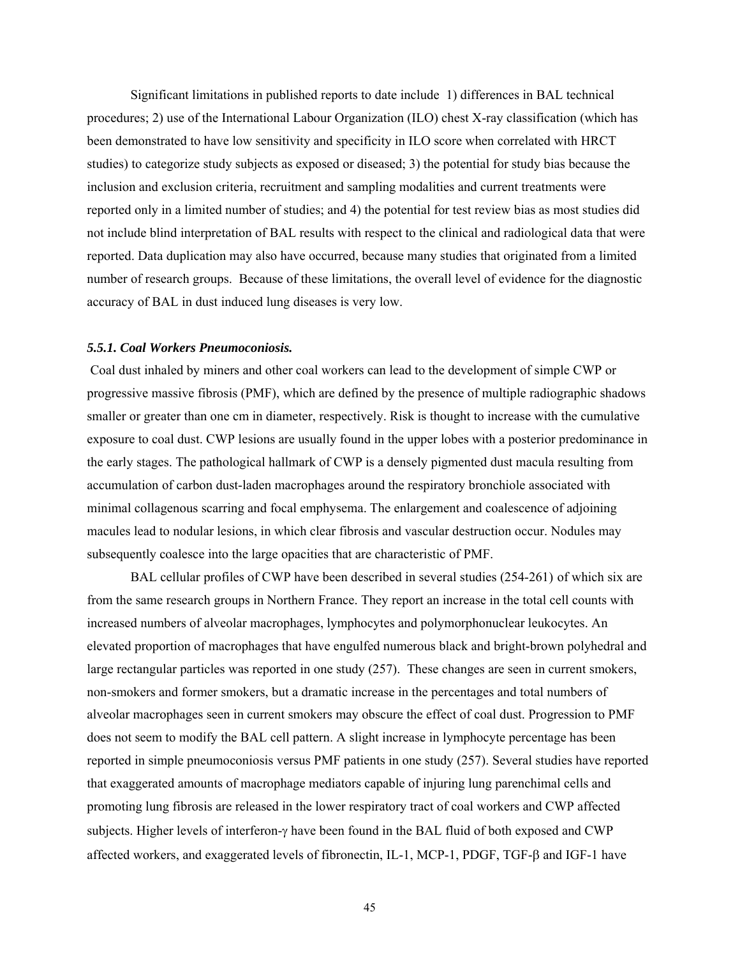Significant limitations in published reports to date include 1) differences in BAL technical procedures; 2) use of the International Labour Organization (ILO) chest X-ray classification (which has been demonstrated to have low sensitivity and specificity in ILO score when correlated with HRCT studies) to categorize study subjects as exposed or diseased; 3) the potential for study bias because the inclusion and exclusion criteria, recruitment and sampling modalities and current treatments were reported only in a limited number of studies; and 4) the potential for test review bias as most studies did not include blind interpretation of BAL results with respect to the clinical and radiological data that were reported. Data duplication may also have occurred, because many studies that originated from a limited number of research groups. Because of these limitations, the overall level of evidence for the diagnostic accuracy of BAL in dust induced lung diseases is very low.

#### *5.5.1. Coal Workers Pneumoconiosis.*

 Coal dust inhaled by miners and other coal workers can lead to the development of simple CWP or progressive massive fibrosis (PMF), which are defined by the presence of multiple radiographic shadows smaller or greater than one cm in diameter, respectively. Risk is thought to increase with the cumulative exposure to coal dust. CWP lesions are usually found in the upper lobes with a posterior predominance in the early stages. The pathological hallmark of CWP is a densely pigmented dust macula resulting from accumulation of carbon dust-laden macrophages around the respiratory bronchiole associated with minimal collagenous scarring and focal emphysema. The enlargement and coalescence of adjoining macules lead to nodular lesions, in which clear fibrosis and vascular destruction occur. Nodules may subsequently coalesce into the large opacities that are characteristic of PMF.

BAL cellular profiles of CWP have been described in several studies (254-261) of which six are from the same research groups in Northern France. They report an increase in the total cell counts with increased numbers of alveolar macrophages, lymphocytes and polymorphonuclear leukocytes. An elevated proportion of macrophages that have engulfed numerous black and bright-brown polyhedral and large rectangular particles was reported in one study (257). These changes are seen in current smokers, non-smokers and former smokers, but a dramatic increase in the percentages and total numbers of alveolar macrophages seen in current smokers may obscure the effect of coal dust. Progression to PMF does not seem to modify the BAL cell pattern. A slight increase in lymphocyte percentage has been reported in simple pneumoconiosis versus PMF patients in one study (257). Several studies have reported that exaggerated amounts of macrophage mediators capable of injuring lung parenchimal cells and promoting lung fibrosis are released in the lower respiratory tract of coal workers and CWP affected subjects. Higher levels of interferon-γ have been found in the BAL fluid of both exposed and CWP affected workers, and exaggerated levels of fibronectin, IL-1, MCP-1, PDGF, TGF-β and IGF-1 have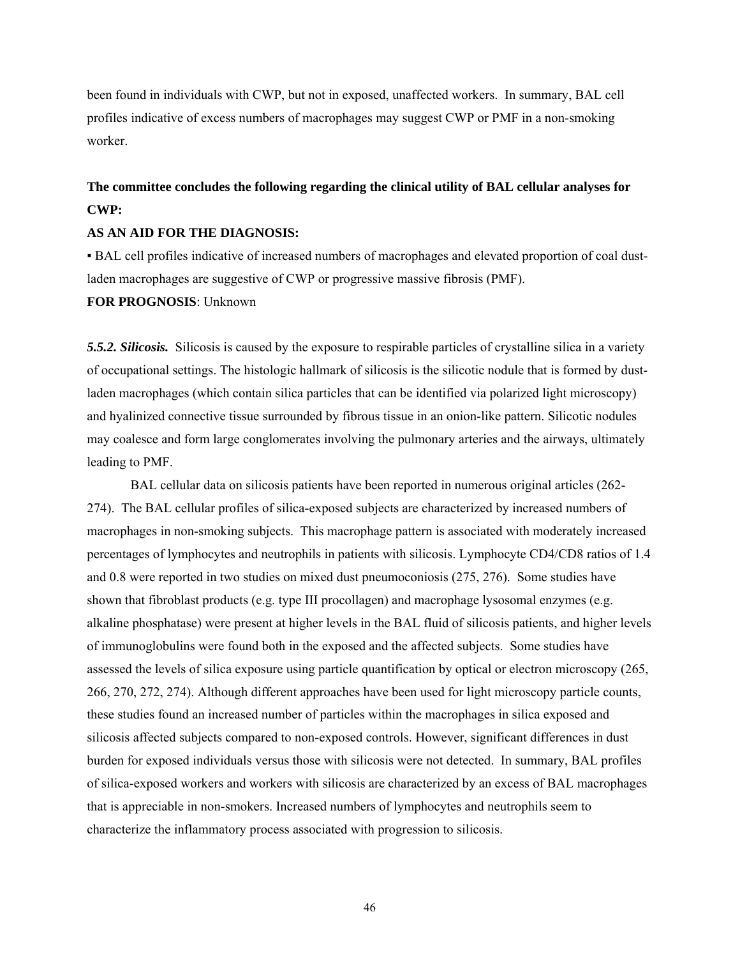been found in individuals with CWP, but not in exposed, unaffected workers. In summary, BAL cell profiles indicative of excess numbers of macrophages may suggest CWP or PMF in a non-smoking worker.

# **The committee concludes the following regarding the clinical utility of BAL cellular analyses for CWP:**

## **AS AN AID FOR THE DIAGNOSIS:**

▪ BAL cell profiles indicative of increased numbers of macrophages and elevated proportion of coal dustladen macrophages are suggestive of CWP or progressive massive fibrosis (PMF).

## **FOR PROGNOSIS**: Unknown

*5.5.2. Silicosis.*Silicosis is caused by the exposure to respirable particles of crystalline silica in a variety of occupational settings. The histologic hallmark of silicosis is the silicotic nodule that is formed by dustladen macrophages (which contain silica particles that can be identified via polarized light microscopy) and hyalinized connective tissue surrounded by fibrous tissue in an onion-like pattern. Silicotic nodules may coalesce and form large conglomerates involving the pulmonary arteries and the airways, ultimately leading to PMF.

 BAL cellular data on silicosis patients have been reported in numerous original articles (262- 274). The BAL cellular profiles of silica-exposed subjects are characterized by increased numbers of macrophages in non-smoking subjects. This macrophage pattern is associated with moderately increased percentages of lymphocytes and neutrophils in patients with silicosis. Lymphocyte CD4/CD8 ratios of 1.4 and 0.8 were reported in two studies on mixed dust pneumoconiosis (275, 276). Some studies have shown that fibroblast products (e.g. type III procollagen) and macrophage lysosomal enzymes (e.g. alkaline phosphatase) were present at higher levels in the BAL fluid of silicosis patients, and higher levels of immunoglobulins were found both in the exposed and the affected subjects. Some studies have assessed the levels of silica exposure using particle quantification by optical or electron microscopy (265, 266, 270, 272, 274). Although different approaches have been used for light microscopy particle counts, these studies found an increased number of particles within the macrophages in silica exposed and silicosis affected subjects compared to non-exposed controls. However, significant differences in dust burden for exposed individuals versus those with silicosis were not detected. In summary, BAL profiles of silica-exposed workers and workers with silicosis are characterized by an excess of BAL macrophages that is appreciable in non-smokers. Increased numbers of lymphocytes and neutrophils seem to characterize the inflammatory process associated with progression to silicosis.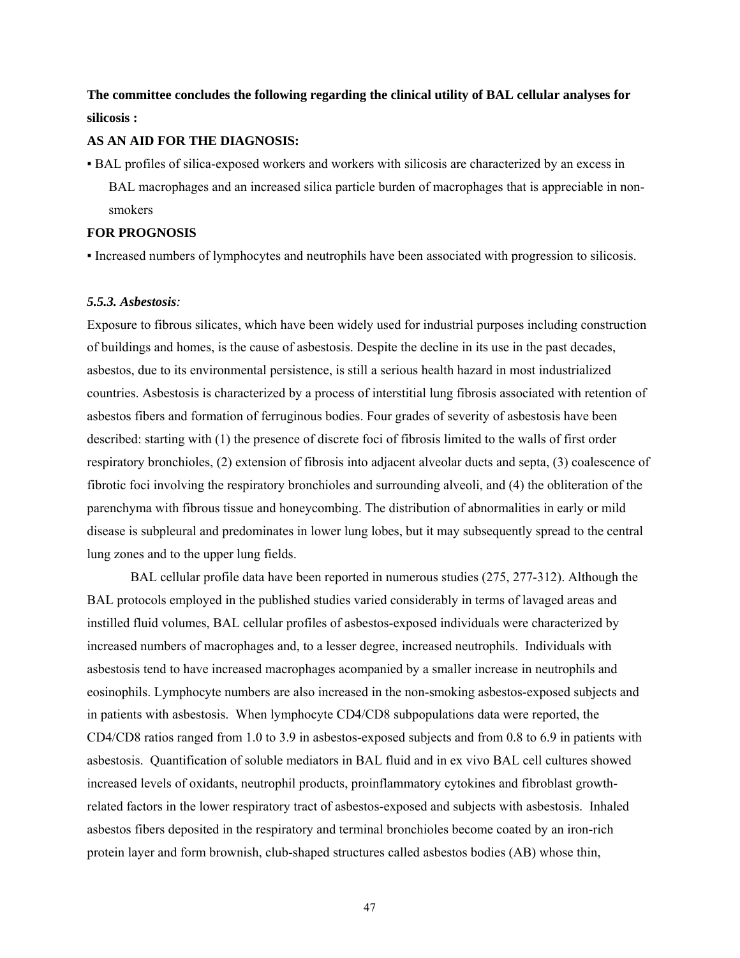**The committee concludes the following regarding the clinical utility of BAL cellular analyses for silicosis :** 

#### **AS AN AID FOR THE DIAGNOSIS:**

▪ BAL profiles of silica-exposed workers and workers with silicosis are characterized by an excess in BAL macrophages and an increased silica particle burden of macrophages that is appreciable in nonsmokers

## **FOR PROGNOSIS**

▪ Increased numbers of lymphocytes and neutrophils have been associated with progression to silicosis.

## *5.5.3. Asbestosis:*

Exposure to fibrous silicates, which have been widely used for industrial purposes including construction of buildings and homes, is the cause of asbestosis. Despite the decline in its use in the past decades, asbestos, due to its environmental persistence, is still a serious health hazard in most industrialized countries. Asbestosis is characterized by a process of interstitial lung fibrosis associated with retention of asbestos fibers and formation of ferruginous bodies. Four grades of severity of asbestosis have been described: starting with (1) the presence of discrete foci of fibrosis limited to the walls of first order respiratory bronchioles, (2) extension of fibrosis into adjacent alveolar ducts and septa, (3) coalescence of fibrotic foci involving the respiratory bronchioles and surrounding alveoli, and (4) the obliteration of the parenchyma with fibrous tissue and honeycombing. The distribution of abnormalities in early or mild disease is subpleural and predominates in lower lung lobes, but it may subsequently spread to the central lung zones and to the upper lung fields.

BAL cellular profile data have been reported in numerous studies (275, 277-312). Although the BAL protocols employed in the published studies varied considerably in terms of lavaged areas and instilled fluid volumes, BAL cellular profiles of asbestos-exposed individuals were characterized by increased numbers of macrophages and, to a lesser degree, increased neutrophils. Individuals with asbestosis tend to have increased macrophages acompanied by a smaller increase in neutrophils and eosinophils. Lymphocyte numbers are also increased in the non-smoking asbestos-exposed subjects and in patients with asbestosis. When lymphocyte CD4/CD8 subpopulations data were reported, the CD4/CD8 ratios ranged from 1.0 to 3.9 in asbestos-exposed subjects and from 0.8 to 6.9 in patients with asbestosis. Quantification of soluble mediators in BAL fluid and in ex vivo BAL cell cultures showed increased levels of oxidants, neutrophil products, proinflammatory cytokines and fibroblast growthrelated factors in the lower respiratory tract of asbestos-exposed and subjects with asbestosis.Inhaled asbestos fibers deposited in the respiratory and terminal bronchioles become coated by an iron-rich protein layer and form brownish, club-shaped structures called asbestos bodies (AB) whose thin,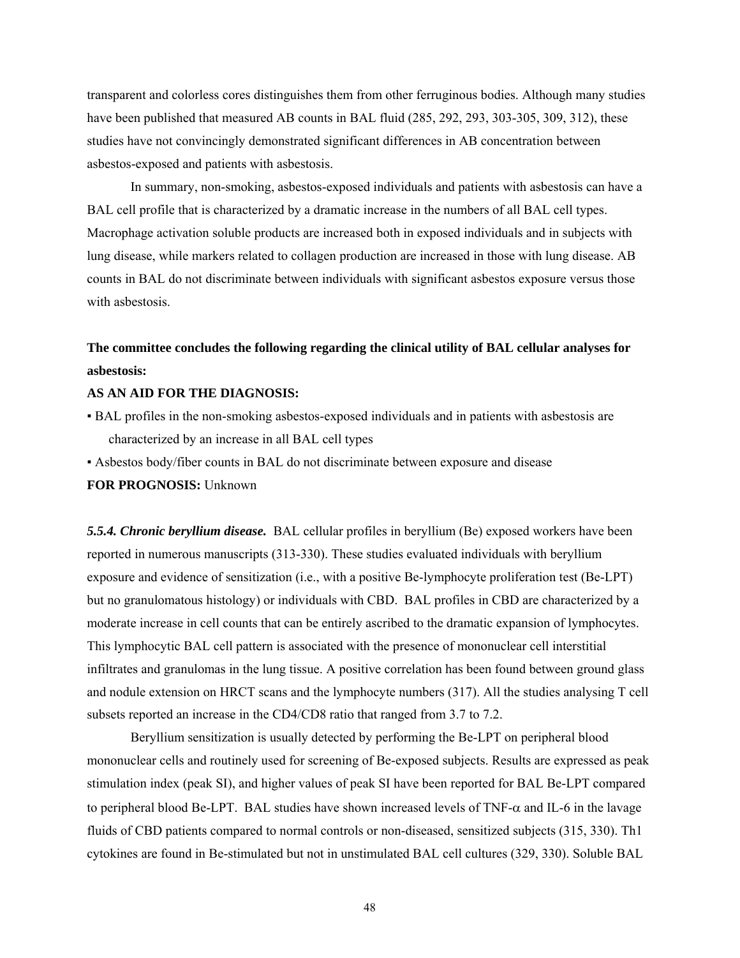transparent and colorless cores distinguishes them from other ferruginous bodies. Although many studies have been published that measured AB counts in BAL fluid (285, 292, 293, 303-305, 309, 312), these studies have not convincingly demonstrated significant differences in AB concentration between asbestos-exposed and patients with asbestosis.

In summary, non-smoking, asbestos-exposed individuals and patients with asbestosis can have a BAL cell profile that is characterized by a dramatic increase in the numbers of all BAL cell types. Macrophage activation soluble products are increased both in exposed individuals and in subjects with lung disease, while markers related to collagen production are increased in those with lung disease. AB counts in BAL do not discriminate between individuals with significant asbestos exposure versus those with asbestosis.

## **The committee concludes the following regarding the clinical utility of BAL cellular analyses for asbestosis:**

### **AS AN AID FOR THE DIAGNOSIS:**

- BAL profiles in the non-smoking asbestos-exposed individuals and in patients with asbestosis are characterized by an increase in all BAL cell types
- Asbestos body/fiber counts in BAL do not discriminate between exposure and disease

## **FOR PROGNOSIS:** Unknown

*5.5.4. Chronic beryllium disease.* BAL cellular profiles in beryllium (Be) exposed workers have been reported in numerous manuscripts (313-330). These studies evaluated individuals with beryllium exposure and evidence of sensitization (i.e., with a positive Be-lymphocyte proliferation test (Be-LPT) but no granulomatous histology) or individuals with CBD. BAL profiles in CBD are characterized by a moderate increase in cell counts that can be entirely ascribed to the dramatic expansion of lymphocytes. This lymphocytic BAL cell pattern is associated with the presence of mononuclear cell interstitial infiltrates and granulomas in the lung tissue. A positive correlation has been found between ground glass and nodule extension on HRCT scans and the lymphocyte numbers (317). All the studies analysing T cell subsets reported an increase in the CD4/CD8 ratio that ranged from 3.7 to 7.2.

 Beryllium sensitization is usually detected by performing the Be-LPT on peripheral blood mononuclear cells and routinely used for screening of Be-exposed subjects. Results are expressed as peak stimulation index (peak SI), and higher values of peak SI have been reported for BAL Be-LPT compared to peripheral blood Be-LPT. BAL studies have shown increased levels of TNF-α and IL-6 in the lavage fluids of CBD patients compared to normal controls or non-diseased, sensitized subjects (315, 330). Th1 cytokines are found in Be-stimulated but not in unstimulated BAL cell cultures (329, 330). Soluble BAL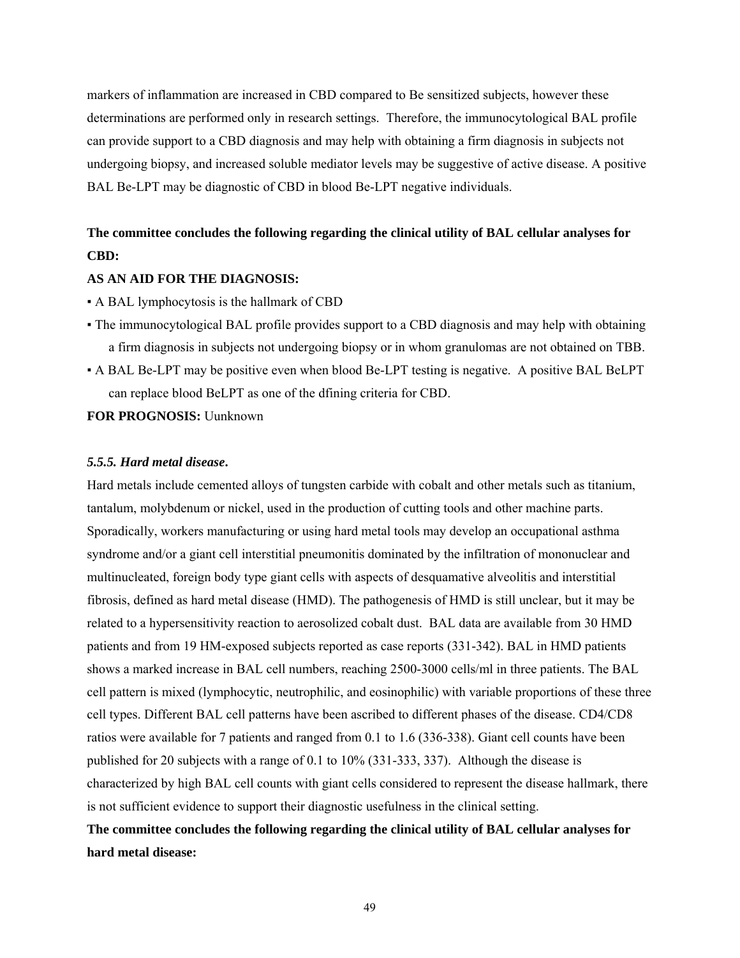markers of inflammation are increased in CBD compared to Be sensitized subjects, however these determinations are performed only in research settings. Therefore, the immunocytological BAL profile can provide support to a CBD diagnosis and may help with obtaining a firm diagnosis in subjects not undergoing biopsy, and increased soluble mediator levels may be suggestive of active disease. A positive BAL Be-LPT may be diagnostic of CBD in blood Be-LPT negative individuals.

# **The committee concludes the following regarding the clinical utility of BAL cellular analyses for CBD:**

## **AS AN AID FOR THE DIAGNOSIS:**

- A BAL lymphocytosis is the hallmark of CBD
- The immunocytological BAL profile provides support to a CBD diagnosis and may help with obtaining a firm diagnosis in subjects not undergoing biopsy or in whom granulomas are not obtained on TBB.
- A BAL Be-LPT may be positive even when blood Be-LPT testing is negative. A positive BAL BeLPT can replace blood BeLPT as one of the dfining criteria for CBD.

**FOR PROGNOSIS:** Uunknown

#### *5.5.5. Hard metal disease***.**

Hard metals include cemented alloys of tungsten carbide with cobalt and other metals such as titanium, tantalum, molybdenum or nickel, used in the production of cutting tools and other machine parts. Sporadically, workers manufacturing or using hard metal tools may develop an occupational asthma syndrome and/or a giant cell interstitial pneumonitis dominated by the infiltration of mononuclear and multinucleated, foreign body type giant cells with aspects of desquamative alveolitis and interstitial fibrosis, defined as hard metal disease (HMD). The pathogenesis of HMD is still unclear, but it may be related to a hypersensitivity reaction to aerosolized cobalt dust. BAL data are available from 30 HMD patients and from 19 HM-exposed subjects reported as case reports (331-342). BAL in HMD patients shows a marked increase in BAL cell numbers, reaching 2500-3000 cells/ml in three patients. The BAL cell pattern is mixed (lymphocytic, neutrophilic, and eosinophilic) with variable proportions of these three cell types. Different BAL cell patterns have been ascribed to different phases of the disease. CD4/CD8 ratios were available for 7 patients and ranged from 0.1 to 1.6 (336-338). Giant cell counts have been published for 20 subjects with a range of 0.1 to 10% (331-333, 337). Although the disease is characterized by high BAL cell counts with giant cells considered to represent the disease hallmark, there is not sufficient evidence to support their diagnostic usefulness in the clinical setting.

## **The committee concludes the following regarding the clinical utility of BAL cellular analyses for hard metal disease:**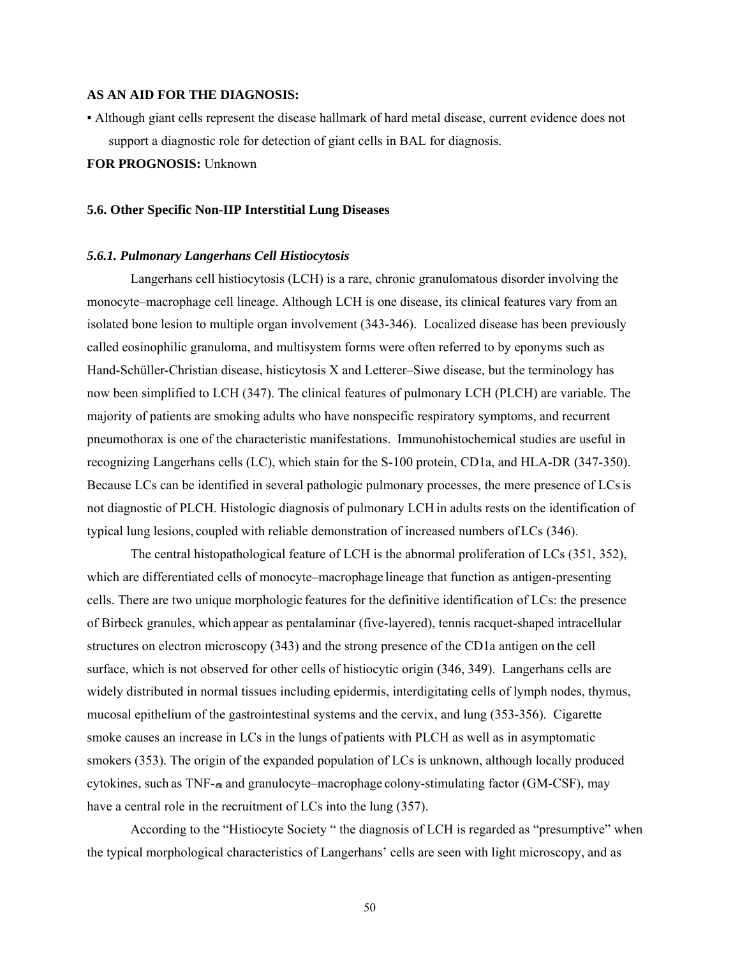#### **AS AN AID FOR THE DIAGNOSIS:**

▪ Although giant cells represent the disease hallmark of hard metal disease, current evidence does not support a diagnostic role for detection of giant cells in BAL for diagnosis.

### **FOR PROGNOSIS:** Unknown

#### **5.6. Other Specific Non-IIP Interstitial Lung Diseases**

#### *5.6.1. Pulmonary Langerhans Cell Histiocytosis*

Langerhans cell histiocytosis (LCH) is a rare, chronic granulomatous disorder involving the monocyte–macrophage cell lineage. Although LCH is one disease, its clinical features vary from an isolated bone lesion to multiple organ involvement (343-346). Localized disease has been previously called eosinophilic granuloma, and multisystem forms were often referred to by eponyms such as Hand-Schüller-Christian disease, histicytosis X and Letterer–Siwe disease, but the terminology has now been simplified to LCH (347). The clinical features of pulmonary LCH (PLCH) are variable. The majority of patients are smoking adults who have nonspecific respiratory symptoms, and recurrent pneumothorax is one of the characteristic manifestations. Immunohistochemical studies are useful in recognizing Langerhans cells (LC), which stain for the S-100 protein, CD1a, and HLA-DR (347-350). Because LCs can be identified in several pathologic pulmonary processes, the mere presence of LCsis not diagnostic of PLCH. Histologic diagnosis of pulmonary LCH in adults rests on the identification of typical lung lesions, coupled with reliable demonstration of increased numbers of LCs (346).

The central histopathological feature of LCH is the abnormal proliferation of LCs (351, 352), which are differentiated cells of monocyte–macrophage lineage that function as antigen-presenting cells. There are two unique morphologic features for the definitive identification of LCs: the presence of Birbeck granules, which appear as pentalaminar (five-layered), tennis racquet-shaped intracellular structures on electron microscopy (343) and the strong presence of the CD1a antigen on the cell surface, which is not observed for other cells of histiocytic origin (346, 349). Langerhans cells are widely distributed in normal tissues including epidermis, interdigitating cells of lymph nodes, thymus, mucosal epithelium of the gastrointestinal systems and the cervix, and lung (353-356). Cigarette smoke causes an increase in LCs in the lungs of patients with PLCH as well as in asymptomatic smokers (353). The origin of the expanded population of LCs is unknown, although locally produced cytokines, such as  $TNF-\alpha$  and granulocyte–macrophage colony-stimulating factor (GM-CSF), may have a central role in the recruitment of LCs into the lung (357).

According to the "Histiocyte Society " the diagnosis of LCH is regarded as "presumptive" when the typical morphological characteristics of Langerhans' cells are seen with light microscopy, and as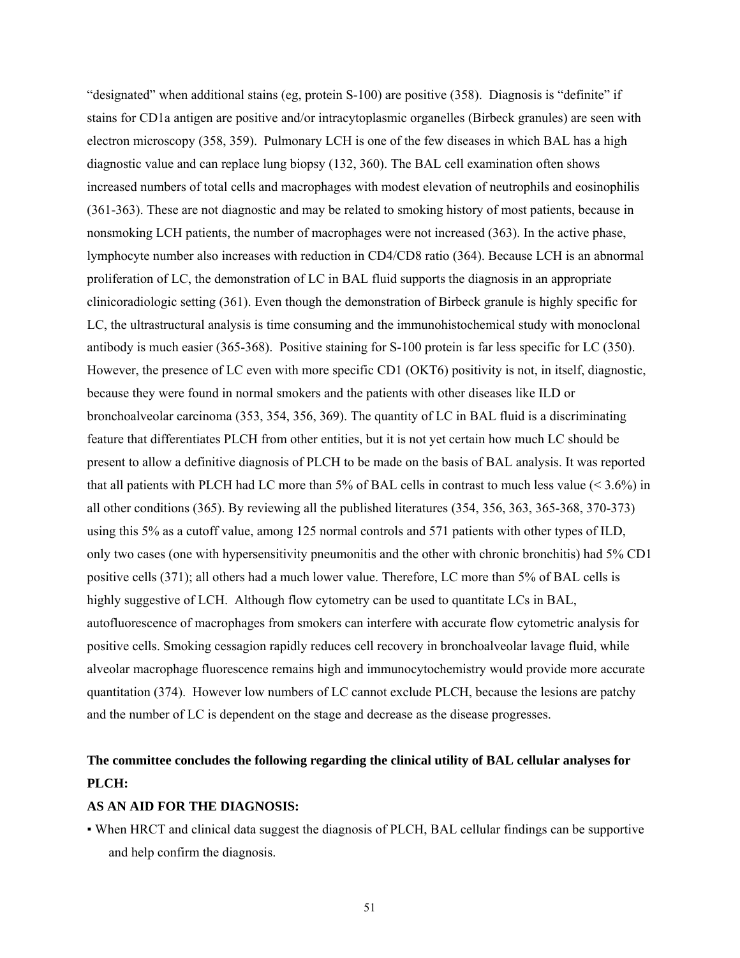"designated" when additional stains (eg, protein S-100) are positive (358). Diagnosis is "definite" if stains for CD1a antigen are positive and/or intracytoplasmic organelles (Birbeck granules) are seen with electron microscopy (358, 359). Pulmonary LCH is one of the few diseases in which BAL has a high diagnostic value and can replace lung biopsy (132, 360). The BAL cell examination often shows increased numbers of total cells and macrophages with modest elevation of neutrophils and eosinophilis (361-363). These are not diagnostic and may be related to smoking history of most patients, because in nonsmoking LCH patients, the number of macrophages were not increased (363). In the active phase, lymphocyte number also increases with reduction in CD4/CD8 ratio (364). Because LCH is an abnormal proliferation of LC, the demonstration of LC in BAL fluid supports the diagnosis in an appropriate clinicoradiologic setting (361). Even though the demonstration of Birbeck granule is highly specific for LC, the ultrastructural analysis is time consuming and the immunohistochemical study with monoclonal antibody is much easier (365-368). Positive staining for S-100 protein is far less specific for LC (350). However, the presence of LC even with more specific CD1 (OKT6) positivity is not, in itself, diagnostic, because they were found in normal smokers and the patients with other diseases like ILD or bronchoalveolar carcinoma (353, 354, 356, 369). The quantity of LC in BAL fluid is a discriminating feature that differentiates PLCH from other entities, but it is not yet certain how much LC should be present to allow a definitive diagnosis of PLCH to be made on the basis of BAL analysis. It was reported that all patients with PLCH had LC more than 5% of BAL cells in contrast to much less value (< 3.6%) in all other conditions (365). By reviewing all the published literatures (354, 356, 363, 365-368, 370-373) using this 5% as a cutoff value, among 125 normal controls and 571 patients with other types of ILD, only two cases (one with hypersensitivity pneumonitis and the other with chronic bronchitis) had 5% CD1 positive cells (371); all others had a much lower value. Therefore, LC more than 5% of BAL cells is highly suggestive of LCH. Although flow cytometry can be used to quantitate LCs in BAL, autofluorescence of macrophages from smokers can interfere with accurate flow cytometric analysis for positive cells. Smoking cessagion rapidly reduces cell recovery in bronchoalveolar lavage fluid, while alveolar macrophage fluorescence remains high and immunocytochemistry would provide more accurate quantitation (374). However low numbers of LC cannot exclude PLCH, because the lesions are patchy and the number of LC is dependent on the stage and decrease as the disease progresses.

# **The committee concludes the following regarding the clinical utility of BAL cellular analyses for PLCH:**

## **AS AN AID FOR THE DIAGNOSIS:**

▪ When HRCT and clinical data suggest the diagnosis of PLCH, BAL cellular findings can be supportive and help confirm the diagnosis.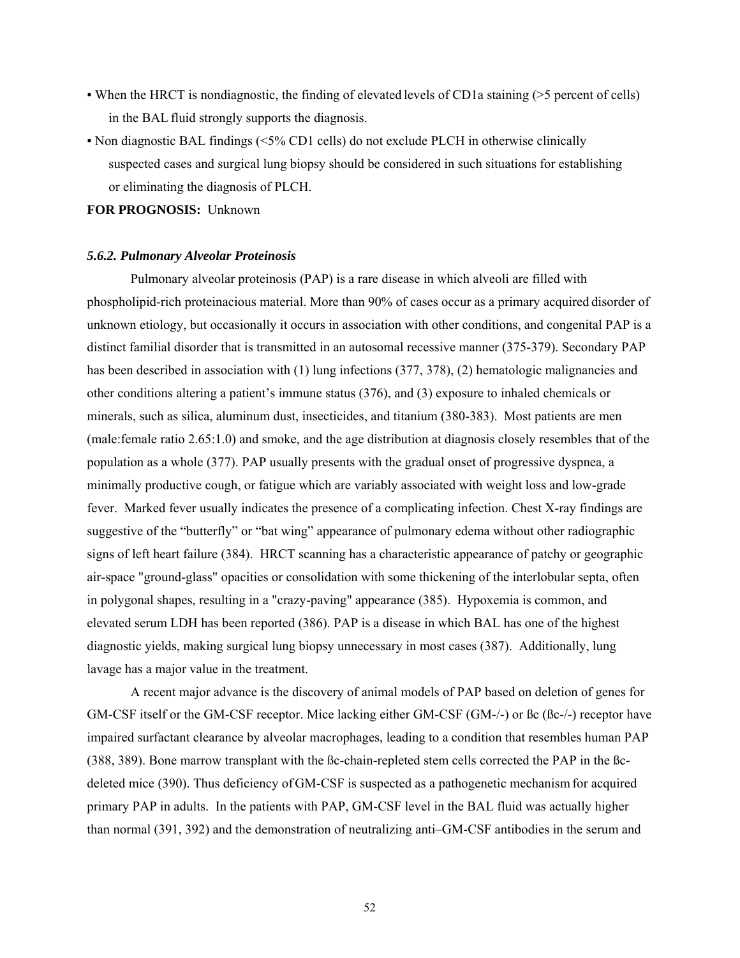- When the HRCT is nondiagnostic, the finding of elevated levels of CD1a staining (>5 percent of cells) in the BAL fluid strongly supports the diagnosis.
- Non diagnostic BAL findings (<5% CD1 cells) do not exclude PLCH in otherwise clinically suspected cases and surgical lung biopsy should be considered in such situations for establishing or eliminating the diagnosis of PLCH.

**FOR PROGNOSIS:** Unknown

#### *5.6.2. Pulmonary Alveolar Proteinosis*

Pulmonary alveolar proteinosis (PAP) is a rare disease in which alveoli are filled with phospholipid-rich proteinacious material. More than 90% of cases occur as a primary acquired disorder of unknown etiology, but occasionally it occurs in association with other conditions, and congenital PAP is a distinct familial disorder that is transmitted in an autosomal recessive manner (375-379). Secondary PAP has been described in association with (1) lung infections (377, 378), (2) hematologic malignancies and other conditions altering a patient's immune status (376), and (3) exposure to inhaled chemicals or minerals, such as silica, aluminum dust, insecticides, and titanium (380-383). Most patients are men (male:female ratio 2.65:1.0) and smoke, and the age distribution at diagnosis closely resembles that of the population as a whole (377). PAP usually presents with the gradual onset of progressive dyspnea, a minimally productive cough, or fatigue which are variably associated with weight loss and low-grade fever. Marked fever usually indicates the presence of a complicating infection. Chest X-ray findings are suggestive of the "butterfly" or "bat wing" appearance of pulmonary edema without other radiographic signs of left heart failure (384). HRCT scanning has a characteristic appearance of patchy or geographic air-space "ground-glass" opacities or consolidation with some thickening of the interlobular septa, often in polygonal shapes, resulting in a "crazy-paving" appearance (385). Hypoxemia is common, and elevated serum LDH has been reported (386). PAP is a disease in which BAL has one of the highest diagnostic yields, making surgical lung biopsy unnecessary in most cases (387). Additionally, lung lavage has a major value in the treatment.

A recent major advance is the discovery of animal models of PAP based on deletion of genes for GM-CSF itself or the GM-CSF receptor. Mice lacking either GM-CSF (GM-/-) or ßc (ßc-/-) receptor have impaired surfactant clearance by alveolar macrophages, leading to a condition that resembles human PAP (388, 389). Bone marrow transplant with the ßc-chain-repleted stem cells corrected the PAP in the ßcdeleted mice (390). Thus deficiency of GM-CSF is suspected as a pathogenetic mechanismfor acquired primary PAP in adults. In the patients with PAP, GM-CSF level in the BAL fluid was actually higher than normal (391, 392) and the demonstration of neutralizing anti–GM-CSF antibodies in the serum and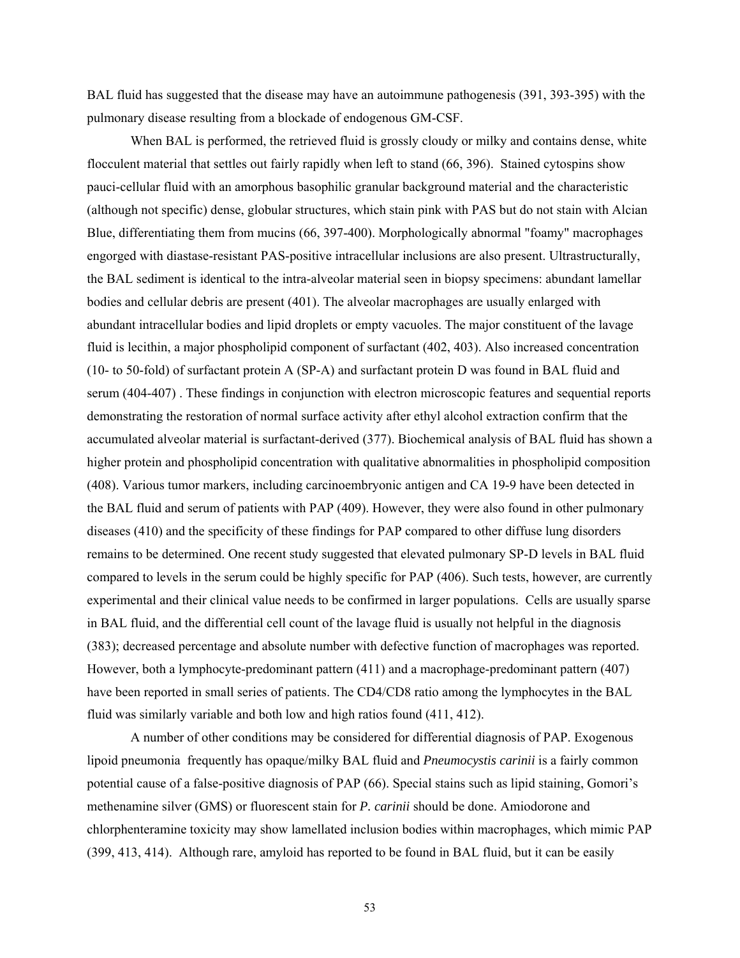BAL fluid has suggested that the disease may have an autoimmune pathogenesis (391, 393-395) with the pulmonary disease resulting from a blockade of endogenous GM-CSF.

When BAL is performed, the retrieved fluid is grossly cloudy or milky and contains dense, white flocculent material that settles out fairly rapidly when left to stand (66, 396). Stained cytospins show pauci-cellular fluid with an amorphous basophilic granular background material and the characteristic (although not specific) dense, globular structures, which stain pink with PAS but do not stain with Alcian Blue, differentiating them from mucins (66, 397-400). Morphologically abnormal "foamy" macrophages engorged with diastase-resistant PAS-positive intracellular inclusions are also present. Ultrastructurally, the BAL sediment is identical to the intra-alveolar material seen in biopsy specimens: abundant lamellar bodies and cellular debris are present (401). The alveolar macrophages are usually enlarged with abundant intracellular bodies and lipid droplets or empty vacuoles. The major constituent of the lavage fluid is lecithin, a major phospholipid component of surfactant (402, 403). Also increased concentration (10- to 50-fold) of surfactant protein A (SP-A) and surfactant protein D was found in BAL fluid and serum (404-407) . These findings in conjunction with electron microscopic features and sequential reports demonstrating the restoration of normal surface activity after ethyl alcohol extraction confirm that the accumulated alveolar material is surfactant-derived (377). Biochemical analysis of BAL fluid has shown a higher protein and phospholipid concentration with qualitative abnormalities in phospholipid composition (408). Various tumor markers, including carcinoembryonic antigen and CA 19-9 have been detected in the BAL fluid and serum of patients with PAP (409). However, they were also found in other pulmonary diseases (410) and the specificity of these findings for PAP compared to other diffuse lung disorders remains to be determined. One recent study suggested that elevated pulmonary SP-D levels in BAL fluid compared to levels in the serum could be highly specific for PAP (406). Such tests, however, are currently experimental and their clinical value needs to be confirmed in larger populations. Cells are usually sparse in BAL fluid, and the differential cell count of the lavage fluid is usually not helpful in the diagnosis (383); decreased percentage and absolute number with defective function of macrophages was reported. However, both a lymphocyte-predominant pattern (411) and a macrophage-predominant pattern (407) have been reported in small series of patients. The CD4/CD8 ratio among the lymphocytes in the BAL fluid was similarly variable and both low and high ratios found (411, 412).

A number of other conditions may be considered for differential diagnosis of PAP. Exogenous lipoid pneumonia frequently has opaque/milky BAL fluid and *Pneumocystis carinii* is a fairly common potential cause of a false-positive diagnosis of PAP (66). Special stains such as lipid staining, Gomori's methenamine silver (GMS) or fluorescent stain for *P. carinii* should be done. Amiodorone and chlorphenteramine toxicity may show lamellated inclusion bodies within macrophages, which mimic PAP (399, 413, 414). Although rare, amyloid has reported to be found in BAL fluid, but it can be easily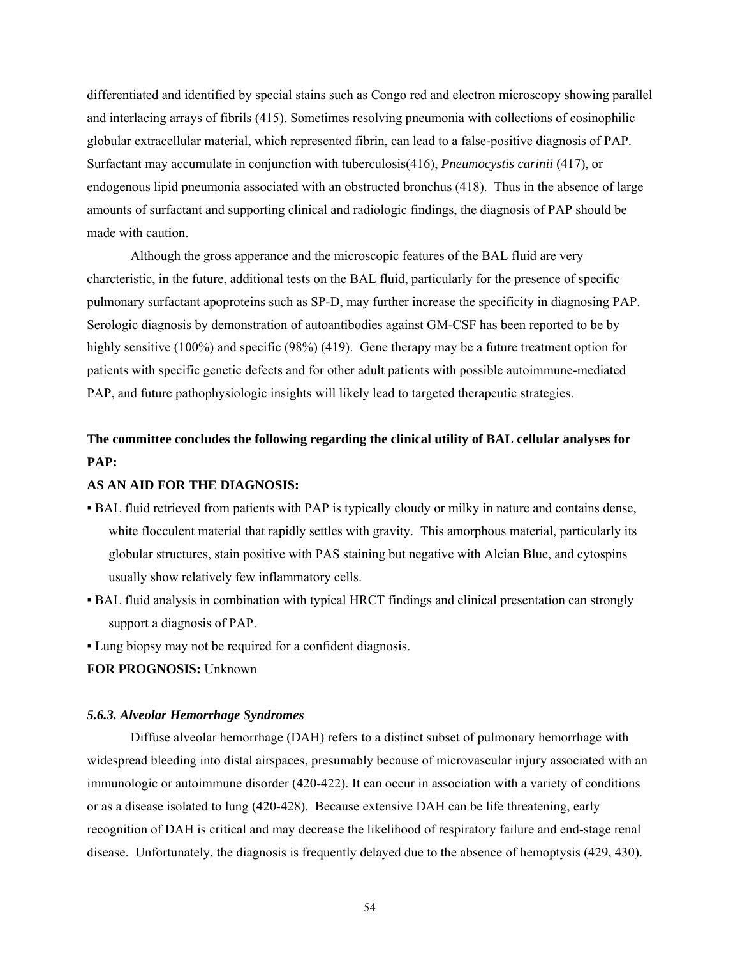differentiated and identified by special stains such as Congo red and electron microscopy showing parallel and interlacing arrays of fibrils (415). Sometimes resolving pneumonia with collections of eosinophilic globular extracellular material, which represented fibrin, can lead to a false-positive diagnosis of PAP. Surfactant may accumulate in conjunction with tuberculosis(416), *Pneumocystis carinii* (417), or endogenous lipid pneumonia associated with an obstructed bronchus (418). Thus in the absence of large amounts of surfactant and supporting clinical and radiologic findings, the diagnosis of PAP should be made with caution.

Although the gross apperance and the microscopic features of the BAL fluid are very charcteristic, in the future, additional tests on the BAL fluid, particularly for the presence of specific pulmonary surfactant apoproteins such as SP-D, may further increase the specificity in diagnosing PAP. Serologic diagnosis by demonstration of autoantibodies against GM-CSF has been reported to be by highly sensitive (100%) and specific (98%) (419). Gene therapy may be a future treatment option for patients with specific genetic defects and for other adult patients with possible autoimmune-mediated PAP, and future pathophysiologic insights will likely lead to targeted therapeutic strategies.

# **The committee concludes the following regarding the clinical utility of BAL cellular analyses for PAP:**

## **AS AN AID FOR THE DIAGNOSIS:**

- BAL fluid retrieved from patients with PAP is typically cloudy or milky in nature and contains dense, white flocculent material that rapidly settles with gravity. This amorphous material, particularly its globular structures, stain positive with PAS staining but negative with Alcian Blue, and cytospins usually show relatively few inflammatory cells.
- BAL fluid analysis in combination with typical HRCT findings and clinical presentation can strongly support a diagnosis of PAP.
- Lung biopsy may not be required for a confident diagnosis.

#### **FOR PROGNOSIS:** Unknown

### *5.6.3. Alveolar Hemorrhage Syndromes*

Diffuse alveolar hemorrhage (DAH) refers to a distinct subset of pulmonary hemorrhage with widespread bleeding into distal airspaces, presumably because of microvascular injury associated with an immunologic or autoimmune disorder (420-422). It can occur in association with a variety of conditions or as a disease isolated to lung (420-428). Because extensive DAH can be life threatening, early recognition of DAH is critical and may decrease the likelihood of respiratory failure and end-stage renal disease. Unfortunately, the diagnosis is frequently delayed due to the absence of hemoptysis (429, 430).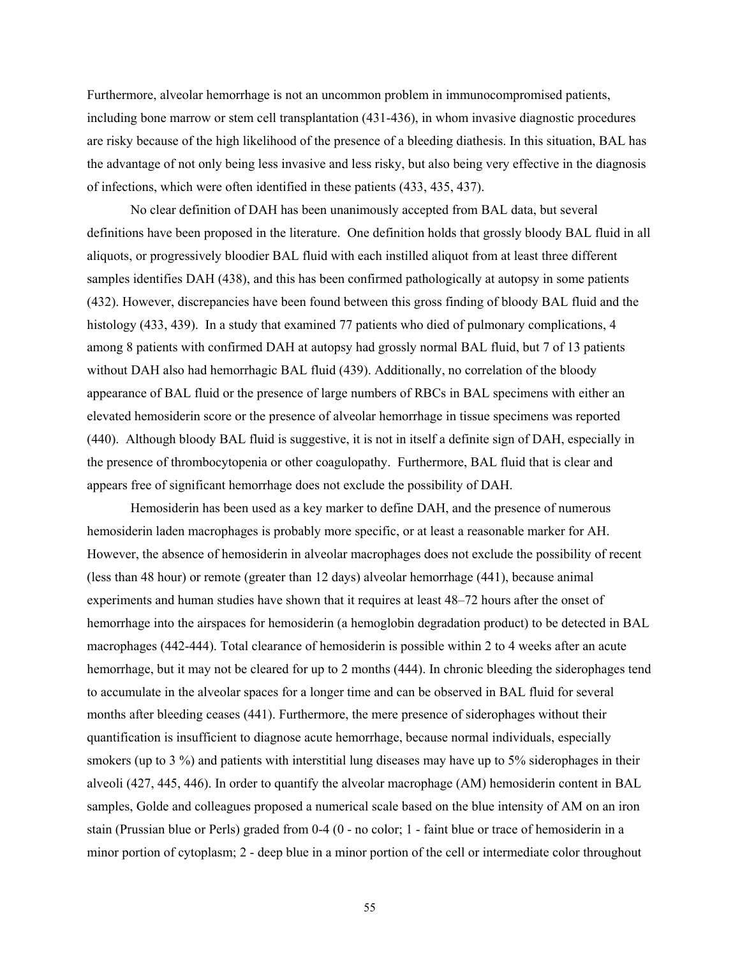Furthermore, alveolar hemorrhage is not an uncommon problem in immunocompromised patients, including bone marrow or stem cell transplantation (431-436), in whom invasive diagnostic procedures are risky because of the high likelihood of the presence of a bleeding diathesis. In this situation, BAL has the advantage of not only being less invasive and less risky, but also being very effective in the diagnosis of infections, which were often identified in these patients (433, 435, 437).

No clear definition of DAH has been unanimously accepted from BAL data, but several definitions have been proposed in the literature. One definition holds that grossly bloody BAL fluid in all aliquots, or progressively bloodier BAL fluid with each instilled aliquot from at least three different samples identifies DAH (438), and this has been confirmed pathologically at autopsy in some patients (432). However, discrepancies have been found between this gross finding of bloody BAL fluid and the histology (433, 439). In a study that examined 77 patients who died of pulmonary complications, 4 among 8 patients with confirmed DAH at autopsy had grossly normal BAL fluid, but 7 of 13 patients without DAH also had hemorrhagic BAL fluid (439). Additionally, no correlation of the bloody appearance of BAL fluid or the presence of large numbers of RBCs in BAL specimens with either an elevated hemosiderin score or the presence of alveolar hemorrhage in tissue specimens was reported (440). Although bloody BAL fluid is suggestive, it is not in itself a definite sign of DAH, especially in the presence of thrombocytopenia or other coagulopathy. Furthermore, BAL fluid that is clear and appears free of significant hemorrhage does not exclude the possibility of DAH.

Hemosiderin has been used as a key marker to define DAH, and the presence of numerous hemosiderin laden macrophages is probably more specific, or at least a reasonable marker for AH. However, the absence of hemosiderin in alveolar macrophages does not exclude the possibility of recent (less than 48 hour) or remote (greater than 12 days) alveolar hemorrhage (441), because animal experiments and human studies have shown that it requires at least 48–72 hours after the onset of hemorrhage into the airspaces for hemosiderin (a hemoglobin degradation product) to be detected in BAL macrophages (442-444). Total clearance of hemosiderin is possible within 2 to 4 weeks after an acute hemorrhage, but it may not be cleared for up to 2 months (444). In chronic bleeding the siderophages tend to accumulate in the alveolar spaces for a longer time and can be observed in BAL fluid for several months after bleeding ceases (441). Furthermore, the mere presence of siderophages without their quantification is insufficient to diagnose acute hemorrhage, because normal individuals, especially smokers (up to 3 %) and patients with interstitial lung diseases may have up to 5% siderophages in their alveoli (427, 445, 446). In order to quantify the alveolar macrophage (AM) hemosiderin content in BAL samples, Golde and colleagues proposed a numerical scale based on the blue intensity of AM on an iron stain (Prussian blue or Perls) graded from 0-4 (0 - no color; 1 - faint blue or trace of hemosiderin in a minor portion of cytoplasm; 2 - deep blue in a minor portion of the cell or intermediate color throughout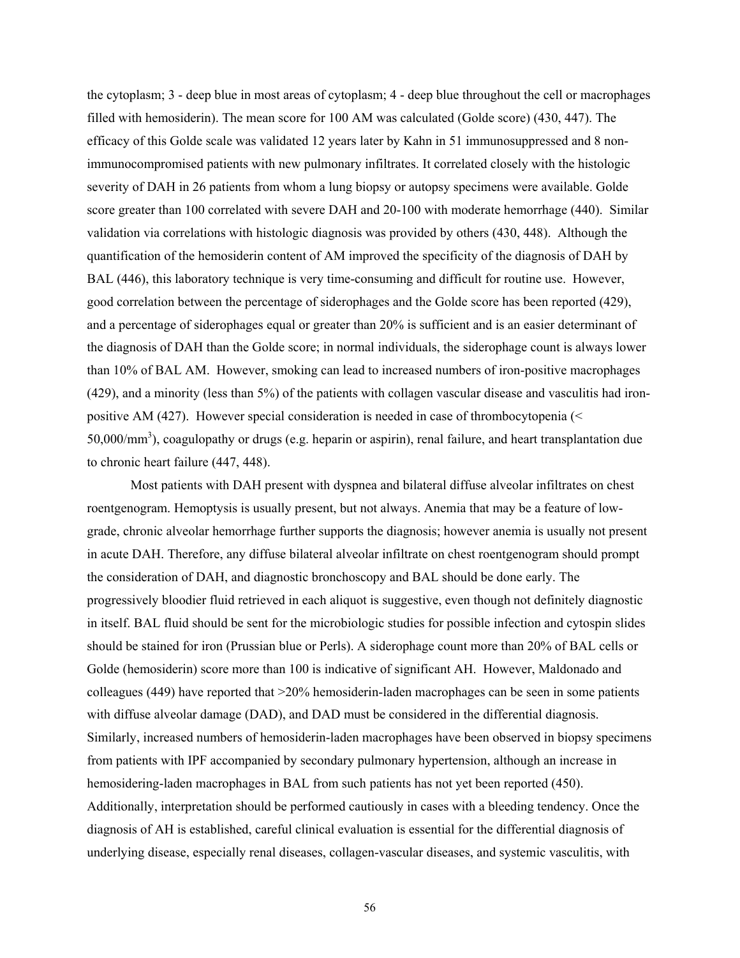the cytoplasm; 3 - deep blue in most areas of cytoplasm; 4 - deep blue throughout the cell or macrophages filled with hemosiderin). The mean score for 100 AM was calculated (Golde score) (430, 447). The efficacy of this Golde scale was validated 12 years later by Kahn in 51 immunosuppressed and 8 nonimmunocompromised patients with new pulmonary infiltrates. It correlated closely with the histologic severity of DAH in 26 patients from whom a lung biopsy or autopsy specimens were available. Golde score greater than 100 correlated with severe DAH and 20-100 with moderate hemorrhage (440). Similar validation via correlations with histologic diagnosis was provided by others (430, 448). Although the quantification of the hemosiderin content of AM improved the specificity of the diagnosis of DAH by BAL (446), this laboratory technique is very time-consuming and difficult for routine use. However, good correlation between the percentage of siderophages and the Golde score has been reported (429), and a percentage of siderophages equal or greater than 20% is sufficient and is an easier determinant of the diagnosis of DAH than the Golde score; in normal individuals, the siderophage count is always lower than 10% of BAL AM. However, smoking can lead to increased numbers of iron-positive macrophages (429), and a minority (less than 5%) of the patients with collagen vascular disease and vasculitis had ironpositive AM (427). However special consideration is needed in case of thrombocytopenia (< 50,000/mm<sup>3</sup>), coagulopathy or drugs (e.g. heparin or aspirin), renal failure, and heart transplantation due to chronic heart failure (447, 448).

Most patients with DAH present with dyspnea and bilateral diffuse alveolar infiltrates on chest roentgenogram. Hemoptysis is usually present, but not always. Anemia that may be a feature of lowgrade, chronic alveolar hemorrhage further supports the diagnosis; however anemia is usually not present in acute DAH. Therefore, any diffuse bilateral alveolar infiltrate on chest roentgenogram should prompt the consideration of DAH, and diagnostic bronchoscopy and BAL should be done early. The progressively bloodier fluid retrieved in each aliquot is suggestive, even though not definitely diagnostic in itself. BAL fluid should be sent for the microbiologic studies for possible infection and cytospin slides should be stained for iron (Prussian blue or Perls). A siderophage count more than 20% of BAL cells or Golde (hemosiderin) score more than 100 is indicative of significant AH. However, Maldonado and colleagues (449) have reported that >20% hemosiderin-laden macrophages can be seen in some patients with diffuse alveolar damage (DAD), and DAD must be considered in the differential diagnosis. Similarly, increased numbers of hemosiderin-laden macrophages have been observed in biopsy specimens from patients with IPF accompanied by secondary pulmonary hypertension, although an increase in hemosidering-laden macrophages in BAL from such patients has not yet been reported (450). Additionally, interpretation should be performed cautiously in cases with a bleeding tendency. Once the diagnosis of AH is established, careful clinical evaluation is essential for the differential diagnosis of underlying disease, especially renal diseases, collagen-vascular diseases, and systemic vasculitis, with

56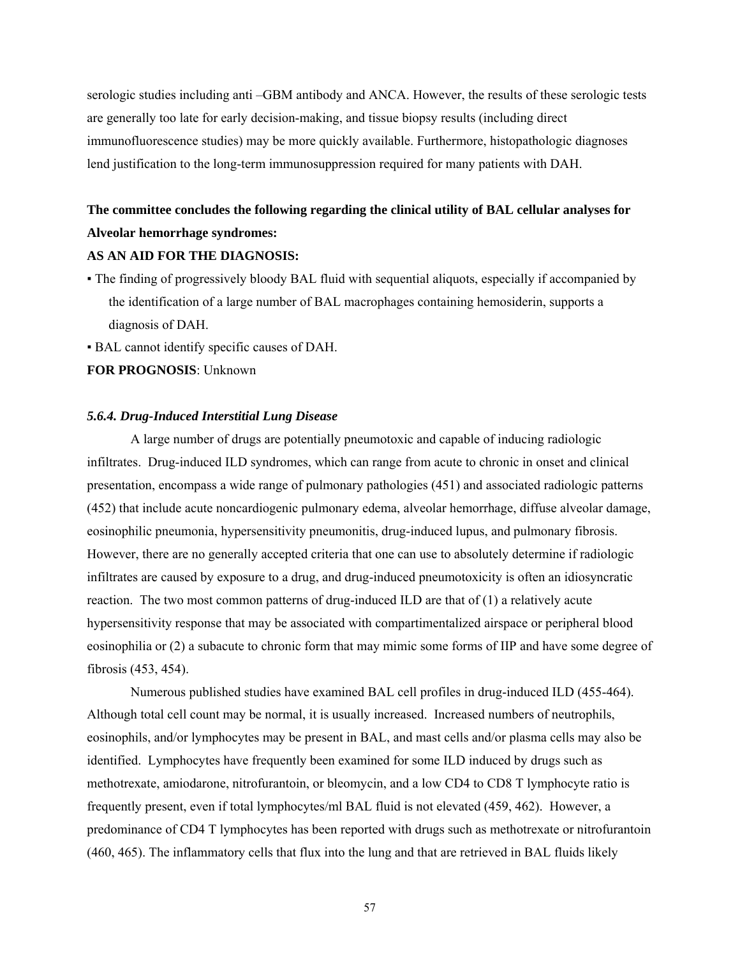serologic studies including anti –GBM antibody and ANCA. However, the results of these serologic tests are generally too late for early decision-making, and tissue biopsy results (including direct immunofluorescence studies) may be more quickly available. Furthermore, histopathologic diagnoses lend justification to the long-term immunosuppression required for many patients with DAH.

# **The committee concludes the following regarding the clinical utility of BAL cellular analyses for Alveolar hemorrhage syndromes:**

#### **AS AN AID FOR THE DIAGNOSIS:**

- The finding of progressively bloody BAL fluid with sequential aliquots, especially if accompanied by the identification of a large number of BAL macrophages containing hemosiderin, supports a diagnosis of DAH.
- BAL cannot identify specific causes of DAH.

**FOR PROGNOSIS**: Unknown

#### *5.6.4. Drug-Induced Interstitial Lung Disease*

A large number of drugs are potentially pneumotoxic and capable of inducing radiologic infiltrates. Drug-induced ILD syndromes, which can range from acute to chronic in onset and clinical presentation, encompass a wide range of pulmonary pathologies (451) and associated radiologic patterns (452) that include acute noncardiogenic pulmonary edema, alveolar hemorrhage, diffuse alveolar damage, eosinophilic pneumonia, hypersensitivity pneumonitis, drug-induced lupus, and pulmonary fibrosis. However, there are no generally accepted criteria that one can use to absolutely determine if radiologic infiltrates are caused by exposure to a drug, and drug-induced pneumotoxicity is often an idiosyncratic reaction. The two most common patterns of drug-induced ILD are that of (1) a relatively acute hypersensitivity response that may be associated with compartimentalized airspace or peripheral blood eosinophilia or (2) a subacute to chronic form that may mimic some forms of IIP and have some degree of fibrosis (453, 454).

Numerous published studies have examined BAL cell profiles in drug-induced ILD (455-464). Although total cell count may be normal, it is usually increased. Increased numbers of neutrophils, eosinophils, and/or lymphocytes may be present in BAL, and mast cells and/or plasma cells may also be identified. Lymphocytes have frequently been examined for some ILD induced by drugs such as methotrexate, amiodarone, nitrofurantoin, or bleomycin, and a low CD4 to CD8 T lymphocyte ratio is frequently present, even if total lymphocytes/ml BAL fluid is not elevated (459, 462). However, a predominance of CD4 T lymphocytes has been reported with drugs such as methotrexate or nitrofurantoin (460, 465). The inflammatory cells that flux into the lung and that are retrieved in BAL fluids likely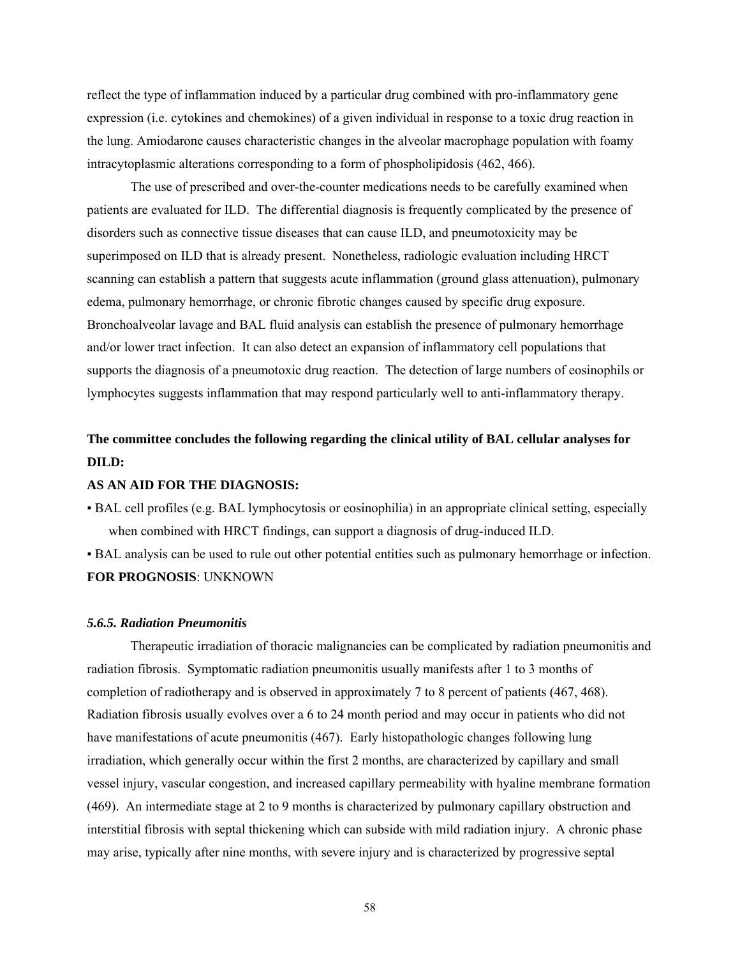reflect the type of inflammation induced by a particular drug combined with pro-inflammatory gene expression (i.e. cytokines and chemokines) of a given individual in response to a toxic drug reaction in the lung. Amiodarone causes characteristic changes in the alveolar macrophage population with foamy intracytoplasmic alterations corresponding to a form of phospholipidosis (462, 466).

The use of prescribed and over-the-counter medications needs to be carefully examined when patients are evaluated for ILD. The differential diagnosis is frequently complicated by the presence of disorders such as connective tissue diseases that can cause ILD, and pneumotoxicity may be superimposed on ILD that is already present. Nonetheless, radiologic evaluation including HRCT scanning can establish a pattern that suggests acute inflammation (ground glass attenuation), pulmonary edema, pulmonary hemorrhage, or chronic fibrotic changes caused by specific drug exposure. Bronchoalveolar lavage and BAL fluid analysis can establish the presence of pulmonary hemorrhage and/or lower tract infection. It can also detect an expansion of inflammatory cell populations that supports the diagnosis of a pneumotoxic drug reaction. The detection of large numbers of eosinophils or lymphocytes suggests inflammation that may respond particularly well to anti-inflammatory therapy.

# **The committee concludes the following regarding the clinical utility of BAL cellular analyses for DILD:**

## **AS AN AID FOR THE DIAGNOSIS:**

▪ BAL cell profiles (e.g. BAL lymphocytosis or eosinophilia) in an appropriate clinical setting, especially when combined with HRCT findings, can support a diagnosis of drug-induced ILD.

▪ BAL analysis can be used to rule out other potential entities such as pulmonary hemorrhage or infection. **FOR PROGNOSIS**: UNKNOWN

#### *5.6.5. Radiation Pneumonitis*

Therapeutic irradiation of thoracic malignancies can be complicated by radiation pneumonitis and radiation fibrosis. Symptomatic radiation pneumonitis usually manifests after 1 to 3 months of completion of radiotherapy and is observed in approximately 7 to 8 percent of patients (467, 468). Radiation fibrosis usually evolves over a 6 to 24 month period and may occur in patients who did not have manifestations of acute pneumonitis (467). Early histopathologic changes following lung irradiation, which generally occur within the first 2 months, are characterized by capillary and small vessel injury, vascular congestion, and increased capillary permeability with hyaline membrane formation (469). An intermediate stage at 2 to 9 months is characterized by pulmonary capillary obstruction and interstitial fibrosis with septal thickening which can subside with mild radiation injury. A chronic phase may arise, typically after nine months, with severe injury and is characterized by progressive septal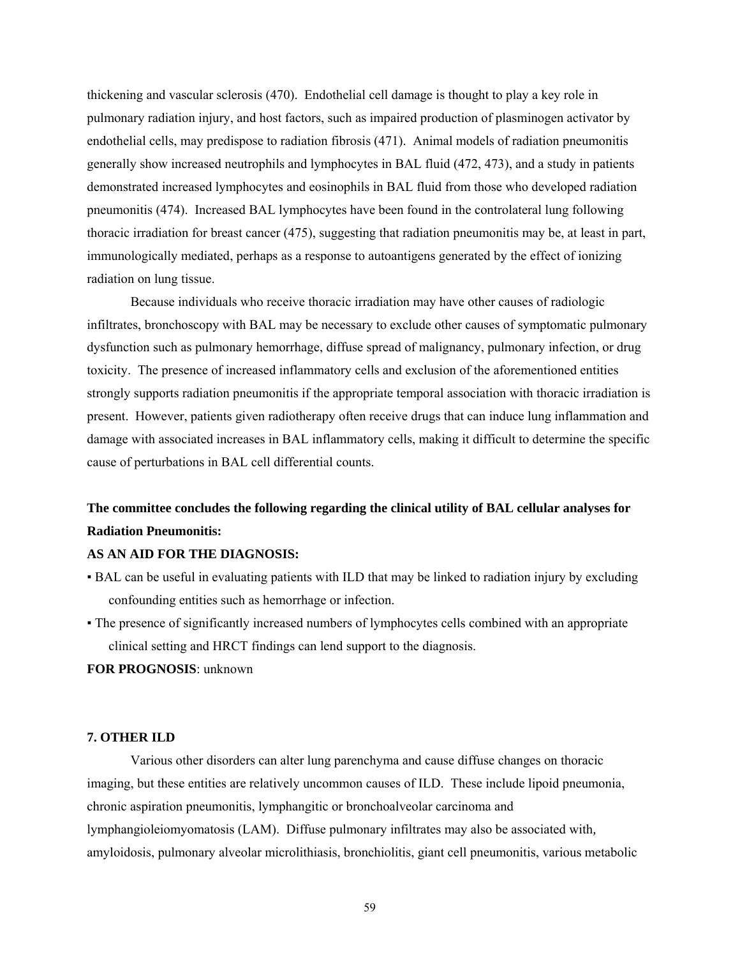thickening and vascular sclerosis (470). Endothelial cell damage is thought to play a key role in pulmonary radiation injury, and host factors, such as impaired production of plasminogen activator by endothelial cells, may predispose to radiation fibrosis (471). Animal models of radiation pneumonitis generally show increased neutrophils and lymphocytes in BAL fluid (472, 473), and a study in patients demonstrated increased lymphocytes and eosinophils in BAL fluid from those who developed radiation pneumonitis (474). Increased BAL lymphocytes have been found in the controlateral lung following thoracic irradiation for breast cancer (475), suggesting that radiation pneumonitis may be, at least in part, immunologically mediated, perhaps as a response to autoantigens generated by the effect of ionizing radiation on lung tissue.

Because individuals who receive thoracic irradiation may have other causes of radiologic infiltrates, bronchoscopy with BAL may be necessary to exclude other causes of symptomatic pulmonary dysfunction such as pulmonary hemorrhage, diffuse spread of malignancy, pulmonary infection, or drug toxicity. The presence of increased inflammatory cells and exclusion of the aforementioned entities strongly supports radiation pneumonitis if the appropriate temporal association with thoracic irradiation is present. However, patients given radiotherapy often receive drugs that can induce lung inflammation and damage with associated increases in BAL inflammatory cells, making it difficult to determine the specific cause of perturbations in BAL cell differential counts.

## **The committee concludes the following regarding the clinical utility of BAL cellular analyses for Radiation Pneumonitis:**

#### **AS AN AID FOR THE DIAGNOSIS:**

- BAL can be useful in evaluating patients with ILD that may be linked to radiation injury by excluding confounding entities such as hemorrhage or infection.
- The presence of significantly increased numbers of lymphocytes cells combined with an appropriate clinical setting and HRCT findings can lend support to the diagnosis.

**FOR PROGNOSIS**: unknown

#### **7. OTHER ILD**

Various other disorders can alter lung parenchyma and cause diffuse changes on thoracic imaging, but these entities are relatively uncommon causes of ILD. These include lipoid pneumonia, chronic aspiration pneumonitis, lymphangitic or bronchoalveolar carcinoma and lymphangioleiomyomatosis (LAM). Diffuse pulmonary infiltrates may also be associated with*,*  amyloidosis, pulmonary alveolar microlithiasis, bronchiolitis, giant cell pneumonitis, various metabolic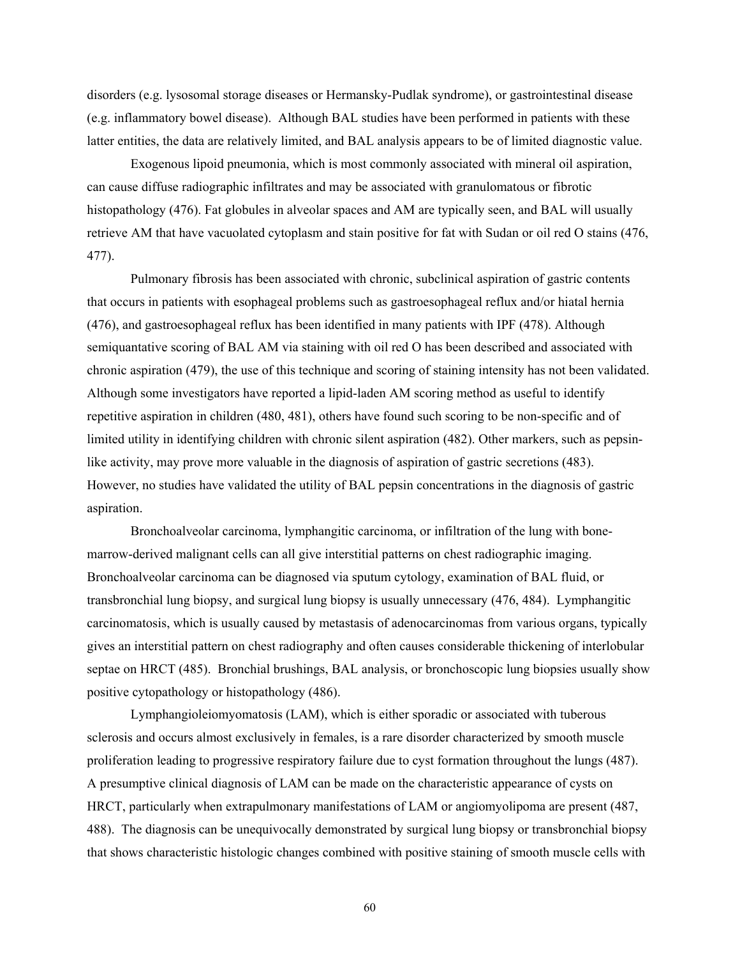disorders (e.g. lysosomal storage diseases or Hermansky-Pudlak syndrome), or gastrointestinal disease (e.g. inflammatory bowel disease). Although BAL studies have been performed in patients with these latter entities, the data are relatively limited, and BAL analysis appears to be of limited diagnostic value.

Exogenous lipoid pneumonia, which is most commonly associated with mineral oil aspiration, can cause diffuse radiographic infiltrates and may be associated with granulomatous or fibrotic histopathology (476). Fat globules in alveolar spaces and AM are typically seen, and BAL will usually retrieve AM that have vacuolated cytoplasm and stain positive for fat with Sudan or oil red O stains (476, 477).

Pulmonary fibrosis has been associated with chronic, subclinical aspiration of gastric contents that occurs in patients with esophageal problems such as gastroesophageal reflux and/or hiatal hernia (476), and gastroesophageal reflux has been identified in many patients with IPF (478). Although semiquantative scoring of BAL AM via staining with oil red O has been described and associated with chronic aspiration (479), the use of this technique and scoring of staining intensity has not been validated. Although some investigators have reported a lipid-laden AM scoring method as useful to identify repetitive aspiration in children (480, 481), others have found such scoring to be non-specific and of limited utility in identifying children with chronic silent aspiration (482). Other markers, such as pepsinlike activity, may prove more valuable in the diagnosis of aspiration of gastric secretions (483). However, no studies have validated the utility of BAL pepsin concentrations in the diagnosis of gastric aspiration.

Bronchoalveolar carcinoma, lymphangitic carcinoma, or infiltration of the lung with bonemarrow-derived malignant cells can all give interstitial patterns on chest radiographic imaging. Bronchoalveolar carcinoma can be diagnosed via sputum cytology, examination of BAL fluid, or transbronchial lung biopsy, and surgical lung biopsy is usually unnecessary (476, 484). Lymphangitic carcinomatosis, which is usually caused by metastasis of adenocarcinomas from various organs, typically gives an interstitial pattern on chest radiography and often causes considerable thickening of interlobular septae on HRCT (485). Bronchial brushings, BAL analysis, or bronchoscopic lung biopsies usually show positive cytopathology or histopathology (486).

Lymphangioleiomyomatosis (LAM), which is either sporadic or associated with tuberous sclerosis and occurs almost exclusively in females, is a rare disorder characterized by smooth muscle proliferation leading to progressive respiratory failure due to cyst formation throughout the lungs (487). A presumptive clinical diagnosis of LAM can be made on the characteristic appearance of cysts on HRCT, particularly when extrapulmonary manifestations of LAM or angiomyolipoma are present (487, 488). The diagnosis can be unequivocally demonstrated by surgical lung biopsy or transbronchial biopsy that shows characteristic histologic changes combined with positive staining of smooth muscle cells with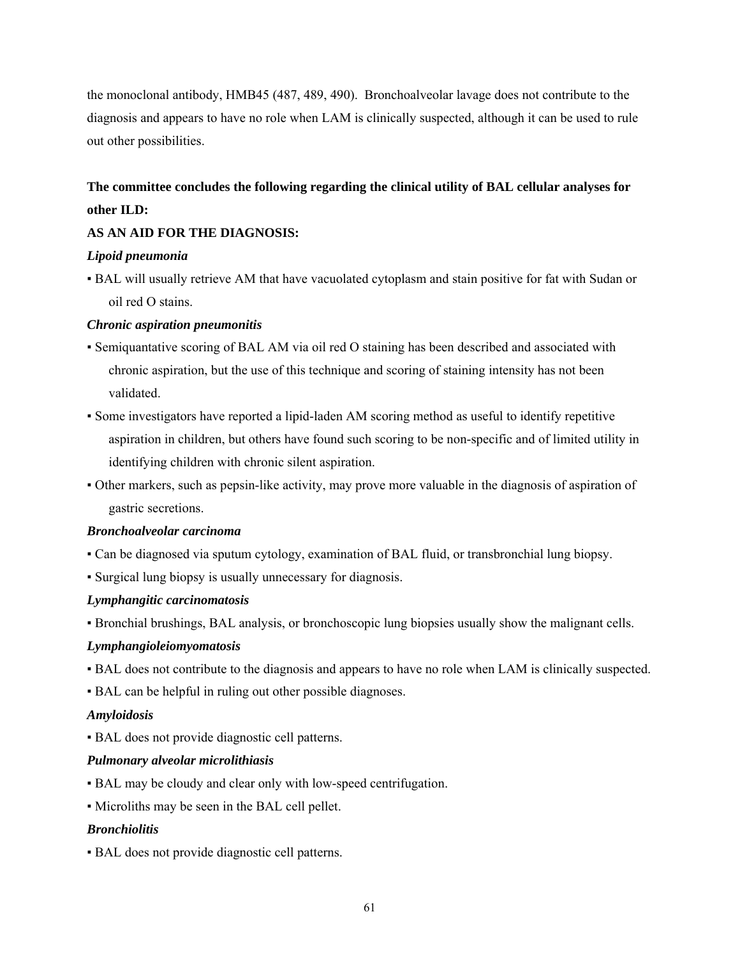the monoclonal antibody, HMB45 (487, 489, 490). Bronchoalveolar lavage does not contribute to the diagnosis and appears to have no role when LAM is clinically suspected, although it can be used to rule out other possibilities.

# **The committee concludes the following regarding the clinical utility of BAL cellular analyses for other ILD:**

## **AS AN AID FOR THE DIAGNOSIS:**

## *Lipoid pneumonia*

▪ BAL will usually retrieve AM that have vacuolated cytoplasm and stain positive for fat with Sudan or oil red O stains.

## *Chronic aspiration pneumonitis*

- Semiquantative scoring of BAL AM via oil red O staining has been described and associated with chronic aspiration, but the use of this technique and scoring of staining intensity has not been validated.
- Some investigators have reported a lipid-laden AM scoring method as useful to identify repetitive aspiration in children, but others have found such scoring to be non-specific and of limited utility in identifying children with chronic silent aspiration.
- Other markers, such as pepsin-like activity, may prove more valuable in the diagnosis of aspiration of gastric secretions.

## *Bronchoalveolar carcinoma*

- Can be diagnosed via sputum cytology, examination of BAL fluid, or transbronchial lung biopsy.
- Surgical lung biopsy is usually unnecessary for diagnosis.

## *Lymphangitic carcinomatosis*

▪ Bronchial brushings, BAL analysis, or bronchoscopic lung biopsies usually show the malignant cells.

## *Lymphangioleiomyomatosis*

- BAL does not contribute to the diagnosis and appears to have no role when LAM is clinically suspected.
- BAL can be helpful in ruling out other possible diagnoses.

## *Amyloidosis*

▪ BAL does not provide diagnostic cell patterns.

## *Pulmonary alveolar microlithiasis*

- BAL may be cloudy and clear only with low-speed centrifugation.
- Microliths may be seen in the BAL cell pellet.

## *Bronchiolitis*

▪ BAL does not provide diagnostic cell patterns.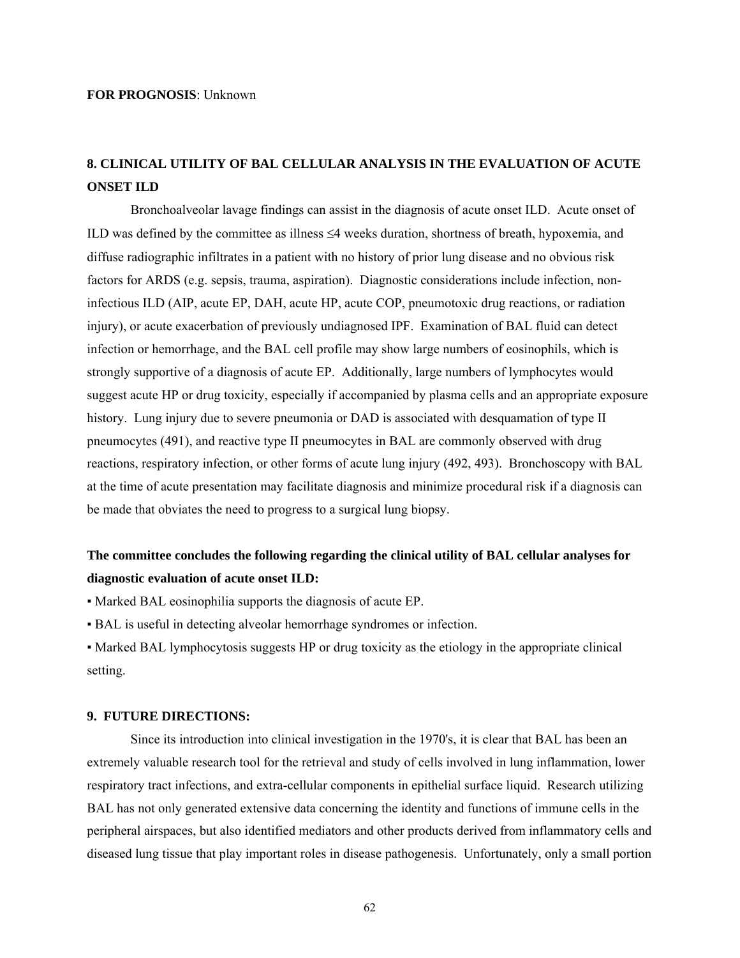#### **FOR PROGNOSIS**: Unknown

## **8. CLINICAL UTILITY OF BAL CELLULAR ANALYSIS IN THE EVALUATION OF ACUTE ONSET ILD**

Bronchoalveolar lavage findings can assist in the diagnosis of acute onset ILD. Acute onset of ILD was defined by the committee as illness ≤4 weeks duration, shortness of breath, hypoxemia, and diffuse radiographic infiltrates in a patient with no history of prior lung disease and no obvious risk factors for ARDS (e.g. sepsis, trauma, aspiration). Diagnostic considerations include infection, noninfectious ILD (AIP, acute EP, DAH, acute HP, acute COP, pneumotoxic drug reactions, or radiation injury), or acute exacerbation of previously undiagnosed IPF. Examination of BAL fluid can detect infection or hemorrhage, and the BAL cell profile may show large numbers of eosinophils, which is strongly supportive of a diagnosis of acute EP. Additionally, large numbers of lymphocytes would suggest acute HP or drug toxicity, especially if accompanied by plasma cells and an appropriate exposure history. Lung injury due to severe pneumonia or DAD is associated with desquamation of type II pneumocytes (491), and reactive type II pneumocytes in BAL are commonly observed with drug reactions, respiratory infection, or other forms of acute lung injury (492, 493). Bronchoscopy with BAL at the time of acute presentation may facilitate diagnosis and minimize procedural risk if a diagnosis can be made that obviates the need to progress to a surgical lung biopsy.

# **The committee concludes the following regarding the clinical utility of BAL cellular analyses for diagnostic evaluation of acute onset ILD:**

- Marked BAL eosinophilia supports the diagnosis of acute EP.
- BAL is useful in detecting alveolar hemorrhage syndromes or infection.
- Marked BAL lymphocytosis suggests HP or drug toxicity as the etiology in the appropriate clinical setting.

#### **9. FUTURE DIRECTIONS:**

Since its introduction into clinical investigation in the 1970's, it is clear that BAL has been an extremely valuable research tool for the retrieval and study of cells involved in lung inflammation, lower respiratory tract infections, and extra-cellular components in epithelial surface liquid. Research utilizing BAL has not only generated extensive data concerning the identity and functions of immune cells in the peripheral airspaces, but also identified mediators and other products derived from inflammatory cells and diseased lung tissue that play important roles in disease pathogenesis. Unfortunately, only a small portion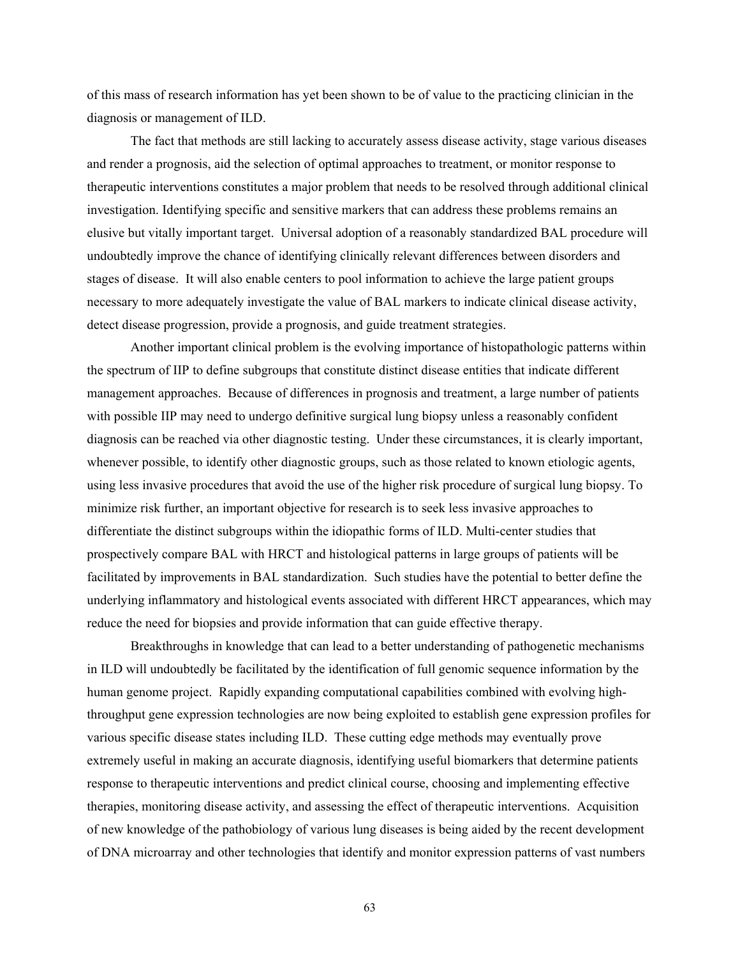of this mass of research information has yet been shown to be of value to the practicing clinician in the diagnosis or management of ILD.

The fact that methods are still lacking to accurately assess disease activity, stage various diseases and render a prognosis, aid the selection of optimal approaches to treatment, or monitor response to therapeutic interventions constitutes a major problem that needs to be resolved through additional clinical investigation. Identifying specific and sensitive markers that can address these problems remains an elusive but vitally important target. Universal adoption of a reasonably standardized BAL procedure will undoubtedly improve the chance of identifying clinically relevant differences between disorders and stages of disease. It will also enable centers to pool information to achieve the large patient groups necessary to more adequately investigate the value of BAL markers to indicate clinical disease activity, detect disease progression, provide a prognosis, and guide treatment strategies.

Another important clinical problem is the evolving importance of histopathologic patterns within the spectrum of IIP to define subgroups that constitute distinct disease entities that indicate different management approaches. Because of differences in prognosis and treatment, a large number of patients with possible IIP may need to undergo definitive surgical lung biopsy unless a reasonably confident diagnosis can be reached via other diagnostic testing. Under these circumstances, it is clearly important, whenever possible, to identify other diagnostic groups, such as those related to known etiologic agents, using less invasive procedures that avoid the use of the higher risk procedure of surgical lung biopsy. To minimize risk further, an important objective for research is to seek less invasive approaches to differentiate the distinct subgroups within the idiopathic forms of ILD. Multi-center studies that prospectively compare BAL with HRCT and histological patterns in large groups of patients will be facilitated by improvements in BAL standardization. Such studies have the potential to better define the underlying inflammatory and histological events associated with different HRCT appearances, which may reduce the need for biopsies and provide information that can guide effective therapy.

Breakthroughs in knowledge that can lead to a better understanding of pathogenetic mechanisms in ILD will undoubtedly be facilitated by the identification of full genomic sequence information by the human genome project. Rapidly expanding computational capabilities combined with evolving highthroughput gene expression technologies are now being exploited to establish gene expression profiles for various specific disease states including ILD. These cutting edge methods may eventually prove extremely useful in making an accurate diagnosis, identifying useful biomarkers that determine patients response to therapeutic interventions and predict clinical course, choosing and implementing effective therapies, monitoring disease activity, and assessing the effect of therapeutic interventions. Acquisition of new knowledge of the pathobiology of various lung diseases is being aided by the recent development of DNA microarray and other technologies that identify and monitor expression patterns of vast numbers

63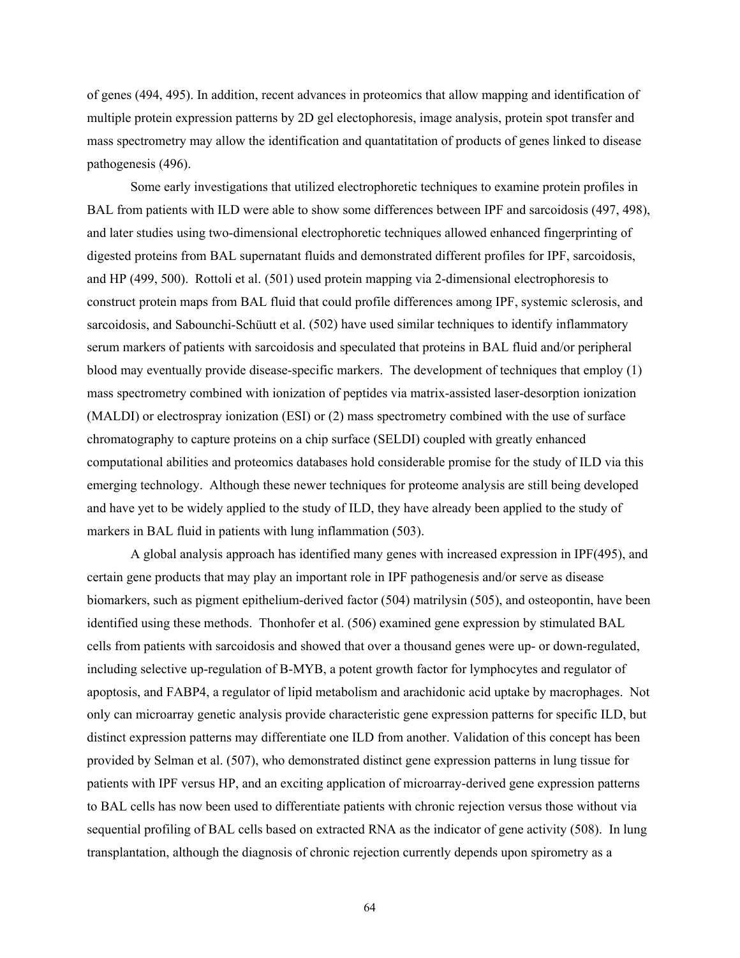of genes (494, 495). In addition, recent advances in proteomics that allow mapping and identification of multiple protein expression patterns by 2D gel electophoresis, image analysis, protein spot transfer and mass spectrometry may allow the identification and quantatitation of products of genes linked to disease pathogenesis (496).

Some early investigations that utilized electrophoretic techniques to examine protein profiles in BAL from patients with ILD were able to show some differences between IPF and sarcoidosis (497, 498), and later studies using two-dimensional electrophoretic techniques allowed enhanced fingerprinting of digested proteins from BAL supernatant fluids and demonstrated different profiles for IPF, sarcoidosis, and HP (499, 500). Rottoli et al. (501) used protein mapping via 2-dimensional electrophoresis to construct protein maps from BAL fluid that could profile differences among IPF, systemic sclerosis, and sarcoidosis, and Sabounchi-Schüutt et al. (502) have used similar techniques to identify inflammatory serum markers of patients with sarcoidosis and speculated that proteins in BAL fluid and/or peripheral blood may eventually provide disease-specific markers. The development of techniques that employ (1) mass spectrometry combined with ionization of peptides via matrix-assisted laser-desorption ionization (MALDI) or electrospray ionization (ESI) or (2) mass spectrometry combined with the use of surface chromatography to capture proteins on a chip surface (SELDI) coupled with greatly enhanced computational abilities and proteomics databases hold considerable promise for the study of ILD via this emerging technology. Although these newer techniques for proteome analysis are still being developed and have yet to be widely applied to the study of ILD, they have already been applied to the study of markers in BAL fluid in patients with lung inflammation (503).

A global analysis approach has identified many genes with increased expression in IPF(495), and certain gene products that may play an important role in IPF pathogenesis and/or serve as disease biomarkers, such as pigment epithelium-derived factor (504) matrilysin (505), and osteopontin, have been identified using these methods. Thonhofer et al. (506) examined gene expression by stimulated BAL cells from patients with sarcoidosis and showed that over a thousand genes were up- or down-regulated, including selective up-regulation of B-MYB, a potent growth factor for lymphocytes and regulator of apoptosis, and FABP4, a regulator of lipid metabolism and arachidonic acid uptake by macrophages. Not only can microarray genetic analysis provide characteristic gene expression patterns for specific ILD, but distinct expression patterns may differentiate one ILD from another. Validation of this concept has been provided by Selman et al. (507), who demonstrated distinct gene expression patterns in lung tissue for patients with IPF versus HP, and an exciting application of microarray-derived gene expression patterns to BAL cells has now been used to differentiate patients with chronic rejection versus those without via sequential profiling of BAL cells based on extracted RNA as the indicator of gene activity (508). In lung transplantation, although the diagnosis of chronic rejection currently depends upon spirometry as a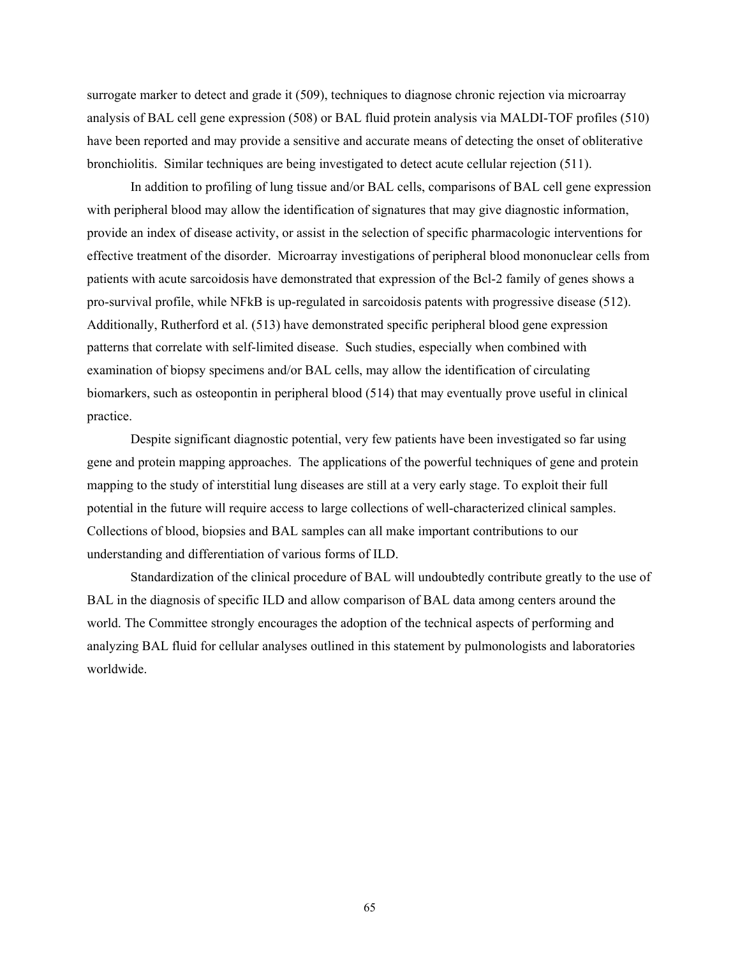surrogate marker to detect and grade it (509), techniques to diagnose chronic rejection via microarray analysis of BAL cell gene expression (508) or BAL fluid protein analysis via MALDI-TOF profiles (510) have been reported and may provide a sensitive and accurate means of detecting the onset of obliterative bronchiolitis. Similar techniques are being investigated to detect acute cellular rejection (511).

In addition to profiling of lung tissue and/or BAL cells, comparisons of BAL cell gene expression with peripheral blood may allow the identification of signatures that may give diagnostic information, provide an index of disease activity, or assist in the selection of specific pharmacologic interventions for effective treatment of the disorder. Microarray investigations of peripheral blood mononuclear cells from patients with acute sarcoidosis have demonstrated that expression of the Bcl-2 family of genes shows a pro-survival profile, while NFkB is up-regulated in sarcoidosis patents with progressive disease (512). Additionally, Rutherford et al. (513) have demonstrated specific peripheral blood gene expression patterns that correlate with self-limited disease. Such studies, especially when combined with examination of biopsy specimens and/or BAL cells, may allow the identification of circulating biomarkers, such as osteopontin in peripheral blood (514) that may eventually prove useful in clinical practice.

Despite significant diagnostic potential, very few patients have been investigated so far using gene and protein mapping approaches. The applications of the powerful techniques of gene and protein mapping to the study of interstitial lung diseases are still at a very early stage. To exploit their full potential in the future will require access to large collections of well-characterized clinical samples. Collections of blood, biopsies and BAL samples can all make important contributions to our understanding and differentiation of various forms of ILD.

Standardization of the clinical procedure of BAL will undoubtedly contribute greatly to the use of BAL in the diagnosis of specific ILD and allow comparison of BAL data among centers around the world. The Committee strongly encourages the adoption of the technical aspects of performing and analyzing BAL fluid for cellular analyses outlined in this statement by pulmonologists and laboratories worldwide.

65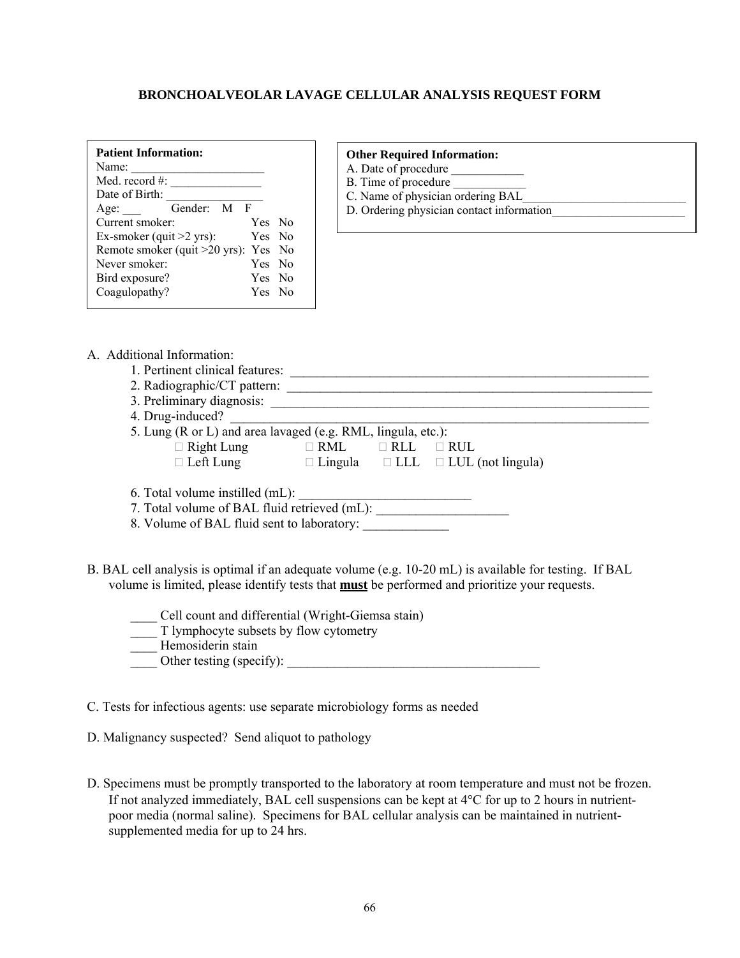## **BRONCHOALVEOLAR LAVAGE CELLULAR ANALYSIS REQUEST FORM**

| <b>Patient Information:</b><br>Name: |  |
|--------------------------------------|--|
| Med. record $#$ :                    |  |
| Date of Birth:                       |  |
| Gender: M F<br>Age:                  |  |
| Current smoker:<br>Yes No            |  |
| Ex-smoker (quit $>2$ yrs):<br>Yes No |  |
| Remote smoker (quit >20 yrs): Yes No |  |
| Never smoker<br>Yes No               |  |
| Bird exposure?<br>Yes No             |  |
| Coagulopathy?<br>Yes No              |  |

#### **Other Required Information:**

- A. Date of procedure
- B. Time of procedure
- $C.$  Name of physician ordering  $BAL$
- D. Ordering physician contact information

- A. Additional Information:
	- 1. Pertinent clinical features: \_\_\_\_\_\_\_\_\_\_\_\_\_\_\_\_\_\_\_\_\_\_\_\_\_\_\_\_\_\_\_\_\_\_\_\_\_\_\_\_\_\_\_\_\_\_\_\_\_\_\_\_\_\_
	- 2. Radiographic/CT pattern:
	- 3. Preliminary diagnosis: \_\_\_\_\_\_\_\_\_\_\_\_\_\_\_\_\_\_\_\_\_\_\_\_\_\_\_\_\_\_\_\_\_\_\_\_\_\_\_\_\_\_\_\_\_\_\_\_\_\_\_\_\_\_\_\_\_
	- 4. Drug-induced?
	- 5. Lung (R or L) and area lavaged (e.g. RML, lingula, etc.):  $\Box$  Right Lung  $\Box$  RML  $\Box$  RUL  $\Box$  RUL  $\Box$  Left Lung  $\Box$  Lingula  $\Box$  LLL  $\Box$  LUL (not lingula)
	- 6. Total volume instilled (mL): \_\_\_\_\_\_\_\_\_\_\_\_\_\_\_\_\_\_\_\_\_\_\_\_\_\_
	- 7. Total volume of BAL fluid retrieved (mL):
	- 8. Volume of BAL fluid sent to laboratory:
- B. BAL cell analysis is optimal if an adequate volume (e.g. 10-20 mL) is available for testing. If BAL volume is limited, please identify tests that **must** be performed and prioritize your requests.
	- \_\_\_\_ Cell count and differential (Wright-Giemsa stain)
	- \_\_\_\_ T lymphocyte subsets by flow cytometry
	- Hemosiderin stain
	- Other testing (specify):

C. Tests for infectious agents: use separate microbiology forms as needed

- D. Malignancy suspected? Send aliquot to pathology
- D. Specimens must be promptly transported to the laboratory at room temperature and must not be frozen. If not analyzed immediately, BAL cell suspensions can be kept at  $4^{\circ}$ C for up to 2 hours in nutrientpoor media (normal saline). Specimens for BAL cellular analysis can be maintained in nutrientsupplemented media for up to 24 hrs.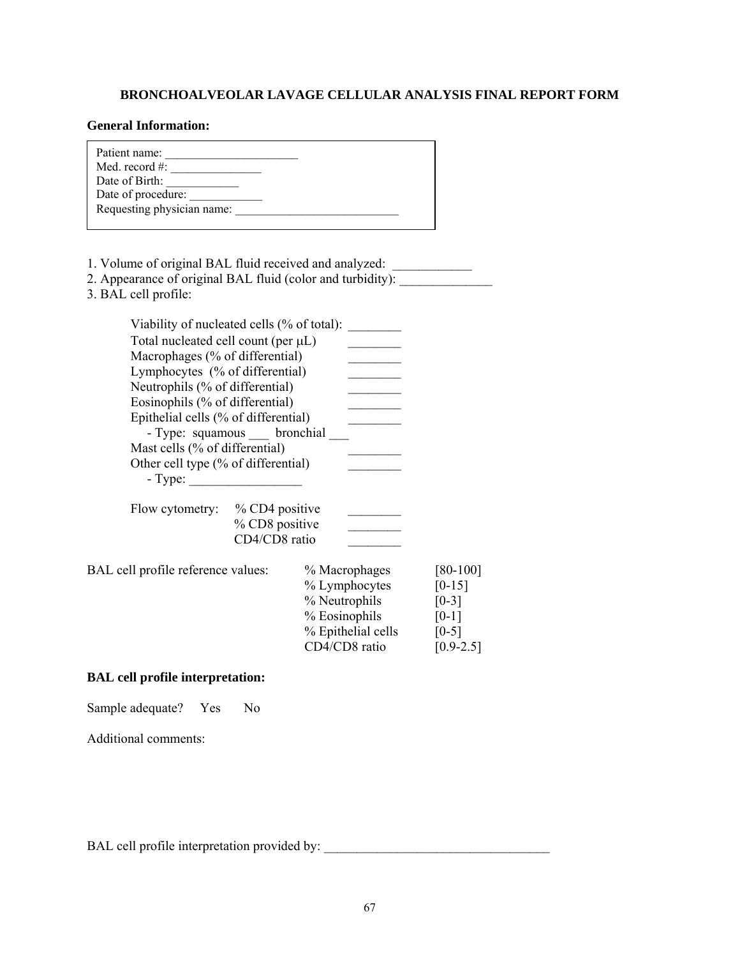## **BRONCHOALVEOLAR LAVAGE CELLULAR ANALYSIS FINAL REPORT FORM**

## **General Information:**

| General Imormation;                                                                                                                                                                                                                                                                                                                                                                           |                                 |                                                                                                         |                                                                                      |
|-----------------------------------------------------------------------------------------------------------------------------------------------------------------------------------------------------------------------------------------------------------------------------------------------------------------------------------------------------------------------------------------------|---------------------------------|---------------------------------------------------------------------------------------------------------|--------------------------------------------------------------------------------------|
| Patient name:<br>Med. record # $\frac{1}{2}$ $\frac{1}{2}$ $\frac{1}{2}$ $\frac{1}{2}$ $\frac{1}{2}$ $\frac{1}{2}$ $\frac{1}{2}$ $\frac{1}{2}$ $\frac{1}{2}$ $\frac{1}{2}$ $\frac{1}{2}$ $\frac{1}{2}$ $\frac{1}{2}$ $\frac{1}{2}$ $\frac{1}{2}$ $\frac{1}{2}$ $\frac{1}{2}$ $\frac{1}{2}$ $\frac{1}{2}$ $\frac{1}{2}$ $\frac{1}{2}$<br>Date of procedure:                                    |                                 |                                                                                                         |                                                                                      |
| 1. Volume of original BAL fluid received and analyzed: _________________________<br>2. Appearance of original BAL fluid (color and turbidity):<br>3. BAL cell profile:                                                                                                                                                                                                                        |                                 |                                                                                                         |                                                                                      |
| Viability of nucleated cells (% of total):<br>Total nucleated cell count (per µL)<br>Macrophages (% of differential)<br>Lymphocytes (% of differential)<br>Neutrophils (% of differential)<br>Eosinophils (% of differential)<br>Epithelial cells (% of differential)<br>- Type: squamous __ bronchial _<br>Mast cells (% of differential)<br>Other cell type (% of differential)<br>$-Type:$ |                                 | $\mathcal{L}^{\text{max}}$ , where $\mathcal{L}^{\text{max}}$                                           |                                                                                      |
| Flow cytometry: % CD4 positive                                                                                                                                                                                                                                                                                                                                                                | % CD8 positive<br>CD4/CD8 ratio |                                                                                                         |                                                                                      |
| BAL cell profile reference values:                                                                                                                                                                                                                                                                                                                                                            |                                 | % Macrophages<br>% Lymphocytes<br>% Neutrophils<br>% Eosinophils<br>% Epithelial cells<br>CD4/CD8 ratio | $[80-100]$<br>$[0-15]$<br>$[0-3]$<br>$\lceil 0-1 \rceil$<br>$[0-5]$<br>$[0.9 - 2.5]$ |

## **BAL cell profile interpretation:**

Sample adequate? Yes No

Additional comments:

BAL cell profile interpretation provided by: \_\_\_\_\_\_\_\_\_\_\_\_\_\_\_\_\_\_\_\_\_\_\_\_\_\_\_\_\_\_\_\_\_\_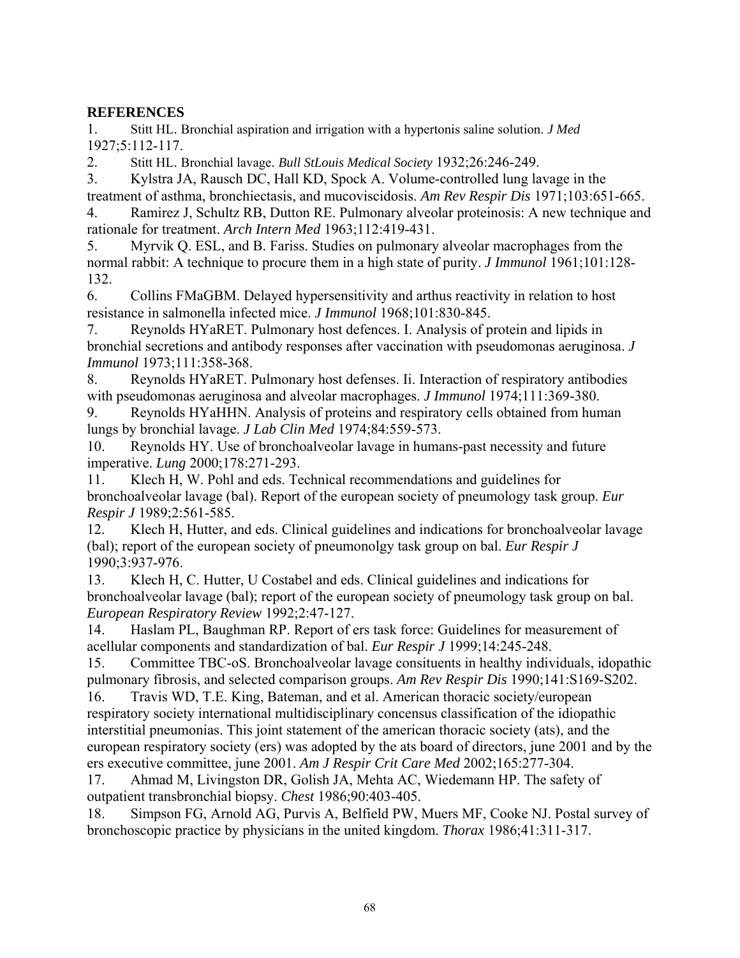## **REFERENCES**

1. Stitt HL. Bronchial aspiration and irrigation with a hypertonis saline solution. *J Med* 1927;5:112-117.

2. Stitt HL. Bronchial lavage. *Bull StLouis Medical Society* 1932;26:246-249.

3. Kylstra JA, Rausch DC, Hall KD, Spock A. Volume-controlled lung lavage in the treatment of asthma, bronchiectasis, and mucoviscidosis. *Am Rev Respir Dis* 1971;103:651-665.

4. Ramirez J, Schultz RB, Dutton RE. Pulmonary alveolar proteinosis: A new technique and rationale for treatment. *Arch Intern Med* 1963;112:419-431.

5. Myrvik Q. ESL, and B. Fariss. Studies on pulmonary alveolar macrophages from the normal rabbit: A technique to procure them in a high state of purity. *J Immunol* 1961;101:128- 132.

6. Collins FMaGBM. Delayed hypersensitivity and arthus reactivity in relation to host resistance in salmonella infected mice. *J Immunol* 1968;101:830-845.

7. Reynolds HYaRET. Pulmonary host defences. I. Analysis of protein and lipids in bronchial secretions and antibody responses after vaccination with pseudomonas aeruginosa. *J Immunol* 1973;111:358-368.

8. Reynolds HYaRET. Pulmonary host defenses. Ii. Interaction of respiratory antibodies with pseudomonas aeruginosa and alveolar macrophages. *J Immunol* 1974;111:369-380.

9. Reynolds HYaHHN. Analysis of proteins and respiratory cells obtained from human lungs by bronchial lavage. *J Lab Clin Med* 1974;84:559-573.

10. Reynolds HY. Use of bronchoalveolar lavage in humans-past necessity and future imperative. *Lung* 2000;178:271-293.

11. Klech H, W. Pohl and eds. Technical recommendations and guidelines for bronchoalveolar lavage (bal). Report of the european society of pneumology task group. *Eur Respir J* 1989;2:561-585.

12. Klech H, Hutter, and eds. Clinical guidelines and indications for bronchoalveolar lavage (bal); report of the european society of pneumonolgy task group on bal. *Eur Respir J*  1990;3:937-976.

13. Klech H, C. Hutter, U Costabel and eds. Clinical guidelines and indications for bronchoalveolar lavage (bal); report of the european society of pneumology task group on bal. *European Respiratory Review* 1992;2:47-127.

14. Haslam PL, Baughman RP. Report of ers task force: Guidelines for measurement of acellular components and standardization of bal. *Eur Respir J* 1999;14:245-248.

15. Committee TBC-oS. Bronchoalveolar lavage consituents in healthy individuals, idopathic pulmonary fibrosis, and selected comparison groups. *Am Rev Respir Dis* 1990;141:S169-S202.

16. Travis WD, T.E. King, Bateman, and et al. American thoracic society/european respiratory society international multidisciplinary concensus classification of the idiopathic interstitial pneumonias. This joint statement of the american thoracic society (ats), and the european respiratory society (ers) was adopted by the ats board of directors, june 2001 and by the ers executive committee, june 2001. *Am J Respir Crit Care Med* 2002;165:277-304.

17. Ahmad M, Livingston DR, Golish JA, Mehta AC, Wiedemann HP. The safety of outpatient transbronchial biopsy. *Chest* 1986;90:403-405.

18. Simpson FG, Arnold AG, Purvis A, Belfield PW, Muers MF, Cooke NJ. Postal survey of bronchoscopic practice by physicians in the united kingdom. *Thorax* 1986;41:311-317.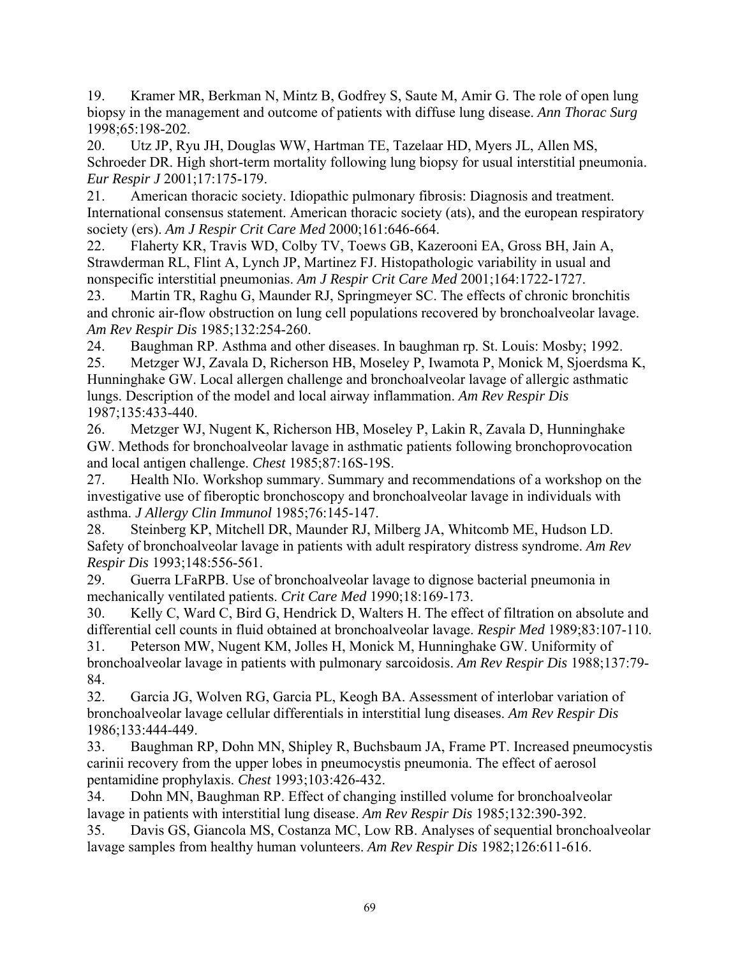19. Kramer MR, Berkman N, Mintz B, Godfrey S, Saute M, Amir G. The role of open lung biopsy in the management and outcome of patients with diffuse lung disease. *Ann Thorac Surg*  1998;65:198-202.

20. Utz JP, Ryu JH, Douglas WW, Hartman TE, Tazelaar HD, Myers JL, Allen MS, Schroeder DR. High short-term mortality following lung biopsy for usual interstitial pneumonia. *Eur Respir J* 2001;17:175-179.

21. American thoracic society. Idiopathic pulmonary fibrosis: Diagnosis and treatment. International consensus statement. American thoracic society (ats), and the european respiratory society (ers). *Am J Respir Crit Care Med* 2000;161:646-664.

22. Flaherty KR, Travis WD, Colby TV, Toews GB, Kazerooni EA, Gross BH, Jain A, Strawderman RL, Flint A, Lynch JP, Martinez FJ. Histopathologic variability in usual and nonspecific interstitial pneumonias. *Am J Respir Crit Care Med* 2001;164:1722-1727.

23. Martin TR, Raghu G, Maunder RJ, Springmeyer SC. The effects of chronic bronchitis and chronic air-flow obstruction on lung cell populations recovered by bronchoalveolar lavage. *Am Rev Respir Dis* 1985;132:254-260.

24. Baughman RP. Asthma and other diseases. In baughman rp. St. Louis: Mosby; 1992.

25. Metzger WJ, Zavala D, Richerson HB, Moseley P, Iwamota P, Monick M, Sjoerdsma K, Hunninghake GW. Local allergen challenge and bronchoalveolar lavage of allergic asthmatic lungs. Description of the model and local airway inflammation. *Am Rev Respir Dis*  1987;135:433-440.

26. Metzger WJ, Nugent K, Richerson HB, Moseley P, Lakin R, Zavala D, Hunninghake GW. Methods for bronchoalveolar lavage in asthmatic patients following bronchoprovocation and local antigen challenge. *Chest* 1985;87:16S-19S.

27. Health NIo. Workshop summary. Summary and recommendations of a workshop on the investigative use of fiberoptic bronchoscopy and bronchoalveolar lavage in individuals with asthma. *J Allergy Clin Immunol* 1985;76:145-147.

28. Steinberg KP, Mitchell DR, Maunder RJ, Milberg JA, Whitcomb ME, Hudson LD. Safety of bronchoalveolar lavage in patients with adult respiratory distress syndrome. *Am Rev Respir Dis* 1993;148:556-561.

29. Guerra LFaRPB. Use of bronchoalveolar lavage to dignose bacterial pneumonia in mechanically ventilated patients. *Crit Care Med* 1990;18:169-173.

30. Kelly C, Ward C, Bird G, Hendrick D, Walters H. The effect of filtration on absolute and differential cell counts in fluid obtained at bronchoalveolar lavage. *Respir Med* 1989;83:107-110.

31. Peterson MW, Nugent KM, Jolles H, Monick M, Hunninghake GW. Uniformity of bronchoalveolar lavage in patients with pulmonary sarcoidosis. *Am Rev Respir Dis* 1988;137:79- 84.

32. Garcia JG, Wolven RG, Garcia PL, Keogh BA. Assessment of interlobar variation of bronchoalveolar lavage cellular differentials in interstitial lung diseases. *Am Rev Respir Dis*  1986;133:444-449.

33. Baughman RP, Dohn MN, Shipley R, Buchsbaum JA, Frame PT. Increased pneumocystis carinii recovery from the upper lobes in pneumocystis pneumonia. The effect of aerosol pentamidine prophylaxis. *Chest* 1993;103:426-432.

34. Dohn MN, Baughman RP. Effect of changing instilled volume for bronchoalveolar lavage in patients with interstitial lung disease. *Am Rev Respir Dis* 1985;132:390-392.

35. Davis GS, Giancola MS, Costanza MC, Low RB. Analyses of sequential bronchoalveolar lavage samples from healthy human volunteers. *Am Rev Respir Dis* 1982;126:611-616.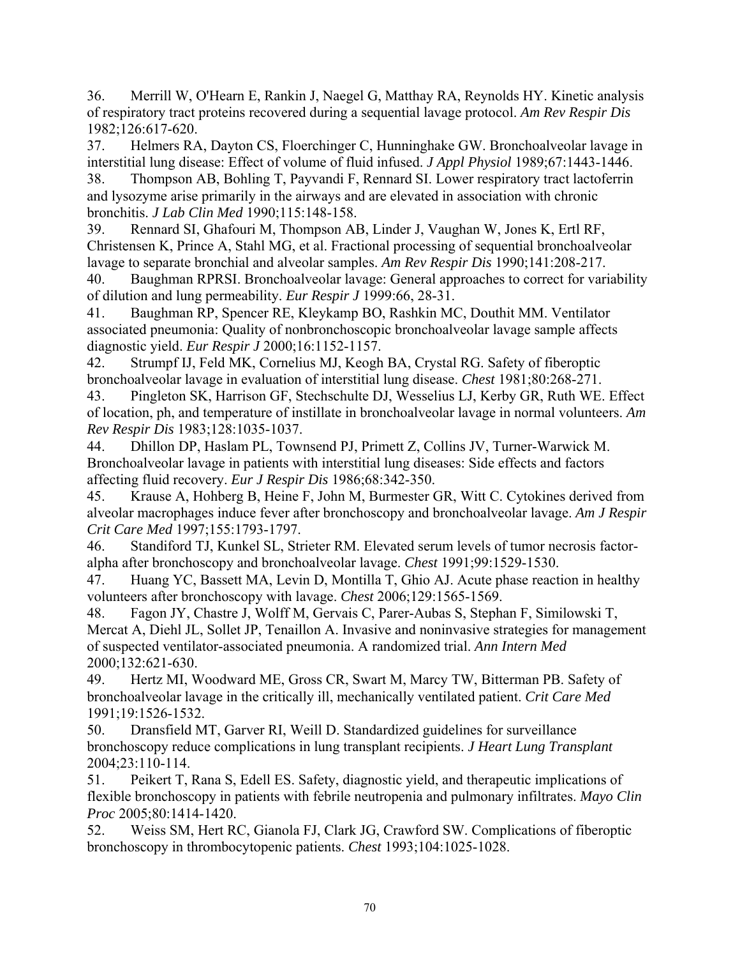36. Merrill W, O'Hearn E, Rankin J, Naegel G, Matthay RA, Reynolds HY. Kinetic analysis of respiratory tract proteins recovered during a sequential lavage protocol. *Am Rev Respir Dis*  1982;126:617-620.

37. Helmers RA, Dayton CS, Floerchinger C, Hunninghake GW. Bronchoalveolar lavage in interstitial lung disease: Effect of volume of fluid infused. *J Appl Physiol* 1989;67:1443-1446.

38. Thompson AB, Bohling T, Payvandi F, Rennard SI. Lower respiratory tract lactoferrin and lysozyme arise primarily in the airways and are elevated in association with chronic bronchitis. *J Lab Clin Med* 1990;115:148-158.

39. Rennard SI, Ghafouri M, Thompson AB, Linder J, Vaughan W, Jones K, Ertl RF, Christensen K, Prince A, Stahl MG, et al. Fractional processing of sequential bronchoalveolar lavage to separate bronchial and alveolar samples. *Am Rev Respir Dis* 1990;141:208-217.

40. Baughman RPRSI. Bronchoalveolar lavage: General approaches to correct for variability of dilution and lung permeability. *Eur Respir J* 1999:66, 28-31.

41. Baughman RP, Spencer RE, Kleykamp BO, Rashkin MC, Douthit MM. Ventilator associated pneumonia: Quality of nonbronchoscopic bronchoalveolar lavage sample affects diagnostic yield. *Eur Respir J* 2000;16:1152-1157.

42. Strumpf IJ, Feld MK, Cornelius MJ, Keogh BA, Crystal RG. Safety of fiberoptic bronchoalveolar lavage in evaluation of interstitial lung disease. *Chest* 1981;80:268-271.

43. Pingleton SK, Harrison GF, Stechschulte DJ, Wesselius LJ, Kerby GR, Ruth WE. Effect of location, ph, and temperature of instillate in bronchoalveolar lavage in normal volunteers. *Am Rev Respir Dis* 1983;128:1035-1037.

44. Dhillon DP, Haslam PL, Townsend PJ, Primett Z, Collins JV, Turner-Warwick M. Bronchoalveolar lavage in patients with interstitial lung diseases: Side effects and factors affecting fluid recovery. *Eur J Respir Dis* 1986;68:342-350.

45. Krause A, Hohberg B, Heine F, John M, Burmester GR, Witt C. Cytokines derived from alveolar macrophages induce fever after bronchoscopy and bronchoalveolar lavage. *Am J Respir Crit Care Med* 1997;155:1793-1797.

46. Standiford TJ, Kunkel SL, Strieter RM. Elevated serum levels of tumor necrosis factoralpha after bronchoscopy and bronchoalveolar lavage. *Chest* 1991;99:1529-1530.

47. Huang YC, Bassett MA, Levin D, Montilla T, Ghio AJ. Acute phase reaction in healthy volunteers after bronchoscopy with lavage. *Chest* 2006;129:1565-1569.

48. Fagon JY, Chastre J, Wolff M, Gervais C, Parer-Aubas S, Stephan F, Similowski T, Mercat A, Diehl JL, Sollet JP, Tenaillon A. Invasive and noninvasive strategies for management of suspected ventilator-associated pneumonia. A randomized trial. *Ann Intern Med*  2000;132:621-630.

49. Hertz MI, Woodward ME, Gross CR, Swart M, Marcy TW, Bitterman PB. Safety of bronchoalveolar lavage in the critically ill, mechanically ventilated patient. *Crit Care Med*  1991;19:1526-1532.

50. Dransfield MT, Garver RI, Weill D. Standardized guidelines for surveillance bronchoscopy reduce complications in lung transplant recipients. *J Heart Lung Transplant*  2004;23:110-114.

51. Peikert T, Rana S, Edell ES. Safety, diagnostic yield, and therapeutic implications of flexible bronchoscopy in patients with febrile neutropenia and pulmonary infiltrates. *Mayo Clin Proc* 2005;80:1414-1420.

52. Weiss SM, Hert RC, Gianola FJ, Clark JG, Crawford SW. Complications of fiberoptic bronchoscopy in thrombocytopenic patients. *Chest* 1993;104:1025-1028.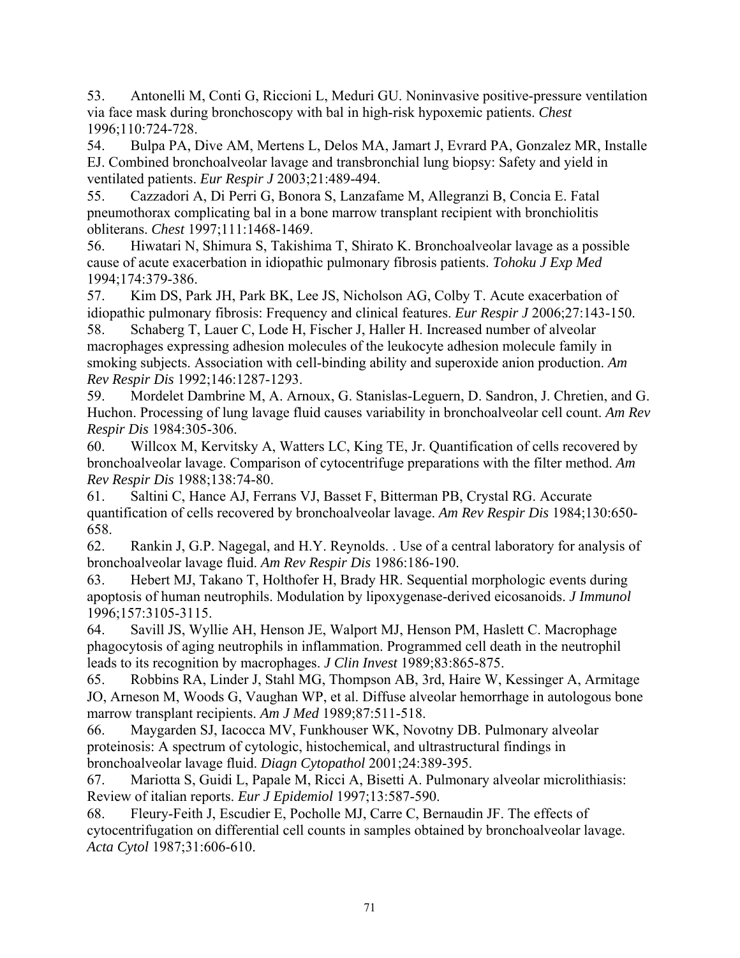53. Antonelli M, Conti G, Riccioni L, Meduri GU. Noninvasive positive-pressure ventilation via face mask during bronchoscopy with bal in high-risk hypoxemic patients. *Chest*  1996;110:724-728.

54. Bulpa PA, Dive AM, Mertens L, Delos MA, Jamart J, Evrard PA, Gonzalez MR, Installe EJ. Combined bronchoalveolar lavage and transbronchial lung biopsy: Safety and yield in ventilated patients. *Eur Respir J* 2003;21:489-494.

55. Cazzadori A, Di Perri G, Bonora S, Lanzafame M, Allegranzi B, Concia E. Fatal pneumothorax complicating bal in a bone marrow transplant recipient with bronchiolitis obliterans. *Chest* 1997;111:1468-1469.

56. Hiwatari N, Shimura S, Takishima T, Shirato K. Bronchoalveolar lavage as a possible cause of acute exacerbation in idiopathic pulmonary fibrosis patients. *Tohoku J Exp Med*  1994;174:379-386.

57. Kim DS, Park JH, Park BK, Lee JS, Nicholson AG, Colby T. Acute exacerbation of idiopathic pulmonary fibrosis: Frequency and clinical features. *Eur Respir J* 2006;27:143-150.

58. Schaberg T, Lauer C, Lode H, Fischer J, Haller H. Increased number of alveolar macrophages expressing adhesion molecules of the leukocyte adhesion molecule family in smoking subjects. Association with cell-binding ability and superoxide anion production. *Am Rev Respir Dis* 1992;146:1287-1293.

59. Mordelet Dambrine M, A. Arnoux, G. Stanislas-Leguern, D. Sandron, J. Chretien, and G. Huchon. Processing of lung lavage fluid causes variability in bronchoalveolar cell count. *Am Rev Respir Dis* 1984:305-306.

60. Willcox M, Kervitsky A, Watters LC, King TE, Jr. Quantification of cells recovered by bronchoalveolar lavage. Comparison of cytocentrifuge preparations with the filter method. *Am Rev Respir Dis* 1988;138:74-80.

61. Saltini C, Hance AJ, Ferrans VJ, Basset F, Bitterman PB, Crystal RG. Accurate quantification of cells recovered by bronchoalveolar lavage. *Am Rev Respir Dis* 1984;130:650- 658.

62. Rankin J, G.P. Nagegal, and H.Y. Reynolds. . Use of a central laboratory for analysis of bronchoalveolar lavage fluid. *Am Rev Respir Dis* 1986:186-190.

63. Hebert MJ, Takano T, Holthofer H, Brady HR. Sequential morphologic events during apoptosis of human neutrophils. Modulation by lipoxygenase-derived eicosanoids. *J Immunol*  1996;157:3105-3115.

64. Savill JS, Wyllie AH, Henson JE, Walport MJ, Henson PM, Haslett C. Macrophage phagocytosis of aging neutrophils in inflammation. Programmed cell death in the neutrophil leads to its recognition by macrophages. *J Clin Invest* 1989;83:865-875.

65. Robbins RA, Linder J, Stahl MG, Thompson AB, 3rd, Haire W, Kessinger A, Armitage JO, Arneson M, Woods G, Vaughan WP, et al. Diffuse alveolar hemorrhage in autologous bone marrow transplant recipients. *Am J Med* 1989;87:511-518.

66. Maygarden SJ, Iacocca MV, Funkhouser WK, Novotny DB. Pulmonary alveolar proteinosis: A spectrum of cytologic, histochemical, and ultrastructural findings in bronchoalveolar lavage fluid. *Diagn Cytopathol* 2001;24:389-395.

67. Mariotta S, Guidi L, Papale M, Ricci A, Bisetti A. Pulmonary alveolar microlithiasis: Review of italian reports. *Eur J Epidemiol* 1997;13:587-590.

68. Fleury-Feith J, Escudier E, Pocholle MJ, Carre C, Bernaudin JF. The effects of cytocentrifugation on differential cell counts in samples obtained by bronchoalveolar lavage. *Acta Cytol* 1987;31:606-610.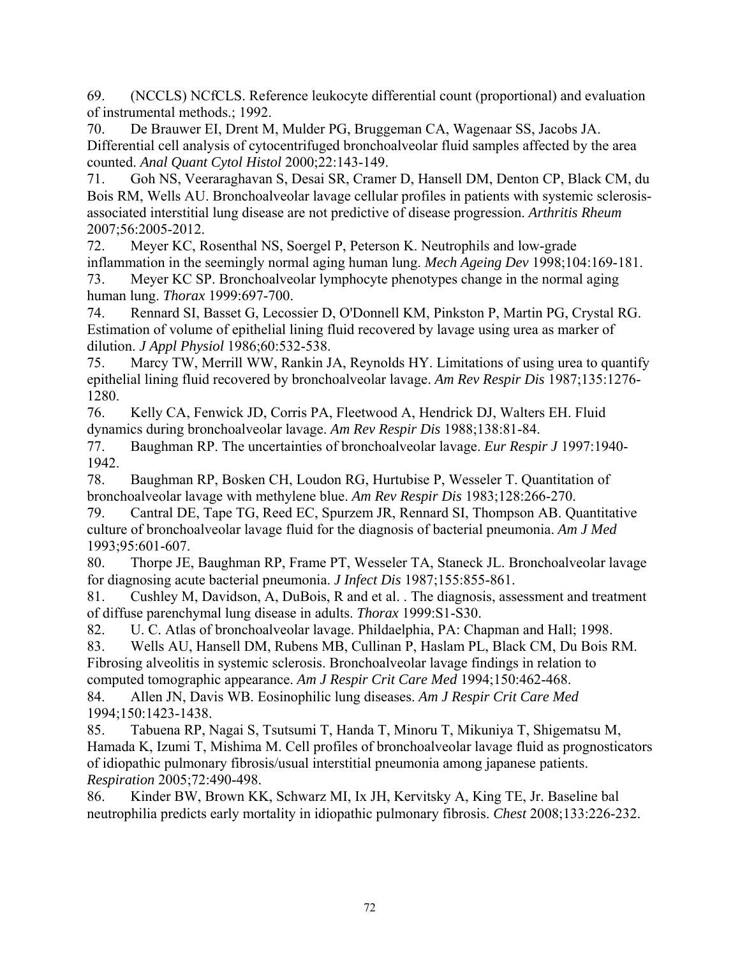69. (NCCLS) NCfCLS. Reference leukocyte differential count (proportional) and evaluation of instrumental methods.; 1992.

70. De Brauwer EI, Drent M, Mulder PG, Bruggeman CA, Wagenaar SS, Jacobs JA. Differential cell analysis of cytocentrifuged bronchoalveolar fluid samples affected by the area counted. *Anal Quant Cytol Histol* 2000;22:143-149.

71. Goh NS, Veeraraghavan S, Desai SR, Cramer D, Hansell DM, Denton CP, Black CM, du Bois RM, Wells AU. Bronchoalveolar lavage cellular profiles in patients with systemic sclerosisassociated interstitial lung disease are not predictive of disease progression. *Arthritis Rheum*  2007;56:2005-2012.

72. Meyer KC, Rosenthal NS, Soergel P, Peterson K. Neutrophils and low-grade inflammation in the seemingly normal aging human lung. *Mech Ageing Dev* 1998;104:169-181.

73. Meyer KC SP. Bronchoalveolar lymphocyte phenotypes change in the normal aging human lung. *Thorax* 1999:697-700.

74. Rennard SI, Basset G, Lecossier D, O'Donnell KM, Pinkston P, Martin PG, Crystal RG. Estimation of volume of epithelial lining fluid recovered by lavage using urea as marker of dilution. *J Appl Physiol* 1986;60:532-538.

75. Marcy TW, Merrill WW, Rankin JA, Reynolds HY. Limitations of using urea to quantify epithelial lining fluid recovered by bronchoalveolar lavage. *Am Rev Respir Dis* 1987;135:1276- 1280.

76. Kelly CA, Fenwick JD, Corris PA, Fleetwood A, Hendrick DJ, Walters EH. Fluid dynamics during bronchoalveolar lavage. *Am Rev Respir Dis* 1988;138:81-84.

77. Baughman RP. The uncertainties of bronchoalveolar lavage. *Eur Respir J* 1997:1940- 1942.

78. Baughman RP, Bosken CH, Loudon RG, Hurtubise P, Wesseler T. Quantitation of bronchoalveolar lavage with methylene blue. *Am Rev Respir Dis* 1983;128:266-270.

79. Cantral DE, Tape TG, Reed EC, Spurzem JR, Rennard SI, Thompson AB. Quantitative culture of bronchoalveolar lavage fluid for the diagnosis of bacterial pneumonia. *Am J Med*  1993;95:601-607.

80. Thorpe JE, Baughman RP, Frame PT, Wesseler TA, Staneck JL. Bronchoalveolar lavage for diagnosing acute bacterial pneumonia. *J Infect Dis* 1987;155:855-861.

81. Cushley M, Davidson, A, DuBois, R and et al. . The diagnosis, assessment and treatment of diffuse parenchymal lung disease in adults. *Thorax* 1999:S1-S30.

82. U. C. Atlas of bronchoalveolar lavage. Phildaelphia, PA: Chapman and Hall; 1998.

83. Wells AU, Hansell DM, Rubens MB, Cullinan P, Haslam PL, Black CM, Du Bois RM. Fibrosing alveolitis in systemic sclerosis. Bronchoalveolar lavage findings in relation to computed tomographic appearance. *Am J Respir Crit Care Med* 1994;150:462-468.

84. Allen JN, Davis WB. Eosinophilic lung diseases. *Am J Respir Crit Care Med*  1994;150:1423-1438.

85. Tabuena RP, Nagai S, Tsutsumi T, Handa T, Minoru T, Mikuniya T, Shigematsu M, Hamada K, Izumi T, Mishima M. Cell profiles of bronchoalveolar lavage fluid as prognosticators of idiopathic pulmonary fibrosis/usual interstitial pneumonia among japanese patients. *Respiration* 2005;72:490-498.

86. Kinder BW, Brown KK, Schwarz MI, Ix JH, Kervitsky A, King TE, Jr. Baseline bal neutrophilia predicts early mortality in idiopathic pulmonary fibrosis. *Chest* 2008;133:226-232.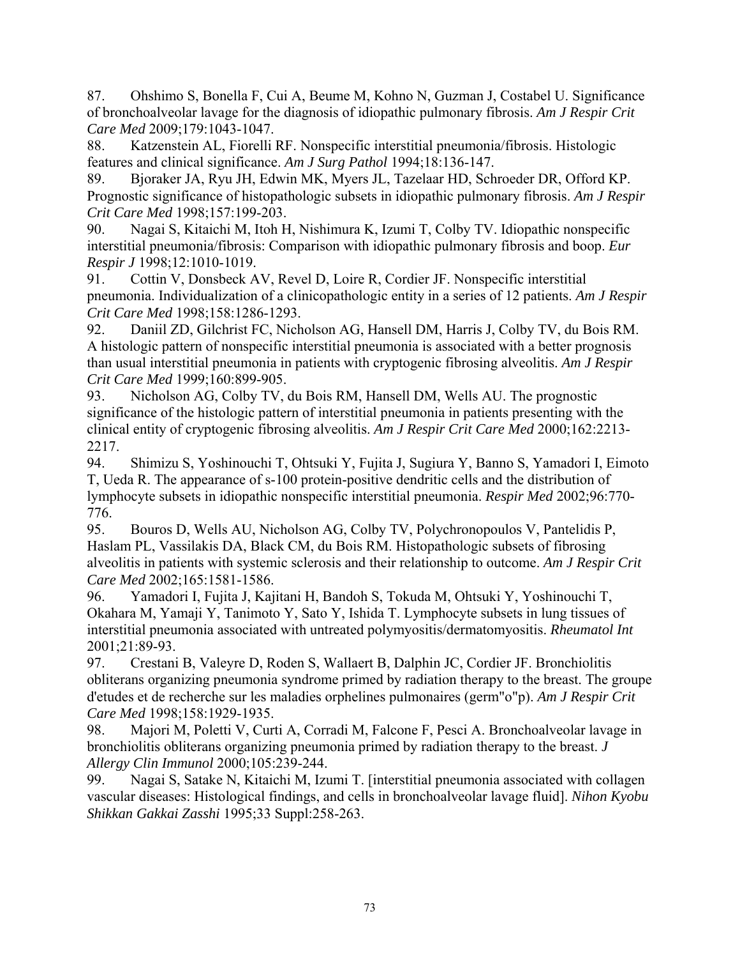87. Ohshimo S, Bonella F, Cui A, Beume M, Kohno N, Guzman J, Costabel U. Significance of bronchoalveolar lavage for the diagnosis of idiopathic pulmonary fibrosis. *Am J Respir Crit Care Med* 2009;179:1043-1047.

88. Katzenstein AL, Fiorelli RF. Nonspecific interstitial pneumonia/fibrosis. Histologic features and clinical significance. *Am J Surg Pathol* 1994;18:136-147.

89. Bjoraker JA, Ryu JH, Edwin MK, Myers JL, Tazelaar HD, Schroeder DR, Offord KP. Prognostic significance of histopathologic subsets in idiopathic pulmonary fibrosis. *Am J Respir Crit Care Med* 1998;157:199-203.

90. Nagai S, Kitaichi M, Itoh H, Nishimura K, Izumi T, Colby TV. Idiopathic nonspecific interstitial pneumonia/fibrosis: Comparison with idiopathic pulmonary fibrosis and boop. *Eur Respir J* 1998;12:1010-1019.

91. Cottin V, Donsbeck AV, Revel D, Loire R, Cordier JF. Nonspecific interstitial pneumonia. Individualization of a clinicopathologic entity in a series of 12 patients. *Am J Respir Crit Care Med* 1998;158:1286-1293.

92. Daniil ZD, Gilchrist FC, Nicholson AG, Hansell DM, Harris J, Colby TV, du Bois RM. A histologic pattern of nonspecific interstitial pneumonia is associated with a better prognosis than usual interstitial pneumonia in patients with cryptogenic fibrosing alveolitis. *Am J Respir Crit Care Med* 1999;160:899-905.

93. Nicholson AG, Colby TV, du Bois RM, Hansell DM, Wells AU. The prognostic significance of the histologic pattern of interstitial pneumonia in patients presenting with the clinical entity of cryptogenic fibrosing alveolitis. *Am J Respir Crit Care Med* 2000;162:2213- 2217.

94. Shimizu S, Yoshinouchi T, Ohtsuki Y, Fujita J, Sugiura Y, Banno S, Yamadori I, Eimoto T, Ueda R. The appearance of s-100 protein-positive dendritic cells and the distribution of lymphocyte subsets in idiopathic nonspecific interstitial pneumonia. *Respir Med* 2002;96:770- 776.

95. Bouros D, Wells AU, Nicholson AG, Colby TV, Polychronopoulos V, Pantelidis P, Haslam PL, Vassilakis DA, Black CM, du Bois RM. Histopathologic subsets of fibrosing alveolitis in patients with systemic sclerosis and their relationship to outcome. *Am J Respir Crit Care Med* 2002;165:1581-1586.

96. Yamadori I, Fujita J, Kajitani H, Bandoh S, Tokuda M, Ohtsuki Y, Yoshinouchi T, Okahara M, Yamaji Y, Tanimoto Y, Sato Y, Ishida T. Lymphocyte subsets in lung tissues of interstitial pneumonia associated with untreated polymyositis/dermatomyositis. *Rheumatol Int*  2001;21:89-93.

97. Crestani B, Valeyre D, Roden S, Wallaert B, Dalphin JC, Cordier JF. Bronchiolitis obliterans organizing pneumonia syndrome primed by radiation therapy to the breast. The groupe d'etudes et de recherche sur les maladies orphelines pulmonaires (germ"o"p). *Am J Respir Crit Care Med* 1998;158:1929-1935.

98. Majori M, Poletti V, Curti A, Corradi M, Falcone F, Pesci A. Bronchoalveolar lavage in bronchiolitis obliterans organizing pneumonia primed by radiation therapy to the breast. *J Allergy Clin Immunol* 2000;105:239-244.

99. Nagai S, Satake N, Kitaichi M, Izumi T. [interstitial pneumonia associated with collagen vascular diseases: Histological findings, and cells in bronchoalveolar lavage fluid]. *Nihon Kyobu Shikkan Gakkai Zasshi* 1995;33 Suppl:258-263.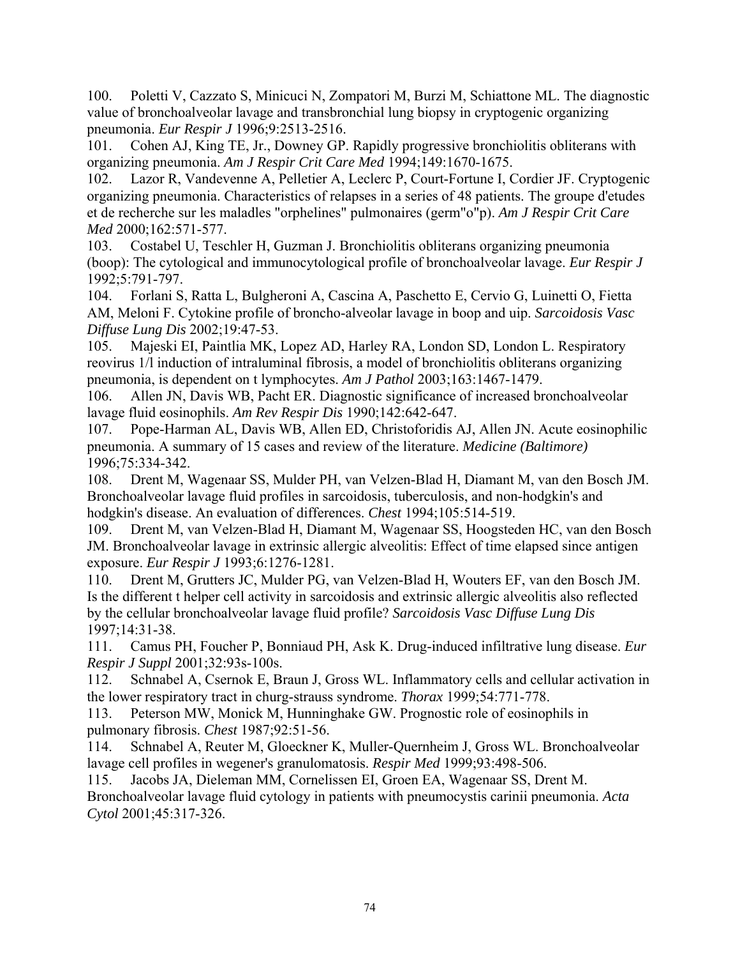100. Poletti V, Cazzato S, Minicuci N, Zompatori M, Burzi M, Schiattone ML. The diagnostic value of bronchoalveolar lavage and transbronchial lung biopsy in cryptogenic organizing pneumonia. *Eur Respir J* 1996;9:2513-2516.

101. Cohen AJ, King TE, Jr., Downey GP. Rapidly progressive bronchiolitis obliterans with organizing pneumonia. *Am J Respir Crit Care Med* 1994;149:1670-1675.

102. Lazor R, Vandevenne A, Pelletier A, Leclerc P, Court-Fortune I, Cordier JF. Cryptogenic organizing pneumonia. Characteristics of relapses in a series of 48 patients. The groupe d'etudes et de recherche sur les maladles "orphelines" pulmonaires (germ"o"p). *Am J Respir Crit Care Med* 2000;162:571-577.

103. Costabel U, Teschler H, Guzman J. Bronchiolitis obliterans organizing pneumonia (boop): The cytological and immunocytological profile of bronchoalveolar lavage. *Eur Respir J*  1992;5:791-797.

104. Forlani S, Ratta L, Bulgheroni A, Cascina A, Paschetto E, Cervio G, Luinetti O, Fietta AM, Meloni F. Cytokine profile of broncho-alveolar lavage in boop and uip. *Sarcoidosis Vasc Diffuse Lung Dis* 2002;19:47-53.

105. Majeski EI, Paintlia MK, Lopez AD, Harley RA, London SD, London L. Respiratory reovirus 1/l induction of intraluminal fibrosis, a model of bronchiolitis obliterans organizing pneumonia, is dependent on t lymphocytes. *Am J Pathol* 2003;163:1467-1479.

106. Allen JN, Davis WB, Pacht ER. Diagnostic significance of increased bronchoalveolar lavage fluid eosinophils. *Am Rev Respir Dis* 1990;142:642-647.

107. Pope-Harman AL, Davis WB, Allen ED, Christoforidis AJ, Allen JN. Acute eosinophilic pneumonia. A summary of 15 cases and review of the literature. *Medicine (Baltimore)*  1996;75:334-342.

108. Drent M, Wagenaar SS, Mulder PH, van Velzen-Blad H, Diamant M, van den Bosch JM. Bronchoalveolar lavage fluid profiles in sarcoidosis, tuberculosis, and non-hodgkin's and hodgkin's disease. An evaluation of differences. *Chest* 1994;105:514-519.

109. Drent M, van Velzen-Blad H, Diamant M, Wagenaar SS, Hoogsteden HC, van den Bosch JM. Bronchoalveolar lavage in extrinsic allergic alveolitis: Effect of time elapsed since antigen exposure. *Eur Respir J* 1993;6:1276-1281.

110. Drent M, Grutters JC, Mulder PG, van Velzen-Blad H, Wouters EF, van den Bosch JM. Is the different t helper cell activity in sarcoidosis and extrinsic allergic alveolitis also reflected by the cellular bronchoalveolar lavage fluid profile? *Sarcoidosis Vasc Diffuse Lung Dis*  1997;14:31-38.

111. Camus PH, Foucher P, Bonniaud PH, Ask K. Drug-induced infiltrative lung disease. *Eur Respir J Suppl* 2001;32:93s-100s.

112. Schnabel A, Csernok E, Braun J, Gross WL. Inflammatory cells and cellular activation in the lower respiratory tract in churg-strauss syndrome. *Thorax* 1999;54:771-778.

113. Peterson MW, Monick M, Hunninghake GW. Prognostic role of eosinophils in pulmonary fibrosis. *Chest* 1987;92:51-56.

114. Schnabel A, Reuter M, Gloeckner K, Muller-Quernheim J, Gross WL. Bronchoalveolar lavage cell profiles in wegener's granulomatosis. *Respir Med* 1999;93:498-506.

115. Jacobs JA, Dieleman MM, Cornelissen EI, Groen EA, Wagenaar SS, Drent M. Bronchoalveolar lavage fluid cytology in patients with pneumocystis carinii pneumonia. *Acta Cytol* 2001;45:317-326.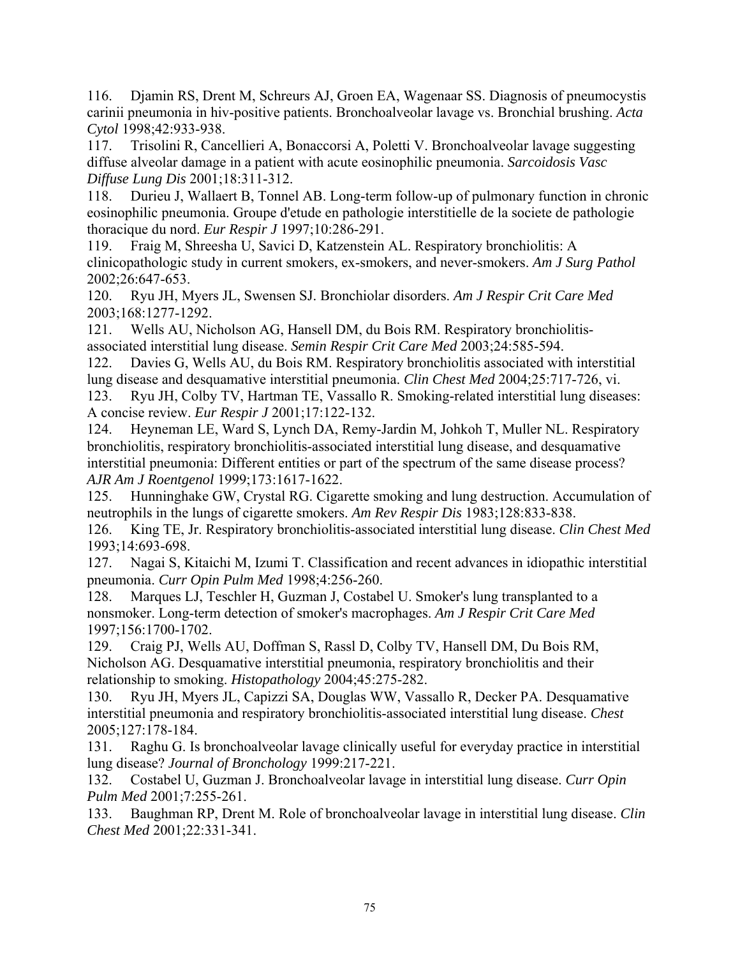116. Djamin RS, Drent M, Schreurs AJ, Groen EA, Wagenaar SS. Diagnosis of pneumocystis carinii pneumonia in hiv-positive patients. Bronchoalveolar lavage vs. Bronchial brushing. *Acta Cytol* 1998;42:933-938.

117. Trisolini R, Cancellieri A, Bonaccorsi A, Poletti V. Bronchoalveolar lavage suggesting diffuse alveolar damage in a patient with acute eosinophilic pneumonia. *Sarcoidosis Vasc Diffuse Lung Dis* 2001;18:311-312.

118. Durieu J, Wallaert B, Tonnel AB. Long-term follow-up of pulmonary function in chronic eosinophilic pneumonia. Groupe d'etude en pathologie interstitielle de la societe de pathologie thoracique du nord. *Eur Respir J* 1997;10:286-291.

119. Fraig M, Shreesha U, Savici D, Katzenstein AL. Respiratory bronchiolitis: A clinicopathologic study in current smokers, ex-smokers, and never-smokers. *Am J Surg Pathol*  2002;26:647-653.

120. Ryu JH, Myers JL, Swensen SJ. Bronchiolar disorders. *Am J Respir Crit Care Med*  2003;168:1277-1292.

121. Wells AU, Nicholson AG, Hansell DM, du Bois RM. Respiratory bronchiolitisassociated interstitial lung disease. *Semin Respir Crit Care Med* 2003;24:585-594.

122. Davies G, Wells AU, du Bois RM. Respiratory bronchiolitis associated with interstitial lung disease and desquamative interstitial pneumonia. *Clin Chest Med* 2004;25:717-726, vi.

123. Ryu JH, Colby TV, Hartman TE, Vassallo R. Smoking-related interstitial lung diseases: A concise review. *Eur Respir J* 2001;17:122-132.

124. Heyneman LE, Ward S, Lynch DA, Remy-Jardin M, Johkoh T, Muller NL. Respiratory bronchiolitis, respiratory bronchiolitis-associated interstitial lung disease, and desquamative interstitial pneumonia: Different entities or part of the spectrum of the same disease process? *AJR Am J Roentgenol* 1999;173:1617-1622.

125. Hunninghake GW, Crystal RG. Cigarette smoking and lung destruction. Accumulation of neutrophils in the lungs of cigarette smokers. *Am Rev Respir Dis* 1983;128:833-838.

126. King TE, Jr. Respiratory bronchiolitis-associated interstitial lung disease. *Clin Chest Med*  1993;14:693-698.

127. Nagai S, Kitaichi M, Izumi T. Classification and recent advances in idiopathic interstitial pneumonia. *Curr Opin Pulm Med* 1998;4:256-260.

128. Marques LJ, Teschler H, Guzman J, Costabel U. Smoker's lung transplanted to a nonsmoker. Long-term detection of smoker's macrophages. *Am J Respir Crit Care Med*  1997;156:1700-1702.

129. Craig PJ, Wells AU, Doffman S, Rassl D, Colby TV, Hansell DM, Du Bois RM, Nicholson AG. Desquamative interstitial pneumonia, respiratory bronchiolitis and their relationship to smoking. *Histopathology* 2004;45:275-282.

130. Ryu JH, Myers JL, Capizzi SA, Douglas WW, Vassallo R, Decker PA. Desquamative interstitial pneumonia and respiratory bronchiolitis-associated interstitial lung disease. *Chest*  2005;127:178-184.

131. Raghu G. Is bronchoalveolar lavage clinically useful for everyday practice in interstitial lung disease? *Journal of Bronchology* 1999:217-221.

132. Costabel U, Guzman J. Bronchoalveolar lavage in interstitial lung disease. *Curr Opin Pulm Med* 2001;7:255-261.

133. Baughman RP, Drent M. Role of bronchoalveolar lavage in interstitial lung disease. *Clin Chest Med* 2001;22:331-341.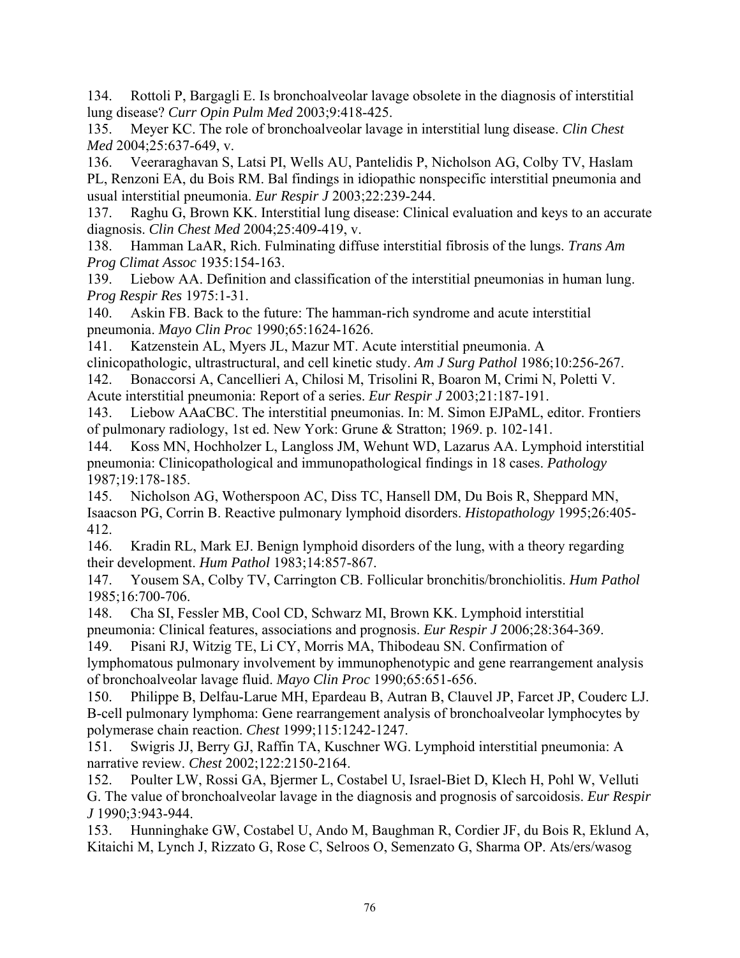134. Rottoli P, Bargagli E. Is bronchoalveolar lavage obsolete in the diagnosis of interstitial lung disease? *Curr Opin Pulm Med* 2003;9:418-425.

135. Meyer KC. The role of bronchoalveolar lavage in interstitial lung disease. *Clin Chest Med* 2004;25:637-649, v.

136. Veeraraghavan S, Latsi PI, Wells AU, Pantelidis P, Nicholson AG, Colby TV, Haslam PL, Renzoni EA, du Bois RM. Bal findings in idiopathic nonspecific interstitial pneumonia and usual interstitial pneumonia. *Eur Respir J* 2003;22:239-244.

137. Raghu G, Brown KK. Interstitial lung disease: Clinical evaluation and keys to an accurate diagnosis. *Clin Chest Med* 2004;25:409-419, v.

138. Hamman LaAR, Rich. Fulminating diffuse interstitial fibrosis of the lungs. *Trans Am Prog Climat Assoc* 1935:154-163.

139. Liebow AA. Definition and classification of the interstitial pneumonias in human lung. *Prog Respir Res* 1975:1-31.

140. Askin FB. Back to the future: The hamman-rich syndrome and acute interstitial pneumonia. *Mayo Clin Proc* 1990;65:1624-1626.

141. Katzenstein AL, Myers JL, Mazur MT. Acute interstitial pneumonia. A clinicopathologic, ultrastructural, and cell kinetic study. *Am J Surg Pathol* 1986;10:256-267.

142. Bonaccorsi A, Cancellieri A, Chilosi M, Trisolini R, Boaron M, Crimi N, Poletti V. Acute interstitial pneumonia: Report of a series. *Eur Respir J* 2003;21:187-191.

143. Liebow AAaCBC. The interstitial pneumonias. In: M. Simon EJPaML, editor. Frontiers of pulmonary radiology, 1st ed. New York: Grune & Stratton; 1969. p. 102-141.

144. Koss MN, Hochholzer L, Langloss JM, Wehunt WD, Lazarus AA. Lymphoid interstitial pneumonia: Clinicopathological and immunopathological findings in 18 cases. *Pathology*  1987;19:178-185.

145. Nicholson AG, Wotherspoon AC, Diss TC, Hansell DM, Du Bois R, Sheppard MN, Isaacson PG, Corrin B. Reactive pulmonary lymphoid disorders. *Histopathology* 1995;26:405- 412.

146. Kradin RL, Mark EJ. Benign lymphoid disorders of the lung, with a theory regarding their development. *Hum Pathol* 1983;14:857-867.

147. Yousem SA, Colby TV, Carrington CB. Follicular bronchitis/bronchiolitis. *Hum Pathol*  1985;16:700-706.

148. Cha SI, Fessler MB, Cool CD, Schwarz MI, Brown KK. Lymphoid interstitial pneumonia: Clinical features, associations and prognosis. *Eur Respir J* 2006;28:364-369.

149. Pisani RJ, Witzig TE, Li CY, Morris MA, Thibodeau SN. Confirmation of lymphomatous pulmonary involvement by immunophenotypic and gene rearrangement analysis of bronchoalveolar lavage fluid. *Mayo Clin Proc* 1990;65:651-656.

150. Philippe B, Delfau-Larue MH, Epardeau B, Autran B, Clauvel JP, Farcet JP, Couderc LJ. B-cell pulmonary lymphoma: Gene rearrangement analysis of bronchoalveolar lymphocytes by polymerase chain reaction. *Chest* 1999;115:1242-1247.

151. Swigris JJ, Berry GJ, Raffin TA, Kuschner WG. Lymphoid interstitial pneumonia: A narrative review. *Chest* 2002;122:2150-2164.

152. Poulter LW, Rossi GA, Bjermer L, Costabel U, Israel-Biet D, Klech H, Pohl W, Velluti G. The value of bronchoalveolar lavage in the diagnosis and prognosis of sarcoidosis. *Eur Respir J* 1990;3:943-944.

153. Hunninghake GW, Costabel U, Ando M, Baughman R, Cordier JF, du Bois R, Eklund A, Kitaichi M, Lynch J, Rizzato G, Rose C, Selroos O, Semenzato G, Sharma OP. Ats/ers/wasog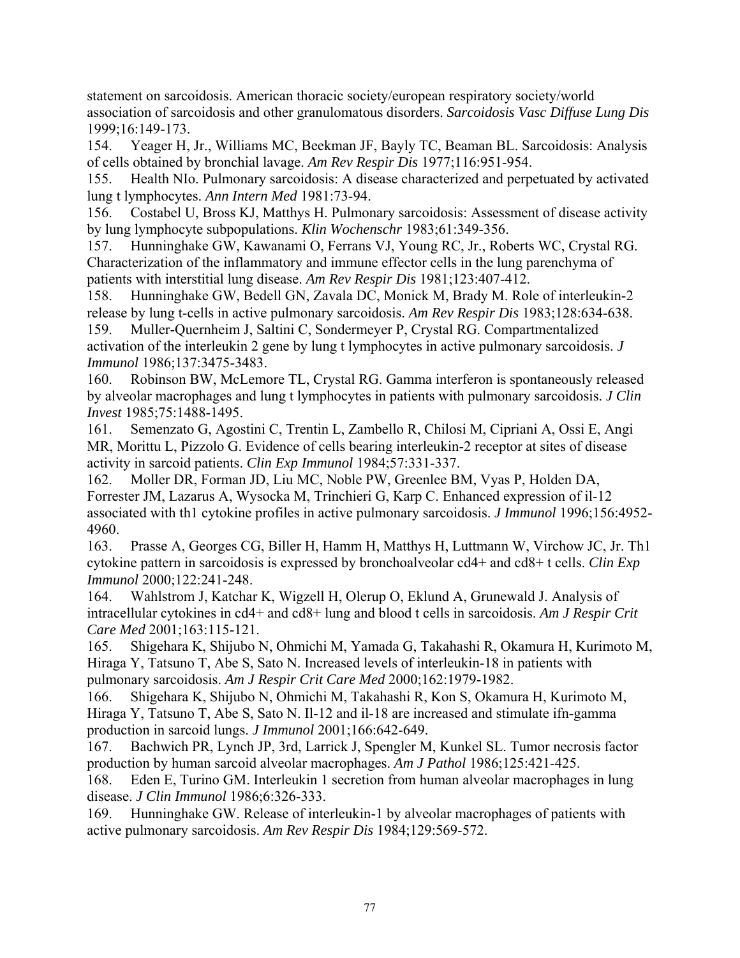statement on sarcoidosis. American thoracic society/european respiratory society/world association of sarcoidosis and other granulomatous disorders. *Sarcoidosis Vasc Diffuse Lung Dis*  1999;16:149-173.

154. Yeager H, Jr., Williams MC, Beekman JF, Bayly TC, Beaman BL. Sarcoidosis: Analysis of cells obtained by bronchial lavage. *Am Rev Respir Dis* 1977;116:951-954.

155. Health NIo. Pulmonary sarcoidosis: A disease characterized and perpetuated by activated lung t lymphocytes. *Ann Intern Med* 1981:73-94.

156. Costabel U, Bross KJ, Matthys H. Pulmonary sarcoidosis: Assessment of disease activity by lung lymphocyte subpopulations. *Klin Wochenschr* 1983;61:349-356.

157. Hunninghake GW, Kawanami O, Ferrans VJ, Young RC, Jr., Roberts WC, Crystal RG. Characterization of the inflammatory and immune effector cells in the lung parenchyma of patients with interstitial lung disease. *Am Rev Respir Dis* 1981;123:407-412.

158. Hunninghake GW, Bedell GN, Zavala DC, Monick M, Brady M. Role of interleukin-2 release by lung t-cells in active pulmonary sarcoidosis. *Am Rev Respir Dis* 1983;128:634-638.

159. Muller-Quernheim J, Saltini C, Sondermeyer P, Crystal RG. Compartmentalized activation of the interleukin 2 gene by lung t lymphocytes in active pulmonary sarcoidosis. *J Immunol* 1986;137:3475-3483.

160. Robinson BW, McLemore TL, Crystal RG. Gamma interferon is spontaneously released by alveolar macrophages and lung t lymphocytes in patients with pulmonary sarcoidosis. *J Clin Invest* 1985;75:1488-1495.

161. Semenzato G, Agostini C, Trentin L, Zambello R, Chilosi M, Cipriani A, Ossi E, Angi MR, Morittu L, Pizzolo G. Evidence of cells bearing interleukin-2 receptor at sites of disease activity in sarcoid patients. *Clin Exp Immunol* 1984;57:331-337.

162. Moller DR, Forman JD, Liu MC, Noble PW, Greenlee BM, Vyas P, Holden DA, Forrester JM, Lazarus A, Wysocka M, Trinchieri G, Karp C. Enhanced expression of il-12 associated with th1 cytokine profiles in active pulmonary sarcoidosis. *J Immunol* 1996;156:4952- 4960.

163. Prasse A, Georges CG, Biller H, Hamm H, Matthys H, Luttmann W, Virchow JC, Jr. Th1 cytokine pattern in sarcoidosis is expressed by bronchoalveolar cd4+ and cd8+ t cells. *Clin Exp Immunol* 2000;122:241-248.

164. Wahlstrom J, Katchar K, Wigzell H, Olerup O, Eklund A, Grunewald J. Analysis of intracellular cytokines in cd4+ and cd8+ lung and blood t cells in sarcoidosis. *Am J Respir Crit Care Med* 2001;163:115-121.

165. Shigehara K, Shijubo N, Ohmichi M, Yamada G, Takahashi R, Okamura H, Kurimoto M, Hiraga Y, Tatsuno T, Abe S, Sato N. Increased levels of interleukin-18 in patients with pulmonary sarcoidosis. *Am J Respir Crit Care Med* 2000;162:1979-1982.

166. Shigehara K, Shijubo N, Ohmichi M, Takahashi R, Kon S, Okamura H, Kurimoto M, Hiraga Y, Tatsuno T, Abe S, Sato N. Il-12 and il-18 are increased and stimulate ifn-gamma production in sarcoid lungs. *J Immunol* 2001;166:642-649.

167. Bachwich PR, Lynch JP, 3rd, Larrick J, Spengler M, Kunkel SL. Tumor necrosis factor production by human sarcoid alveolar macrophages. *Am J Pathol* 1986;125:421-425.

168. Eden E, Turino GM. Interleukin 1 secretion from human alveolar macrophages in lung disease. *J Clin Immunol* 1986;6:326-333.

169. Hunninghake GW. Release of interleukin-1 by alveolar macrophages of patients with active pulmonary sarcoidosis. *Am Rev Respir Dis* 1984;129:569-572.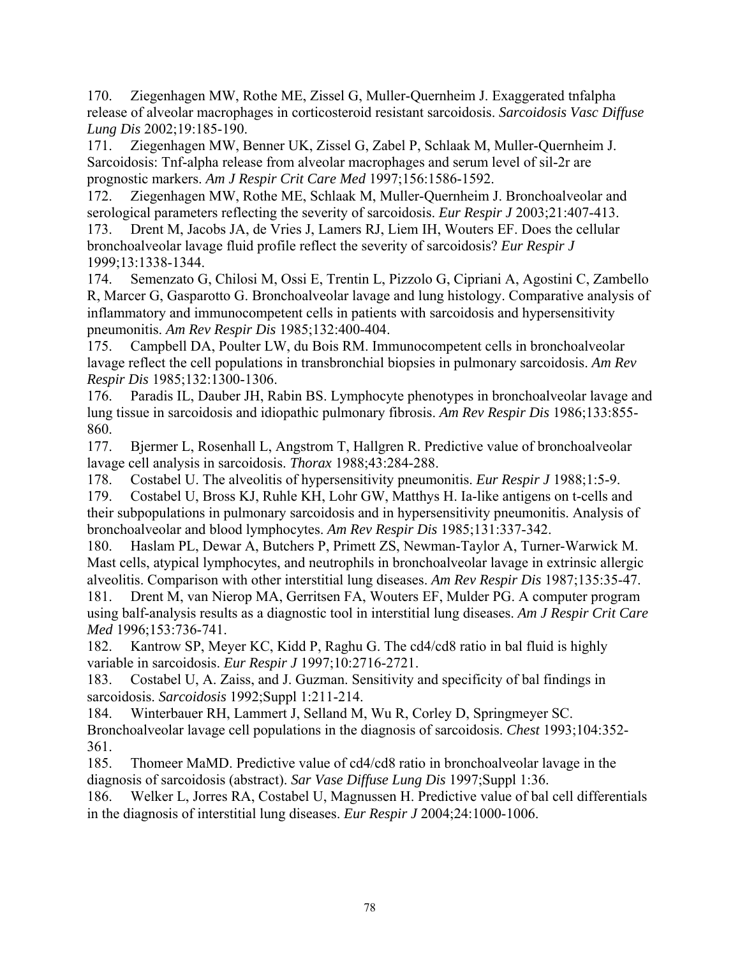170. Ziegenhagen MW, Rothe ME, Zissel G, Muller-Quernheim J. Exaggerated tnfalpha release of alveolar macrophages in corticosteroid resistant sarcoidosis. *Sarcoidosis Vasc Diffuse Lung Dis* 2002;19:185-190.

171. Ziegenhagen MW, Benner UK, Zissel G, Zabel P, Schlaak M, Muller-Quernheim J. Sarcoidosis: Tnf-alpha release from alveolar macrophages and serum level of sil-2r are prognostic markers. *Am J Respir Crit Care Med* 1997;156:1586-1592.

172. Ziegenhagen MW, Rothe ME, Schlaak M, Muller-Quernheim J. Bronchoalveolar and serological parameters reflecting the severity of sarcoidosis. *Eur Respir J* 2003;21:407-413. 173. Drent M, Jacobs JA, de Vries J, Lamers RJ, Liem IH, Wouters EF. Does the cellular

bronchoalveolar lavage fluid profile reflect the severity of sarcoidosis? *Eur Respir J*  1999;13:1338-1344.

174. Semenzato G, Chilosi M, Ossi E, Trentin L, Pizzolo G, Cipriani A, Agostini C, Zambello R, Marcer G, Gasparotto G. Bronchoalveolar lavage and lung histology. Comparative analysis of inflammatory and immunocompetent cells in patients with sarcoidosis and hypersensitivity pneumonitis. *Am Rev Respir Dis* 1985;132:400-404.

175. Campbell DA, Poulter LW, du Bois RM. Immunocompetent cells in bronchoalveolar lavage reflect the cell populations in transbronchial biopsies in pulmonary sarcoidosis. *Am Rev Respir Dis* 1985;132:1300-1306.

176. Paradis IL, Dauber JH, Rabin BS. Lymphocyte phenotypes in bronchoalveolar lavage and lung tissue in sarcoidosis and idiopathic pulmonary fibrosis. *Am Rev Respir Dis* 1986;133:855- 860.

177. Bjermer L, Rosenhall L, Angstrom T, Hallgren R. Predictive value of bronchoalveolar lavage cell analysis in sarcoidosis. *Thorax* 1988;43:284-288.

178. Costabel U. The alveolitis of hypersensitivity pneumonitis. *Eur Respir J* 1988;1:5-9.

179. Costabel U, Bross KJ, Ruhle KH, Lohr GW, Matthys H. Ia-like antigens on t-cells and their subpopulations in pulmonary sarcoidosis and in hypersensitivity pneumonitis. Analysis of bronchoalveolar and blood lymphocytes. *Am Rev Respir Dis* 1985;131:337-342.

180. Haslam PL, Dewar A, Butchers P, Primett ZS, Newman-Taylor A, Turner-Warwick M. Mast cells, atypical lymphocytes, and neutrophils in bronchoalveolar lavage in extrinsic allergic alveolitis. Comparison with other interstitial lung diseases. *Am Rev Respir Dis* 1987;135:35-47.

181. Drent M, van Nierop MA, Gerritsen FA, Wouters EF, Mulder PG. A computer program using balf-analysis results as a diagnostic tool in interstitial lung diseases. *Am J Respir Crit Care Med* 1996;153:736-741.

182. Kantrow SP, Meyer KC, Kidd P, Raghu G. The cd4/cd8 ratio in bal fluid is highly variable in sarcoidosis. *Eur Respir J* 1997;10:2716-2721.

183. Costabel U, A. Zaiss, and J. Guzman. Sensitivity and specificity of bal findings in sarcoidosis. *Sarcoidosis* 1992;Suppl 1:211-214.

184. Winterbauer RH, Lammert J, Selland M, Wu R, Corley D, Springmeyer SC. Bronchoalveolar lavage cell populations in the diagnosis of sarcoidosis. *Chest* 1993;104:352- 361.

185. Thomeer MaMD. Predictive value of cd4/cd8 ratio in bronchoalveolar lavage in the diagnosis of sarcoidosis (abstract). *Sar Vase Diffuse Lung Dis* 1997;Suppl 1:36.

186. Welker L, Jorres RA, Costabel U, Magnussen H. Predictive value of bal cell differentials in the diagnosis of interstitial lung diseases. *Eur Respir J* 2004;24:1000-1006.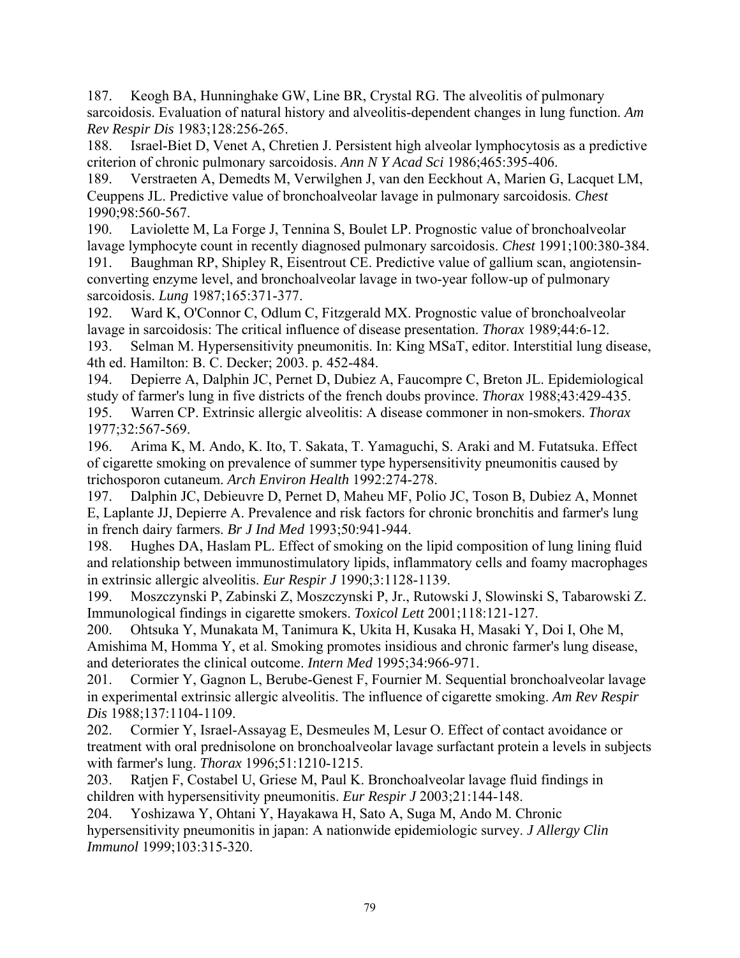187. Keogh BA, Hunninghake GW, Line BR, Crystal RG. The alveolitis of pulmonary sarcoidosis. Evaluation of natural history and alveolitis-dependent changes in lung function. *Am Rev Respir Dis* 1983;128:256-265.

188. Israel-Biet D, Venet A, Chretien J. Persistent high alveolar lymphocytosis as a predictive criterion of chronic pulmonary sarcoidosis. *Ann N Y Acad Sci* 1986;465:395-406.

189. Verstraeten A, Demedts M, Verwilghen J, van den Eeckhout A, Marien G, Lacquet LM, Ceuppens JL. Predictive value of bronchoalveolar lavage in pulmonary sarcoidosis. *Chest*  1990;98:560-567.

190. Laviolette M, La Forge J, Tennina S, Boulet LP. Prognostic value of bronchoalveolar lavage lymphocyte count in recently diagnosed pulmonary sarcoidosis. *Chest* 1991;100:380-384.

191. Baughman RP, Shipley R, Eisentrout CE. Predictive value of gallium scan, angiotensinconverting enzyme level, and bronchoalveolar lavage in two-year follow-up of pulmonary sarcoidosis. *Lung* 1987;165:371-377.

192. Ward K, O'Connor C, Odlum C, Fitzgerald MX. Prognostic value of bronchoalveolar lavage in sarcoidosis: The critical influence of disease presentation. *Thorax* 1989;44:6-12.

193. Selman M. Hypersensitivity pneumonitis. In: King MSaT, editor. Interstitial lung disease, 4th ed. Hamilton: B. C. Decker; 2003. p. 452-484.

194. Depierre A, Dalphin JC, Pernet D, Dubiez A, Faucompre C, Breton JL. Epidemiological study of farmer's lung in five districts of the french doubs province. *Thorax* 1988;43:429-435. 195. Warren CP. Extrinsic allergic alveolitis: A disease commoner in non-smokers. *Thorax*  1977;32:567-569.

196. Arima K, M. Ando, K. Ito, T. Sakata, T. Yamaguchi, S. Araki and M. Futatsuka. Effect of cigarette smoking on prevalence of summer type hypersensitivity pneumonitis caused by trichosporon cutaneum. *Arch Environ Health* 1992:274-278.

197. Dalphin JC, Debieuvre D, Pernet D, Maheu MF, Polio JC, Toson B, Dubiez A, Monnet E, Laplante JJ, Depierre A. Prevalence and risk factors for chronic bronchitis and farmer's lung in french dairy farmers. *Br J Ind Med* 1993;50:941-944.

198. Hughes DA, Haslam PL. Effect of smoking on the lipid composition of lung lining fluid and relationship between immunostimulatory lipids, inflammatory cells and foamy macrophages in extrinsic allergic alveolitis. *Eur Respir J* 1990;3:1128-1139.

199. Moszczynski P, Zabinski Z, Moszczynski P, Jr., Rutowski J, Slowinski S, Tabarowski Z. Immunological findings in cigarette smokers. *Toxicol Lett* 2001;118:121-127.

200. Ohtsuka Y, Munakata M, Tanimura K, Ukita H, Kusaka H, Masaki Y, Doi I, Ohe M, Amishima M, Homma Y, et al. Smoking promotes insidious and chronic farmer's lung disease, and deteriorates the clinical outcome. *Intern Med* 1995;34:966-971.

201. Cormier Y, Gagnon L, Berube-Genest F, Fournier M. Sequential bronchoalveolar lavage in experimental extrinsic allergic alveolitis. The influence of cigarette smoking. *Am Rev Respir Dis* 1988;137:1104-1109.

202. Cormier Y, Israel-Assayag E, Desmeules M, Lesur O. Effect of contact avoidance or treatment with oral prednisolone on bronchoalveolar lavage surfactant protein a levels in subjects with farmer's lung. *Thorax* 1996;51:1210-1215.

203. Ratjen F, Costabel U, Griese M, Paul K. Bronchoalveolar lavage fluid findings in children with hypersensitivity pneumonitis. *Eur Respir J* 2003;21:144-148.

204. Yoshizawa Y, Ohtani Y, Hayakawa H, Sato A, Suga M, Ando M. Chronic hypersensitivity pneumonitis in japan: A nationwide epidemiologic survey. *J Allergy Clin Immunol* 1999;103:315-320.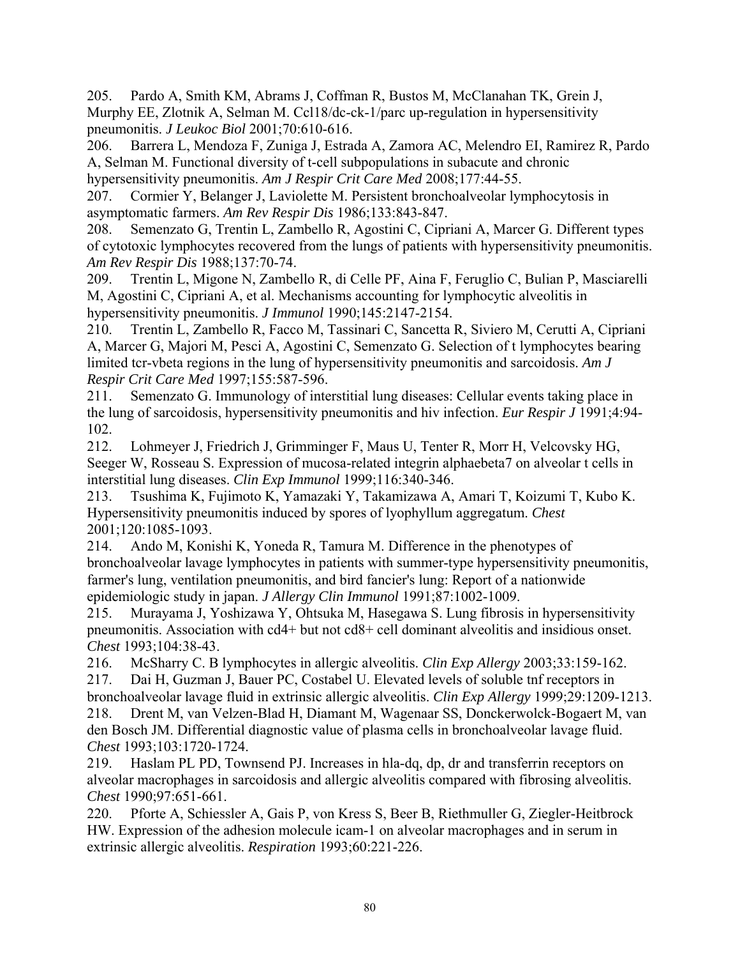205. Pardo A, Smith KM, Abrams J, Coffman R, Bustos M, McClanahan TK, Grein J, Murphy EE, Zlotnik A, Selman M. Ccl18/dc-ck-1/parc up-regulation in hypersensitivity pneumonitis. *J Leukoc Biol* 2001;70:610-616.

206. Barrera L, Mendoza F, Zuniga J, Estrada A, Zamora AC, Melendro EI, Ramirez R, Pardo A, Selman M. Functional diversity of t-cell subpopulations in subacute and chronic hypersensitivity pneumonitis. *Am J Respir Crit Care Med* 2008;177:44-55.

207. Cormier Y, Belanger J, Laviolette M. Persistent bronchoalveolar lymphocytosis in asymptomatic farmers. *Am Rev Respir Dis* 1986;133:843-847.

208. Semenzato G, Trentin L, Zambello R, Agostini C, Cipriani A, Marcer G. Different types of cytotoxic lymphocytes recovered from the lungs of patients with hypersensitivity pneumonitis. *Am Rev Respir Dis* 1988;137:70-74.

209. Trentin L, Migone N, Zambello R, di Celle PF, Aina F, Feruglio C, Bulian P, Masciarelli M, Agostini C, Cipriani A, et al. Mechanisms accounting for lymphocytic alveolitis in hypersensitivity pneumonitis. *J Immunol* 1990;145:2147-2154.

210. Trentin L, Zambello R, Facco M, Tassinari C, Sancetta R, Siviero M, Cerutti A, Cipriani A, Marcer G, Majori M, Pesci A, Agostini C, Semenzato G. Selection of t lymphocytes bearing limited tcr-vbeta regions in the lung of hypersensitivity pneumonitis and sarcoidosis. *Am J Respir Crit Care Med* 1997;155:587-596.

211. Semenzato G. Immunology of interstitial lung diseases: Cellular events taking place in the lung of sarcoidosis, hypersensitivity pneumonitis and hiv infection. *Eur Respir J* 1991;4:94- 102.

212. Lohmeyer J, Friedrich J, Grimminger F, Maus U, Tenter R, Morr H, Velcovsky HG, Seeger W, Rosseau S. Expression of mucosa-related integrin alphaebeta7 on alveolar t cells in interstitial lung diseases. *Clin Exp Immunol* 1999;116:340-346.

213. Tsushima K, Fujimoto K, Yamazaki Y, Takamizawa A, Amari T, Koizumi T, Kubo K. Hypersensitivity pneumonitis induced by spores of lyophyllum aggregatum. *Chest*  2001;120:1085-1093.

214. Ando M, Konishi K, Yoneda R, Tamura M. Difference in the phenotypes of bronchoalveolar lavage lymphocytes in patients with summer-type hypersensitivity pneumonitis, farmer's lung, ventilation pneumonitis, and bird fancier's lung: Report of a nationwide epidemiologic study in japan. *J Allergy Clin Immunol* 1991;87:1002-1009.

215. Murayama J, Yoshizawa Y, Ohtsuka M, Hasegawa S. Lung fibrosis in hypersensitivity pneumonitis. Association with cd4+ but not cd8+ cell dominant alveolitis and insidious onset. *Chest* 1993;104:38-43.

216. McSharry C. B lymphocytes in allergic alveolitis. *Clin Exp Allergy* 2003;33:159-162. 217. Dai H, Guzman J, Bauer PC, Costabel U. Elevated levels of soluble tnf receptors in

bronchoalveolar lavage fluid in extrinsic allergic alveolitis. *Clin Exp Allergy* 1999;29:1209-1213. 218. Drent M, van Velzen-Blad H, Diamant M, Wagenaar SS, Donckerwolck-Bogaert M, van den Bosch JM. Differential diagnostic value of plasma cells in bronchoalveolar lavage fluid. *Chest* 1993;103:1720-1724.

219. Haslam PL PD, Townsend PJ. Increases in hla-dq, dp, dr and transferrin receptors on alveolar macrophages in sarcoidosis and allergic alveolitis compared with fibrosing alveolitis. *Chest* 1990;97:651-661.

220. Pforte A, Schiessler A, Gais P, von Kress S, Beer B, Riethmuller G, Ziegler-Heitbrock HW. Expression of the adhesion molecule icam-1 on alveolar macrophages and in serum in extrinsic allergic alveolitis. *Respiration* 1993;60:221-226.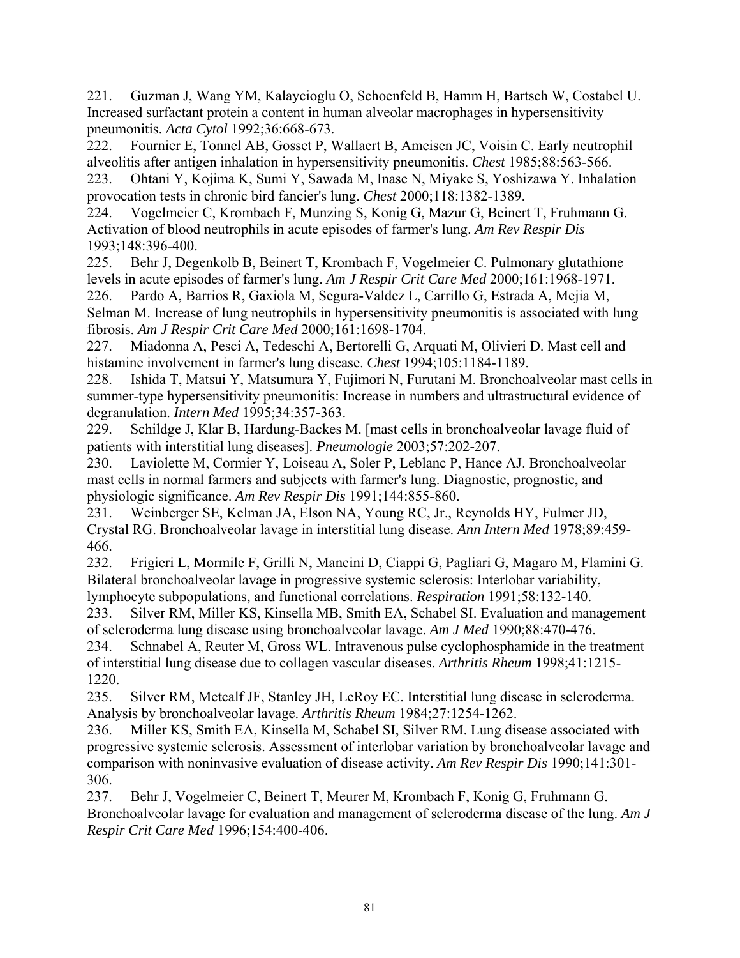221. Guzman J, Wang YM, Kalaycioglu O, Schoenfeld B, Hamm H, Bartsch W, Costabel U. Increased surfactant protein a content in human alveolar macrophages in hypersensitivity pneumonitis. *Acta Cytol* 1992;36:668-673.

222. Fournier E, Tonnel AB, Gosset P, Wallaert B, Ameisen JC, Voisin C. Early neutrophil alveolitis after antigen inhalation in hypersensitivity pneumonitis. *Chest* 1985;88:563-566.

223. Ohtani Y, Kojima K, Sumi Y, Sawada M, Inase N, Miyake S, Yoshizawa Y. Inhalation provocation tests in chronic bird fancier's lung. *Chest* 2000;118:1382-1389.

224. Vogelmeier C, Krombach F, Munzing S, Konig G, Mazur G, Beinert T, Fruhmann G. Activation of blood neutrophils in acute episodes of farmer's lung. *Am Rev Respir Dis*  1993;148:396-400.

225. Behr J, Degenkolb B, Beinert T, Krombach F, Vogelmeier C. Pulmonary glutathione levels in acute episodes of farmer's lung. *Am J Respir Crit Care Med* 2000;161:1968-1971.

226. Pardo A, Barrios R, Gaxiola M, Segura-Valdez L, Carrillo G, Estrada A, Mejia M, Selman M. Increase of lung neutrophils in hypersensitivity pneumonitis is associated with lung fibrosis. *Am J Respir Crit Care Med* 2000;161:1698-1704.

227. Miadonna A, Pesci A, Tedeschi A, Bertorelli G, Arquati M, Olivieri D. Mast cell and histamine involvement in farmer's lung disease. *Chest* 1994;105:1184-1189.

228. Ishida T, Matsui Y, Matsumura Y, Fujimori N, Furutani M. Bronchoalveolar mast cells in summer-type hypersensitivity pneumonitis: Increase in numbers and ultrastructural evidence of degranulation. *Intern Med* 1995;34:357-363.

229. Schildge J, Klar B, Hardung-Backes M. [mast cells in bronchoalveolar lavage fluid of patients with interstitial lung diseases]. *Pneumologie* 2003;57:202-207.

230. Laviolette M, Cormier Y, Loiseau A, Soler P, Leblanc P, Hance AJ. Bronchoalveolar mast cells in normal farmers and subjects with farmer's lung. Diagnostic, prognostic, and physiologic significance. *Am Rev Respir Dis* 1991;144:855-860.

231. Weinberger SE, Kelman JA, Elson NA, Young RC, Jr., Reynolds HY, Fulmer JD, Crystal RG. Bronchoalveolar lavage in interstitial lung disease. *Ann Intern Med* 1978;89:459- 466.

232. Frigieri L, Mormile F, Grilli N, Mancini D, Ciappi G, Pagliari G, Magaro M, Flamini G. Bilateral bronchoalveolar lavage in progressive systemic sclerosis: Interlobar variability, lymphocyte subpopulations, and functional correlations. *Respiration* 1991;58:132-140.

233. Silver RM, Miller KS, Kinsella MB, Smith EA, Schabel SI. Evaluation and management of scleroderma lung disease using bronchoalveolar lavage. *Am J Med* 1990;88:470-476.

234. Schnabel A, Reuter M, Gross WL. Intravenous pulse cyclophosphamide in the treatment of interstitial lung disease due to collagen vascular diseases. *Arthritis Rheum* 1998;41:1215- 1220.

235. Silver RM, Metcalf JF, Stanley JH, LeRoy EC. Interstitial lung disease in scleroderma. Analysis by bronchoalveolar lavage. *Arthritis Rheum* 1984;27:1254-1262.

236. Miller KS, Smith EA, Kinsella M, Schabel SI, Silver RM. Lung disease associated with progressive systemic sclerosis. Assessment of interlobar variation by bronchoalveolar lavage and comparison with noninvasive evaluation of disease activity. *Am Rev Respir Dis* 1990;141:301- 306.

237. Behr J, Vogelmeier C, Beinert T, Meurer M, Krombach F, Konig G, Fruhmann G. Bronchoalveolar lavage for evaluation and management of scleroderma disease of the lung. *Am J Respir Crit Care Med* 1996;154:400-406.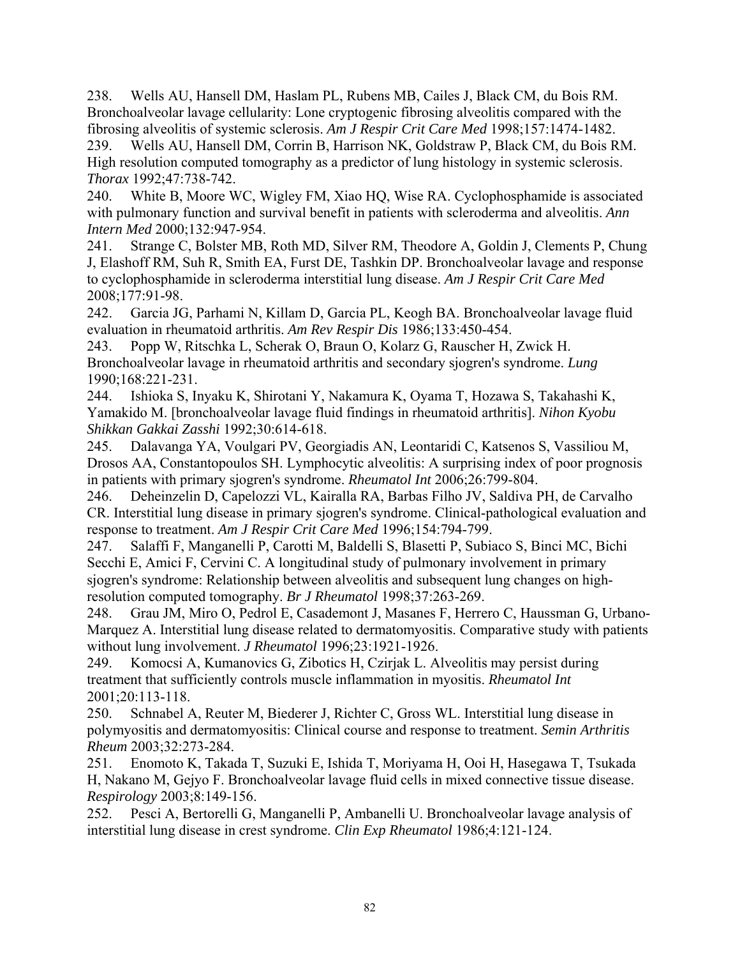238. Wells AU, Hansell DM, Haslam PL, Rubens MB, Cailes J, Black CM, du Bois RM. Bronchoalveolar lavage cellularity: Lone cryptogenic fibrosing alveolitis compared with the fibrosing alveolitis of systemic sclerosis. *Am J Respir Crit Care Med* 1998;157:1474-1482.

239. Wells AU, Hansell DM, Corrin B, Harrison NK, Goldstraw P, Black CM, du Bois RM. High resolution computed tomography as a predictor of lung histology in systemic sclerosis. *Thorax* 1992;47:738-742.

240. White B, Moore WC, Wigley FM, Xiao HQ, Wise RA. Cyclophosphamide is associated with pulmonary function and survival benefit in patients with scleroderma and alveolitis. *Ann Intern Med* 2000;132:947-954.

241. Strange C, Bolster MB, Roth MD, Silver RM, Theodore A, Goldin J, Clements P, Chung J, Elashoff RM, Suh R, Smith EA, Furst DE, Tashkin DP. Bronchoalveolar lavage and response to cyclophosphamide in scleroderma interstitial lung disease. *Am J Respir Crit Care Med*  2008;177:91-98.

242. Garcia JG, Parhami N, Killam D, Garcia PL, Keogh BA. Bronchoalveolar lavage fluid evaluation in rheumatoid arthritis. *Am Rev Respir Dis* 1986;133:450-454.

243. Popp W, Ritschka L, Scherak O, Braun O, Kolarz G, Rauscher H, Zwick H. Bronchoalveolar lavage in rheumatoid arthritis and secondary sjogren's syndrome. *Lung*  1990;168:221-231.

244. Ishioka S, Inyaku K, Shirotani Y, Nakamura K, Oyama T, Hozawa S, Takahashi K, Yamakido M. [bronchoalveolar lavage fluid findings in rheumatoid arthritis]. *Nihon Kyobu Shikkan Gakkai Zasshi* 1992;30:614-618.

245. Dalavanga YA, Voulgari PV, Georgiadis AN, Leontaridi C, Katsenos S, Vassiliou M, Drosos AA, Constantopoulos SH. Lymphocytic alveolitis: A surprising index of poor prognosis in patients with primary sjogren's syndrome. *Rheumatol Int* 2006;26:799-804.

246. Deheinzelin D, Capelozzi VL, Kairalla RA, Barbas Filho JV, Saldiva PH, de Carvalho CR. Interstitial lung disease in primary sjogren's syndrome. Clinical-pathological evaluation and response to treatment. *Am J Respir Crit Care Med* 1996;154:794-799.

247. Salaffi F, Manganelli P, Carotti M, Baldelli S, Blasetti P, Subiaco S, Binci MC, Bichi Secchi E, Amici F, Cervini C. A longitudinal study of pulmonary involvement in primary sjogren's syndrome: Relationship between alveolitis and subsequent lung changes on highresolution computed tomography. *Br J Rheumatol* 1998;37:263-269.

248. Grau JM, Miro O, Pedrol E, Casademont J, Masanes F, Herrero C, Haussman G, Urbano-Marquez A. Interstitial lung disease related to dermatomyositis. Comparative study with patients without lung involvement. *J Rheumatol* 1996;23:1921-1926.

249. Komocsi A, Kumanovics G, Zibotics H, Czirjak L. Alveolitis may persist during treatment that sufficiently controls muscle inflammation in myositis. *Rheumatol Int*  2001;20:113-118.

250. Schnabel A, Reuter M, Biederer J, Richter C, Gross WL. Interstitial lung disease in polymyositis and dermatomyositis: Clinical course and response to treatment. *Semin Arthritis Rheum* 2003;32:273-284.

251. Enomoto K, Takada T, Suzuki E, Ishida T, Moriyama H, Ooi H, Hasegawa T, Tsukada H, Nakano M, Gejyo F. Bronchoalveolar lavage fluid cells in mixed connective tissue disease. *Respirology* 2003;8:149-156.

252. Pesci A, Bertorelli G, Manganelli P, Ambanelli U. Bronchoalveolar lavage analysis of interstitial lung disease in crest syndrome. *Clin Exp Rheumatol* 1986;4:121-124.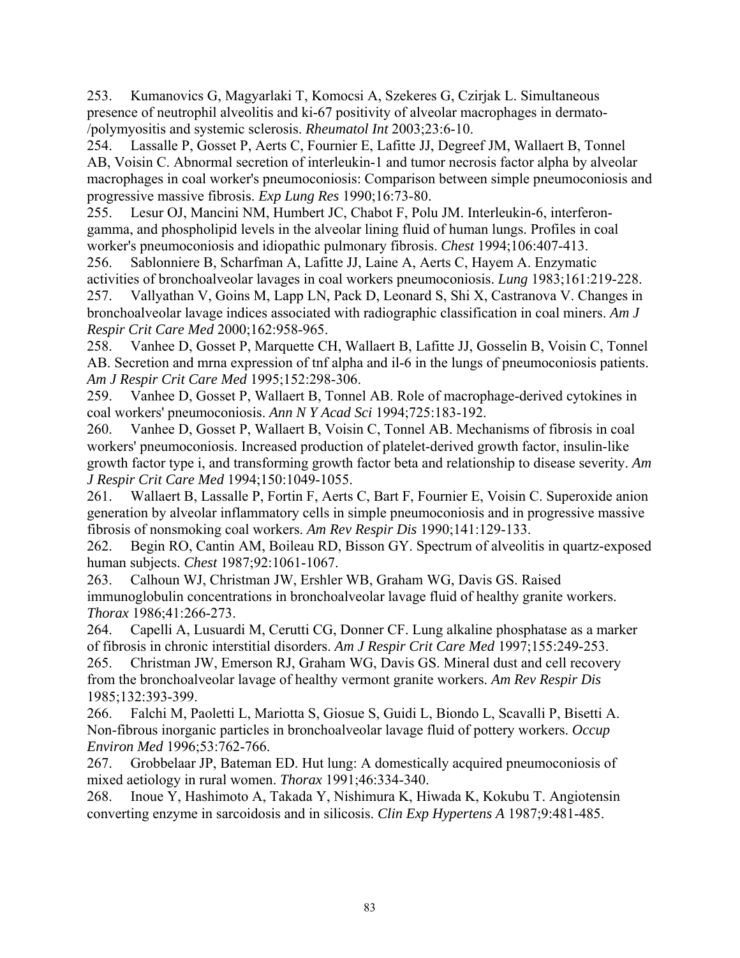253. Kumanovics G, Magyarlaki T, Komocsi A, Szekeres G, Czirjak L. Simultaneous presence of neutrophil alveolitis and ki-67 positivity of alveolar macrophages in dermato- /polymyositis and systemic sclerosis. *Rheumatol Int* 2003;23:6-10.

254. Lassalle P, Gosset P, Aerts C, Fournier E, Lafitte JJ, Degreef JM, Wallaert B, Tonnel AB, Voisin C. Abnormal secretion of interleukin-1 and tumor necrosis factor alpha by alveolar macrophages in coal worker's pneumoconiosis: Comparison between simple pneumoconiosis and progressive massive fibrosis. *Exp Lung Res* 1990;16:73-80.

255. Lesur OJ, Mancini NM, Humbert JC, Chabot F, Polu JM. Interleukin-6, interferongamma, and phospholipid levels in the alveolar lining fluid of human lungs. Profiles in coal worker's pneumoconiosis and idiopathic pulmonary fibrosis. *Chest* 1994;106:407-413.

256. Sablonniere B, Scharfman A, Lafitte JJ, Laine A, Aerts C, Hayem A. Enzymatic activities of bronchoalveolar lavages in coal workers pneumoconiosis. *Lung* 1983;161:219-228. 257. Vallyathan V, Goins M, Lapp LN, Pack D, Leonard S, Shi X, Castranova V. Changes in bronchoalveolar lavage indices associated with radiographic classification in coal miners. *Am J Respir Crit Care Med* 2000;162:958-965.

258. Vanhee D, Gosset P, Marquette CH, Wallaert B, Lafitte JJ, Gosselin B, Voisin C, Tonnel AB. Secretion and mrna expression of tnf alpha and il-6 in the lungs of pneumoconiosis patients. *Am J Respir Crit Care Med* 1995;152:298-306.

259. Vanhee D, Gosset P, Wallaert B, Tonnel AB. Role of macrophage-derived cytokines in coal workers' pneumoconiosis. *Ann N Y Acad Sci* 1994;725:183-192.

260. Vanhee D, Gosset P, Wallaert B, Voisin C, Tonnel AB. Mechanisms of fibrosis in coal workers' pneumoconiosis. Increased production of platelet-derived growth factor, insulin-like growth factor type i, and transforming growth factor beta and relationship to disease severity. *Am J Respir Crit Care Med* 1994;150:1049-1055.

261. Wallaert B, Lassalle P, Fortin F, Aerts C, Bart F, Fournier E, Voisin C. Superoxide anion generation by alveolar inflammatory cells in simple pneumoconiosis and in progressive massive fibrosis of nonsmoking coal workers. *Am Rev Respir Dis* 1990;141:129-133.

262. Begin RO, Cantin AM, Boileau RD, Bisson GY. Spectrum of alveolitis in quartz-exposed human subjects. *Chest* 1987;92:1061-1067.

263. Calhoun WJ, Christman JW, Ershler WB, Graham WG, Davis GS. Raised immunoglobulin concentrations in bronchoalveolar lavage fluid of healthy granite workers. *Thorax* 1986;41:266-273.

264. Capelli A, Lusuardi M, Cerutti CG, Donner CF. Lung alkaline phosphatase as a marker of fibrosis in chronic interstitial disorders. *Am J Respir Crit Care Med* 1997;155:249-253.

265. Christman JW, Emerson RJ, Graham WG, Davis GS. Mineral dust and cell recovery from the bronchoalveolar lavage of healthy vermont granite workers. *Am Rev Respir Dis*  1985;132:393-399.

266. Falchi M, Paoletti L, Mariotta S, Giosue S, Guidi L, Biondo L, Scavalli P, Bisetti A. Non-fibrous inorganic particles in bronchoalveolar lavage fluid of pottery workers. *Occup Environ Med* 1996;53:762-766.

267. Grobbelaar JP, Bateman ED. Hut lung: A domestically acquired pneumoconiosis of mixed aetiology in rural women. *Thorax* 1991;46:334-340.

268. Inoue Y, Hashimoto A, Takada Y, Nishimura K, Hiwada K, Kokubu T. Angiotensin converting enzyme in sarcoidosis and in silicosis. *Clin Exp Hypertens A* 1987;9:481-485.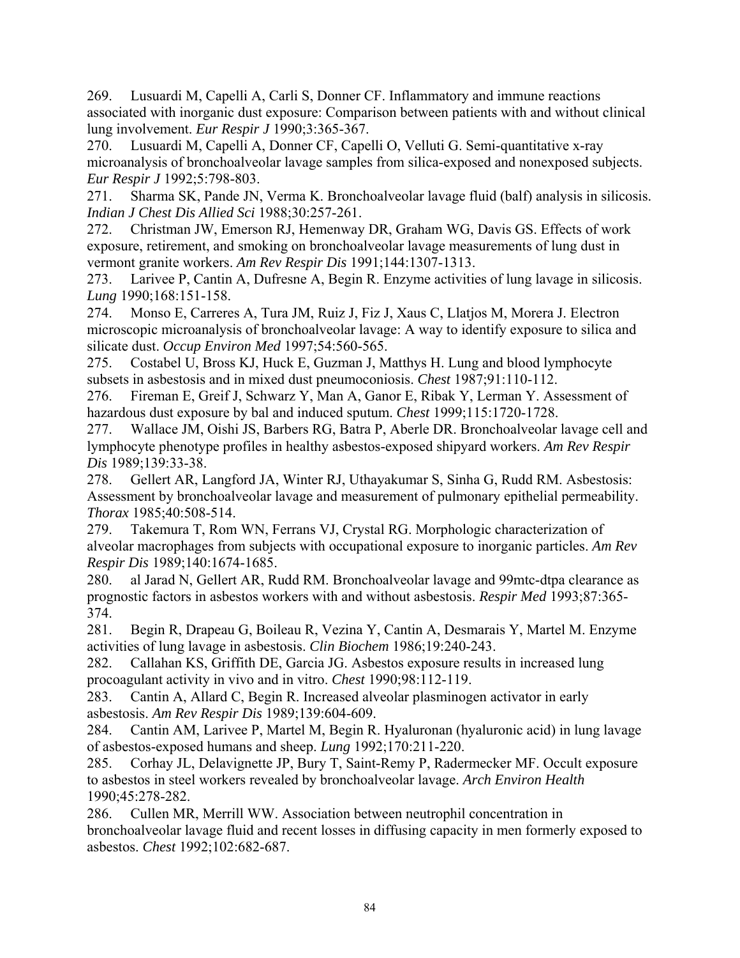269. Lusuardi M, Capelli A, Carli S, Donner CF. Inflammatory and immune reactions associated with inorganic dust exposure: Comparison between patients with and without clinical lung involvement. *Eur Respir J* 1990;3:365-367.

270. Lusuardi M, Capelli A, Donner CF, Capelli O, Velluti G. Semi-quantitative x-ray microanalysis of bronchoalveolar lavage samples from silica-exposed and nonexposed subjects. *Eur Respir J* 1992;5:798-803.

271. Sharma SK, Pande JN, Verma K. Bronchoalveolar lavage fluid (balf) analysis in silicosis. *Indian J Chest Dis Allied Sci* 1988;30:257-261.

272. Christman JW, Emerson RJ, Hemenway DR, Graham WG, Davis GS. Effects of work exposure, retirement, and smoking on bronchoalveolar lavage measurements of lung dust in vermont granite workers. *Am Rev Respir Dis* 1991;144:1307-1313.

273. Larivee P, Cantin A, Dufresne A, Begin R. Enzyme activities of lung lavage in silicosis. *Lung* 1990;168:151-158.

274. Monso E, Carreres A, Tura JM, Ruiz J, Fiz J, Xaus C, Llatjos M, Morera J. Electron microscopic microanalysis of bronchoalveolar lavage: A way to identify exposure to silica and silicate dust. *Occup Environ Med* 1997;54:560-565.

275. Costabel U, Bross KJ, Huck E, Guzman J, Matthys H. Lung and blood lymphocyte subsets in asbestosis and in mixed dust pneumoconiosis. *Chest* 1987;91:110-112.

276. Fireman E, Greif J, Schwarz Y, Man A, Ganor E, Ribak Y, Lerman Y. Assessment of hazardous dust exposure by bal and induced sputum. *Chest* 1999;115:1720-1728.

277. Wallace JM, Oishi JS, Barbers RG, Batra P, Aberle DR. Bronchoalveolar lavage cell and lymphocyte phenotype profiles in healthy asbestos-exposed shipyard workers. *Am Rev Respir Dis* 1989;139:33-38.

278. Gellert AR, Langford JA, Winter RJ, Uthayakumar S, Sinha G, Rudd RM. Asbestosis: Assessment by bronchoalveolar lavage and measurement of pulmonary epithelial permeability. *Thorax* 1985;40:508-514.

279. Takemura T, Rom WN, Ferrans VJ, Crystal RG. Morphologic characterization of alveolar macrophages from subjects with occupational exposure to inorganic particles. *Am Rev Respir Dis* 1989;140:1674-1685.

280. al Jarad N, Gellert AR, Rudd RM. Bronchoalveolar lavage and 99mtc-dtpa clearance as prognostic factors in asbestos workers with and without asbestosis. *Respir Med* 1993;87:365- 374.

281. Begin R, Drapeau G, Boileau R, Vezina Y, Cantin A, Desmarais Y, Martel M. Enzyme activities of lung lavage in asbestosis. *Clin Biochem* 1986;19:240-243.

282. Callahan KS, Griffith DE, Garcia JG. Asbestos exposure results in increased lung procoagulant activity in vivo and in vitro. *Chest* 1990;98:112-119.

283. Cantin A, Allard C, Begin R. Increased alveolar plasminogen activator in early asbestosis. *Am Rev Respir Dis* 1989;139:604-609.

284. Cantin AM, Larivee P, Martel M, Begin R. Hyaluronan (hyaluronic acid) in lung lavage of asbestos-exposed humans and sheep. *Lung* 1992;170:211-220.

285. Corhay JL, Delavignette JP, Bury T, Saint-Remy P, Radermecker MF. Occult exposure to asbestos in steel workers revealed by bronchoalveolar lavage. *Arch Environ Health*  1990;45:278-282.

286. Cullen MR, Merrill WW. Association between neutrophil concentration in bronchoalveolar lavage fluid and recent losses in diffusing capacity in men formerly exposed to asbestos. *Chest* 1992;102:682-687.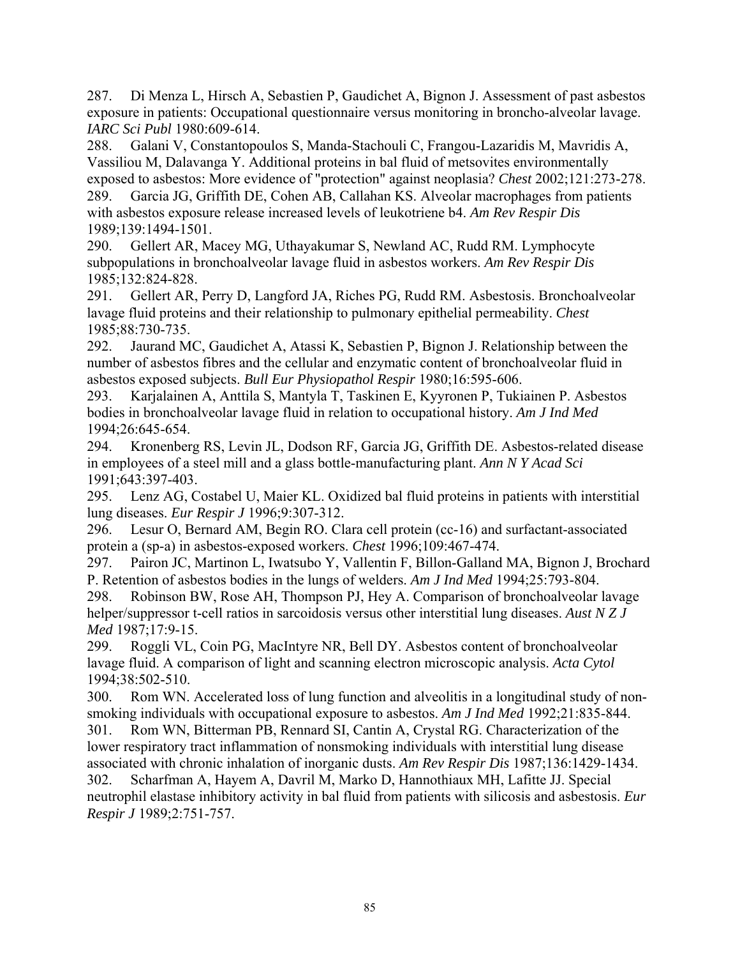287. Di Menza L, Hirsch A, Sebastien P, Gaudichet A, Bignon J. Assessment of past asbestos exposure in patients: Occupational questionnaire versus monitoring in broncho-alveolar lavage. *IARC Sci Publ* 1980:609-614.

288. Galani V, Constantopoulos S, Manda-Stachouli C, Frangou-Lazaridis M, Mavridis A, Vassiliou M, Dalavanga Y. Additional proteins in bal fluid of metsovites environmentally exposed to asbestos: More evidence of "protection" against neoplasia? *Chest* 2002;121:273-278. 289. Garcia JG, Griffith DE, Cohen AB, Callahan KS. Alveolar macrophages from patients with asbestos exposure release increased levels of leukotriene b4. *Am Rev Respir Dis*  1989;139:1494-1501.

290. Gellert AR, Macey MG, Uthayakumar S, Newland AC, Rudd RM. Lymphocyte subpopulations in bronchoalveolar lavage fluid in asbestos workers. *Am Rev Respir Dis*  1985;132:824-828.

291. Gellert AR, Perry D, Langford JA, Riches PG, Rudd RM. Asbestosis. Bronchoalveolar lavage fluid proteins and their relationship to pulmonary epithelial permeability. *Chest*  1985;88:730-735.

292. Jaurand MC, Gaudichet A, Atassi K, Sebastien P, Bignon J. Relationship between the number of asbestos fibres and the cellular and enzymatic content of bronchoalveolar fluid in asbestos exposed subjects. *Bull Eur Physiopathol Respir* 1980;16:595-606.

293. Karjalainen A, Anttila S, Mantyla T, Taskinen E, Kyyronen P, Tukiainen P. Asbestos bodies in bronchoalveolar lavage fluid in relation to occupational history. *Am J Ind Med*  1994;26:645-654.

294. Kronenberg RS, Levin JL, Dodson RF, Garcia JG, Griffith DE. Asbestos-related disease in employees of a steel mill and a glass bottle-manufacturing plant. *Ann N Y Acad Sci*  1991;643:397-403.

295. Lenz AG, Costabel U, Maier KL. Oxidized bal fluid proteins in patients with interstitial lung diseases. *Eur Respir J* 1996;9:307-312.

296. Lesur O, Bernard AM, Begin RO. Clara cell protein (cc-16) and surfactant-associated protein a (sp-a) in asbestos-exposed workers. *Chest* 1996;109:467-474.

297. Pairon JC, Martinon L, Iwatsubo Y, Vallentin F, Billon-Galland MA, Bignon J, Brochard P. Retention of asbestos bodies in the lungs of welders. *Am J Ind Med* 1994;25:793-804.

298. Robinson BW, Rose AH, Thompson PJ, Hey A. Comparison of bronchoalveolar lavage helper/suppressor t-cell ratios in sarcoidosis versus other interstitial lung diseases. *Aust N Z J Med* 1987;17:9-15.

299. Roggli VL, Coin PG, MacIntyre NR, Bell DY. Asbestos content of bronchoalveolar lavage fluid. A comparison of light and scanning electron microscopic analysis. *Acta Cytol*  1994;38:502-510.

300. Rom WN. Accelerated loss of lung function and alveolitis in a longitudinal study of nonsmoking individuals with occupational exposure to asbestos. *Am J Ind Med* 1992;21:835-844.

301. Rom WN, Bitterman PB, Rennard SI, Cantin A, Crystal RG. Characterization of the lower respiratory tract inflammation of nonsmoking individuals with interstitial lung disease associated with chronic inhalation of inorganic dusts. *Am Rev Respir Dis* 1987;136:1429-1434.

302. Scharfman A, Hayem A, Davril M, Marko D, Hannothiaux MH, Lafitte JJ. Special neutrophil elastase inhibitory activity in bal fluid from patients with silicosis and asbestosis. *Eur Respir J* 1989;2:751-757.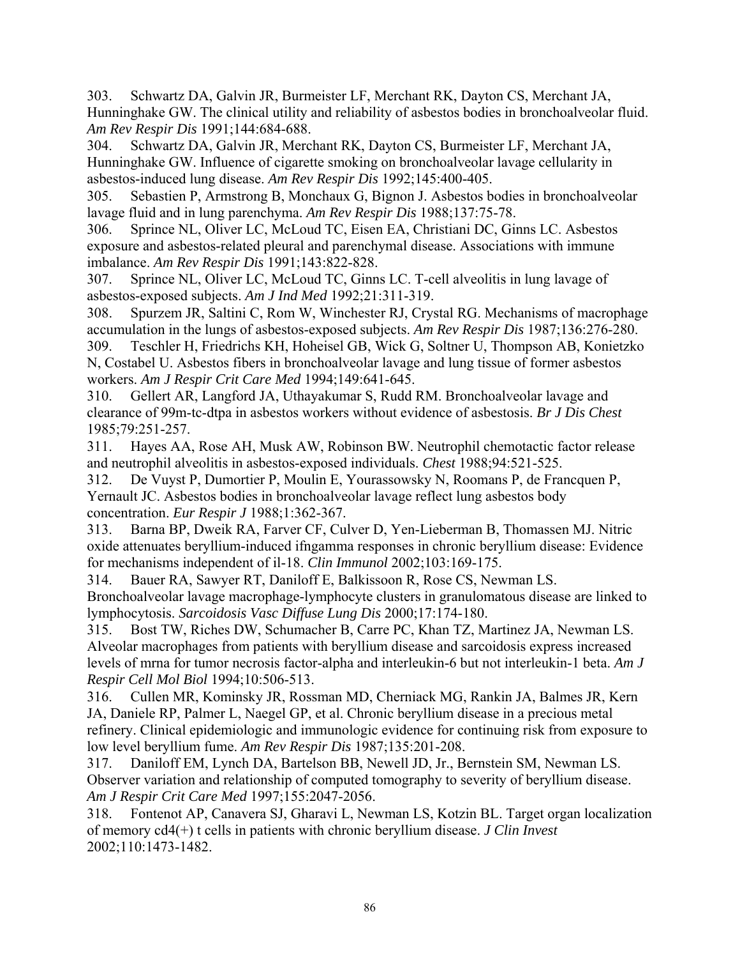303. Schwartz DA, Galvin JR, Burmeister LF, Merchant RK, Dayton CS, Merchant JA, Hunninghake GW. The clinical utility and reliability of asbestos bodies in bronchoalveolar fluid. *Am Rev Respir Dis* 1991;144:684-688.

304. Schwartz DA, Galvin JR, Merchant RK, Dayton CS, Burmeister LF, Merchant JA, Hunninghake GW. Influence of cigarette smoking on bronchoalveolar lavage cellularity in asbestos-induced lung disease. *Am Rev Respir Dis* 1992;145:400-405.

305. Sebastien P, Armstrong B, Monchaux G, Bignon J. Asbestos bodies in bronchoalveolar lavage fluid and in lung parenchyma. *Am Rev Respir Dis* 1988;137:75-78.

306. Sprince NL, Oliver LC, McLoud TC, Eisen EA, Christiani DC, Ginns LC. Asbestos exposure and asbestos-related pleural and parenchymal disease. Associations with immune imbalance. *Am Rev Respir Dis* 1991;143:822-828.

307. Sprince NL, Oliver LC, McLoud TC, Ginns LC. T-cell alveolitis in lung lavage of asbestos-exposed subjects. *Am J Ind Med* 1992;21:311-319.

308. Spurzem JR, Saltini C, Rom W, Winchester RJ, Crystal RG. Mechanisms of macrophage accumulation in the lungs of asbestos-exposed subjects. *Am Rev Respir Dis* 1987;136:276-280.

309. Teschler H, Friedrichs KH, Hoheisel GB, Wick G, Soltner U, Thompson AB, Konietzko N, Costabel U. Asbestos fibers in bronchoalveolar lavage and lung tissue of former asbestos workers. *Am J Respir Crit Care Med* 1994;149:641-645.

310. Gellert AR, Langford JA, Uthayakumar S, Rudd RM. Bronchoalveolar lavage and clearance of 99m-tc-dtpa in asbestos workers without evidence of asbestosis. *Br J Dis Chest*  1985;79:251-257.

311. Hayes AA, Rose AH, Musk AW, Robinson BW. Neutrophil chemotactic factor release and neutrophil alveolitis in asbestos-exposed individuals. *Chest* 1988;94:521-525.

312. De Vuyst P, Dumortier P, Moulin E, Yourassowsky N, Roomans P, de Francquen P, Yernault JC. Asbestos bodies in bronchoalveolar lavage reflect lung asbestos body concentration. *Eur Respir J* 1988;1:362-367.

313. Barna BP, Dweik RA, Farver CF, Culver D, Yen-Lieberman B, Thomassen MJ. Nitric oxide attenuates beryllium-induced ifngamma responses in chronic beryllium disease: Evidence for mechanisms independent of il-18. *Clin Immunol* 2002;103:169-175.

314. Bauer RA, Sawyer RT, Daniloff E, Balkissoon R, Rose CS, Newman LS. Bronchoalveolar lavage macrophage-lymphocyte clusters in granulomatous disease are linked to lymphocytosis. *Sarcoidosis Vasc Diffuse Lung Dis* 2000;17:174-180.

315. Bost TW, Riches DW, Schumacher B, Carre PC, Khan TZ, Martinez JA, Newman LS. Alveolar macrophages from patients with beryllium disease and sarcoidosis express increased levels of mrna for tumor necrosis factor-alpha and interleukin-6 but not interleukin-1 beta. *Am J Respir Cell Mol Biol* 1994;10:506-513.

316. Cullen MR, Kominsky JR, Rossman MD, Cherniack MG, Rankin JA, Balmes JR, Kern JA, Daniele RP, Palmer L, Naegel GP, et al. Chronic beryllium disease in a precious metal refinery. Clinical epidemiologic and immunologic evidence for continuing risk from exposure to low level beryllium fume. *Am Rev Respir Dis* 1987;135:201-208.

317. Daniloff EM, Lynch DA, Bartelson BB, Newell JD, Jr., Bernstein SM, Newman LS. Observer variation and relationship of computed tomography to severity of beryllium disease. *Am J Respir Crit Care Med* 1997;155:2047-2056.

318. Fontenot AP, Canavera SJ, Gharavi L, Newman LS, Kotzin BL. Target organ localization of memory cd4(+) t cells in patients with chronic beryllium disease. *J Clin Invest*  2002;110:1473-1482.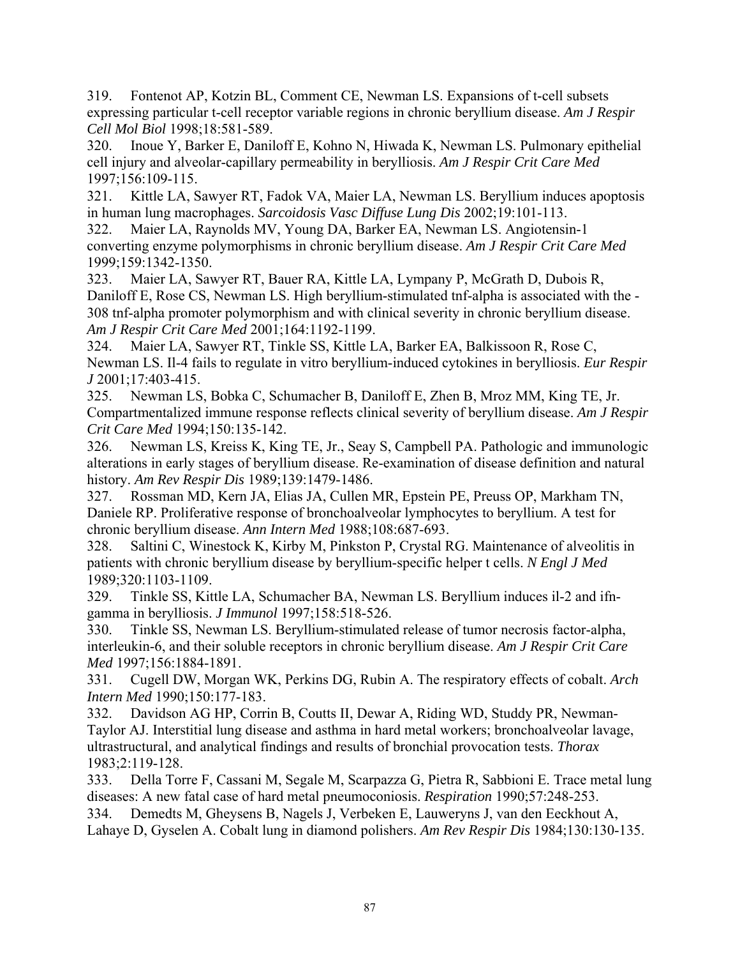319. Fontenot AP, Kotzin BL, Comment CE, Newman LS. Expansions of t-cell subsets expressing particular t-cell receptor variable regions in chronic beryllium disease. *Am J Respir Cell Mol Biol* 1998;18:581-589.

320. Inoue Y, Barker E, Daniloff E, Kohno N, Hiwada K, Newman LS. Pulmonary epithelial cell injury and alveolar-capillary permeability in berylliosis. *Am J Respir Crit Care Med*  1997;156:109-115.

321. Kittle LA, Sawyer RT, Fadok VA, Maier LA, Newman LS. Beryllium induces apoptosis in human lung macrophages. *Sarcoidosis Vasc Diffuse Lung Dis* 2002;19:101-113.

322. Maier LA, Raynolds MV, Young DA, Barker EA, Newman LS. Angiotensin-1 converting enzyme polymorphisms in chronic beryllium disease. *Am J Respir Crit Care Med*  1999;159:1342-1350.

323. Maier LA, Sawyer RT, Bauer RA, Kittle LA, Lympany P, McGrath D, Dubois R, Daniloff E, Rose CS, Newman LS. High beryllium-stimulated tnf-alpha is associated with the - 308 tnf-alpha promoter polymorphism and with clinical severity in chronic beryllium disease. *Am J Respir Crit Care Med* 2001;164:1192-1199.

324. Maier LA, Sawyer RT, Tinkle SS, Kittle LA, Barker EA, Balkissoon R, Rose C, Newman LS. Il-4 fails to regulate in vitro beryllium-induced cytokines in berylliosis. *Eur Respir J* 2001;17:403-415.

325. Newman LS, Bobka C, Schumacher B, Daniloff E, Zhen B, Mroz MM, King TE, Jr. Compartmentalized immune response reflects clinical severity of beryllium disease. *Am J Respir Crit Care Med* 1994;150:135-142.

326. Newman LS, Kreiss K, King TE, Jr., Seay S, Campbell PA. Pathologic and immunologic alterations in early stages of beryllium disease. Re-examination of disease definition and natural history. *Am Rev Respir Dis* 1989;139:1479-1486.

327. Rossman MD, Kern JA, Elias JA, Cullen MR, Epstein PE, Preuss OP, Markham TN, Daniele RP. Proliferative response of bronchoalveolar lymphocytes to beryllium. A test for chronic beryllium disease. *Ann Intern Med* 1988;108:687-693.

328. Saltini C, Winestock K, Kirby M, Pinkston P, Crystal RG. Maintenance of alveolitis in patients with chronic beryllium disease by beryllium-specific helper t cells. *N Engl J Med*  1989;320:1103-1109.

329. Tinkle SS, Kittle LA, Schumacher BA, Newman LS. Beryllium induces il-2 and ifngamma in berylliosis. *J Immunol* 1997;158:518-526.

330. Tinkle SS, Newman LS. Beryllium-stimulated release of tumor necrosis factor-alpha, interleukin-6, and their soluble receptors in chronic beryllium disease. *Am J Respir Crit Care Med* 1997;156:1884-1891.

331. Cugell DW, Morgan WK, Perkins DG, Rubin A. The respiratory effects of cobalt. *Arch Intern Med* 1990;150:177-183.

332. Davidson AG HP, Corrin B, Coutts II, Dewar A, Riding WD, Studdy PR, Newman-Taylor AJ. Interstitial lung disease and asthma in hard metal workers; bronchoalveolar lavage, ultrastructural, and analytical findings and results of bronchial provocation tests. *Thorax*  1983;2:119-128.

333. Della Torre F, Cassani M, Segale M, Scarpazza G, Pietra R, Sabbioni E. Trace metal lung diseases: A new fatal case of hard metal pneumoconiosis. *Respiration* 1990;57:248-253.

334. Demedts M, Gheysens B, Nagels J, Verbeken E, Lauweryns J, van den Eeckhout A, Lahaye D, Gyselen A. Cobalt lung in diamond polishers. *Am Rev Respir Dis* 1984;130:130-135.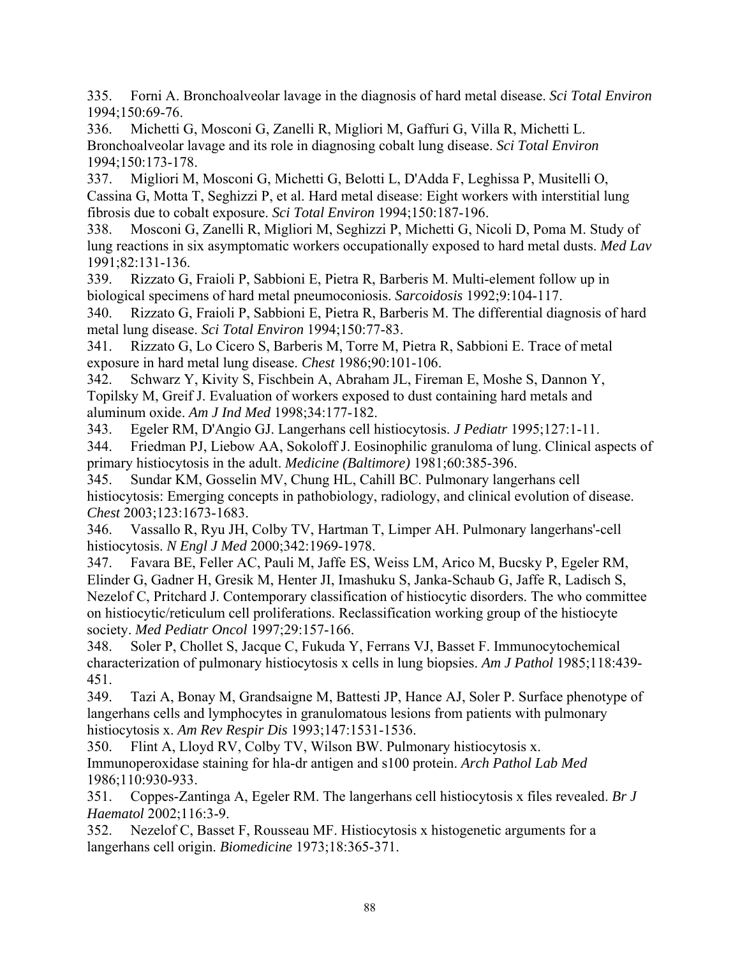335. Forni A. Bronchoalveolar lavage in the diagnosis of hard metal disease. *Sci Total Environ*  1994;150:69-76.

336. Michetti G, Mosconi G, Zanelli R, Migliori M, Gaffuri G, Villa R, Michetti L. Bronchoalveolar lavage and its role in diagnosing cobalt lung disease. *Sci Total Environ*  1994;150:173-178.

337. Migliori M, Mosconi G, Michetti G, Belotti L, D'Adda F, Leghissa P, Musitelli O, Cassina G, Motta T, Seghizzi P, et al. Hard metal disease: Eight workers with interstitial lung fibrosis due to cobalt exposure. *Sci Total Environ* 1994;150:187-196.

338. Mosconi G, Zanelli R, Migliori M, Seghizzi P, Michetti G, Nicoli D, Poma M. Study of lung reactions in six asymptomatic workers occupationally exposed to hard metal dusts. *Med Lav*  1991;82:131-136.

339. Rizzato G, Fraioli P, Sabbioni E, Pietra R, Barberis M. Multi-element follow up in biological specimens of hard metal pneumoconiosis. *Sarcoidosis* 1992;9:104-117.

340. Rizzato G, Fraioli P, Sabbioni E, Pietra R, Barberis M. The differential diagnosis of hard metal lung disease. *Sci Total Environ* 1994;150:77-83.

341. Rizzato G, Lo Cicero S, Barberis M, Torre M, Pietra R, Sabbioni E. Trace of metal exposure in hard metal lung disease. *Chest* 1986;90:101-106.

342. Schwarz Y, Kivity S, Fischbein A, Abraham JL, Fireman E, Moshe S, Dannon Y, Topilsky M, Greif J. Evaluation of workers exposed to dust containing hard metals and aluminum oxide. *Am J Ind Med* 1998;34:177-182.

343. Egeler RM, D'Angio GJ. Langerhans cell histiocytosis. *J Pediatr* 1995;127:1-11.

344. Friedman PJ, Liebow AA, Sokoloff J. Eosinophilic granuloma of lung. Clinical aspects of primary histiocytosis in the adult. *Medicine (Baltimore)* 1981;60:385-396.

345. Sundar KM, Gosselin MV, Chung HL, Cahill BC. Pulmonary langerhans cell histiocytosis: Emerging concepts in pathobiology, radiology, and clinical evolution of disease. *Chest* 2003;123:1673-1683.

346. Vassallo R, Ryu JH, Colby TV, Hartman T, Limper AH. Pulmonary langerhans'-cell histiocytosis. *N Engl J Med* 2000;342:1969-1978.

347. Favara BE, Feller AC, Pauli M, Jaffe ES, Weiss LM, Arico M, Bucsky P, Egeler RM, Elinder G, Gadner H, Gresik M, Henter JI, Imashuku S, Janka-Schaub G, Jaffe R, Ladisch S, Nezelof C, Pritchard J. Contemporary classification of histiocytic disorders. The who committee on histiocytic/reticulum cell proliferations. Reclassification working group of the histiocyte society. *Med Pediatr Oncol* 1997;29:157-166.

348. Soler P, Chollet S, Jacque C, Fukuda Y, Ferrans VJ, Basset F. Immunocytochemical characterization of pulmonary histiocytosis x cells in lung biopsies. *Am J Pathol* 1985;118:439- 451.

349. Tazi A, Bonay M, Grandsaigne M, Battesti JP, Hance AJ, Soler P. Surface phenotype of langerhans cells and lymphocytes in granulomatous lesions from patients with pulmonary histiocytosis x. *Am Rev Respir Dis* 1993;147:1531-1536.

350. Flint A, Lloyd RV, Colby TV, Wilson BW. Pulmonary histiocytosis x. Immunoperoxidase staining for hla-dr antigen and s100 protein. *Arch Pathol Lab Med*  1986;110:930-933.

351. Coppes-Zantinga A, Egeler RM. The langerhans cell histiocytosis x files revealed. *Br J Haematol* 2002;116:3-9.

352. Nezelof C, Basset F, Rousseau MF. Histiocytosis x histogenetic arguments for a langerhans cell origin. *Biomedicine* 1973;18:365-371.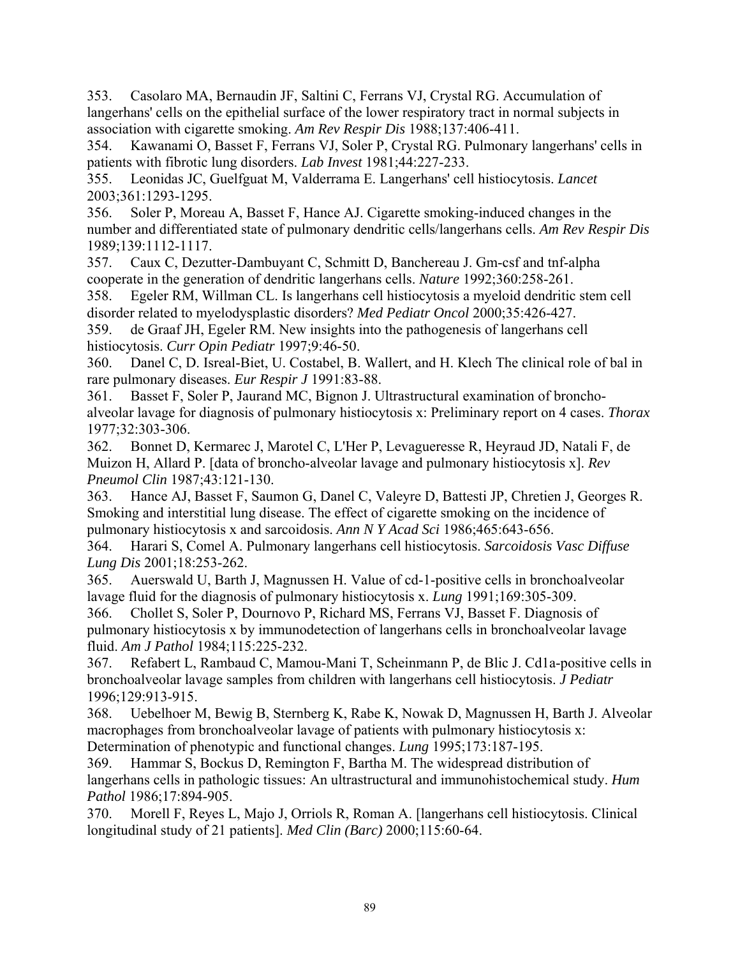353. Casolaro MA, Bernaudin JF, Saltini C, Ferrans VJ, Crystal RG. Accumulation of langerhans' cells on the epithelial surface of the lower respiratory tract in normal subjects in association with cigarette smoking. *Am Rev Respir Dis* 1988;137:406-411.

354. Kawanami O, Basset F, Ferrans VJ, Soler P, Crystal RG. Pulmonary langerhans' cells in patients with fibrotic lung disorders. *Lab Invest* 1981;44:227-233.

355. Leonidas JC, Guelfguat M, Valderrama E. Langerhans' cell histiocytosis. *Lancet*  2003;361:1293-1295.

356. Soler P, Moreau A, Basset F, Hance AJ. Cigarette smoking-induced changes in the number and differentiated state of pulmonary dendritic cells/langerhans cells. *Am Rev Respir Dis*  1989;139:1112-1117.

357. Caux C, Dezutter-Dambuyant C, Schmitt D, Banchereau J. Gm-csf and tnf-alpha cooperate in the generation of dendritic langerhans cells. *Nature* 1992;360:258-261.

358. Egeler RM, Willman CL. Is langerhans cell histiocytosis a myeloid dendritic stem cell disorder related to myelodysplastic disorders? *Med Pediatr Oncol* 2000;35:426-427.

359. de Graaf JH, Egeler RM. New insights into the pathogenesis of langerhans cell histiocytosis. *Curr Opin Pediatr* 1997;9:46-50.

360. Danel C, D. Isreal-Biet, U. Costabel, B. Wallert, and H. Klech The clinical role of bal in rare pulmonary diseases. *Eur Respir J* 1991:83-88.

361. Basset F, Soler P, Jaurand MC, Bignon J. Ultrastructural examination of bronchoalveolar lavage for diagnosis of pulmonary histiocytosis x: Preliminary report on 4 cases. *Thorax*  1977;32:303-306.

362. Bonnet D, Kermarec J, Marotel C, L'Her P, Levagueresse R, Heyraud JD, Natali F, de Muizon H, Allard P. [data of broncho-alveolar lavage and pulmonary histiocytosis x]. *Rev Pneumol Clin* 1987;43:121-130.

363. Hance AJ, Basset F, Saumon G, Danel C, Valeyre D, Battesti JP, Chretien J, Georges R. Smoking and interstitial lung disease. The effect of cigarette smoking on the incidence of pulmonary histiocytosis x and sarcoidosis. *Ann N Y Acad Sci* 1986;465:643-656.

364. Harari S, Comel A. Pulmonary langerhans cell histiocytosis. *Sarcoidosis Vasc Diffuse Lung Dis* 2001;18:253-262.

365. Auerswald U, Barth J, Magnussen H. Value of cd-1-positive cells in bronchoalveolar lavage fluid for the diagnosis of pulmonary histiocytosis x. *Lung* 1991;169:305-309.

366. Chollet S, Soler P, Dournovo P, Richard MS, Ferrans VJ, Basset F. Diagnosis of pulmonary histiocytosis x by immunodetection of langerhans cells in bronchoalveolar lavage fluid. *Am J Pathol* 1984;115:225-232.

367. Refabert L, Rambaud C, Mamou-Mani T, Scheinmann P, de Blic J. Cd1a-positive cells in bronchoalveolar lavage samples from children with langerhans cell histiocytosis. *J Pediatr*  1996;129:913-915.

368. Uebelhoer M, Bewig B, Sternberg K, Rabe K, Nowak D, Magnussen H, Barth J. Alveolar macrophages from bronchoalveolar lavage of patients with pulmonary histiocytosis x: Determination of phenotypic and functional changes. *Lung* 1995;173:187-195.

369. Hammar S, Bockus D, Remington F, Bartha M. The widespread distribution of langerhans cells in pathologic tissues: An ultrastructural and immunohistochemical study. *Hum Pathol* 1986;17:894-905.

370. Morell F, Reyes L, Majo J, Orriols R, Roman A. [langerhans cell histiocytosis. Clinical longitudinal study of 21 patients]. *Med Clin (Barc)* 2000;115:60-64.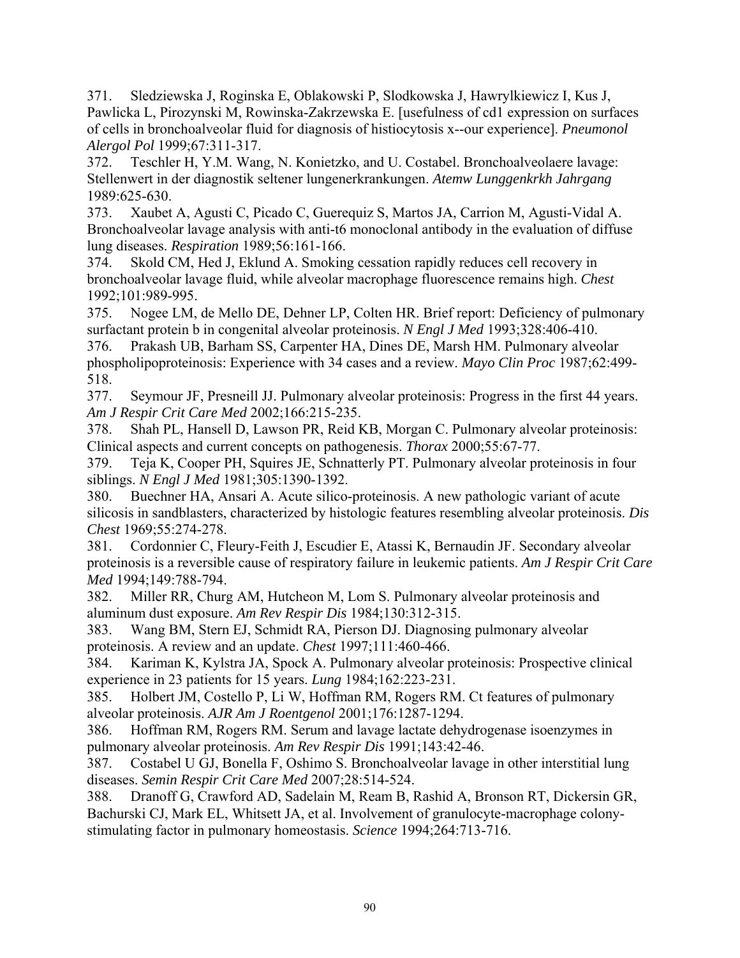371. Sledziewska J, Roginska E, Oblakowski P, Slodkowska J, Hawrylkiewicz I, Kus J, Pawlicka L, Pirozynski M, Rowinska-Zakrzewska E. [usefulness of cd1 expression on surfaces of cells in bronchoalveolar fluid for diagnosis of histiocytosis x--our experience]. *Pneumonol Alergol Pol* 1999;67:311-317.

372. Teschler H, Y.M. Wang, N. Konietzko, and U. Costabel. Bronchoalveolaere lavage: Stellenwert in der diagnostik seltener lungenerkrankungen. *Atemw Lunggenkrkh Jahrgang*  1989:625-630.

373. Xaubet A, Agusti C, Picado C, Guerequiz S, Martos JA, Carrion M, Agusti-Vidal A. Bronchoalveolar lavage analysis with anti-t6 monoclonal antibody in the evaluation of diffuse lung diseases. *Respiration* 1989;56:161-166.

374. Skold CM, Hed J, Eklund A. Smoking cessation rapidly reduces cell recovery in bronchoalveolar lavage fluid, while alveolar macrophage fluorescence remains high. *Chest*  1992;101:989-995.

375. Nogee LM, de Mello DE, Dehner LP, Colten HR. Brief report: Deficiency of pulmonary surfactant protein b in congenital alveolar proteinosis. *N Engl J Med* 1993;328:406-410.

376. Prakash UB, Barham SS, Carpenter HA, Dines DE, Marsh HM. Pulmonary alveolar phospholipoproteinosis: Experience with 34 cases and a review. *Mayo Clin Proc* 1987;62:499- 518.

377. Seymour JF, Presneill JJ. Pulmonary alveolar proteinosis: Progress in the first 44 years. *Am J Respir Crit Care Med* 2002;166:215-235.

378. Shah PL, Hansell D, Lawson PR, Reid KB, Morgan C. Pulmonary alveolar proteinosis: Clinical aspects and current concepts on pathogenesis. *Thorax* 2000;55:67-77.

379. Teja K, Cooper PH, Squires JE, Schnatterly PT. Pulmonary alveolar proteinosis in four siblings. *N Engl J Med* 1981;305:1390-1392.

380. Buechner HA, Ansari A. Acute silico-proteinosis. A new pathologic variant of acute silicosis in sandblasters, characterized by histologic features resembling alveolar proteinosis. *Dis Chest* 1969;55:274-278.

381. Cordonnier C, Fleury-Feith J, Escudier E, Atassi K, Bernaudin JF. Secondary alveolar proteinosis is a reversible cause of respiratory failure in leukemic patients. *Am J Respir Crit Care Med* 1994;149:788-794.

382. Miller RR, Churg AM, Hutcheon M, Lom S. Pulmonary alveolar proteinosis and aluminum dust exposure. *Am Rev Respir Dis* 1984;130:312-315.

383. Wang BM, Stern EJ, Schmidt RA, Pierson DJ. Diagnosing pulmonary alveolar proteinosis. A review and an update. *Chest* 1997;111:460-466.

384. Kariman K, Kylstra JA, Spock A. Pulmonary alveolar proteinosis: Prospective clinical experience in 23 patients for 15 years. *Lung* 1984;162:223-231.

385. Holbert JM, Costello P, Li W, Hoffman RM, Rogers RM. Ct features of pulmonary alveolar proteinosis. *AJR Am J Roentgenol* 2001;176:1287-1294.

386. Hoffman RM, Rogers RM. Serum and lavage lactate dehydrogenase isoenzymes in pulmonary alveolar proteinosis. *Am Rev Respir Dis* 1991;143:42-46.

387. Costabel U GJ, Bonella F, Oshimo S. Bronchoalveolar lavage in other interstitial lung diseases. *Semin Respir Crit Care Med* 2007;28:514-524.

388. Dranoff G, Crawford AD, Sadelain M, Ream B, Rashid A, Bronson RT, Dickersin GR, Bachurski CJ, Mark EL, Whitsett JA, et al. Involvement of granulocyte-macrophage colonystimulating factor in pulmonary homeostasis. *Science* 1994;264:713-716.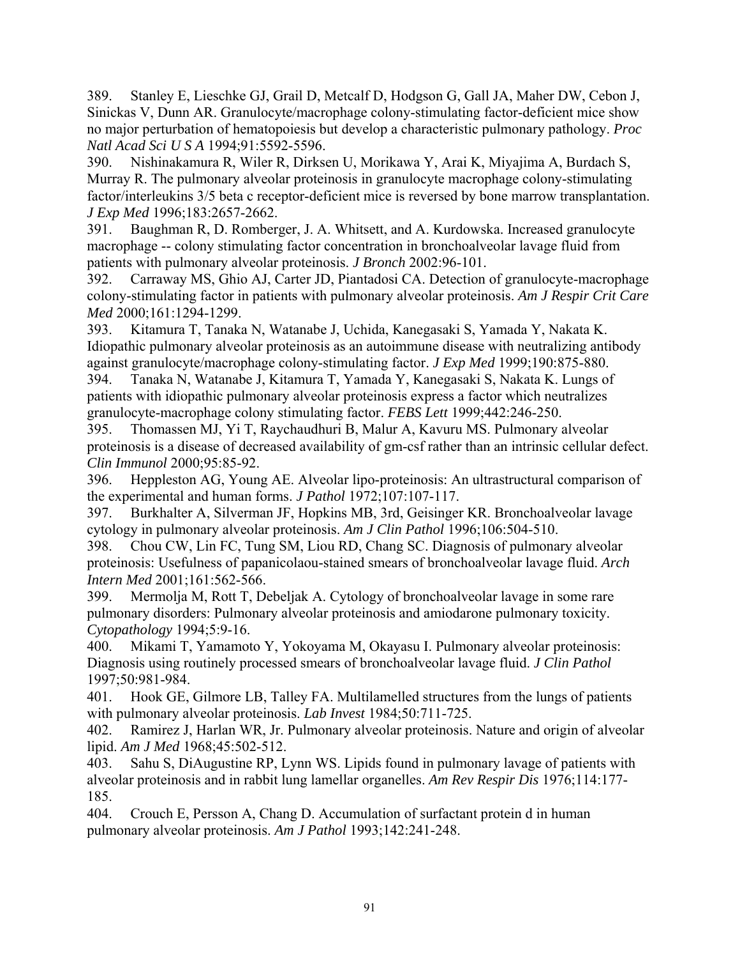389. Stanley E, Lieschke GJ, Grail D, Metcalf D, Hodgson G, Gall JA, Maher DW, Cebon J, Sinickas V, Dunn AR. Granulocyte/macrophage colony-stimulating factor-deficient mice show no major perturbation of hematopoiesis but develop a characteristic pulmonary pathology. *Proc Natl Acad Sci U S A* 1994;91:5592-5596.

390. Nishinakamura R, Wiler R, Dirksen U, Morikawa Y, Arai K, Miyajima A, Burdach S, Murray R. The pulmonary alveolar proteinosis in granulocyte macrophage colony-stimulating factor/interleukins 3/5 beta c receptor-deficient mice is reversed by bone marrow transplantation. *J Exp Med* 1996;183:2657-2662.

391. Baughman R, D. Romberger, J. A. Whitsett, and A. Kurdowska. Increased granulocyte macrophage -- colony stimulating factor concentration in bronchoalveolar lavage fluid from patients with pulmonary alveolar proteinosis. *J Bronch* 2002:96-101.

392. Carraway MS, Ghio AJ, Carter JD, Piantadosi CA. Detection of granulocyte-macrophage colony-stimulating factor in patients with pulmonary alveolar proteinosis. *Am J Respir Crit Care Med* 2000;161:1294-1299.

393. Kitamura T, Tanaka N, Watanabe J, Uchida, Kanegasaki S, Yamada Y, Nakata K. Idiopathic pulmonary alveolar proteinosis as an autoimmune disease with neutralizing antibody against granulocyte/macrophage colony-stimulating factor. *J Exp Med* 1999;190:875-880.

394. Tanaka N, Watanabe J, Kitamura T, Yamada Y, Kanegasaki S, Nakata K. Lungs of patients with idiopathic pulmonary alveolar proteinosis express a factor which neutralizes granulocyte-macrophage colony stimulating factor. *FEBS Lett* 1999;442:246-250.

395. Thomassen MJ, Yi T, Raychaudhuri B, Malur A, Kavuru MS. Pulmonary alveolar proteinosis is a disease of decreased availability of gm-csf rather than an intrinsic cellular defect. *Clin Immunol* 2000;95:85-92.

396. Heppleston AG, Young AE. Alveolar lipo-proteinosis: An ultrastructural comparison of the experimental and human forms. *J Pathol* 1972;107:107-117.

397. Burkhalter A, Silverman JF, Hopkins MB, 3rd, Geisinger KR. Bronchoalveolar lavage cytology in pulmonary alveolar proteinosis. *Am J Clin Pathol* 1996;106:504-510.

398. Chou CW, Lin FC, Tung SM, Liou RD, Chang SC. Diagnosis of pulmonary alveolar proteinosis: Usefulness of papanicolaou-stained smears of bronchoalveolar lavage fluid. *Arch Intern Med* 2001;161:562-566.

399. Mermolja M, Rott T, Debeljak A. Cytology of bronchoalveolar lavage in some rare pulmonary disorders: Pulmonary alveolar proteinosis and amiodarone pulmonary toxicity. *Cytopathology* 1994;5:9-16.

400. Mikami T, Yamamoto Y, Yokoyama M, Okayasu I. Pulmonary alveolar proteinosis: Diagnosis using routinely processed smears of bronchoalveolar lavage fluid. *J Clin Pathol*  1997;50:981-984.

401. Hook GE, Gilmore LB, Talley FA. Multilamelled structures from the lungs of patients with pulmonary alveolar proteinosis. *Lab Invest* 1984;50:711-725.

402. Ramirez J, Harlan WR, Jr. Pulmonary alveolar proteinosis. Nature and origin of alveolar lipid. *Am J Med* 1968;45:502-512.

403. Sahu S, DiAugustine RP, Lynn WS. Lipids found in pulmonary lavage of patients with alveolar proteinosis and in rabbit lung lamellar organelles. *Am Rev Respir Dis* 1976;114:177- 185.

404. Crouch E, Persson A, Chang D. Accumulation of surfactant protein d in human pulmonary alveolar proteinosis. *Am J Pathol* 1993;142:241-248.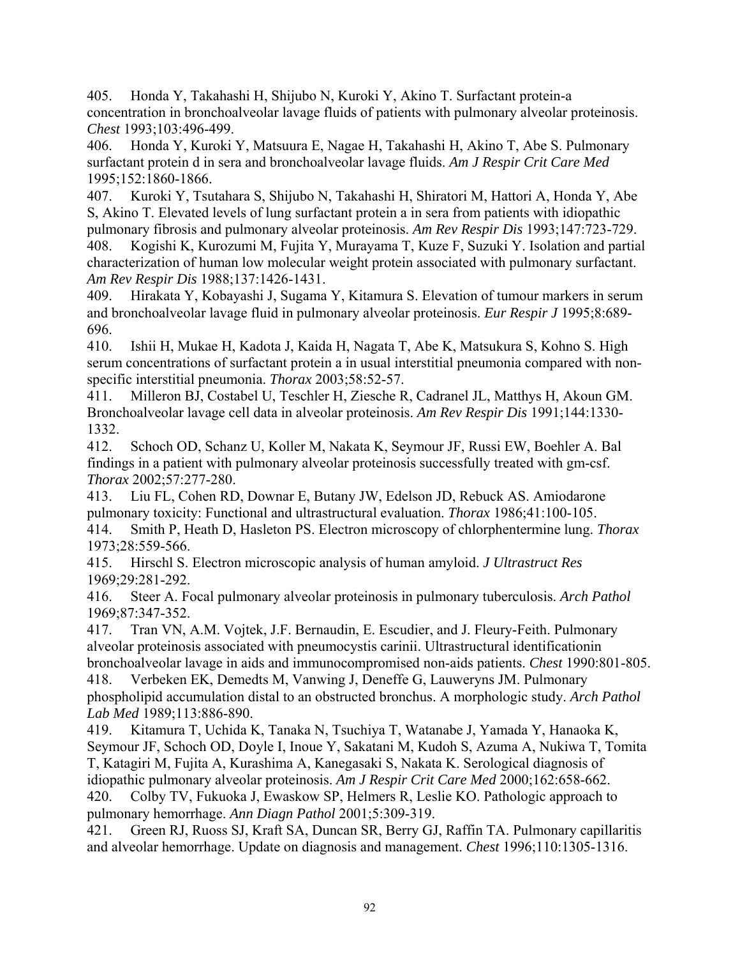405. Honda Y, Takahashi H, Shijubo N, Kuroki Y, Akino T. Surfactant protein-a concentration in bronchoalveolar lavage fluids of patients with pulmonary alveolar proteinosis. *Chest* 1993;103:496-499.

406. Honda Y, Kuroki Y, Matsuura E, Nagae H, Takahashi H, Akino T, Abe S. Pulmonary surfactant protein d in sera and bronchoalveolar lavage fluids. *Am J Respir Crit Care Med*  1995;152:1860-1866.

407. Kuroki Y, Tsutahara S, Shijubo N, Takahashi H, Shiratori M, Hattori A, Honda Y, Abe S, Akino T. Elevated levels of lung surfactant protein a in sera from patients with idiopathic pulmonary fibrosis and pulmonary alveolar proteinosis. *Am Rev Respir Dis* 1993;147:723-729.

408. Kogishi K, Kurozumi M, Fujita Y, Murayama T, Kuze F, Suzuki Y. Isolation and partial characterization of human low molecular weight protein associated with pulmonary surfactant. *Am Rev Respir Dis* 1988;137:1426-1431.

409. Hirakata Y, Kobayashi J, Sugama Y, Kitamura S. Elevation of tumour markers in serum and bronchoalveolar lavage fluid in pulmonary alveolar proteinosis. *Eur Respir J* 1995;8:689- 696.

410. Ishii H, Mukae H, Kadota J, Kaida H, Nagata T, Abe K, Matsukura S, Kohno S. High serum concentrations of surfactant protein a in usual interstitial pneumonia compared with nonspecific interstitial pneumonia. *Thorax* 2003;58:52-57.

411. Milleron BJ, Costabel U, Teschler H, Ziesche R, Cadranel JL, Matthys H, Akoun GM. Bronchoalveolar lavage cell data in alveolar proteinosis. *Am Rev Respir Dis* 1991;144:1330- 1332.

412. Schoch OD, Schanz U, Koller M, Nakata K, Seymour JF, Russi EW, Boehler A. Bal findings in a patient with pulmonary alveolar proteinosis successfully treated with gm-csf. *Thorax* 2002;57:277-280.

413. Liu FL, Cohen RD, Downar E, Butany JW, Edelson JD, Rebuck AS. Amiodarone pulmonary toxicity: Functional and ultrastructural evaluation. *Thorax* 1986;41:100-105. 414. Smith P, Heath D, Hasleton PS. Electron microscopy of chlorphentermine lung. *Thorax*  1973;28:559-566.

415. Hirschl S. Electron microscopic analysis of human amyloid. *J Ultrastruct Res*  1969;29:281-292.

416. Steer A. Focal pulmonary alveolar proteinosis in pulmonary tuberculosis. *Arch Pathol*  1969;87:347-352.

417. Tran VN, A.M. Vojtek, J.F. Bernaudin, E. Escudier, and J. Fleury-Feith. Pulmonary alveolar proteinosis associated with pneumocystis carinii. Ultrastructural identificationin bronchoalveolar lavage in aids and immunocompromised non-aids patients. *Chest* 1990:801-805.

418. Verbeken EK, Demedts M, Vanwing J, Deneffe G, Lauweryns JM. Pulmonary phospholipid accumulation distal to an obstructed bronchus. A morphologic study. *Arch Pathol Lab Med* 1989;113:886-890.

419. Kitamura T, Uchida K, Tanaka N, Tsuchiya T, Watanabe J, Yamada Y, Hanaoka K, Seymour JF, Schoch OD, Doyle I, Inoue Y, Sakatani M, Kudoh S, Azuma A, Nukiwa T, Tomita T, Katagiri M, Fujita A, Kurashima A, Kanegasaki S, Nakata K. Serological diagnosis of

idiopathic pulmonary alveolar proteinosis. *Am J Respir Crit Care Med* 2000;162:658-662. 420. Colby TV, Fukuoka J, Ewaskow SP, Helmers R, Leslie KO. Pathologic approach to

pulmonary hemorrhage. *Ann Diagn Pathol* 2001;5:309-319.

421. Green RJ, Ruoss SJ, Kraft SA, Duncan SR, Berry GJ, Raffin TA. Pulmonary capillaritis and alveolar hemorrhage. Update on diagnosis and management. *Chest* 1996;110:1305-1316.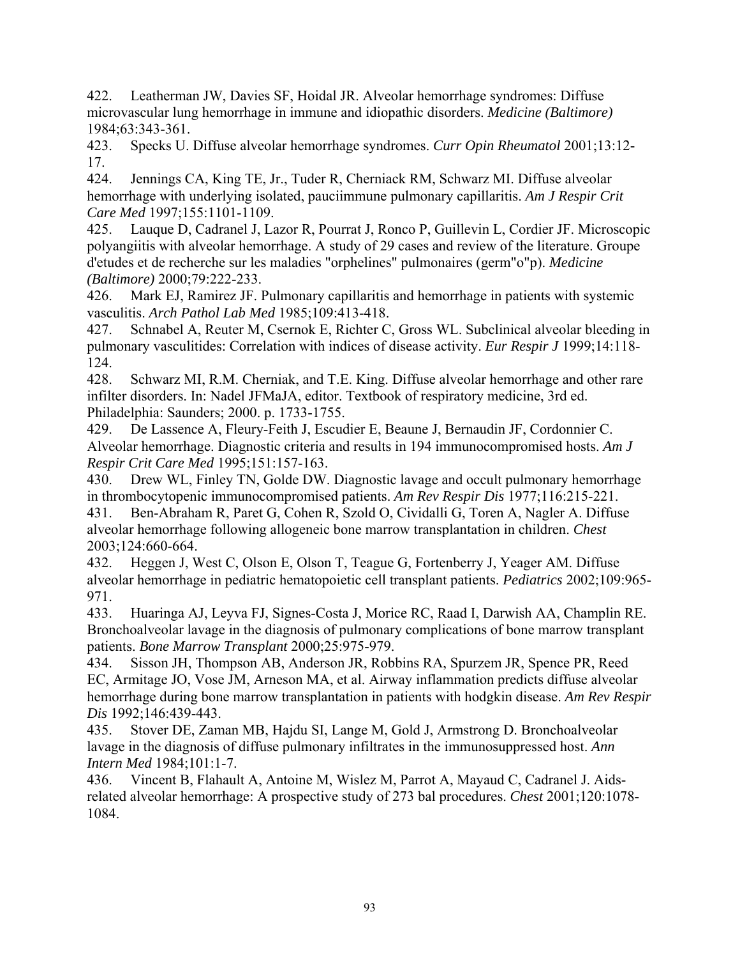422. Leatherman JW, Davies SF, Hoidal JR. Alveolar hemorrhage syndromes: Diffuse microvascular lung hemorrhage in immune and idiopathic disorders. *Medicine (Baltimore)*  1984;63:343-361.

423. Specks U. Diffuse alveolar hemorrhage syndromes. *Curr Opin Rheumatol* 2001;13:12- 17.

424. Jennings CA, King TE, Jr., Tuder R, Cherniack RM, Schwarz MI. Diffuse alveolar hemorrhage with underlying isolated, pauciimmune pulmonary capillaritis. *Am J Respir Crit Care Med* 1997;155:1101-1109.

425. Lauque D, Cadranel J, Lazor R, Pourrat J, Ronco P, Guillevin L, Cordier JF. Microscopic polyangiitis with alveolar hemorrhage. A study of 29 cases and review of the literature. Groupe d'etudes et de recherche sur les maladies "orphelines" pulmonaires (germ"o"p). *Medicine (Baltimore)* 2000;79:222-233.

426. Mark EJ, Ramirez JF. Pulmonary capillaritis and hemorrhage in patients with systemic vasculitis. *Arch Pathol Lab Med* 1985;109:413-418.

427. Schnabel A, Reuter M, Csernok E, Richter C, Gross WL. Subclinical alveolar bleeding in pulmonary vasculitides: Correlation with indices of disease activity. *Eur Respir J* 1999;14:118- 124.

428. Schwarz MI, R.M. Cherniak, and T.E. King. Diffuse alveolar hemorrhage and other rare infilter disorders. In: Nadel JFMaJA, editor. Textbook of respiratory medicine, 3rd ed. Philadelphia: Saunders; 2000. p. 1733-1755.

429. De Lassence A, Fleury-Feith J, Escudier E, Beaune J, Bernaudin JF, Cordonnier C. Alveolar hemorrhage. Diagnostic criteria and results in 194 immunocompromised hosts. *Am J Respir Crit Care Med* 1995;151:157-163.

430. Drew WL, Finley TN, Golde DW. Diagnostic lavage and occult pulmonary hemorrhage in thrombocytopenic immunocompromised patients. *Am Rev Respir Dis* 1977;116:215-221.

431. Ben-Abraham R, Paret G, Cohen R, Szold O, Cividalli G, Toren A, Nagler A. Diffuse alveolar hemorrhage following allogeneic bone marrow transplantation in children. *Chest*  2003;124:660-664.

432. Heggen J, West C, Olson E, Olson T, Teague G, Fortenberry J, Yeager AM. Diffuse alveolar hemorrhage in pediatric hematopoietic cell transplant patients. *Pediatrics* 2002;109:965- 971.

433. Huaringa AJ, Leyva FJ, Signes-Costa J, Morice RC, Raad I, Darwish AA, Champlin RE. Bronchoalveolar lavage in the diagnosis of pulmonary complications of bone marrow transplant patients. *Bone Marrow Transplant* 2000;25:975-979.

434. Sisson JH, Thompson AB, Anderson JR, Robbins RA, Spurzem JR, Spence PR, Reed EC, Armitage JO, Vose JM, Arneson MA, et al. Airway inflammation predicts diffuse alveolar hemorrhage during bone marrow transplantation in patients with hodgkin disease. *Am Rev Respir Dis* 1992;146:439-443.

435. Stover DE, Zaman MB, Hajdu SI, Lange M, Gold J, Armstrong D. Bronchoalveolar lavage in the diagnosis of diffuse pulmonary infiltrates in the immunosuppressed host. *Ann Intern Med* 1984;101:1-7.

436. Vincent B, Flahault A, Antoine M, Wislez M, Parrot A, Mayaud C, Cadranel J. Aidsrelated alveolar hemorrhage: A prospective study of 273 bal procedures. *Chest* 2001;120:1078- 1084.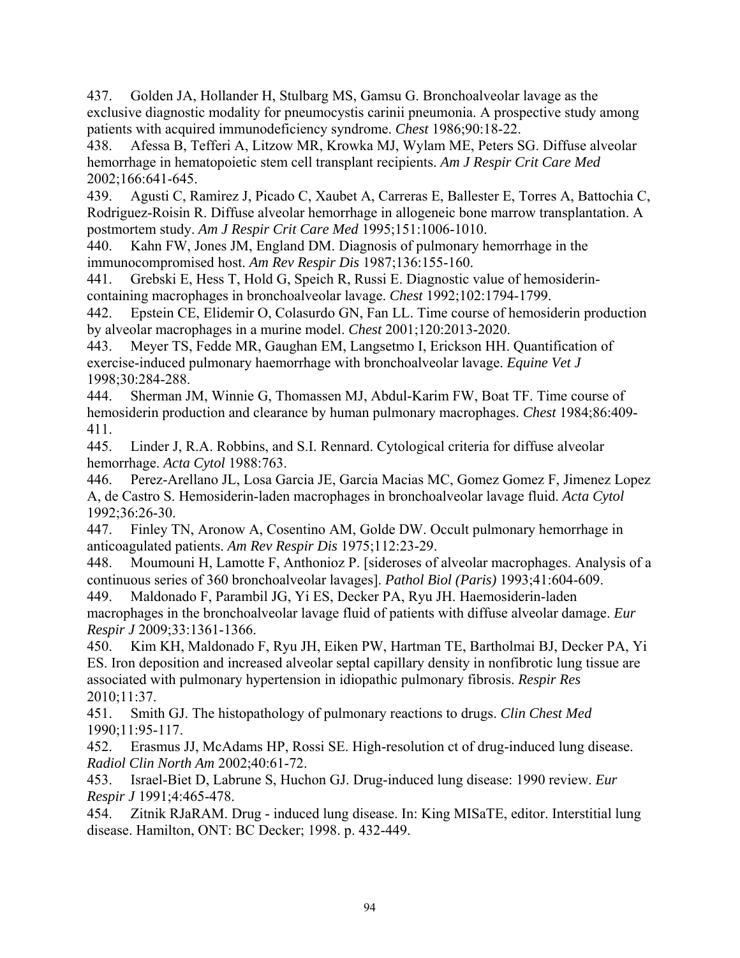437. Golden JA, Hollander H, Stulbarg MS, Gamsu G. Bronchoalveolar lavage as the exclusive diagnostic modality for pneumocystis carinii pneumonia. A prospective study among patients with acquired immunodeficiency syndrome. *Chest* 1986;90:18-22.

438. Afessa B, Tefferi A, Litzow MR, Krowka MJ, Wylam ME, Peters SG. Diffuse alveolar hemorrhage in hematopoietic stem cell transplant recipients. *Am J Respir Crit Care Med*  2002;166:641-645.

439. Agusti C, Ramirez J, Picado C, Xaubet A, Carreras E, Ballester E, Torres A, Battochia C, Rodriguez-Roisin R. Diffuse alveolar hemorrhage in allogeneic bone marrow transplantation. A postmortem study. *Am J Respir Crit Care Med* 1995;151:1006-1010.

440. Kahn FW, Jones JM, England DM. Diagnosis of pulmonary hemorrhage in the immunocompromised host. *Am Rev Respir Dis* 1987;136:155-160.

441. Grebski E, Hess T, Hold G, Speich R, Russi E. Diagnostic value of hemosiderincontaining macrophages in bronchoalveolar lavage. *Chest* 1992;102:1794-1799.

442. Epstein CE, Elidemir O, Colasurdo GN, Fan LL. Time course of hemosiderin production by alveolar macrophages in a murine model. *Chest* 2001;120:2013-2020.

443. Meyer TS, Fedde MR, Gaughan EM, Langsetmo I, Erickson HH. Quantification of exercise-induced pulmonary haemorrhage with bronchoalveolar lavage. *Equine Vet J*  1998;30:284-288.

444. Sherman JM, Winnie G, Thomassen MJ, Abdul-Karim FW, Boat TF. Time course of hemosiderin production and clearance by human pulmonary macrophages. *Chest* 1984;86:409- 411.

445. Linder J, R.A. Robbins, and S.I. Rennard. Cytological criteria for diffuse alveolar hemorrhage. *Acta Cytol* 1988:763.

446. Perez-Arellano JL, Losa Garcia JE, Garcia Macias MC, Gomez Gomez F, Jimenez Lopez A, de Castro S. Hemosiderin-laden macrophages in bronchoalveolar lavage fluid. *Acta Cytol*  1992;36:26-30.

447. Finley TN, Aronow A, Cosentino AM, Golde DW. Occult pulmonary hemorrhage in anticoagulated patients. *Am Rev Respir Dis* 1975;112:23-29.

448. Moumouni H, Lamotte F, Anthonioz P. [sideroses of alveolar macrophages. Analysis of a continuous series of 360 bronchoalveolar lavages]. *Pathol Biol (Paris)* 1993;41:604-609.

449. Maldonado F, Parambil JG, Yi ES, Decker PA, Ryu JH. Haemosiderin-laden macrophages in the bronchoalveolar lavage fluid of patients with diffuse alveolar damage. *Eur Respir J* 2009;33:1361-1366.

450. Kim KH, Maldonado F, Ryu JH, Eiken PW, Hartman TE, Bartholmai BJ, Decker PA, Yi ES. Iron deposition and increased alveolar septal capillary density in nonfibrotic lung tissue are associated with pulmonary hypertension in idiopathic pulmonary fibrosis. *Respir Res*  2010;11:37.

451. Smith GJ. The histopathology of pulmonary reactions to drugs. *Clin Chest Med*  1990;11:95-117.

452. Erasmus JJ, McAdams HP, Rossi SE. High-resolution ct of drug-induced lung disease. *Radiol Clin North Am* 2002;40:61-72.

453. Israel-Biet D, Labrune S, Huchon GJ. Drug-induced lung disease: 1990 review. *Eur Respir J* 1991;4:465-478.

454. Zitnik RJaRAM. Drug - induced lung disease. In: King MISaTE, editor. Interstitial lung disease. Hamilton, ONT: BC Decker; 1998. p. 432-449.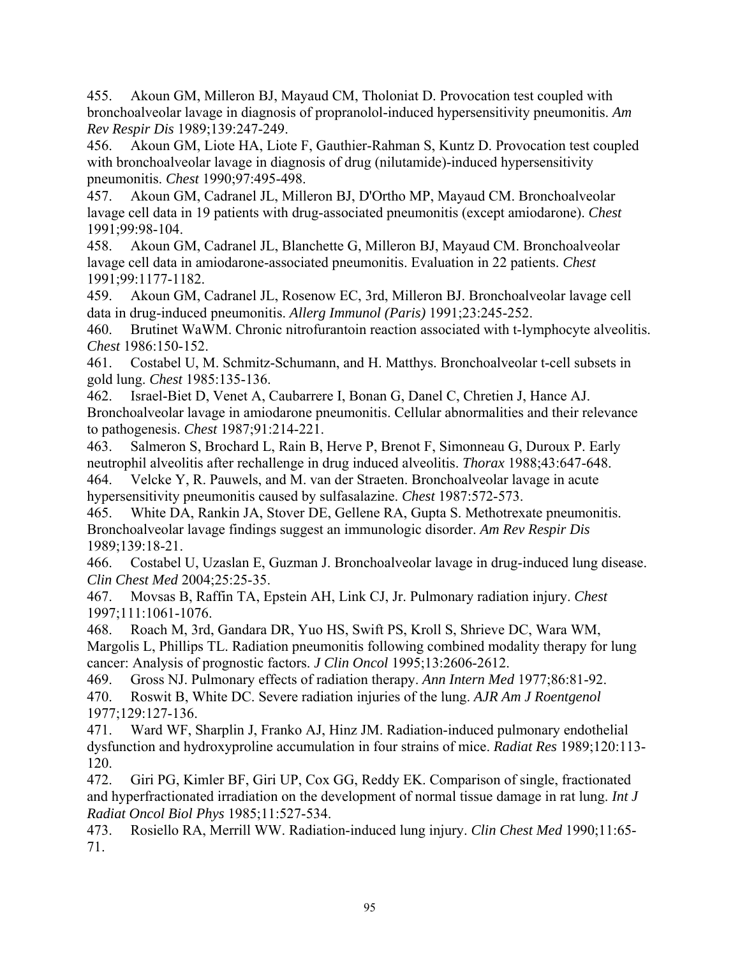455. Akoun GM, Milleron BJ, Mayaud CM, Tholoniat D. Provocation test coupled with bronchoalveolar lavage in diagnosis of propranolol-induced hypersensitivity pneumonitis. *Am Rev Respir Dis* 1989;139:247-249.

456. Akoun GM, Liote HA, Liote F, Gauthier-Rahman S, Kuntz D. Provocation test coupled with bronchoalveolar lavage in diagnosis of drug (nilutamide)-induced hypersensitivity pneumonitis. *Chest* 1990;97:495-498.

457. Akoun GM, Cadranel JL, Milleron BJ, D'Ortho MP, Mayaud CM. Bronchoalveolar lavage cell data in 19 patients with drug-associated pneumonitis (except amiodarone). *Chest*  1991;99:98-104.

458. Akoun GM, Cadranel JL, Blanchette G, Milleron BJ, Mayaud CM. Bronchoalveolar lavage cell data in amiodarone-associated pneumonitis. Evaluation in 22 patients. *Chest*  1991;99:1177-1182.

459. Akoun GM, Cadranel JL, Rosenow EC, 3rd, Milleron BJ. Bronchoalveolar lavage cell data in drug-induced pneumonitis. *Allerg Immunol (Paris)* 1991;23:245-252.

460. Brutinet WaWM. Chronic nitrofurantoin reaction associated with t-lymphocyte alveolitis. *Chest* 1986:150-152.

461. Costabel U, M. Schmitz-Schumann, and H. Matthys. Bronchoalveolar t-cell subsets in gold lung. *Chest* 1985:135-136.

462. Israel-Biet D, Venet A, Caubarrere I, Bonan G, Danel C, Chretien J, Hance AJ. Bronchoalveolar lavage in amiodarone pneumonitis. Cellular abnormalities and their relevance to pathogenesis. *Chest* 1987;91:214-221.

463. Salmeron S, Brochard L, Rain B, Herve P, Brenot F, Simonneau G, Duroux P. Early neutrophil alveolitis after rechallenge in drug induced alveolitis. *Thorax* 1988;43:647-648. 464. Velcke Y, R. Pauwels, and M. van der Straeten. Bronchoalveolar lavage in acute

hypersensitivity pneumonitis caused by sulfasalazine. *Chest* 1987:572-573.

465. White DA, Rankin JA, Stover DE, Gellene RA, Gupta S. Methotrexate pneumonitis. Bronchoalveolar lavage findings suggest an immunologic disorder. *Am Rev Respir Dis*  1989;139:18-21.

466. Costabel U, Uzaslan E, Guzman J. Bronchoalveolar lavage in drug-induced lung disease. *Clin Chest Med* 2004;25:25-35.

467. Movsas B, Raffin TA, Epstein AH, Link CJ, Jr. Pulmonary radiation injury. *Chest*  1997;111:1061-1076.

468. Roach M, 3rd, Gandara DR, Yuo HS, Swift PS, Kroll S, Shrieve DC, Wara WM, Margolis L, Phillips TL. Radiation pneumonitis following combined modality therapy for lung cancer: Analysis of prognostic factors. *J Clin Oncol* 1995;13:2606-2612.

469. Gross NJ. Pulmonary effects of radiation therapy. *Ann Intern Med* 1977;86:81-92. 470. Roswit B, White DC. Severe radiation injuries of the lung. *AJR Am J Roentgenol*  1977;129:127-136.

471. Ward WF, Sharplin J, Franko AJ, Hinz JM. Radiation-induced pulmonary endothelial dysfunction and hydroxyproline accumulation in four strains of mice. *Radiat Res* 1989;120:113- 120.

472. Giri PG, Kimler BF, Giri UP, Cox GG, Reddy EK. Comparison of single, fractionated and hyperfractionated irradiation on the development of normal tissue damage in rat lung. *Int J Radiat Oncol Biol Phys* 1985;11:527-534.

473. Rosiello RA, Merrill WW. Radiation-induced lung injury. *Clin Chest Med* 1990;11:65- 71.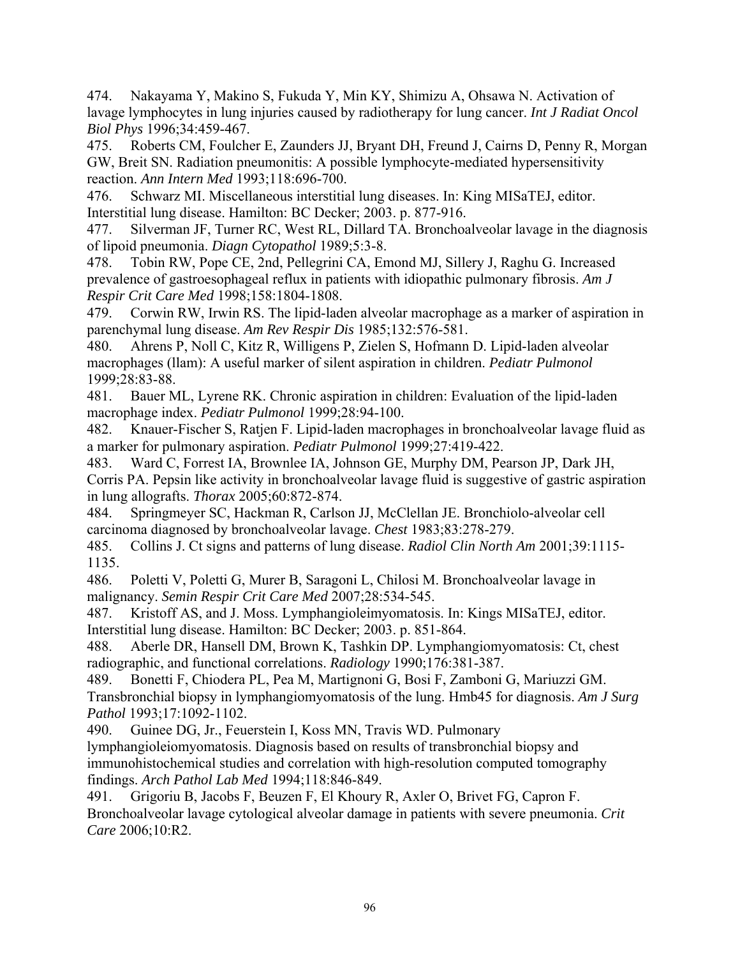474. Nakayama Y, Makino S, Fukuda Y, Min KY, Shimizu A, Ohsawa N. Activation of lavage lymphocytes in lung injuries caused by radiotherapy for lung cancer. *Int J Radiat Oncol Biol Phys* 1996;34:459-467.

475. Roberts CM, Foulcher E, Zaunders JJ, Bryant DH, Freund J, Cairns D, Penny R, Morgan GW, Breit SN. Radiation pneumonitis: A possible lymphocyte-mediated hypersensitivity reaction. *Ann Intern Med* 1993;118:696-700.

476. Schwarz MI. Miscellaneous interstitial lung diseases. In: King MISaTEJ, editor. Interstitial lung disease. Hamilton: BC Decker; 2003. p. 877-916.

477. Silverman JF, Turner RC, West RL, Dillard TA. Bronchoalveolar lavage in the diagnosis of lipoid pneumonia. *Diagn Cytopathol* 1989;5:3-8.

478. Tobin RW, Pope CE, 2nd, Pellegrini CA, Emond MJ, Sillery J, Raghu G. Increased prevalence of gastroesophageal reflux in patients with idiopathic pulmonary fibrosis. *Am J Respir Crit Care Med* 1998;158:1804-1808.

479. Corwin RW, Irwin RS. The lipid-laden alveolar macrophage as a marker of aspiration in parenchymal lung disease. *Am Rev Respir Dis* 1985;132:576-581.

480. Ahrens P, Noll C, Kitz R, Willigens P, Zielen S, Hofmann D. Lipid-laden alveolar macrophages (llam): A useful marker of silent aspiration in children. *Pediatr Pulmonol*  1999;28:83-88.

481. Bauer ML, Lyrene RK. Chronic aspiration in children: Evaluation of the lipid-laden macrophage index. *Pediatr Pulmonol* 1999;28:94-100.

482. Knauer-Fischer S, Ratjen F. Lipid-laden macrophages in bronchoalveolar lavage fluid as a marker for pulmonary aspiration. *Pediatr Pulmonol* 1999;27:419-422.

483. Ward C, Forrest IA, Brownlee IA, Johnson GE, Murphy DM, Pearson JP, Dark JH, Corris PA. Pepsin like activity in bronchoalveolar lavage fluid is suggestive of gastric aspiration in lung allografts. *Thorax* 2005;60:872-874.

484. Springmeyer SC, Hackman R, Carlson JJ, McClellan JE. Bronchiolo-alveolar cell carcinoma diagnosed by bronchoalveolar lavage. *Chest* 1983;83:278-279.

485. Collins J. Ct signs and patterns of lung disease. *Radiol Clin North Am* 2001;39:1115- 1135.

486. Poletti V, Poletti G, Murer B, Saragoni L, Chilosi M. Bronchoalveolar lavage in malignancy. *Semin Respir Crit Care Med* 2007;28:534-545.

487. Kristoff AS, and J. Moss. Lymphangioleimyomatosis. In: Kings MISaTEJ, editor. Interstitial lung disease. Hamilton: BC Decker; 2003. p. 851-864.

488. Aberle DR, Hansell DM, Brown K, Tashkin DP. Lymphangiomyomatosis: Ct, chest radiographic, and functional correlations. *Radiology* 1990;176:381-387.

489. Bonetti F, Chiodera PL, Pea M, Martignoni G, Bosi F, Zamboni G, Mariuzzi GM. Transbronchial biopsy in lymphangiomyomatosis of the lung. Hmb45 for diagnosis. *Am J Surg Pathol* 1993;17:1092-1102.

490. Guinee DG, Jr., Feuerstein I, Koss MN, Travis WD. Pulmonary

lymphangioleiomyomatosis. Diagnosis based on results of transbronchial biopsy and immunohistochemical studies and correlation with high-resolution computed tomography findings. *Arch Pathol Lab Med* 1994;118:846-849.

491. Grigoriu B, Jacobs F, Beuzen F, El Khoury R, Axler O, Brivet FG, Capron F. Bronchoalveolar lavage cytological alveolar damage in patients with severe pneumonia. *Crit Care* 2006;10:R2.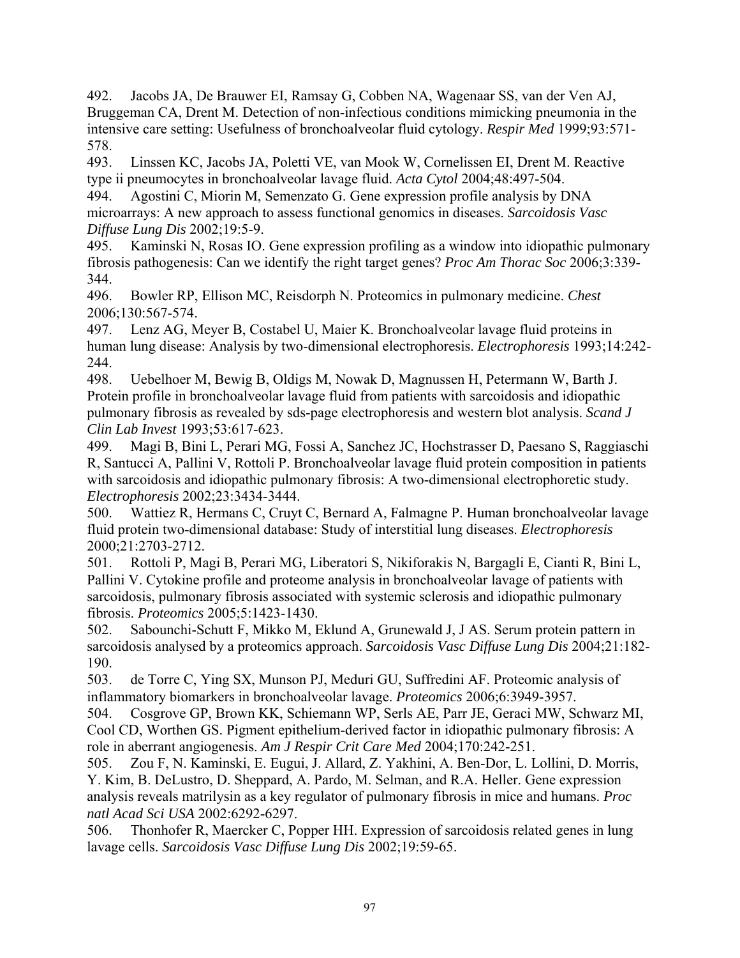492. Jacobs JA, De Brauwer EI, Ramsay G, Cobben NA, Wagenaar SS, van der Ven AJ, Bruggeman CA, Drent M. Detection of non-infectious conditions mimicking pneumonia in the intensive care setting: Usefulness of bronchoalveolar fluid cytology. *Respir Med* 1999;93:571- 578.

493. Linssen KC, Jacobs JA, Poletti VE, van Mook W, Cornelissen EI, Drent M. Reactive type ii pneumocytes in bronchoalveolar lavage fluid. *Acta Cytol* 2004;48:497-504.

494. Agostini C, Miorin M, Semenzato G. Gene expression profile analysis by DNA microarrays: A new approach to assess functional genomics in diseases. *Sarcoidosis Vasc Diffuse Lung Dis* 2002;19:5-9.

495. Kaminski N, Rosas IO. Gene expression profiling as a window into idiopathic pulmonary fibrosis pathogenesis: Can we identify the right target genes? *Proc Am Thorac Soc* 2006;3:339- 344.

496. Bowler RP, Ellison MC, Reisdorph N. Proteomics in pulmonary medicine. *Chest*  2006;130:567-574.

497. Lenz AG, Meyer B, Costabel U, Maier K. Bronchoalveolar lavage fluid proteins in human lung disease: Analysis by two-dimensional electrophoresis. *Electrophoresis* 1993;14:242- 244.

498. Uebelhoer M, Bewig B, Oldigs M, Nowak D, Magnussen H, Petermann W, Barth J. Protein profile in bronchoalveolar lavage fluid from patients with sarcoidosis and idiopathic pulmonary fibrosis as revealed by sds-page electrophoresis and western blot analysis. *Scand J Clin Lab Invest* 1993;53:617-623.

499. Magi B, Bini L, Perari MG, Fossi A, Sanchez JC, Hochstrasser D, Paesano S, Raggiaschi R, Santucci A, Pallini V, Rottoli P. Bronchoalveolar lavage fluid protein composition in patients with sarcoidosis and idiopathic pulmonary fibrosis: A two-dimensional electrophoretic study. *Electrophoresis* 2002;23:3434-3444.

500. Wattiez R, Hermans C, Cruyt C, Bernard A, Falmagne P. Human bronchoalveolar lavage fluid protein two-dimensional database: Study of interstitial lung diseases. *Electrophoresis*  2000;21:2703-2712.

501. Rottoli P, Magi B, Perari MG, Liberatori S, Nikiforakis N, Bargagli E, Cianti R, Bini L, Pallini V. Cytokine profile and proteome analysis in bronchoalveolar lavage of patients with sarcoidosis, pulmonary fibrosis associated with systemic sclerosis and idiopathic pulmonary fibrosis. *Proteomics* 2005;5:1423-1430.

502. Sabounchi-Schutt F, Mikko M, Eklund A, Grunewald J, J AS. Serum protein pattern in sarcoidosis analysed by a proteomics approach. *Sarcoidosis Vasc Diffuse Lung Dis* 2004;21:182- 190.

503. de Torre C, Ying SX, Munson PJ, Meduri GU, Suffredini AF. Proteomic analysis of inflammatory biomarkers in bronchoalveolar lavage. *Proteomics* 2006;6:3949-3957.

504. Cosgrove GP, Brown KK, Schiemann WP, Serls AE, Parr JE, Geraci MW, Schwarz MI, Cool CD, Worthen GS. Pigment epithelium-derived factor in idiopathic pulmonary fibrosis: A role in aberrant angiogenesis. *Am J Respir Crit Care Med* 2004;170:242-251.

505. Zou F, N. Kaminski, E. Eugui, J. Allard, Z. Yakhini, A. Ben-Dor, L. Lollini, D. Morris, Y. Kim, B. DeLustro, D. Sheppard, A. Pardo, M. Selman, and R.A. Heller. Gene expression analysis reveals matrilysin as a key regulator of pulmonary fibrosis in mice and humans. *Proc natl Acad Sci USA* 2002:6292-6297.

506. Thonhofer R, Maercker C, Popper HH. Expression of sarcoidosis related genes in lung lavage cells. *Sarcoidosis Vasc Diffuse Lung Dis* 2002;19:59-65.